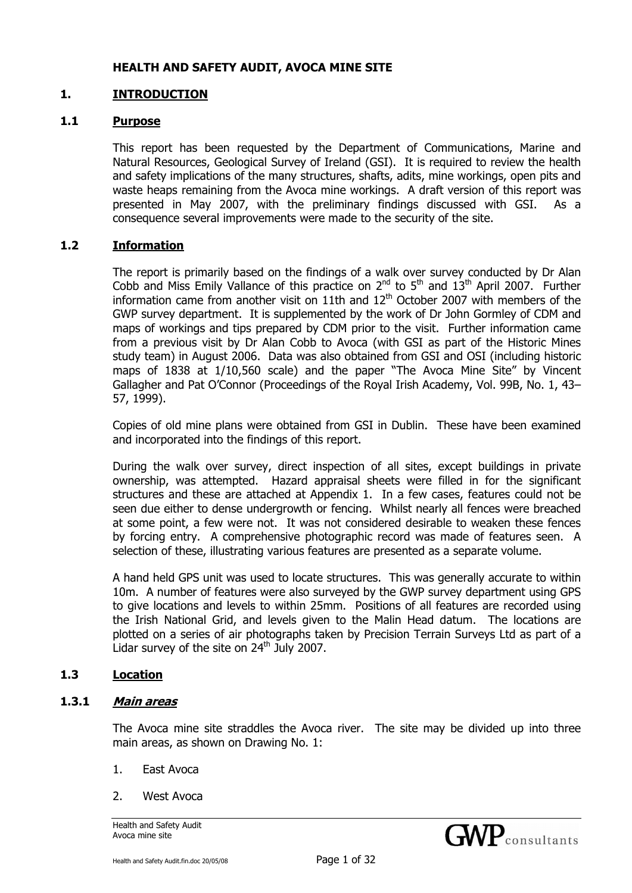#### **HEALTH AND SAFETY AUDIT, AVOCA MINE SITE**

#### **1. INTRODUCTION**

#### **1.1 Purpose**

This report has been requested by the Department of Communications, Marine and Natural Resources, Geological Survey of Ireland (GSI). It is required to review the health and safety implications of the many structures, shafts, adits, mine workings, open pits and waste heaps remaining from the Avoca mine workings. A draft version of this report was presented in May 2007, with the preliminary findings discussed with GSI. As a consequence several improvements were made to the security of the site.

#### **1.2 Information**

The report is primarily based on the findings of a walk over survey conducted by Dr Alan Cobb and Miss Emily Vallance of this practice on  $2<sup>nd</sup>$  to  $5<sup>th</sup>$  and  $13<sup>th</sup>$  April 2007. Further information came from another visit on 11th and  $12<sup>th</sup>$  October 2007 with members of the GWP survey department. It is supplemented by the work of Dr John Gormley of CDM and maps of workings and tips prepared by CDM prior to the visit. Further information came from a previous visit by Dr Alan Cobb to Avoca (with GSI as part of the Historic Mines study team) in August 2006. Data was also obtained from GSI and OSI (including historic maps of 1838 at 1/10,560 scale) and the paper "The Avoca Mine Site" by Vincent Gallagher and Pat O'Connor (Proceedings of the Royal Irish Academy, Vol. 99B, No. 1, 43– 57, 1999).

Copies of old mine plans were obtained from GSI in Dublin. These have been examined and incorporated into the findings of this report.

During the walk over survey, direct inspection of all sites, except buildings in private ownership, was attempted. Hazard appraisal sheets were filled in for the significant structures and these are attached at Appendix 1. In a few cases, features could not be seen due either to dense undergrowth or fencing. Whilst nearly all fences were breached at some point, a few were not. It was not considered desirable to weaken these fences by forcing entry. A comprehensive photographic record was made of features seen. A selection of these, illustrating various features are presented as a separate volume.

A hand held GPS unit was used to locate structures. This was generally accurate to within 10m. A number of features were also surveyed by the GWP survey department using GPS to give locations and levels to within 25mm. Positions of all features are recorded using the Irish National Grid, and levels given to the Malin Head datum. The locations are plotted on a series of air photographs taken by Precision Terrain Surveys Ltd as part of a Lidar survey of the site on  $24<sup>th</sup>$  July 2007.

#### **1.3 Location**

#### **1.3.1 Main areas**

The Avoca mine site straddles the Avoca river. The site may be divided up into three main areas, as shown on Drawing No. 1:

- 1. East Avoca
- 2. West Avoca

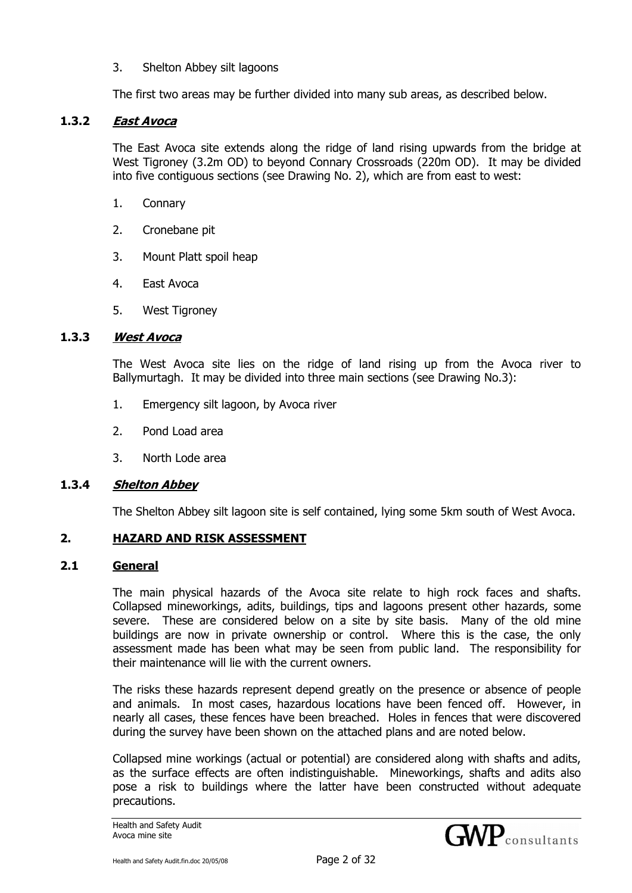3. Shelton Abbey silt lagoons

The first two areas may be further divided into many sub areas, as described below.

#### **1.3.2 East Avoca**

The East Avoca site extends along the ridge of land rising upwards from the bridge at West Tigroney (3.2m OD) to beyond Connary Crossroads (220m OD). It may be divided into five contiguous sections (see Drawing No. 2), which are from east to west:

- 1. Connary
- 2. Cronebane pit
- 3. Mount Platt spoil heap
- 4. East Avoca
- 5. West Tigroney

#### **1.3.3 West Avoca**

The West Avoca site lies on the ridge of land rising up from the Avoca river to Ballymurtagh. It may be divided into three main sections (see Drawing No.3):

- 1. Emergency silt lagoon, by Avoca river
- 2. Pond Load area
- 3. North Lode area

#### **1.3.4 Shelton Abbey**

The Shelton Abbey silt lagoon site is self contained, lying some 5km south of West Avoca.

#### **2. HAZARD AND RISK ASSESSMENT**

#### **2.1 General**

The main physical hazards of the Avoca site relate to high rock faces and shafts. Collapsed mineworkings, adits, buildings, tips and lagoons present other hazards, some severe. These are considered below on a site by site basis. Many of the old mine buildings are now in private ownership or control. Where this is the case, the only assessment made has been what may be seen from public land. The responsibility for their maintenance will lie with the current owners.

The risks these hazards represent depend greatly on the presence or absence of people and animals. In most cases, hazardous locations have been fenced off. However, in nearly all cases, these fences have been breached. Holes in fences that were discovered during the survey have been shown on the attached plans and are noted below.

Collapsed mine workings (actual or potential) are considered along with shafts and adits, as the surface effects are often indistinguishable. Mineworkings, shafts and adits also pose a risk to buildings where the latter have been constructed without adequate precautions.

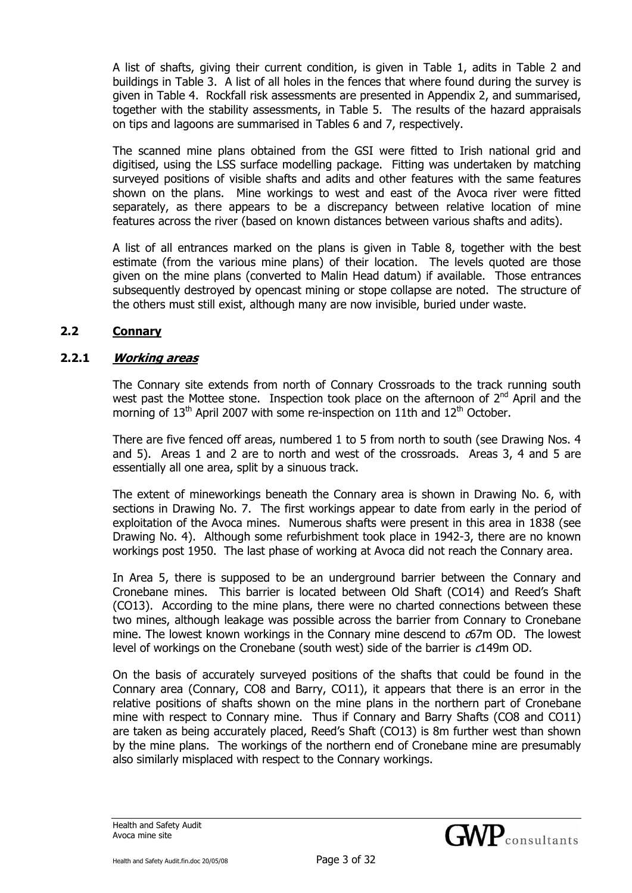A list of shafts, giving their current condition, is given in Table 1, adits in Table 2 and buildings in Table 3. A list of all holes in the fences that where found during the survey is given in Table 4. Rockfall risk assessments are presented in Appendix 2, and summarised, together with the stability assessments, in Table 5. The results of the hazard appraisals on tips and lagoons are summarised in Tables 6 and 7, respectively.

The scanned mine plans obtained from the GSI were fitted to Irish national grid and digitised, using the LSS surface modelling package. Fitting was undertaken by matching surveyed positions of visible shafts and adits and other features with the same features shown on the plans. Mine workings to west and east of the Avoca river were fitted separately, as there appears to be a discrepancy between relative location of mine features across the river (based on known distances between various shafts and adits).

A list of all entrances marked on the plans is given in Table 8, together with the best estimate (from the various mine plans) of their location. The levels quoted are those given on the mine plans (converted to Malin Head datum) if available. Those entrances subsequently destroyed by opencast mining or stope collapse are noted. The structure of the others must still exist, although many are now invisible, buried under waste.

#### **2.2 Connary**

#### **2.2.1 Working areas**

The Connary site extends from north of Connary Crossroads to the track running south west past the Mottee stone. Inspection took place on the afternoon of  $2^{nd}$  April and the morning of  $13<sup>th</sup>$  April 2007 with some re-inspection on 11th and  $12<sup>th</sup>$  October.

There are five fenced off areas, numbered 1 to 5 from north to south (see Drawing Nos. 4 and 5). Areas 1 and 2 are to north and west of the crossroads. Areas 3, 4 and 5 are essentially all one area, split by a sinuous track.

The extent of mineworkings beneath the Connary area is shown in Drawing No. 6, with sections in Drawing No. 7. The first workings appear to date from early in the period of exploitation of the Avoca mines. Numerous shafts were present in this area in 1838 (see Drawing No. 4). Although some refurbishment took place in 1942-3, there are no known workings post 1950. The last phase of working at Avoca did not reach the Connary area.

In Area 5, there is supposed to be an underground barrier between the Connary and Cronebane mines. This barrier is located between Old Shaft (CO14) and Reed's Shaft (CO13). According to the mine plans, there were no charted connections between these two mines, although leakage was possible across the barrier from Connary to Cronebane mine. The lowest known workings in the Connary mine descend to  $\sigma$ 67m OD. The lowest level of workings on the Cronebane (south west) side of the barrier is c149m OD.

On the basis of accurately surveyed positions of the shafts that could be found in the Connary area (Connary, CO8 and Barry, CO11), it appears that there is an error in the relative positions of shafts shown on the mine plans in the northern part of Cronebane mine with respect to Connary mine. Thus if Connary and Barry Shafts (CO8 and CO11) are taken as being accurately placed, Reed's Shaft (CO13) is 8m further west than shown by the mine plans. The workings of the northern end of Cronebane mine are presumably also similarly misplaced with respect to the Connary workings.

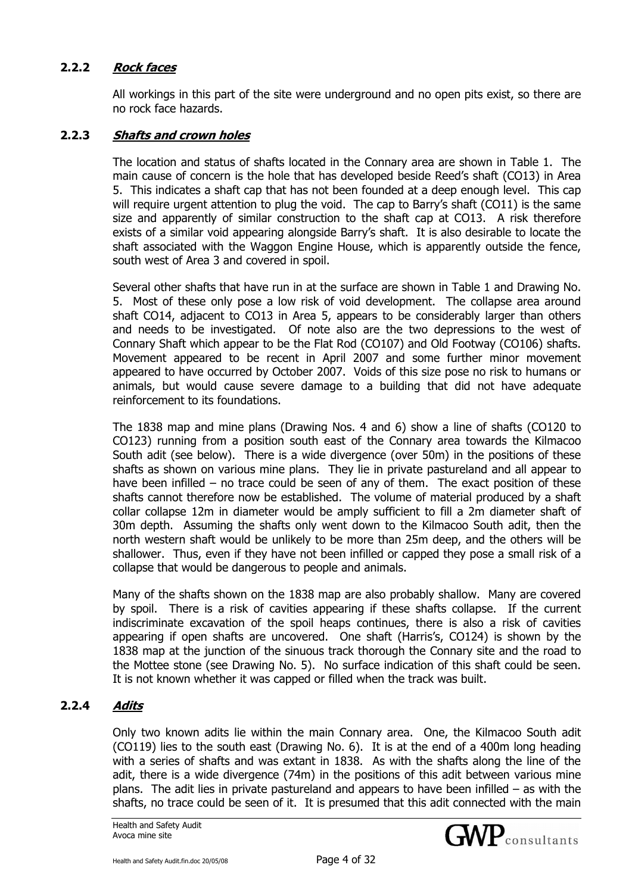## **2.2.2 Rock faces**

All workings in this part of the site were underground and no open pits exist, so there are no rock face hazards.

#### **2.2.3 Shafts and crown holes**

The location and status of shafts located in the Connary area are shown in Table 1. The main cause of concern is the hole that has developed beside Reed's shaft (CO13) in Area 5. This indicates a shaft cap that has not been founded at a deep enough level. This cap will require urgent attention to plug the void. The cap to Barry's shaft (CO11) is the same size and apparently of similar construction to the shaft cap at CO13. A risk therefore exists of a similar void appearing alongside Barry's shaft. It is also desirable to locate the shaft associated with the Waggon Engine House, which is apparently outside the fence, south west of Area 3 and covered in spoil.

Several other shafts that have run in at the surface are shown in Table 1 and Drawing No. 5. Most of these only pose a low risk of void development. The collapse area around shaft CO14, adjacent to CO13 in Area 5, appears to be considerably larger than others and needs to be investigated. Of note also are the two depressions to the west of Connary Shaft which appear to be the Flat Rod (CO107) and Old Footway (CO106) shafts. Movement appeared to be recent in April 2007 and some further minor movement appeared to have occurred by October 2007. Voids of this size pose no risk to humans or animals, but would cause severe damage to a building that did not have adequate reinforcement to its foundations.

The 1838 map and mine plans (Drawing Nos. 4 and 6) show a line of shafts (CO120 to CO123) running from a position south east of the Connary area towards the Kilmacoo South adit (see below). There is a wide divergence (over 50m) in the positions of these shafts as shown on various mine plans. They lie in private pastureland and all appear to have been infilled – no trace could be seen of any of them. The exact position of these shafts cannot therefore now be established. The volume of material produced by a shaft collar collapse 12m in diameter would be amply sufficient to fill a 2m diameter shaft of 30m depth. Assuming the shafts only went down to the Kilmacoo South adit, then the north western shaft would be unlikely to be more than 25m deep, and the others will be shallower. Thus, even if they have not been infilled or capped they pose a small risk of a collapse that would be dangerous to people and animals.

Many of the shafts shown on the 1838 map are also probably shallow. Many are covered by spoil. There is a risk of cavities appearing if these shafts collapse. If the current indiscriminate excavation of the spoil heaps continues, there is also a risk of cavities appearing if open shafts are uncovered. One shaft (Harris's, CO124) is shown by the 1838 map at the junction of the sinuous track thorough the Connary site and the road to the Mottee stone (see Drawing No. 5). No surface indication of this shaft could be seen. It is not known whether it was capped or filled when the track was built.

## **2.2.4 Adits**

Only two known adits lie within the main Connary area. One, the Kilmacoo South adit (CO119) lies to the south east (Drawing No. 6). It is at the end of a 400m long heading with a series of shafts and was extant in 1838. As with the shafts along the line of the adit, there is a wide divergence (74m) in the positions of this adit between various mine plans. The adit lies in private pastureland and appears to have been infilled – as with the shafts, no trace could be seen of it. It is presumed that this adit connected with the main



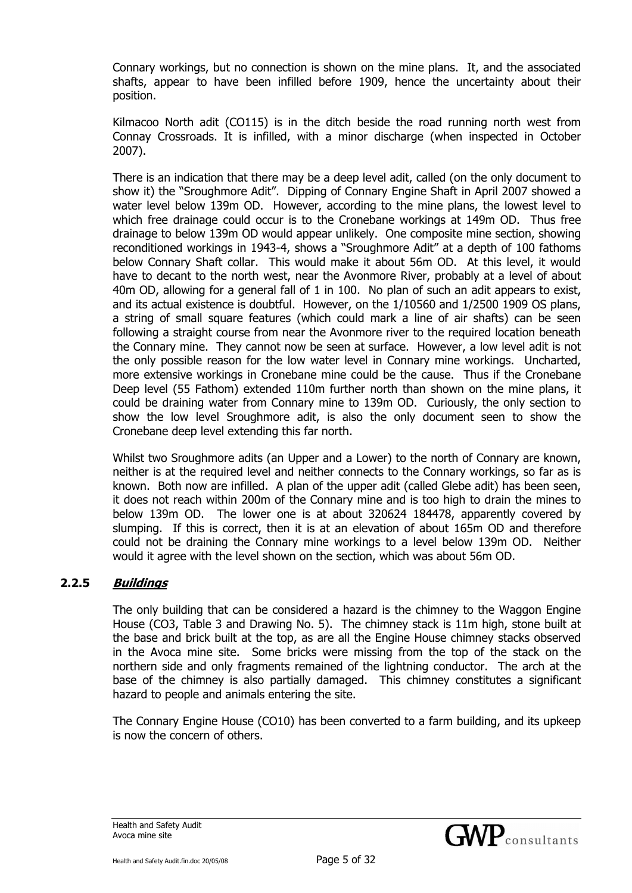Connary workings, but no connection is shown on the mine plans. It, and the associated shafts, appear to have been infilled before 1909, hence the uncertainty about their position.

Kilmacoo North adit (CO115) is in the ditch beside the road running north west from Connay Crossroads. It is infilled, with a minor discharge (when inspected in October 2007).

There is an indication that there may be a deep level adit, called (on the only document to show it) the "Sroughmore Adit". Dipping of Connary Engine Shaft in April 2007 showed a water level below 139m OD. However, according to the mine plans, the lowest level to which free drainage could occur is to the Cronebane workings at 149m OD. Thus free drainage to below 139m OD would appear unlikely. One composite mine section, showing reconditioned workings in 1943-4, shows a "Sroughmore Adit" at a depth of 100 fathoms below Connary Shaft collar. This would make it about 56m OD. At this level, it would have to decant to the north west, near the Avonmore River, probably at a level of about 40m OD, allowing for a general fall of 1 in 100. No plan of such an adit appears to exist, and its actual existence is doubtful. However, on the 1/10560 and 1/2500 1909 OS plans, a string of small square features (which could mark a line of air shafts) can be seen following a straight course from near the Avonmore river to the required location beneath the Connary mine. They cannot now be seen at surface. However, a low level adit is not the only possible reason for the low water level in Connary mine workings. Uncharted, more extensive workings in Cronebane mine could be the cause. Thus if the Cronebane Deep level (55 Fathom) extended 110m further north than shown on the mine plans, it could be draining water from Connary mine to 139m OD. Curiously, the only section to show the low level Sroughmore adit, is also the only document seen to show the Cronebane deep level extending this far north.

Whilst two Sroughmore adits (an Upper and a Lower) to the north of Connary are known, neither is at the required level and neither connects to the Connary workings, so far as is known. Both now are infilled. A plan of the upper adit (called Glebe adit) has been seen, it does not reach within 200m of the Connary mine and is too high to drain the mines to below 139m OD. The lower one is at about 320624 184478, apparently covered by slumping. If this is correct, then it is at an elevation of about 165m OD and therefore could not be draining the Connary mine workings to a level below 139m OD. Neither would it agree with the level shown on the section, which was about 56m OD.

## **2.2.5 Buildings**

The only building that can be considered a hazard is the chimney to the Waggon Engine House (CO3, Table 3 and Drawing No. 5). The chimney stack is 11m high, stone built at the base and brick built at the top, as are all the Engine House chimney stacks observed in the Avoca mine site. Some bricks were missing from the top of the stack on the northern side and only fragments remained of the lightning conductor. The arch at the base of the chimney is also partially damaged. This chimney constitutes a significant hazard to people and animals entering the site.

The Connary Engine House (CO10) has been converted to a farm building, and its upkeep is now the concern of others.

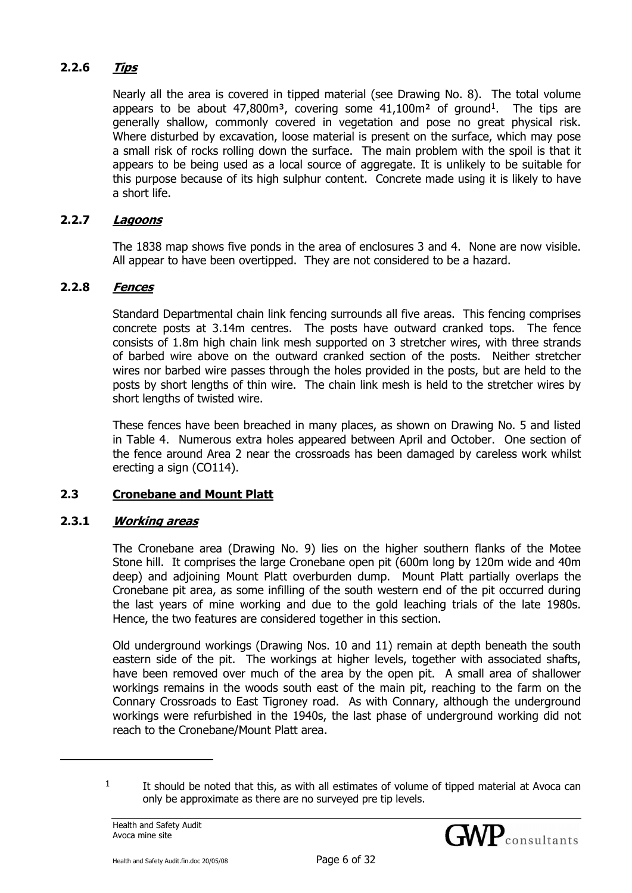# **2.2.6 Tips**

Nearly all the area is covered in tipped material (see Drawing No. 8). The total volume appears to be about  $47,800m^3$ , covering some  $41,100m^2$  of ground<sup>1</sup>. The tips are generally shallow, commonly covered in vegetation and pose no great physical risk. Where disturbed by excavation, loose material is present on the surface, which may pose a small risk of rocks rolling down the surface. The main problem with the spoil is that it appears to be being used as a local source of aggregate. It is unlikely to be suitable for this purpose because of its high sulphur content. Concrete made using it is likely to have a short life.

# **2.2.7 Lagoons**

The 1838 map shows five ponds in the area of enclosures 3 and 4. None are now visible. All appear to have been overtipped. They are not considered to be a hazard.

## **2.2.8 Fences**

Standard Departmental chain link fencing surrounds all five areas. This fencing comprises concrete posts at 3.14m centres. The posts have outward cranked tops. The fence consists of 1.8m high chain link mesh supported on 3 stretcher wires, with three strands of barbed wire above on the outward cranked section of the posts. Neither stretcher wires nor barbed wire passes through the holes provided in the posts, but are held to the posts by short lengths of thin wire. The chain link mesh is held to the stretcher wires by short lengths of twisted wire.

These fences have been breached in many places, as shown on Drawing No. 5 and listed in Table 4. Numerous extra holes appeared between April and October. One section of the fence around Area 2 near the crossroads has been damaged by careless work whilst erecting a sign (CO114).

## **2.3 Cronebane and Mount Platt**

## **2.3.1 Working areas**

The Cronebane area (Drawing No. 9) lies on the higher southern flanks of the Motee Stone hill. It comprises the large Cronebane open pit (600m long by 120m wide and 40m deep) and adjoining Mount Platt overburden dump. Mount Platt partially overlaps the Cronebane pit area, as some infilling of the south western end of the pit occurred during the last years of mine working and due to the gold leaching trials of the late 1980s. Hence, the two features are considered together in this section.

Old underground workings (Drawing Nos. 10 and 11) remain at depth beneath the south eastern side of the pit. The workings at higher levels, together with associated shafts, have been removed over much of the area by the open pit. A small area of shallower workings remains in the woods south east of the main pit, reaching to the farm on the Connary Crossroads to East Tigroney road. As with Connary, although the underground workings were refurbished in the 1940s, the last phase of underground working did not reach to the Cronebane/Mount Platt area.

j



 $1$  It should be noted that this, as with all estimates of volume of tipped material at Avoca can only be approximate as there are no surveyed pre tip levels.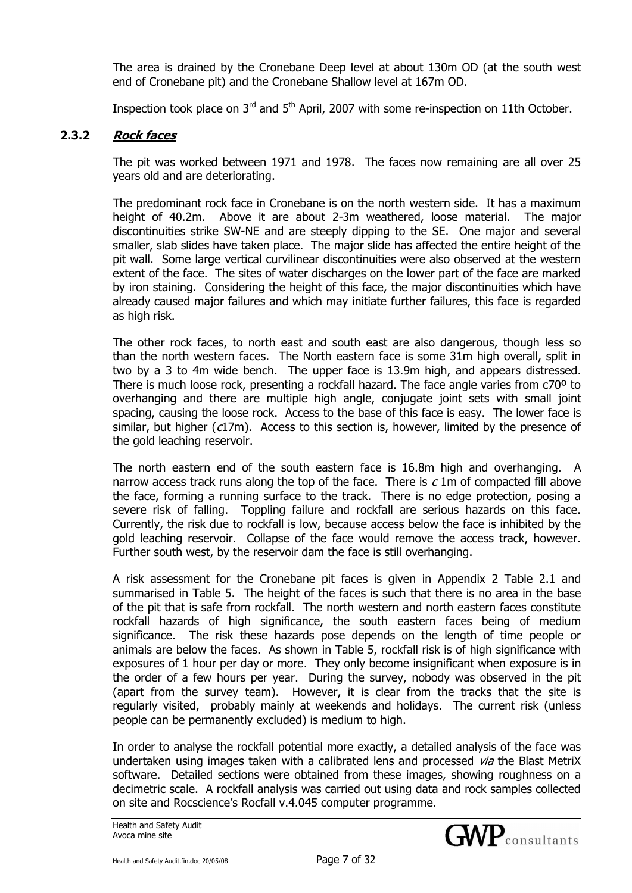The area is drained by the Cronebane Deep level at about 130m OD (at the south west end of Cronebane pit) and the Cronebane Shallow level at 167m OD.

Inspection took place on 3<sup>rd</sup> and 5<sup>th</sup> April, 2007 with some re-inspection on 11th October.

## **2.3.2 Rock faces**

The pit was worked between 1971 and 1978. The faces now remaining are all over 25 years old and are deteriorating.

The predominant rock face in Cronebane is on the north western side. It has a maximum height of 40.2m. Above it are about 2-3m weathered, loose material. The major discontinuities strike SW-NE and are steeply dipping to the SE. One major and several smaller, slab slides have taken place. The major slide has affected the entire height of the pit wall. Some large vertical curvilinear discontinuities were also observed at the western extent of the face. The sites of water discharges on the lower part of the face are marked by iron staining. Considering the height of this face, the major discontinuities which have already caused major failures and which may initiate further failures, this face is regarded as high risk.

The other rock faces, to north east and south east are also dangerous, though less so than the north western faces. The North eastern face is some 31m high overall, split in two by a 3 to 4m wide bench. The upper face is 13.9m high, and appears distressed. There is much loose rock, presenting a rockfall hazard. The face angle varies from c70º to overhanging and there are multiple high angle, conjugate joint sets with small joint spacing, causing the loose rock. Access to the base of this face is easy. The lower face is similar, but higher (c17m). Access to this section is, however, limited by the presence of the gold leaching reservoir.

The north eastern end of the south eastern face is 16.8m high and overhanging. A narrow access track runs along the top of the face. There is  $c$  1m of compacted fill above the face, forming a running surface to the track. There is no edge protection, posing a severe risk of falling. Toppling failure and rockfall are serious hazards on this face. Currently, the risk due to rockfall is low, because access below the face is inhibited by the gold leaching reservoir. Collapse of the face would remove the access track, however. Further south west, by the reservoir dam the face is still overhanging.

A risk assessment for the Cronebane pit faces is given in Appendix 2 Table 2.1 and summarised in Table 5. The height of the faces is such that there is no area in the base of the pit that is safe from rockfall. The north western and north eastern faces constitute rockfall hazards of high significance, the south eastern faces being of medium significance. The risk these hazards pose depends on the length of time people or animals are below the faces. As shown in Table 5, rockfall risk is of high significance with exposures of 1 hour per day or more. They only become insignificant when exposure is in the order of a few hours per year. During the survey, nobody was observed in the pit (apart from the survey team). However, it is clear from the tracks that the site is regularly visited, probably mainly at weekends and holidays. The current risk (unless people can be permanently excluded) is medium to high.

In order to analyse the rockfall potential more exactly, a detailed analysis of the face was undertaken using images taken with a calibrated lens and processed via the Blast MetriX software. Detailed sections were obtained from these images, showing roughness on a decimetric scale. A rockfall analysis was carried out using data and rock samples collected on site and Rocscience's Rocfall v.4.045 computer programme.

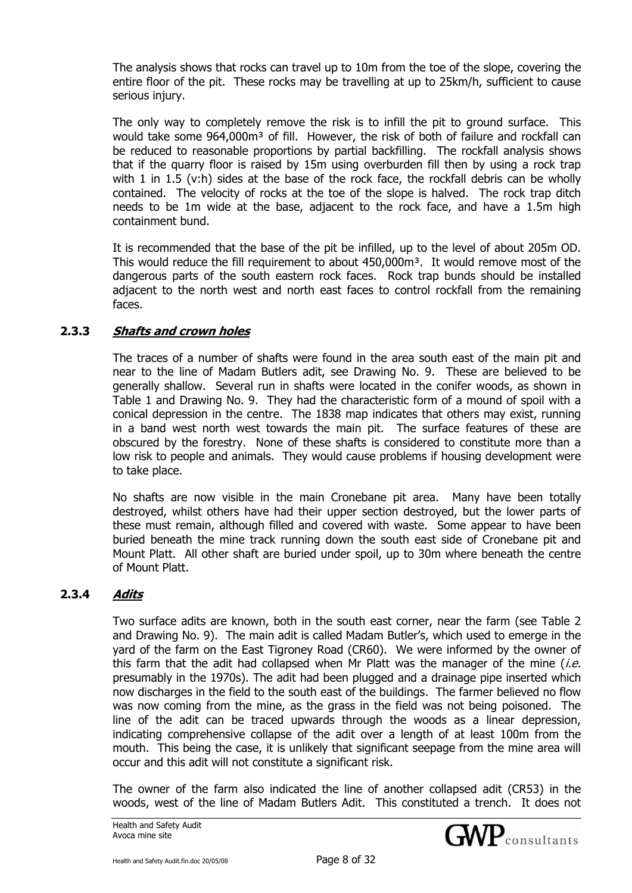The analysis shows that rocks can travel up to 10m from the toe of the slope, covering the entire floor of the pit. These rocks may be travelling at up to 25km/h, sufficient to cause serious injury.

The only way to completely remove the risk is to infill the pit to ground surface. This would take some 964,000m<sup>3</sup> of fill. However, the risk of both of failure and rockfall can be reduced to reasonable proportions by partial backfilling. The rockfall analysis shows that if the quarry floor is raised by 15m using overburden fill then by using a rock trap with 1 in 1.5 (v:h) sides at the base of the rock face, the rockfall debris can be wholly contained. The velocity of rocks at the toe of the slope is halved. The rock trap ditch needs to be 1m wide at the base, adjacent to the rock face, and have a 1.5m high containment bund.

It is recommended that the base of the pit be infilled, up to the level of about 205m OD. This would reduce the fill requirement to about 450,000m<sup>3</sup>. It would remove most of the dangerous parts of the south eastern rock faces. Rock trap bunds should be installed adjacent to the north west and north east faces to control rockfall from the remaining faces.

# **2.3.3 Shafts and crown holes**

The traces of a number of shafts were found in the area south east of the main pit and near to the line of Madam Butlers adit, see Drawing No. 9. These are believed to be generally shallow. Several run in shafts were located in the conifer woods, as shown in Table 1 and Drawing No. 9. They had the characteristic form of a mound of spoil with a conical depression in the centre. The 1838 map indicates that others may exist, running in a band west north west towards the main pit. The surface features of these are obscured by the forestry. None of these shafts is considered to constitute more than a low risk to people and animals. They would cause problems if housing development were to take place.

No shafts are now visible in the main Cronebane pit area. Many have been totally destroyed, whilst others have had their upper section destroyed, but the lower parts of these must remain, although filled and covered with waste. Some appear to have been buried beneath the mine track running down the south east side of Cronebane pit and Mount Platt. All other shaft are buried under spoil, up to 30m where beneath the centre of Mount Platt.

## **2.3.4 Adits**

Two surface adits are known, both in the south east corner, near the farm (see Table 2 and Drawing No. 9). The main adit is called Madam Butler's, which used to emerge in the yard of the farm on the East Tigroney Road (CR60). We were informed by the owner of this farm that the adit had collapsed when Mr Platt was the manager of the mine  $(i.e.$ presumably in the 1970s). The adit had been plugged and a drainage pipe inserted which now discharges in the field to the south east of the buildings. The farmer believed no flow was now coming from the mine, as the grass in the field was not being poisoned. The line of the adit can be traced upwards through the woods as a linear depression, indicating comprehensive collapse of the adit over a length of at least 100m from the mouth. This being the case, it is unlikely that significant seepage from the mine area will occur and this adit will not constitute a significant risk.

The owner of the farm also indicated the line of another collapsed adit (CR53) in the woods, west of the line of Madam Butlers Adit. This constituted a trench. It does not

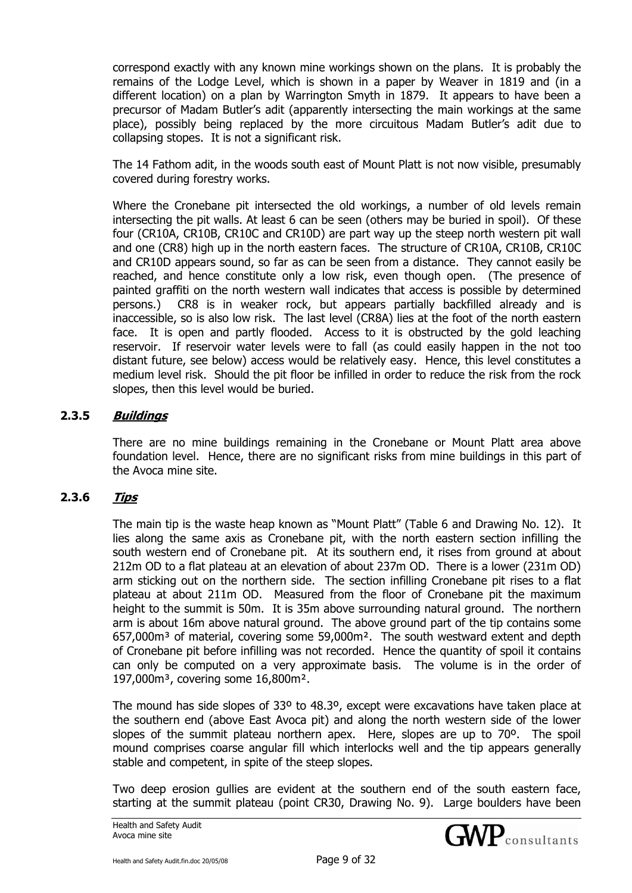correspond exactly with any known mine workings shown on the plans. It is probably the remains of the Lodge Level, which is shown in a paper by Weaver in 1819 and (in a different location) on a plan by Warrington Smyth in 1879. It appears to have been a precursor of Madam Butler's adit (apparently intersecting the main workings at the same place), possibly being replaced by the more circuitous Madam Butler's adit due to collapsing stopes. It is not a significant risk.

The 14 Fathom adit, in the woods south east of Mount Platt is not now visible, presumably covered during forestry works.

Where the Cronebane pit intersected the old workings, a number of old levels remain intersecting the pit walls. At least 6 can be seen (others may be buried in spoil). Of these four (CR10A, CR10B, CR10C and CR10D) are part way up the steep north western pit wall and one (CR8) high up in the north eastern faces. The structure of CR10A, CR10B, CR10C and CR10D appears sound, so far as can be seen from a distance. They cannot easily be reached, and hence constitute only a low risk, even though open. (The presence of painted graffiti on the north western wall indicates that access is possible by determined persons.) CR8 is in weaker rock, but appears partially backfilled already and is inaccessible, so is also low risk. The last level (CR8A) lies at the foot of the north eastern face. It is open and partly flooded. Access to it is obstructed by the gold leaching reservoir. If reservoir water levels were to fall (as could easily happen in the not too distant future, see below) access would be relatively easy. Hence, this level constitutes a medium level risk. Should the pit floor be infilled in order to reduce the risk from the rock slopes, then this level would be buried.

# **2.3.5 Buildings**

There are no mine buildings remaining in the Cronebane or Mount Platt area above foundation level. Hence, there are no significant risks from mine buildings in this part of the Avoca mine site.

## **2.3.6 Tips**

The main tip is the waste heap known as "Mount Platt" (Table 6 and Drawing No. 12). It lies along the same axis as Cronebane pit, with the north eastern section infilling the south western end of Cronebane pit. At its southern end, it rises from ground at about 212m OD to a flat plateau at an elevation of about 237m OD. There is a lower (231m OD) arm sticking out on the northern side. The section infilling Cronebane pit rises to a flat plateau at about 211m OD. Measured from the floor of Cronebane pit the maximum height to the summit is 50m. It is 35m above surrounding natural ground. The northern arm is about 16m above natural ground. The above ground part of the tip contains some 657,000m³ of material, covering some 59,000m². The south westward extent and depth of Cronebane pit before infilling was not recorded. Hence the quantity of spoil it contains can only be computed on a very approximate basis. The volume is in the order of 197,000m³, covering some 16,800m².

The mound has side slopes of 33º to 48.3º, except were excavations have taken place at the southern end (above East Avoca pit) and along the north western side of the lower slopes of the summit plateau northern apex. Here, slopes are up to 70º. The spoil mound comprises coarse angular fill which interlocks well and the tip appears generally stable and competent, in spite of the steep slopes.

Two deep erosion gullies are evident at the southern end of the south eastern face, starting at the summit plateau (point CR30, Drawing No. 9). Large boulders have been

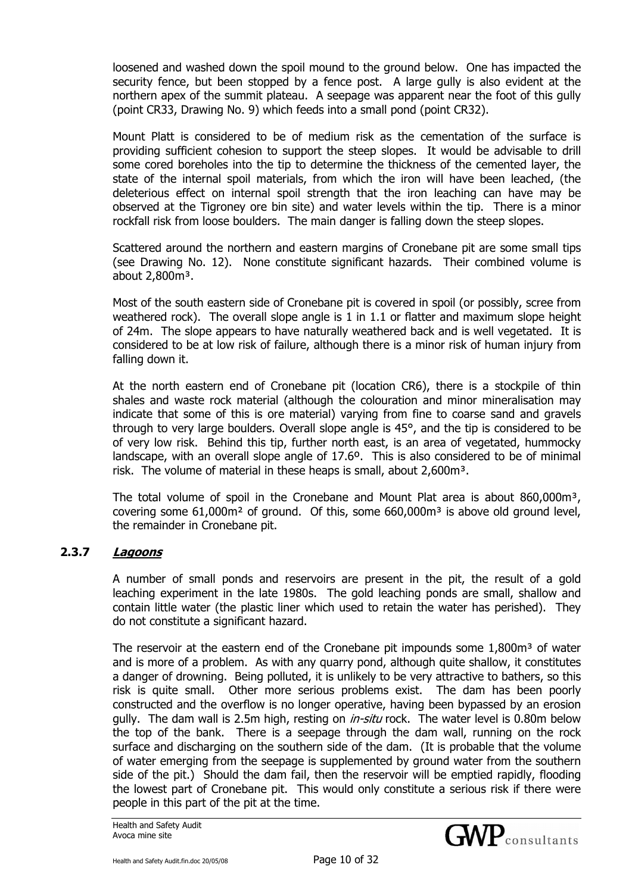loosened and washed down the spoil mound to the ground below. One has impacted the security fence, but been stopped by a fence post. A large gully is also evident at the northern apex of the summit plateau. A seepage was apparent near the foot of this gully (point CR33, Drawing No. 9) which feeds into a small pond (point CR32).

Mount Platt is considered to be of medium risk as the cementation of the surface is providing sufficient cohesion to support the steep slopes. It would be advisable to drill some cored boreholes into the tip to determine the thickness of the cemented layer, the state of the internal spoil materials, from which the iron will have been leached, (the deleterious effect on internal spoil strength that the iron leaching can have may be observed at the Tigroney ore bin site) and water levels within the tip. There is a minor rockfall risk from loose boulders. The main danger is falling down the steep slopes.

Scattered around the northern and eastern margins of Cronebane pit are some small tips (see Drawing No. 12). None constitute significant hazards. Their combined volume is about  $2,800<sup>3</sup>$ .

Most of the south eastern side of Cronebane pit is covered in spoil (or possibly, scree from weathered rock). The overall slope angle is 1 in 1.1 or flatter and maximum slope height of 24m. The slope appears to have naturally weathered back and is well vegetated. It is considered to be at low risk of failure, although there is a minor risk of human injury from falling down it.

At the north eastern end of Cronebane pit (location CR6), there is a stockpile of thin shales and waste rock material (although the colouration and minor mineralisation may indicate that some of this is ore material) varying from fine to coarse sand and gravels through to very large boulders. Overall slope angle is 45°, and the tip is considered to be of very low risk. Behind this tip, further north east, is an area of vegetated, hummocky landscape, with an overall slope angle of 17.6º. This is also considered to be of minimal risk. The volume of material in these heaps is small, about 2,600m<sup>3</sup>.

The total volume of spoil in the Cronebane and Mount Plat area is about 860,000m<sup>3</sup>, covering some  $61,000$ m<sup>2</sup> of ground. Of this, some  $660,000$ m<sup>3</sup> is above old ground level, the remainder in Cronebane pit.

## **2.3.7 Lagoons**

A number of small ponds and reservoirs are present in the pit, the result of a gold leaching experiment in the late 1980s. The gold leaching ponds are small, shallow and contain little water (the plastic liner which used to retain the water has perished). They do not constitute a significant hazard.

The reservoir at the eastern end of the Cronebane pit impounds some  $1.800m<sup>3</sup>$  of water and is more of a problem. As with any quarry pond, although quite shallow, it constitutes a danger of drowning. Being polluted, it is unlikely to be very attractive to bathers, so this risk is quite small. Other more serious problems exist. The dam has been poorly constructed and the overflow is no longer operative, having been bypassed by an erosion gully. The dam wall is 2.5m high, resting on *in-situ* rock. The water level is 0.80m below the top of the bank. There is a seepage through the dam wall, running on the rock surface and discharging on the southern side of the dam. (It is probable that the volume of water emerging from the seepage is supplemented by ground water from the southern side of the pit.) Should the dam fail, then the reservoir will be emptied rapidly, flooding the lowest part of Cronebane pit. This would only constitute a serious risk if there were people in this part of the pit at the time.

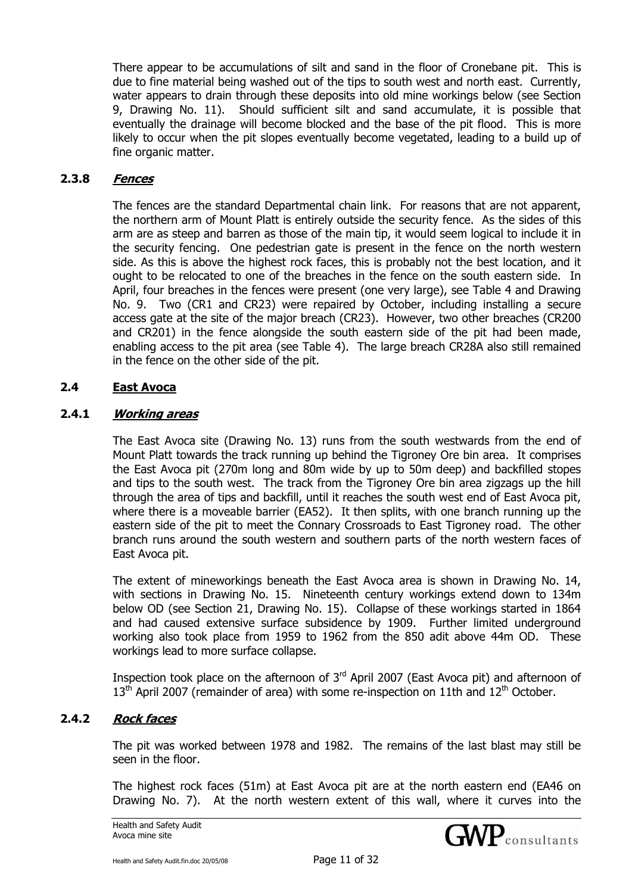There appear to be accumulations of silt and sand in the floor of Cronebane pit. This is due to fine material being washed out of the tips to south west and north east. Currently, water appears to drain through these deposits into old mine workings below (see Section 9, Drawing No. 11). Should sufficient silt and sand accumulate, it is possible that eventually the drainage will become blocked and the base of the pit flood. This is more likely to occur when the pit slopes eventually become vegetated, leading to a build up of fine organic matter.

#### **2.3.8 Fences**

The fences are the standard Departmental chain link. For reasons that are not apparent, the northern arm of Mount Platt is entirely outside the security fence. As the sides of this arm are as steep and barren as those of the main tip, it would seem logical to include it in the security fencing. One pedestrian gate is present in the fence on the north western side. As this is above the highest rock faces, this is probably not the best location, and it ought to be relocated to one of the breaches in the fence on the south eastern side. In April, four breaches in the fences were present (one very large), see Table 4 and Drawing No. 9. Two (CR1 and CR23) were repaired by October, including installing a secure access gate at the site of the major breach (CR23). However, two other breaches (CR200 and CR201) in the fence alongside the south eastern side of the pit had been made, enabling access to the pit area (see Table 4). The large breach CR28A also still remained in the fence on the other side of the pit.

## **2.4 East Avoca**

#### **2.4.1 Working areas**

The East Avoca site (Drawing No. 13) runs from the south westwards from the end of Mount Platt towards the track running up behind the Tigroney Ore bin area. It comprises the East Avoca pit (270m long and 80m wide by up to 50m deep) and backfilled stopes and tips to the south west. The track from the Tigroney Ore bin area zigzags up the hill through the area of tips and backfill, until it reaches the south west end of East Avoca pit, where there is a moveable barrier (EA52). It then splits, with one branch running up the eastern side of the pit to meet the Connary Crossroads to East Tigroney road. The other branch runs around the south western and southern parts of the north western faces of East Avoca pit.

The extent of mineworkings beneath the East Avoca area is shown in Drawing No. 14, with sections in Drawing No. 15. Nineteenth century workings extend down to 134m below OD (see Section 21, Drawing No. 15). Collapse of these workings started in 1864 and had caused extensive surface subsidence by 1909. Further limited underground working also took place from 1959 to 1962 from the 850 adit above 44m OD. These workings lead to more surface collapse.

Inspection took place on the afternoon of  $3<sup>rd</sup>$  April 2007 (East Avoca pit) and afternoon of  $13<sup>th</sup>$  April 2007 (remainder of area) with some re-inspection on 11th and  $12<sup>th</sup>$  October.

## **2.4.2 Rock faces**

The pit was worked between 1978 and 1982. The remains of the last blast may still be seen in the floor.

The highest rock faces (51m) at East Avoca pit are at the north eastern end (EA46 on Drawing No. 7). At the north western extent of this wall, where it curves into the

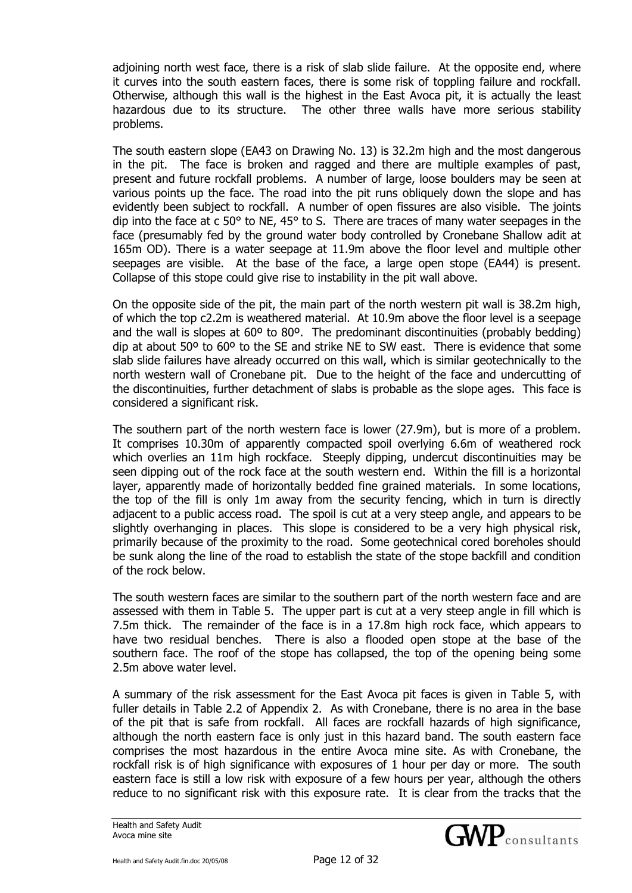adjoining north west face, there is a risk of slab slide failure. At the opposite end, where it curves into the south eastern faces, there is some risk of toppling failure and rockfall. Otherwise, although this wall is the highest in the East Avoca pit, it is actually the least hazardous due to its structure. The other three walls have more serious stability problems.

The south eastern slope (EA43 on Drawing No. 13) is 32.2m high and the most dangerous in the pit. The face is broken and ragged and there are multiple examples of past, present and future rockfall problems. A number of large, loose boulders may be seen at various points up the face. The road into the pit runs obliquely down the slope and has evidently been subject to rockfall. A number of open fissures are also visible. The joints dip into the face at c 50° to NE, 45° to S. There are traces of many water seepages in the face (presumably fed by the ground water body controlled by Cronebane Shallow adit at 165m OD). There is a water seepage at 11.9m above the floor level and multiple other seepages are visible. At the base of the face, a large open stope (EA44) is present. Collapse of this stope could give rise to instability in the pit wall above.

On the opposite side of the pit, the main part of the north western pit wall is 38.2m high, of which the top c2.2m is weathered material. At 10.9m above the floor level is a seepage and the wall is slopes at 60º to 80º. The predominant discontinuities (probably bedding) dip at about 50º to 60º to the SE and strike NE to SW east. There is evidence that some slab slide failures have already occurred on this wall, which is similar geotechnically to the north western wall of Cronebane pit. Due to the height of the face and undercutting of the discontinuities, further detachment of slabs is probable as the slope ages. This face is considered a significant risk.

The southern part of the north western face is lower (27.9m), but is more of a problem. It comprises 10.30m of apparently compacted spoil overlying 6.6m of weathered rock which overlies an 11m high rockface. Steeply dipping, undercut discontinuities may be seen dipping out of the rock face at the south western end. Within the fill is a horizontal layer, apparently made of horizontally bedded fine grained materials. In some locations, the top of the fill is only 1m away from the security fencing, which in turn is directly adjacent to a public access road. The spoil is cut at a very steep angle, and appears to be slightly overhanging in places. This slope is considered to be a very high physical risk, primarily because of the proximity to the road. Some geotechnical cored boreholes should be sunk along the line of the road to establish the state of the stope backfill and condition of the rock below.

The south western faces are similar to the southern part of the north western face and are assessed with them in Table 5. The upper part is cut at a very steep angle in fill which is 7.5m thick. The remainder of the face is in a 17.8m high rock face, which appears to have two residual benches. There is also a flooded open stope at the base of the southern face. The roof of the stope has collapsed, the top of the opening being some 2.5m above water level.

A summary of the risk assessment for the East Avoca pit faces is given in Table 5, with fuller details in Table 2.2 of Appendix 2. As with Cronebane, there is no area in the base of the pit that is safe from rockfall. All faces are rockfall hazards of high significance, although the north eastern face is only just in this hazard band. The south eastern face comprises the most hazardous in the entire Avoca mine site. As with Cronebane, the rockfall risk is of high significance with exposures of 1 hour per day or more. The south eastern face is still a low risk with exposure of a few hours per year, although the others reduce to no significant risk with this exposure rate. It is clear from the tracks that the

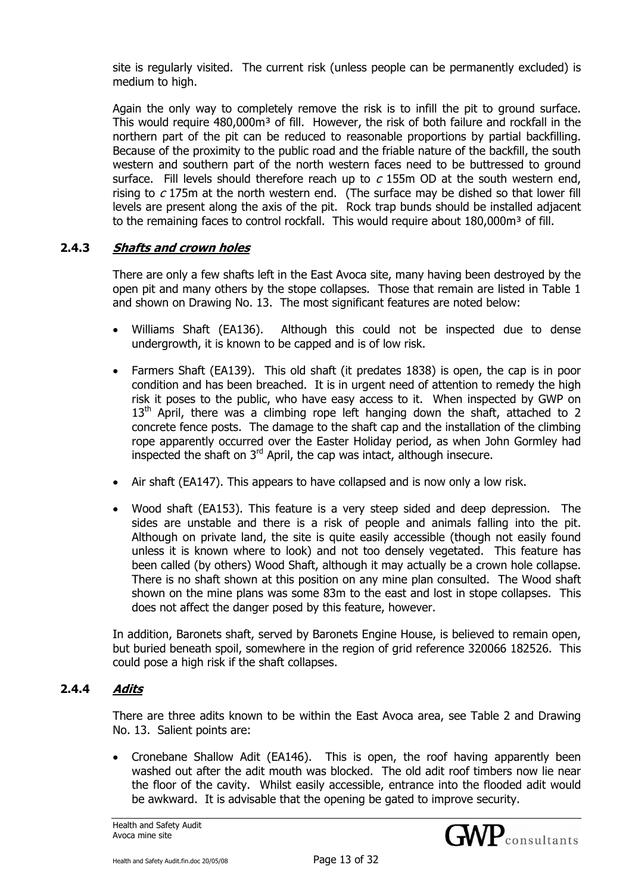site is regularly visited. The current risk (unless people can be permanently excluded) is medium to high.

Again the only way to completely remove the risk is to infill the pit to ground surface. This would require 480,000m<sup>3</sup> of fill. However, the risk of both failure and rockfall in the northern part of the pit can be reduced to reasonable proportions by partial backfilling. Because of the proximity to the public road and the friable nature of the backfill, the south western and southern part of the north western faces need to be buttressed to ground surface. Fill levels should therefore reach up to  $c$  155m OD at the south western end, rising to  $c$  175m at the north western end. (The surface may be dished so that lower fill levels are present along the axis of the pit. Rock trap bunds should be installed adjacent to the remaining faces to control rockfall. This would require about 180,000m<sup>3</sup> of fill.

# **2.4.3 Shafts and crown holes**

There are only a few shafts left in the East Avoca site, many having been destroyed by the open pit and many others by the stope collapses. Those that remain are listed in Table 1 and shown on Drawing No. 13. The most significant features are noted below:

- Williams Shaft (EA136). Although this could not be inspected due to dense undergrowth, it is known to be capped and is of low risk.
- Farmers Shaft (EA139). This old shaft (it predates 1838) is open, the cap is in poor condition and has been breached. It is in urgent need of attention to remedy the high risk it poses to the public, who have easy access to it. When inspected by GWP on  $13<sup>th</sup>$  April, there was a climbing rope left hanging down the shaft, attached to 2 concrete fence posts. The damage to the shaft cap and the installation of the climbing rope apparently occurred over the Easter Holiday period, as when John Gormley had inspected the shaft on  $3<sup>rd</sup>$  April, the cap was intact, although insecure.
- Air shaft (EA147). This appears to have collapsed and is now only a low risk.
- Wood shaft (EA153). This feature is a very steep sided and deep depression. The sides are unstable and there is a risk of people and animals falling into the pit. Although on private land, the site is quite easily accessible (though not easily found unless it is known where to look) and not too densely vegetated. This feature has been called (by others) Wood Shaft, although it may actually be a crown hole collapse. There is no shaft shown at this position on any mine plan consulted. The Wood shaft shown on the mine plans was some 83m to the east and lost in stope collapses. This does not affect the danger posed by this feature, however.

In addition, Baronets shaft, served by Baronets Engine House, is believed to remain open, but buried beneath spoil, somewhere in the region of grid reference 320066 182526. This could pose a high risk if the shaft collapses.

#### **2.4.4 Adits**

There are three adits known to be within the East Avoca area, see Table 2 and Drawing No. 13. Salient points are:

• Cronebane Shallow Adit (EA146). This is open, the roof having apparently been washed out after the adit mouth was blocked. The old adit roof timbers now lie near the floor of the cavity. Whilst easily accessible, entrance into the flooded adit would be awkward. It is advisable that the opening be gated to improve security.

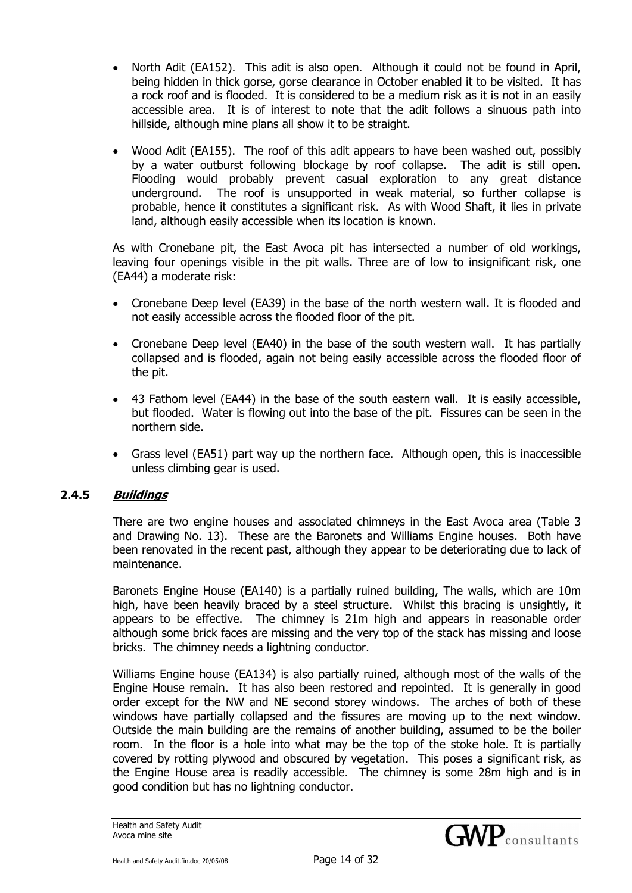- North Adit (EA152). This adit is also open. Although it could not be found in April, being hidden in thick gorse, gorse clearance in October enabled it to be visited. It has a rock roof and is flooded. It is considered to be a medium risk as it is not in an easily accessible area. It is of interest to note that the adit follows a sinuous path into hillside, although mine plans all show it to be straight.
- Wood Adit (EA155). The roof of this adit appears to have been washed out, possibly by a water outburst following blockage by roof collapse. The adit is still open. Flooding would probably prevent casual exploration to any great distance underground. The roof is unsupported in weak material, so further collapse is probable, hence it constitutes a significant risk. As with Wood Shaft, it lies in private land, although easily accessible when its location is known.

As with Cronebane pit, the East Avoca pit has intersected a number of old workings, leaving four openings visible in the pit walls. Three are of low to insignificant risk, one (EA44) a moderate risk:

- Cronebane Deep level (EA39) in the base of the north western wall. It is flooded and not easily accessible across the flooded floor of the pit.
- Cronebane Deep level (EA40) in the base of the south western wall. It has partially collapsed and is flooded, again not being easily accessible across the flooded floor of the pit.
- 43 Fathom level (EA44) in the base of the south eastern wall. It is easily accessible, but flooded. Water is flowing out into the base of the pit. Fissures can be seen in the northern side.
- Grass level (EA51) part way up the northern face. Although open, this is inaccessible unless climbing gear is used.

## **2.4.5 Buildings**

There are two engine houses and associated chimneys in the East Avoca area (Table 3 and Drawing No. 13). These are the Baronets and Williams Engine houses. Both have been renovated in the recent past, although they appear to be deteriorating due to lack of maintenance.

Baronets Engine House (EA140) is a partially ruined building, The walls, which are 10m high, have been heavily braced by a steel structure. Whilst this bracing is unsightly, it appears to be effective. The chimney is 21m high and appears in reasonable order although some brick faces are missing and the very top of the stack has missing and loose bricks. The chimney needs a lightning conductor.

Williams Engine house (EA134) is also partially ruined, although most of the walls of the Engine House remain. It has also been restored and repointed. It is generally in good order except for the NW and NE second storey windows. The arches of both of these windows have partially collapsed and the fissures are moving up to the next window. Outside the main building are the remains of another building, assumed to be the boiler room. In the floor is a hole into what may be the top of the stoke hole. It is partially covered by rotting plywood and obscured by vegetation. This poses a significant risk, as the Engine House area is readily accessible. The chimney is some 28m high and is in good condition but has no lightning conductor.

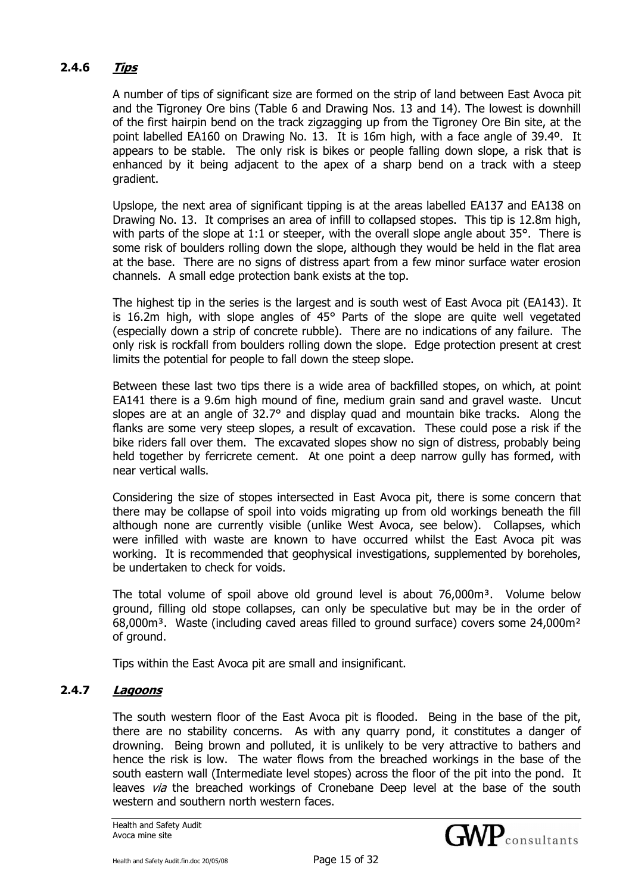# **2.4.6 Tips**

A number of tips of significant size are formed on the strip of land between East Avoca pit and the Tigroney Ore bins (Table 6 and Drawing Nos. 13 and 14). The lowest is downhill of the first hairpin bend on the track zigzagging up from the Tigroney Ore Bin site, at the point labelled EA160 on Drawing No. 13. It is 16m high, with a face angle of 39.4º. It appears to be stable. The only risk is bikes or people falling down slope, a risk that is enhanced by it being adjacent to the apex of a sharp bend on a track with a steep gradient.

Upslope, the next area of significant tipping is at the areas labelled EA137 and EA138 on Drawing No. 13. It comprises an area of infill to collapsed stopes. This tip is 12.8m high, with parts of the slope at 1:1 or steeper, with the overall slope angle about 35°. There is some risk of boulders rolling down the slope, although they would be held in the flat area at the base. There are no signs of distress apart from a few minor surface water erosion channels. A small edge protection bank exists at the top.

The highest tip in the series is the largest and is south west of East Avoca pit (EA143). It is 16.2m high, with slope angles of 45° Parts of the slope are quite well vegetated (especially down a strip of concrete rubble). There are no indications of any failure. The only risk is rockfall from boulders rolling down the slope. Edge protection present at crest limits the potential for people to fall down the steep slope.

Between these last two tips there is a wide area of backfilled stopes, on which, at point EA141 there is a 9.6m high mound of fine, medium grain sand and gravel waste. Uncut slopes are at an angle of 32.7° and display quad and mountain bike tracks. Along the flanks are some very steep slopes, a result of excavation. These could pose a risk if the bike riders fall over them. The excavated slopes show no sign of distress, probably being held together by ferricrete cement. At one point a deep narrow gully has formed, with near vertical walls.

Considering the size of stopes intersected in East Avoca pit, there is some concern that there may be collapse of spoil into voids migrating up from old workings beneath the fill although none are currently visible (unlike West Avoca, see below). Collapses, which were infilled with waste are known to have occurred whilst the East Avoca pit was working. It is recommended that geophysical investigations, supplemented by boreholes, be undertaken to check for voids.

The total volume of spoil above old ground level is about 76,000m<sup>3</sup>. Volume below ground, filling old stope collapses, can only be speculative but may be in the order of  $68,000<sup>3</sup>$ . Waste (including caved areas filled to ground surface) covers some 24,000 $<sup>2</sup>$ </sup> of ground.

Tips within the East Avoca pit are small and insignificant.

# **2.4.7 Lagoons**

The south western floor of the East Avoca pit is flooded. Being in the base of the pit, there are no stability concerns. As with any quarry pond, it constitutes a danger of drowning. Being brown and polluted, it is unlikely to be very attractive to bathers and hence the risk is low. The water flows from the breached workings in the base of the south eastern wall (Intermediate level stopes) across the floor of the pit into the pond. It leaves via the breached workings of Cronebane Deep level at the base of the south western and southern north western faces.

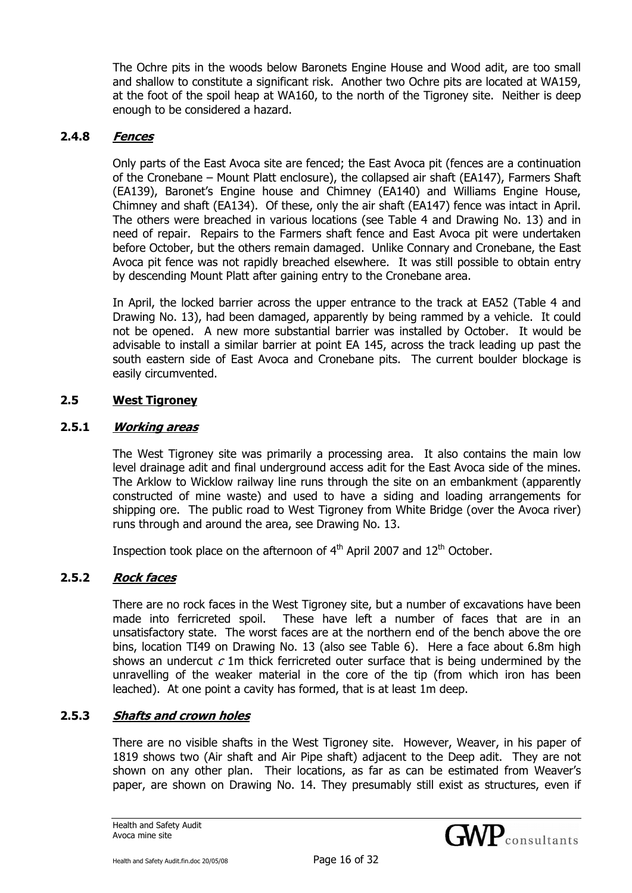The Ochre pits in the woods below Baronets Engine House and Wood adit, are too small and shallow to constitute a significant risk. Another two Ochre pits are located at WA159, at the foot of the spoil heap at WA160, to the north of the Tigroney site. Neither is deep enough to be considered a hazard.

#### **2.4.8 Fences**

Only parts of the East Avoca site are fenced; the East Avoca pit (fences are a continuation of the Cronebane – Mount Platt enclosure), the collapsed air shaft (EA147), Farmers Shaft (EA139), Baronet's Engine house and Chimney (EA140) and Williams Engine House, Chimney and shaft (EA134). Of these, only the air shaft (EA147) fence was intact in April. The others were breached in various locations (see Table 4 and Drawing No. 13) and in need of repair. Repairs to the Farmers shaft fence and East Avoca pit were undertaken before October, but the others remain damaged. Unlike Connary and Cronebane, the East Avoca pit fence was not rapidly breached elsewhere. It was still possible to obtain entry by descending Mount Platt after gaining entry to the Cronebane area.

In April, the locked barrier across the upper entrance to the track at EA52 (Table 4 and Drawing No. 13), had been damaged, apparently by being rammed by a vehicle. It could not be opened. A new more substantial barrier was installed by October. It would be advisable to install a similar barrier at point EA 145, across the track leading up past the south eastern side of East Avoca and Cronebane pits. The current boulder blockage is easily circumvented.

#### **2.5 West Tigroney**

#### **2.5.1 Working areas**

The West Tigroney site was primarily a processing area. It also contains the main low level drainage adit and final underground access adit for the East Avoca side of the mines. The Arklow to Wicklow railway line runs through the site on an embankment (apparently constructed of mine waste) and used to have a siding and loading arrangements for shipping ore. The public road to West Tigroney from White Bridge (over the Avoca river) runs through and around the area, see Drawing No. 13.

Inspection took place on the afternoon of  $4<sup>th</sup>$  April 2007 and  $12<sup>th</sup>$  October.

## **2.5.2 Rock faces**

There are no rock faces in the West Tigroney site, but a number of excavations have been made into ferricreted spoil. These have left a number of faces that are in an unsatisfactory state. The worst faces are at the northern end of the bench above the ore bins, location TI49 on Drawing No. 13 (also see Table 6). Here a face about 6.8m high shows an undercut  $c$  1m thick ferricreted outer surface that is being undermined by the unravelling of the weaker material in the core of the tip (from which iron has been leached). At one point a cavity has formed, that is at least 1m deep.

## **2.5.3 Shafts and crown holes**

There are no visible shafts in the West Tigroney site. However, Weaver, in his paper of 1819 shows two (Air shaft and Air Pipe shaft) adjacent to the Deep adit. They are not shown on any other plan. Their locations, as far as can be estimated from Weaver's paper, are shown on Drawing No. 14. They presumably still exist as structures, even if

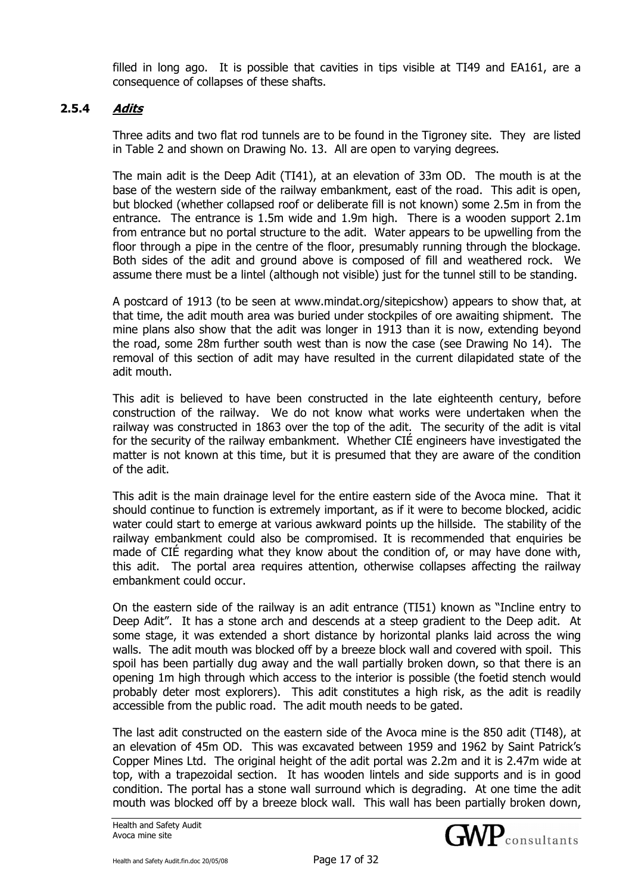filled in long ago. It is possible that cavities in tips visible at TI49 and EA161, are a consequence of collapses of these shafts.

#### **2.5.4 Adits**

Three adits and two flat rod tunnels are to be found in the Tigroney site. They are listed in Table 2 and shown on Drawing No. 13. All are open to varying degrees.

The main adit is the Deep Adit (TI41), at an elevation of 33m OD. The mouth is at the base of the western side of the railway embankment, east of the road. This adit is open, but blocked (whether collapsed roof or deliberate fill is not known) some 2.5m in from the entrance. The entrance is 1.5m wide and 1.9m high. There is a wooden support 2.1m from entrance but no portal structure to the adit. Water appears to be upwelling from the floor through a pipe in the centre of the floor, presumably running through the blockage. Both sides of the adit and ground above is composed of fill and weathered rock. We assume there must be a lintel (although not visible) just for the tunnel still to be standing.

A postcard of 1913 (to be seen at www.mindat.org/sitepicshow) appears to show that, at that time, the adit mouth area was buried under stockpiles of ore awaiting shipment. The mine plans also show that the adit was longer in 1913 than it is now, extending beyond the road, some 28m further south west than is now the case (see Drawing No 14). The removal of this section of adit may have resulted in the current dilapidated state of the adit mouth.

This adit is believed to have been constructed in the late eighteenth century, before construction of the railway. We do not know what works were undertaken when the railway was constructed in 1863 over the top of the adit. The security of the adit is vital for the security of the railway embankment. Whether CIÉ engineers have investigated the matter is not known at this time, but it is presumed that they are aware of the condition of the adit.

This adit is the main drainage level for the entire eastern side of the Avoca mine. That it should continue to function is extremely important, as if it were to become blocked, acidic water could start to emerge at various awkward points up the hillside. The stability of the railway embankment could also be compromised. It is recommended that enquiries be made of CIÉ regarding what they know about the condition of, or may have done with, this adit. The portal area requires attention, otherwise collapses affecting the railway embankment could occur.

On the eastern side of the railway is an adit entrance (TI51) known as "Incline entry to Deep Adit". It has a stone arch and descends at a steep gradient to the Deep adit. At some stage, it was extended a short distance by horizontal planks laid across the wing walls. The adit mouth was blocked off by a breeze block wall and covered with spoil. This spoil has been partially dug away and the wall partially broken down, so that there is an opening 1m high through which access to the interior is possible (the foetid stench would probably deter most explorers). This adit constitutes a high risk, as the adit is readily accessible from the public road. The adit mouth needs to be gated.

The last adit constructed on the eastern side of the Avoca mine is the 850 adit (TI48), at an elevation of 45m OD. This was excavated between 1959 and 1962 by Saint Patrick's Copper Mines Ltd. The original height of the adit portal was 2.2m and it is 2.47m wide at top, with a trapezoidal section. It has wooden lintels and side supports and is in good condition. The portal has a stone wall surround which is degrading. At one time the adit mouth was blocked off by a breeze block wall. This wall has been partially broken down,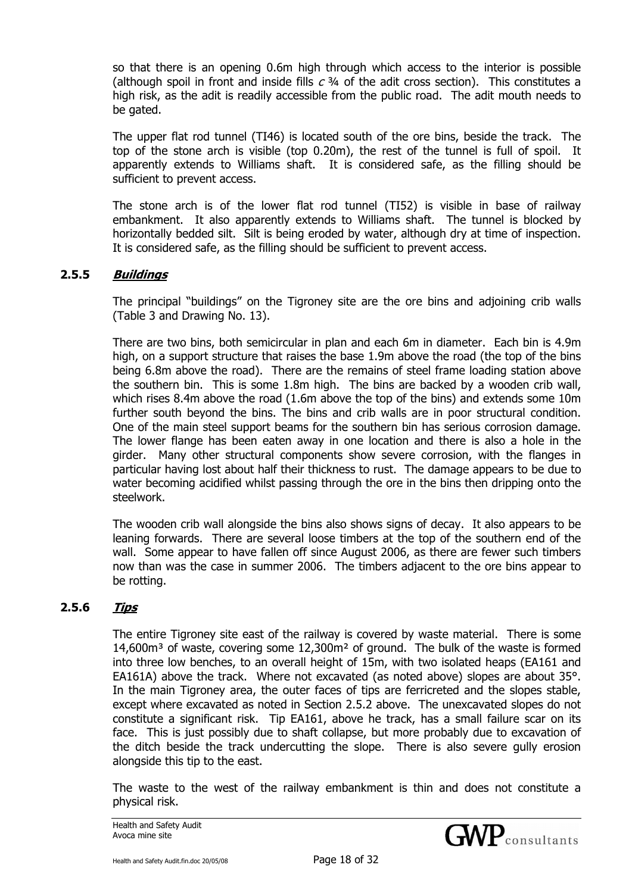so that there is an opening 0.6m high through which access to the interior is possible (although spoil in front and inside fills  $c$   $\frac{3}{4}$  of the adit cross section). This constitutes a high risk, as the adit is readily accessible from the public road. The adit mouth needs to be gated.

The upper flat rod tunnel (TI46) is located south of the ore bins, beside the track. The top of the stone arch is visible (top 0.20m), the rest of the tunnel is full of spoil. It apparently extends to Williams shaft. It is considered safe, as the filling should be sufficient to prevent access.

The stone arch is of the lower flat rod tunnel (TI52) is visible in base of railway embankment. It also apparently extends to Williams shaft. The tunnel is blocked by horizontally bedded silt. Silt is being eroded by water, although dry at time of inspection. It is considered safe, as the filling should be sufficient to prevent access.

## **2.5.5 Buildings**

The principal "buildings" on the Tigroney site are the ore bins and adjoining crib walls (Table 3 and Drawing No. 13).

There are two bins, both semicircular in plan and each 6m in diameter. Each bin is 4.9m high, on a support structure that raises the base 1.9m above the road (the top of the bins being 6.8m above the road). There are the remains of steel frame loading station above the southern bin. This is some 1.8m high. The bins are backed by a wooden crib wall, which rises 8.4m above the road (1.6m above the top of the bins) and extends some 10m further south beyond the bins. The bins and crib walls are in poor structural condition. One of the main steel support beams for the southern bin has serious corrosion damage. The lower flange has been eaten away in one location and there is also a hole in the girder. Many other structural components show severe corrosion, with the flanges in particular having lost about half their thickness to rust. The damage appears to be due to water becoming acidified whilst passing through the ore in the bins then dripping onto the steelwork.

The wooden crib wall alongside the bins also shows signs of decay. It also appears to be leaning forwards. There are several loose timbers at the top of the southern end of the wall. Some appear to have fallen off since August 2006, as there are fewer such timbers now than was the case in summer 2006. The timbers adjacent to the ore bins appear to be rotting.

## **2.5.6 Tips**

The entire Tigroney site east of the railway is covered by waste material. There is some  $14.600m<sup>3</sup>$  of waste, covering some  $12.300m<sup>2</sup>$  of ground. The bulk of the waste is formed into three low benches, to an overall height of 15m, with two isolated heaps (EA161 and EA161A) above the track. Where not excavated (as noted above) slopes are about 35°. In the main Tigroney area, the outer faces of tips are ferricreted and the slopes stable, except where excavated as noted in Section 2.5.2 above. The unexcavated slopes do not constitute a significant risk. Tip EA161, above he track, has a small failure scar on its face. This is just possibly due to shaft collapse, but more probably due to excavation of the ditch beside the track undercutting the slope. There is also severe gully erosion alongside this tip to the east.

The waste to the west of the railway embankment is thin and does not constitute a physical risk.

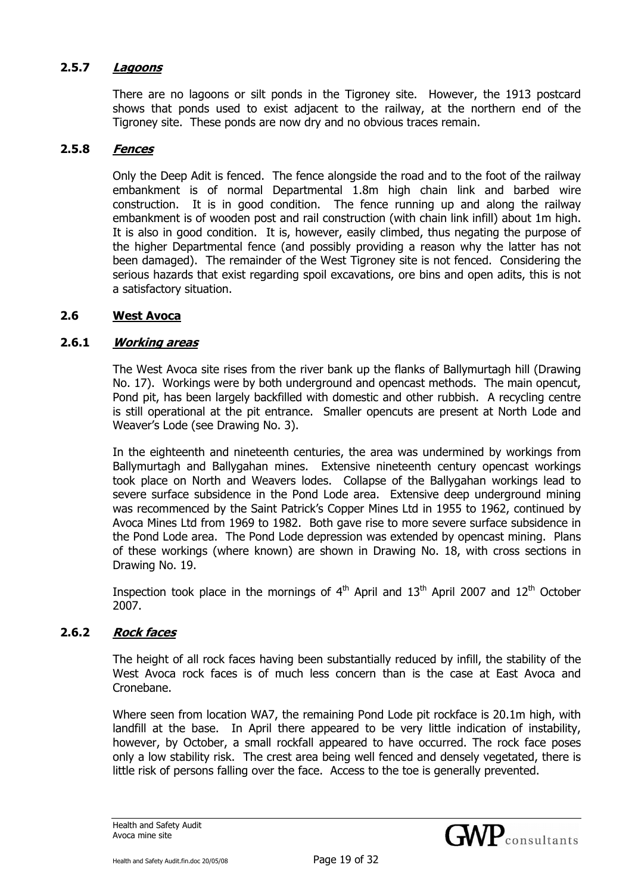#### **2.5.7 Lagoons**

There are no lagoons or silt ponds in the Tigroney site. However, the 1913 postcard shows that ponds used to exist adjacent to the railway, at the northern end of the Tigroney site. These ponds are now dry and no obvious traces remain.

#### **2.5.8 Fences**

Only the Deep Adit is fenced. The fence alongside the road and to the foot of the railway embankment is of normal Departmental 1.8m high chain link and barbed wire construction. It is in good condition. The fence running up and along the railway embankment is of wooden post and rail construction (with chain link infill) about 1m high. It is also in good condition. It is, however, easily climbed, thus negating the purpose of the higher Departmental fence (and possibly providing a reason why the latter has not been damaged). The remainder of the West Tigroney site is not fenced. Considering the serious hazards that exist regarding spoil excavations, ore bins and open adits, this is not a satisfactory situation.

#### **2.6 West Avoca**

#### **2.6.1 Working areas**

The West Avoca site rises from the river bank up the flanks of Ballymurtagh hill (Drawing No. 17). Workings were by both underground and opencast methods. The main opencut, Pond pit, has been largely backfilled with domestic and other rubbish. A recycling centre is still operational at the pit entrance. Smaller opencuts are present at North Lode and Weaver's Lode (see Drawing No. 3).

In the eighteenth and nineteenth centuries, the area was undermined by workings from Ballymurtagh and Ballygahan mines. Extensive nineteenth century opencast workings took place on North and Weavers lodes. Collapse of the Ballygahan workings lead to severe surface subsidence in the Pond Lode area. Extensive deep underground mining was recommenced by the Saint Patrick's Copper Mines Ltd in 1955 to 1962, continued by Avoca Mines Ltd from 1969 to 1982. Both gave rise to more severe surface subsidence in the Pond Lode area. The Pond Lode depression was extended by opencast mining. Plans of these workings (where known) are shown in Drawing No. 18, with cross sections in Drawing No. 19.

Inspection took place in the mornings of  $4<sup>th</sup>$  April and  $13<sup>th</sup>$  April 2007 and  $12<sup>th</sup>$  October 2007.

#### **2.6.2 Rock faces**

The height of all rock faces having been substantially reduced by infill, the stability of the West Avoca rock faces is of much less concern than is the case at East Avoca and Cronebane.

Where seen from location WA7, the remaining Pond Lode pit rockface is 20.1m high, with landfill at the base. In April there appeared to be very little indication of instability, however, by October, a small rockfall appeared to have occurred. The rock face poses only a low stability risk. The crest area being well fenced and densely vegetated, there is little risk of persons falling over the face. Access to the toe is generally prevented.

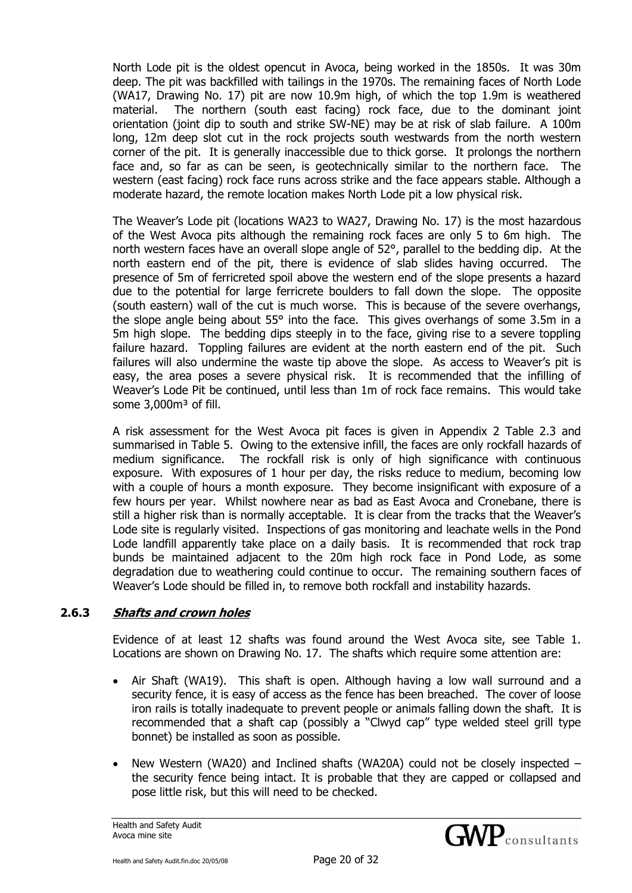North Lode pit is the oldest opencut in Avoca, being worked in the 1850s. It was 30m deep. The pit was backfilled with tailings in the 1970s. The remaining faces of North Lode (WA17, Drawing No. 17) pit are now 10.9m high, of which the top 1.9m is weathered material. The northern (south east facing) rock face, due to the dominant joint orientation (joint dip to south and strike SW-NE) may be at risk of slab failure. A 100m long, 12m deep slot cut in the rock projects south westwards from the north western corner of the pit. It is generally inaccessible due to thick gorse. It prolongs the northern face and, so far as can be seen, is geotechnically similar to the northern face. The western (east facing) rock face runs across strike and the face appears stable. Although a moderate hazard, the remote location makes North Lode pit a low physical risk.

The Weaver's Lode pit (locations WA23 to WA27, Drawing No. 17) is the most hazardous of the West Avoca pits although the remaining rock faces are only 5 to 6m high. The north western faces have an overall slope angle of 52°, parallel to the bedding dip. At the north eastern end of the pit, there is evidence of slab slides having occurred. The presence of 5m of ferricreted spoil above the western end of the slope presents a hazard due to the potential for large ferricrete boulders to fall down the slope. The opposite (south eastern) wall of the cut is much worse. This is because of the severe overhangs, the slope angle being about 55° into the face. This gives overhangs of some 3.5m in a 5m high slope. The bedding dips steeply in to the face, giving rise to a severe toppling failure hazard. Toppling failures are evident at the north eastern end of the pit. Such failures will also undermine the waste tip above the slope. As access to Weaver's pit is easy, the area poses a severe physical risk. It is recommended that the infilling of Weaver's Lode Pit be continued, until less than 1m of rock face remains. This would take some 3,000m<sup>3</sup> of fill.

A risk assessment for the West Avoca pit faces is given in Appendix 2 Table 2.3 and summarised in Table 5. Owing to the extensive infill, the faces are only rockfall hazards of medium significance. The rockfall risk is only of high significance with continuous exposure. With exposures of 1 hour per day, the risks reduce to medium, becoming low with a couple of hours a month exposure. They become insignificant with exposure of a few hours per year. Whilst nowhere near as bad as East Avoca and Cronebane, there is still a higher risk than is normally acceptable. It is clear from the tracks that the Weaver's Lode site is regularly visited. Inspections of gas monitoring and leachate wells in the Pond Lode landfill apparently take place on a daily basis. It is recommended that rock trap bunds be maintained adjacent to the 20m high rock face in Pond Lode, as some degradation due to weathering could continue to occur. The remaining southern faces of Weaver's Lode should be filled in, to remove both rockfall and instability hazards.

# **2.6.3 Shafts and crown holes**

Evidence of at least 12 shafts was found around the West Avoca site, see Table 1. Locations are shown on Drawing No. 17. The shafts which require some attention are:

- Air Shaft (WA19). This shaft is open. Although having a low wall surround and a security fence, it is easy of access as the fence has been breached. The cover of loose iron rails is totally inadequate to prevent people or animals falling down the shaft. It is recommended that a shaft cap (possibly a "Clwyd cap" type welded steel grill type bonnet) be installed as soon as possible.
- New Western (WA20) and Inclined shafts (WA20A) could not be closely inspected the security fence being intact. It is probable that they are capped or collapsed and pose little risk, but this will need to be checked.

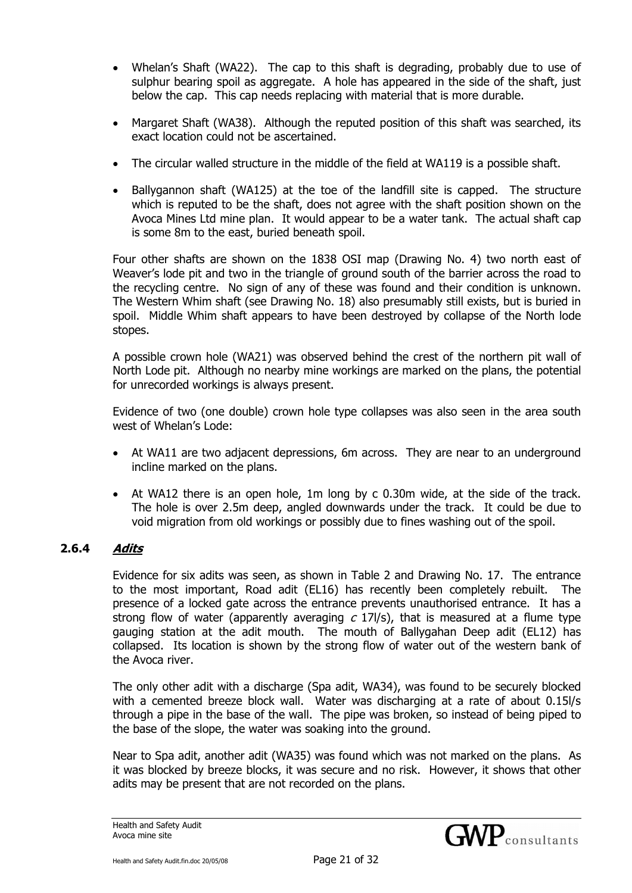- Whelan's Shaft (WA22). The cap to this shaft is degrading, probably due to use of sulphur bearing spoil as aggregate. A hole has appeared in the side of the shaft, just below the cap. This cap needs replacing with material that is more durable.
- Margaret Shaft (WA38). Although the reputed position of this shaft was searched, its exact location could not be ascertained.
- The circular walled structure in the middle of the field at WA119 is a possible shaft.
- Ballygannon shaft (WA125) at the toe of the landfill site is capped. The structure which is reputed to be the shaft, does not agree with the shaft position shown on the Avoca Mines Ltd mine plan. It would appear to be a water tank. The actual shaft cap is some 8m to the east, buried beneath spoil.

Four other shafts are shown on the 1838 OSI map (Drawing No. 4) two north east of Weaver's lode pit and two in the triangle of ground south of the barrier across the road to the recycling centre. No sign of any of these was found and their condition is unknown. The Western Whim shaft (see Drawing No. 18) also presumably still exists, but is buried in spoil. Middle Whim shaft appears to have been destroyed by collapse of the North lode stopes.

A possible crown hole (WA21) was observed behind the crest of the northern pit wall of North Lode pit. Although no nearby mine workings are marked on the plans, the potential for unrecorded workings is always present.

Evidence of two (one double) crown hole type collapses was also seen in the area south west of Whelan's Lode:

- At WA11 are two adjacent depressions, 6m across. They are near to an underground incline marked on the plans.
- At WA12 there is an open hole, 1m long by c 0.30m wide, at the side of the track. The hole is over 2.5m deep, angled downwards under the track. It could be due to void migration from old workings or possibly due to fines washing out of the spoil.

# **2.6.4 Adits**

Evidence for six adits was seen, as shown in Table 2 and Drawing No. 17. The entrance to the most important, Road adit (EL16) has recently been completely rebuilt. The presence of a locked gate across the entrance prevents unauthorised entrance. It has a strong flow of water (apparently averaging  $c$  17l/s), that is measured at a flume type gauging station at the adit mouth. The mouth of Ballygahan Deep adit (EL12) has collapsed. Its location is shown by the strong flow of water out of the western bank of the Avoca river.

The only other adit with a discharge (Spa adit, WA34), was found to be securely blocked with a cemented breeze block wall. Water was discharging at a rate of about 0.15l/s through a pipe in the base of the wall. The pipe was broken, so instead of being piped to the base of the slope, the water was soaking into the ground.

Near to Spa adit, another adit (WA35) was found which was not marked on the plans. As it was blocked by breeze blocks, it was secure and no risk. However, it shows that other adits may be present that are not recorded on the plans.

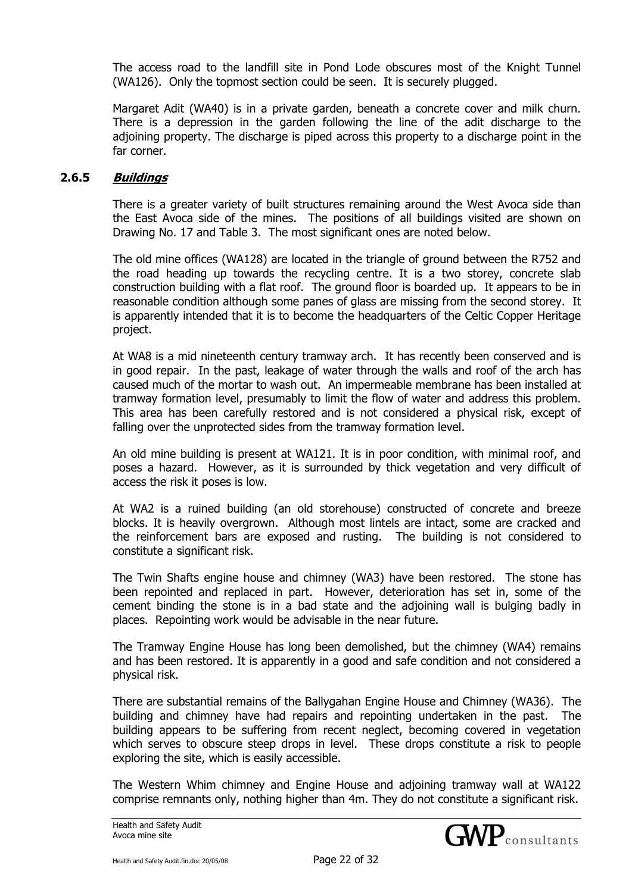The access road to the landfill site in Pond Lode obscures most of the Knight Tunnel (WA126). Only the topmost section could be seen. It is securely plugged.

Margaret Adit (WA40) is in a private garden, beneath a concrete cover and milk churn. There is a depression in the garden following the line of the adit discharge to the adjoining property. The discharge is piped across this property to a discharge point in the far corner.

#### **2.6.5 Buildings**

There is a greater variety of built structures remaining around the West Avoca side than the East Avoca side of the mines. The positions of all buildings visited are shown on Drawing No. 17 and Table 3. The most significant ones are noted below.

The old mine offices (WA128) are located in the triangle of ground between the R752 and the road heading up towards the recycling centre. It is a two storey, concrete slab construction building with a flat roof. The ground floor is boarded up. It appears to be in reasonable condition although some panes of glass are missing from the second storey. It is apparently intended that it is to become the headquarters of the Celtic Copper Heritage project.

At WA8 is a mid nineteenth century tramway arch. It has recently been conserved and is in good repair. In the past, leakage of water through the walls and roof of the arch has caused much of the mortar to wash out. An impermeable membrane has been installed at tramway formation level, presumably to limit the flow of water and address this problem. This area has been carefully restored and is not considered a physical risk, except of falling over the unprotected sides from the tramway formation level.

An old mine building is present at WA121. It is in poor condition, with minimal roof, and poses a hazard. However, as it is surrounded by thick vegetation and very difficult of access the risk it poses is low.

At WA2 is a ruined building (an old storehouse) constructed of concrete and breeze blocks. It is heavily overgrown. Although most lintels are intact, some are cracked and the reinforcement bars are exposed and rusting. The building is not considered to constitute a significant risk.

The Twin Shafts engine house and chimney (WA3) have been restored. The stone has been repointed and replaced in part. However, deterioration has set in, some of the cement binding the stone is in a bad state and the adjoining wall is bulging badly in places. Repointing work would be advisable in the near future.

The Tramway Engine House has long been demolished, but the chimney (WA4) remains and has been restored. It is apparently in a good and safe condition and not considered a physical risk.

There are substantial remains of the Ballygahan Engine House and Chimney (WA36). The building and chimney have had repairs and repointing undertaken in the past. The building appears to be suffering from recent neglect, becoming covered in vegetation which serves to obscure steep drops in level. These drops constitute a risk to people exploring the site, which is easily accessible.

The Western Whim chimney and Engine House and adjoining tramway wall at WA122 comprise remnants only, nothing higher than 4m. They do not constitute a significant risk.

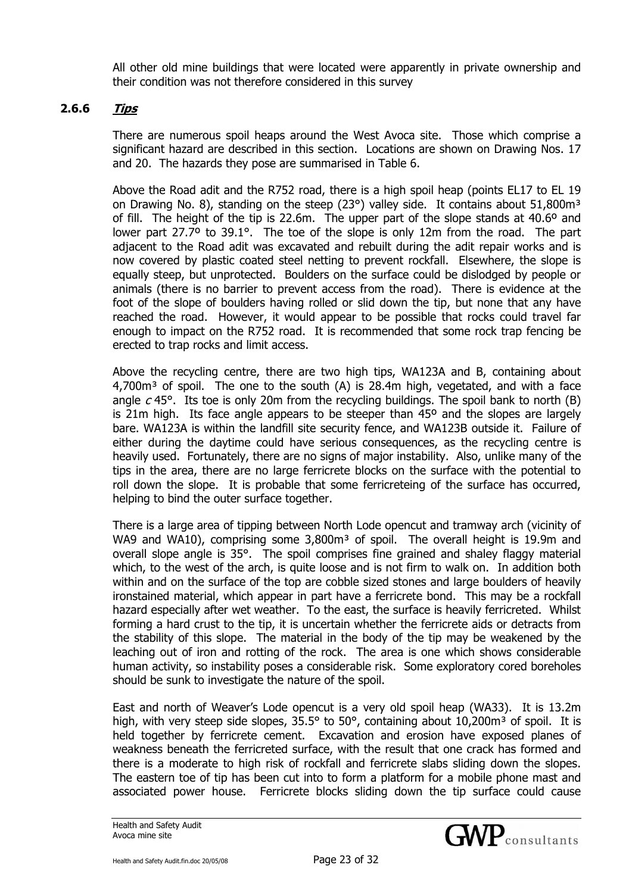All other old mine buildings that were located were apparently in private ownership and their condition was not therefore considered in this survey

#### **2.6.6 Tips**

There are numerous spoil heaps around the West Avoca site. Those which comprise a significant hazard are described in this section. Locations are shown on Drawing Nos. 17 and 20. The hazards they pose are summarised in Table 6.

Above the Road adit and the R752 road, there is a high spoil heap (points EL17 to EL 19 on Drawing No. 8), standing on the steep (23 $\degree$ ) valley side. It contains about 51,800m<sup>3</sup> of fill. The height of the tip is 22.6m. The upper part of the slope stands at 40.6º and lower part 27.7° to 39.1°. The toe of the slope is only 12m from the road. The part adjacent to the Road adit was excavated and rebuilt during the adit repair works and is now covered by plastic coated steel netting to prevent rockfall. Elsewhere, the slope is equally steep, but unprotected. Boulders on the surface could be dislodged by people or animals (there is no barrier to prevent access from the road). There is evidence at the foot of the slope of boulders having rolled or slid down the tip, but none that any have reached the road. However, it would appear to be possible that rocks could travel far enough to impact on the R752 road. It is recommended that some rock trap fencing be erected to trap rocks and limit access.

Above the recycling centre, there are two high tips, WA123A and B, containing about  $4,700m<sup>3</sup>$  of spoil. The one to the south (A) is 28.4m high, vegetated, and with a face angle  $c$  45°. Its toe is only 20m from the recycling buildings. The spoil bank to north (B) is 21m high. Its face angle appears to be steeper than  $45^{\circ}$  and the slopes are largely bare. WA123A is within the landfill site security fence, and WA123B outside it. Failure of either during the daytime could have serious consequences, as the recycling centre is heavily used. Fortunately, there are no signs of major instability. Also, unlike many of the tips in the area, there are no large ferricrete blocks on the surface with the potential to roll down the slope. It is probable that some ferricreteing of the surface has occurred, helping to bind the outer surface together.

There is a large area of tipping between North Lode opencut and tramway arch (vicinity of WA9 and WA10), comprising some 3,800m<sup>3</sup> of spoil. The overall height is 19.9m and overall slope angle is 35°. The spoil comprises fine grained and shaley flaggy material which, to the west of the arch, is quite loose and is not firm to walk on. In addition both within and on the surface of the top are cobble sized stones and large boulders of heavily ironstained material, which appear in part have a ferricrete bond. This may be a rockfall hazard especially after wet weather. To the east, the surface is heavily ferricreted. Whilst forming a hard crust to the tip, it is uncertain whether the ferricrete aids or detracts from the stability of this slope. The material in the body of the tip may be weakened by the leaching out of iron and rotting of the rock. The area is one which shows considerable human activity, so instability poses a considerable risk. Some exploratory cored boreholes should be sunk to investigate the nature of the spoil.

East and north of Weaver's Lode opencut is a very old spoil heap (WA33). It is 13.2m high, with very steep side slopes,  $35.5^{\circ}$  to  $50^{\circ}$ , containing about  $10,200\text{m}^3$  of spoil. It is held together by ferricrete cement. Excavation and erosion have exposed planes of weakness beneath the ferricreted surface, with the result that one crack has formed and there is a moderate to high risk of rockfall and ferricrete slabs sliding down the slopes. The eastern toe of tip has been cut into to form a platform for a mobile phone mast and associated power house. Ferricrete blocks sliding down the tip surface could cause

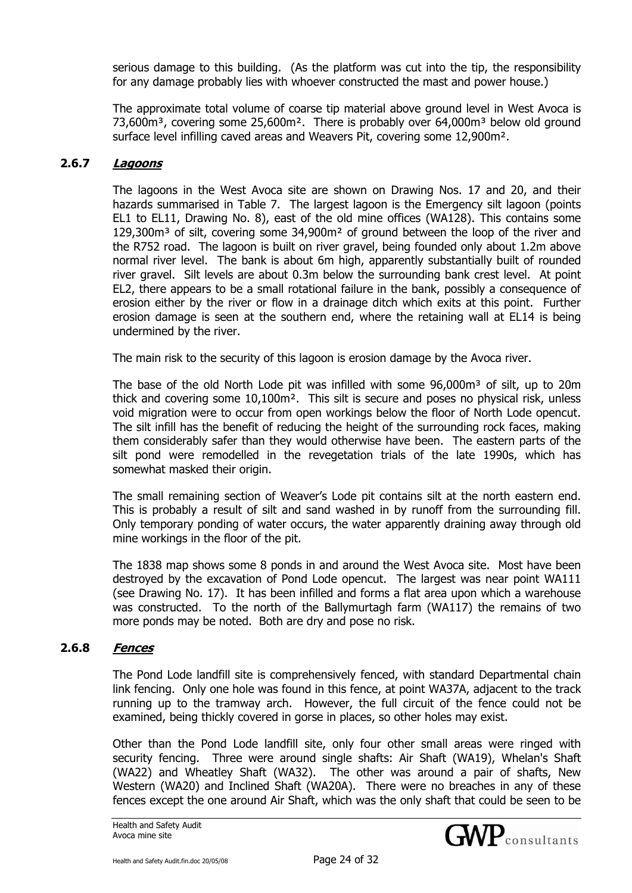serious damage to this building. (As the platform was cut into the tip, the responsibility for any damage probably lies with whoever constructed the mast and power house.)

The approximate total volume of coarse tip material above ground level in West Avoca is  $73.600m<sup>3</sup>$ , covering some 25,600m<sup>2</sup>. There is probably over 64,000m<sup>3</sup> below old ground surface level infilling caved areas and Weavers Pit, covering some 12,900m².

#### **2.6.7 Lagoons**

The lagoons in the West Avoca site are shown on Drawing Nos. 17 and 20, and their hazards summarised in Table 7. The largest lagoon is the Emergency silt lagoon (points EL1 to EL11, Drawing No. 8), east of the old mine offices (WA128). This contains some  $129,300\,\mathrm{m}^3$  of silt, covering some  $34,900\,\mathrm{m}^2$  of ground between the loop of the river and the R752 road. The lagoon is built on river gravel, being founded only about 1.2m above normal river level. The bank is about 6m high, apparently substantially built of rounded river gravel. Silt levels are about 0.3m below the surrounding bank crest level. At point EL2, there appears to be a small rotational failure in the bank, possibly a consequence of erosion either by the river or flow in a drainage ditch which exits at this point. Further erosion damage is seen at the southern end, where the retaining wall at EL14 is being undermined by the river.

The main risk to the security of this lagoon is erosion damage by the Avoca river.

The base of the old North Lode pit was infilled with some  $96,000m<sup>3</sup>$  of silt, up to 20m thick and covering some 10,100m². This silt is secure and poses no physical risk, unless void migration were to occur from open workings below the floor of North Lode opencut. The silt infill has the benefit of reducing the height of the surrounding rock faces, making them considerably safer than they would otherwise have been. The eastern parts of the silt pond were remodelled in the revegetation trials of the late 1990s, which has somewhat masked their origin.

The small remaining section of Weaver's Lode pit contains silt at the north eastern end. This is probably a result of silt and sand washed in by runoff from the surrounding fill. Only temporary ponding of water occurs, the water apparently draining away through old mine workings in the floor of the pit.

The 1838 map shows some 8 ponds in and around the West Avoca site. Most have been destroyed by the excavation of Pond Lode opencut. The largest was near point WA111 (see Drawing No. 17). It has been infilled and forms a flat area upon which a warehouse was constructed. To the north of the Ballymurtagh farm (WA117) the remains of two more ponds may be noted. Both are dry and pose no risk.

# **2.6.8 Fences**

The Pond Lode landfill site is comprehensively fenced, with standard Departmental chain link fencing. Only one hole was found in this fence, at point WA37A, adjacent to the track running up to the tramway arch. However, the full circuit of the fence could not be examined, being thickly covered in gorse in places, so other holes may exist.

Other than the Pond Lode landfill site, only four other small areas were ringed with security fencing. Three were around single shafts: Air Shaft (WA19), Whelan's Shaft (WA22) and Wheatley Shaft (WA32). The other was around a pair of shafts, New Western (WA20) and Inclined Shaft (WA20A). There were no breaches in any of these fences except the one around Air Shaft, which was the only shaft that could be seen to be

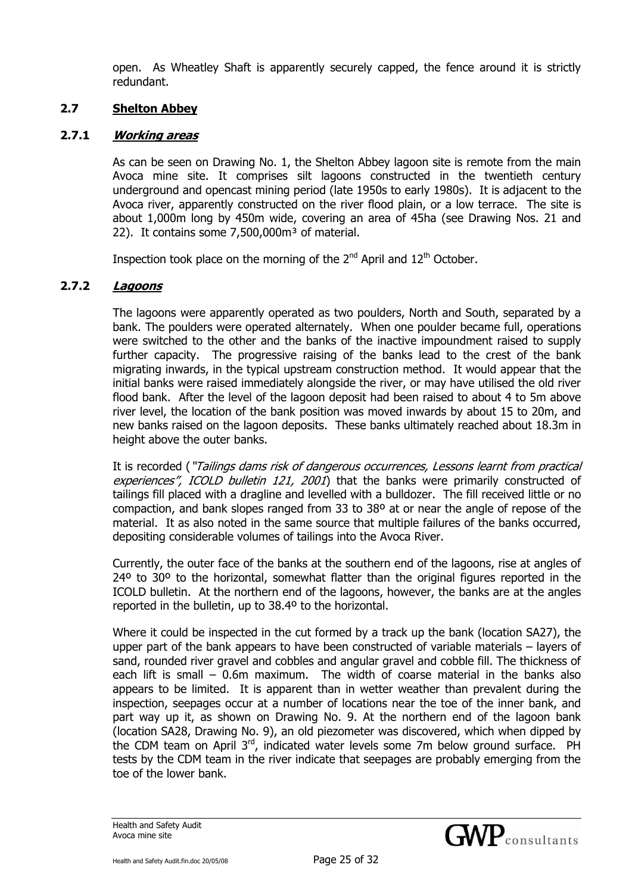open. As Wheatley Shaft is apparently securely capped, the fence around it is strictly redundant.

## **2.7 Shelton Abbey**

## **2.7.1 Working areas**

As can be seen on Drawing No. 1, the Shelton Abbey lagoon site is remote from the main Avoca mine site. It comprises silt lagoons constructed in the twentieth century underground and opencast mining period (late 1950s to early 1980s). It is adjacent to the Avoca river, apparently constructed on the river flood plain, or a low terrace. The site is about 1,000m long by 450m wide, covering an area of 45ha (see Drawing Nos. 21 and 22). It contains some  $7,500,000m^3$  of material.

Inspection took place on the morning of the  $2<sup>nd</sup>$  April and  $12<sup>th</sup>$  October.

# **2.7.2 Lagoons**

The lagoons were apparently operated as two poulders, North and South, separated by a bank. The poulders were operated alternately. When one poulder became full, operations were switched to the other and the banks of the inactive impoundment raised to supply further capacity. The progressive raising of the banks lead to the crest of the bank migrating inwards, in the typical upstream construction method. It would appear that the initial banks were raised immediately alongside the river, or may have utilised the old river flood bank. After the level of the lagoon deposit had been raised to about 4 to 5m above river level, the location of the bank position was moved inwards by about 15 to 20m, and new banks raised on the lagoon deposits. These banks ultimately reached about 18.3m in height above the outer banks.

It is recorded ("Tailings dams risk of dangerous occurrences, Lessons learnt from practical experiences", ICOLD bulletin 121, 2001) that the banks were primarily constructed of tailings fill placed with a dragline and levelled with a bulldozer. The fill received little or no compaction, and bank slopes ranged from 33 to 38º at or near the angle of repose of the material. It as also noted in the same source that multiple failures of the banks occurred, depositing considerable volumes of tailings into the Avoca River.

Currently, the outer face of the banks at the southern end of the lagoons, rise at angles of 24<sup>o</sup> to 30<sup>o</sup> to the horizontal, somewhat flatter than the original figures reported in the ICOLD bulletin. At the northern end of the lagoons, however, the banks are at the angles reported in the bulletin, up to 38.4º to the horizontal.

Where it could be inspected in the cut formed by a track up the bank (location SA27), the upper part of the bank appears to have been constructed of variable materials – layers of sand, rounded river gravel and cobbles and angular gravel and cobble fill. The thickness of each lift is small – 0.6m maximum. The width of coarse material in the banks also appears to be limited. It is apparent than in wetter weather than prevalent during the inspection, seepages occur at a number of locations near the toe of the inner bank, and part way up it, as shown on Drawing No. 9. At the northern end of the lagoon bank (location SA28, Drawing No. 9), an old piezometer was discovered, which when dipped by the CDM team on April 3<sup>rd</sup>, indicated water levels some 7m below ground surface. PH tests by the CDM team in the river indicate that seepages are probably emerging from the toe of the lower bank.

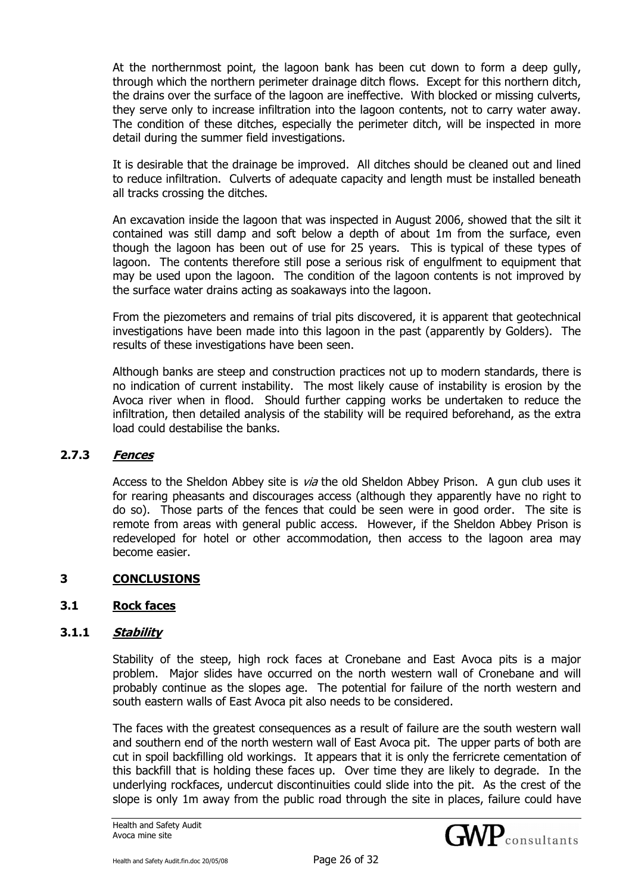At the northernmost point, the lagoon bank has been cut down to form a deep gully, through which the northern perimeter drainage ditch flows. Except for this northern ditch, the drains over the surface of the lagoon are ineffective. With blocked or missing culverts, they serve only to increase infiltration into the lagoon contents, not to carry water away. The condition of these ditches, especially the perimeter ditch, will be inspected in more detail during the summer field investigations.

It is desirable that the drainage be improved. All ditches should be cleaned out and lined to reduce infiltration. Culverts of adequate capacity and length must be installed beneath all tracks crossing the ditches.

An excavation inside the lagoon that was inspected in August 2006, showed that the silt it contained was still damp and soft below a depth of about 1m from the surface, even though the lagoon has been out of use for 25 years. This is typical of these types of lagoon. The contents therefore still pose a serious risk of engulfment to equipment that may be used upon the lagoon. The condition of the lagoon contents is not improved by the surface water drains acting as soakaways into the lagoon.

From the piezometers and remains of trial pits discovered, it is apparent that geotechnical investigations have been made into this lagoon in the past (apparently by Golders). The results of these investigations have been seen.

Although banks are steep and construction practices not up to modern standards, there is no indication of current instability. The most likely cause of instability is erosion by the Avoca river when in flood. Should further capping works be undertaken to reduce the infiltration, then detailed analysis of the stability will be required beforehand, as the extra load could destabilise the banks.

#### **2.7.3 Fences**

Access to the Sheldon Abbey site is *via* the old Sheldon Abbey Prison. A gun club uses it for rearing pheasants and discourages access (although they apparently have no right to do so). Those parts of the fences that could be seen were in good order. The site is remote from areas with general public access. However, if the Sheldon Abbey Prison is redeveloped for hotel or other accommodation, then access to the lagoon area may become easier.

## **3 CONCLUSIONS**

## **3.1 Rock faces**

## **3.1.1 Stability**

Stability of the steep, high rock faces at Cronebane and East Avoca pits is a major problem. Major slides have occurred on the north western wall of Cronebane and will probably continue as the slopes age. The potential for failure of the north western and south eastern walls of East Avoca pit also needs to be considered.

The faces with the greatest consequences as a result of failure are the south western wall and southern end of the north western wall of East Avoca pit. The upper parts of both are cut in spoil backfilling old workings. It appears that it is only the ferricrete cementation of this backfill that is holding these faces up. Over time they are likely to degrade. In the underlying rockfaces, undercut discontinuities could slide into the pit. As the crest of the slope is only 1m away from the public road through the site in places, failure could have

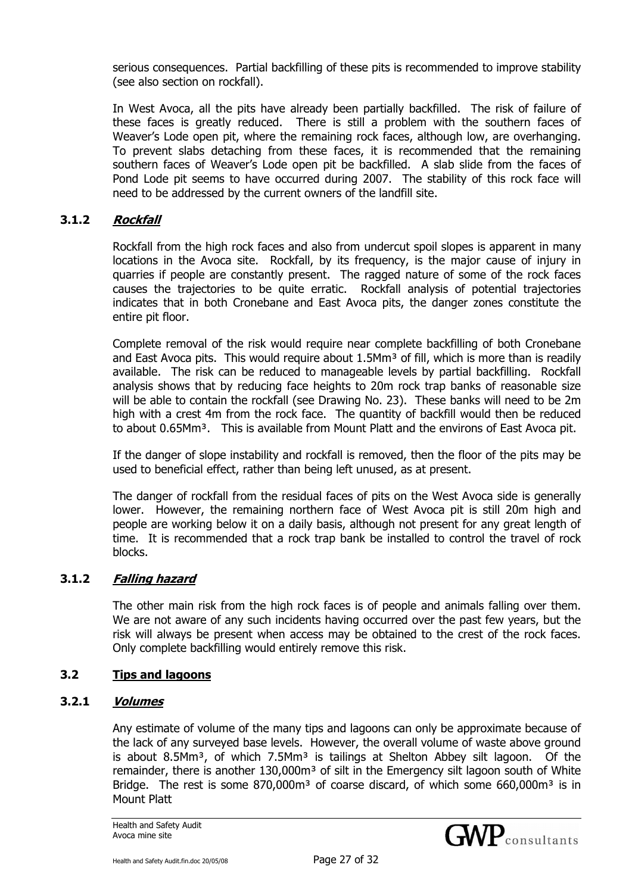serious consequences. Partial backfilling of these pits is recommended to improve stability (see also section on rockfall).

In West Avoca, all the pits have already been partially backfilled. The risk of failure of these faces is greatly reduced. There is still a problem with the southern faces of Weaver's Lode open pit, where the remaining rock faces, although low, are overhanging. To prevent slabs detaching from these faces, it is recommended that the remaining southern faces of Weaver's Lode open pit be backfilled. A slab slide from the faces of Pond Lode pit seems to have occurred during 2007. The stability of this rock face will need to be addressed by the current owners of the landfill site.

## **3.1.2 Rockfall**

Rockfall from the high rock faces and also from undercut spoil slopes is apparent in many locations in the Avoca site. Rockfall, by its frequency, is the major cause of injury in quarries if people are constantly present. The ragged nature of some of the rock faces causes the trajectories to be quite erratic. Rockfall analysis of potential trajectories indicates that in both Cronebane and East Avoca pits, the danger zones constitute the entire pit floor.

Complete removal of the risk would require near complete backfilling of both Cronebane and East Avoca pits. This would require about 1.5Mm<sup>3</sup> of fill, which is more than is readily available. The risk can be reduced to manageable levels by partial backfilling. Rockfall analysis shows that by reducing face heights to 20m rock trap banks of reasonable size will be able to contain the rockfall (see Drawing No. 23). These banks will need to be 2m high with a crest 4m from the rock face. The quantity of backfill would then be reduced to about 0.65Mm<sup>3</sup>. This is available from Mount Platt and the environs of East Avoca pit.

If the danger of slope instability and rockfall is removed, then the floor of the pits may be used to beneficial effect, rather than being left unused, as at present.

The danger of rockfall from the residual faces of pits on the West Avoca side is generally lower. However, the remaining northern face of West Avoca pit is still 20m high and people are working below it on a daily basis, although not present for any great length of time. It is recommended that a rock trap bank be installed to control the travel of rock blocks.

#### **3.1.2 Falling hazard**

The other main risk from the high rock faces is of people and animals falling over them. We are not aware of any such incidents having occurred over the past few years, but the risk will always be present when access may be obtained to the crest of the rock faces. Only complete backfilling would entirely remove this risk.

#### **3.2 Tips and lagoons**

#### **3.2.1 Volumes**

Any estimate of volume of the many tips and lagoons can only be approximate because of the lack of any surveyed base levels. However, the overall volume of waste above ground is about 8.5Mm<sup>3</sup>, of which 7.5Mm<sup>3</sup> is tailings at Shelton Abbey silt lagoon. Of the remainder, there is another 130,000m<sup>3</sup> of silt in the Emergency silt lagoon south of White Bridge. The rest is some  $870,000$  m<sup>3</sup> of coarse discard, of which some  $660,000$  m<sup>3</sup> is in Mount Platt

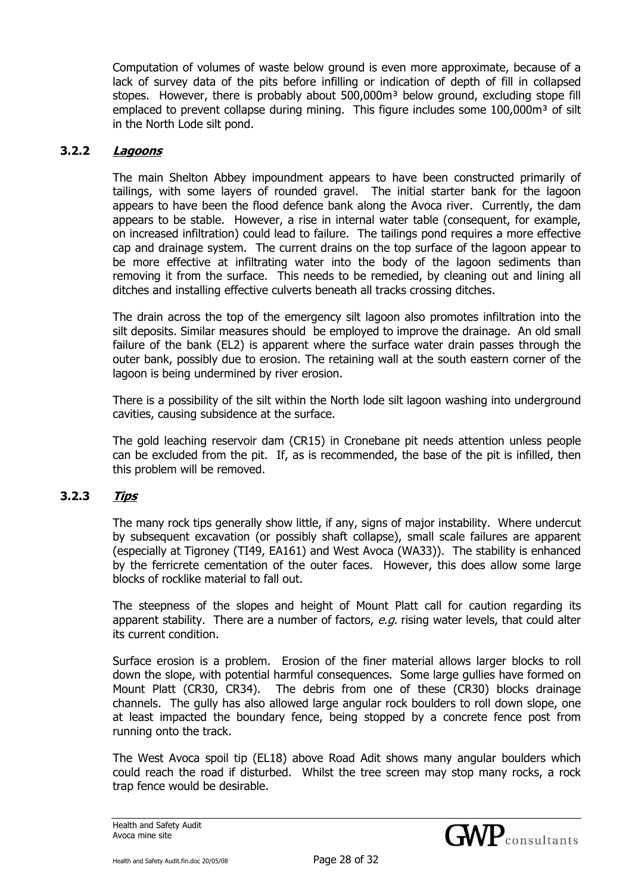Computation of volumes of waste below ground is even more approximate, because of a lack of survey data of the pits before infilling or indication of depth of fill in collapsed stopes. However, there is probably about  $500,000<sup>m3</sup>$  below ground, excluding stope fill emplaced to prevent collapse during mining. This figure includes some  $100,000m<sup>3</sup>$  of silt in the North Lode silt pond.

#### **3.2.2 Lagoons**

The main Shelton Abbey impoundment appears to have been constructed primarily of tailings, with some layers of rounded gravel. The initial starter bank for the lagoon appears to have been the flood defence bank along the Avoca river. Currently, the dam appears to be stable. However, a rise in internal water table (consequent, for example, on increased infiltration) could lead to failure. The tailings pond requires a more effective cap and drainage system. The current drains on the top surface of the lagoon appear to be more effective at infiltrating water into the body of the lagoon sediments than removing it from the surface. This needs to be remedied, by cleaning out and lining all ditches and installing effective culverts beneath all tracks crossing ditches.

The drain across the top of the emergency silt lagoon also promotes infiltration into the silt deposits. Similar measures should be employed to improve the drainage. An old small failure of the bank (EL2) is apparent where the surface water drain passes through the outer bank, possibly due to erosion. The retaining wall at the south eastern corner of the lagoon is being undermined by river erosion.

There is a possibility of the silt within the North lode silt lagoon washing into underground cavities, causing subsidence at the surface.

The gold leaching reservoir dam (CR15) in Cronebane pit needs attention unless people can be excluded from the pit. If, as is recommended, the base of the pit is infilled, then this problem will be removed.

## **3.2.3 Tips**

The many rock tips generally show little, if any, signs of major instability. Where undercut by subsequent excavation (or possibly shaft collapse), small scale failures are apparent (especially at Tigroney (TI49, EA161) and West Avoca (WA33)). The stability is enhanced by the ferricrete cementation of the outer faces. However, this does allow some large blocks of rocklike material to fall out.

The steepness of the slopes and height of Mount Platt call for caution regarding its apparent stability. There are a number of factors,  $e.g.$  rising water levels, that could alter its current condition.

Surface erosion is a problem. Erosion of the finer material allows larger blocks to roll down the slope, with potential harmful consequences. Some large gullies have formed on Mount Platt (CR30, CR34). The debris from one of these (CR30) blocks drainage channels. The gully has also allowed large angular rock boulders to roll down slope, one at least impacted the boundary fence, being stopped by a concrete fence post from running onto the track.

The West Avoca spoil tip (EL18) above Road Adit shows many angular boulders which could reach the road if disturbed. Whilst the tree screen may stop many rocks, a rock trap fence would be desirable.

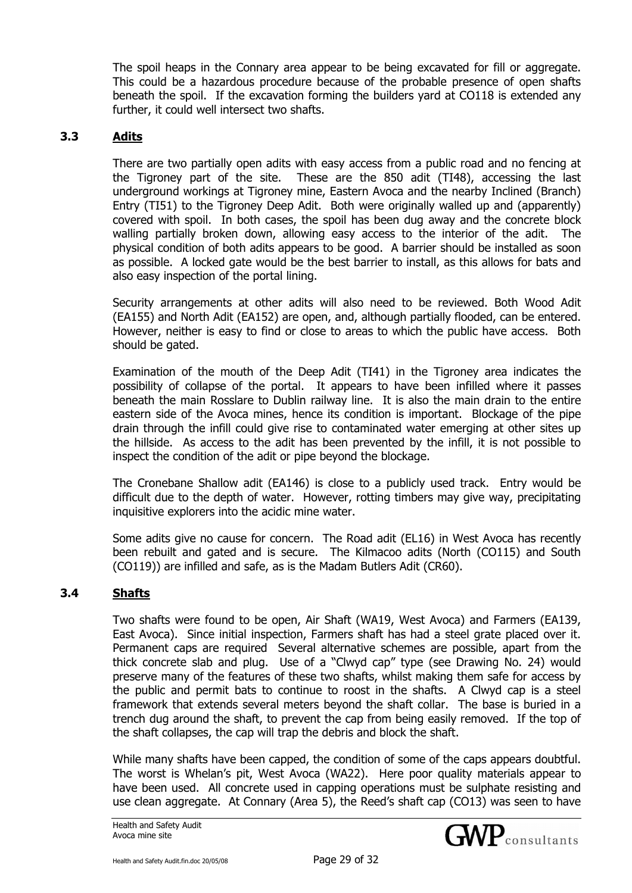The spoil heaps in the Connary area appear to be being excavated for fill or aggregate. This could be a hazardous procedure because of the probable presence of open shafts beneath the spoil. If the excavation forming the builders yard at CO118 is extended any further, it could well intersect two shafts.

# **3.3 Adits**

There are two partially open adits with easy access from a public road and no fencing at the Tigroney part of the site. These are the 850 adit (TI48), accessing the last underground workings at Tigroney mine, Eastern Avoca and the nearby Inclined (Branch) Entry (TI51) to the Tigroney Deep Adit. Both were originally walled up and (apparently) covered with spoil. In both cases, the spoil has been dug away and the concrete block walling partially broken down, allowing easy access to the interior of the adit. The physical condition of both adits appears to be good. A barrier should be installed as soon as possible. A locked gate would be the best barrier to install, as this allows for bats and also easy inspection of the portal lining.

Security arrangements at other adits will also need to be reviewed. Both Wood Adit (EA155) and North Adit (EA152) are open, and, although partially flooded, can be entered. However, neither is easy to find or close to areas to which the public have access. Both should be gated.

Examination of the mouth of the Deep Adit (TI41) in the Tigroney area indicates the possibility of collapse of the portal. It appears to have been infilled where it passes beneath the main Rosslare to Dublin railway line. It is also the main drain to the entire eastern side of the Avoca mines, hence its condition is important. Blockage of the pipe drain through the infill could give rise to contaminated water emerging at other sites up the hillside. As access to the adit has been prevented by the infill, it is not possible to inspect the condition of the adit or pipe beyond the blockage.

The Cronebane Shallow adit (EA146) is close to a publicly used track. Entry would be difficult due to the depth of water. However, rotting timbers may give way, precipitating inquisitive explorers into the acidic mine water.

Some adits give no cause for concern. The Road adit (EL16) in West Avoca has recently been rebuilt and gated and is secure. The Kilmacoo adits (North (CO115) and South (CO119)) are infilled and safe, as is the Madam Butlers Adit (CR60).

## **3.4 Shafts**

Two shafts were found to be open, Air Shaft (WA19, West Avoca) and Farmers (EA139, East Avoca). Since initial inspection, Farmers shaft has had a steel grate placed over it. Permanent caps are required Several alternative schemes are possible, apart from the thick concrete slab and plug. Use of a "Clwyd cap" type (see Drawing No. 24) would preserve many of the features of these two shafts, whilst making them safe for access by the public and permit bats to continue to roost in the shafts. A Clwyd cap is a steel framework that extends several meters beyond the shaft collar. The base is buried in a trench dug around the shaft, to prevent the cap from being easily removed. If the top of the shaft collapses, the cap will trap the debris and block the shaft.

While many shafts have been capped, the condition of some of the caps appears doubtful. The worst is Whelan's pit, West Avoca (WA22). Here poor quality materials appear to have been used. All concrete used in capping operations must be sulphate resisting and use clean aggregate. At Connary (Area 5), the Reed's shaft cap (CO13) was seen to have

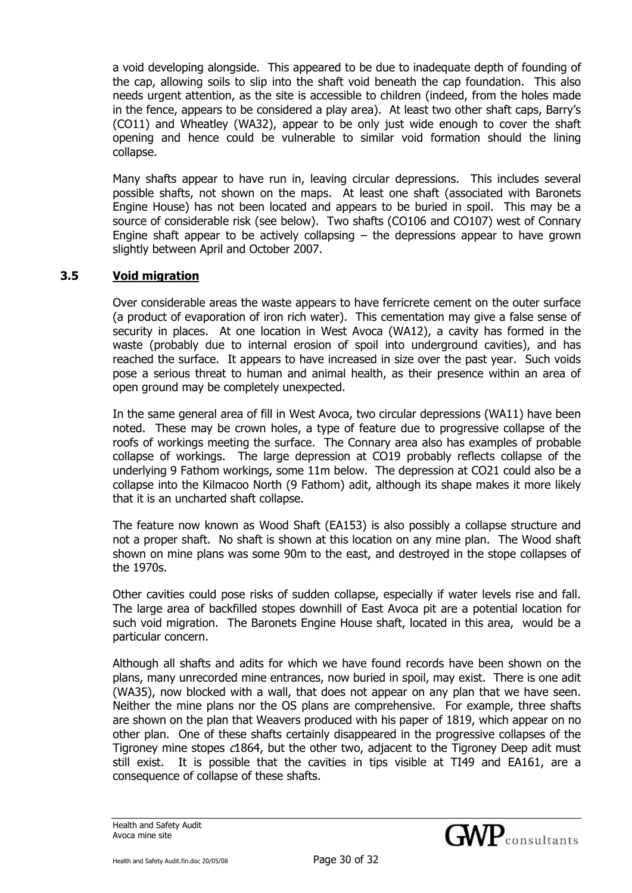a void developing alongside. This appeared to be due to inadequate depth of founding of the cap, allowing soils to slip into the shaft void beneath the cap foundation. This also needs urgent attention, as the site is accessible to children (indeed, from the holes made in the fence, appears to be considered a play area). At least two other shaft caps, Barry's (CO11) and Wheatley (WA32), appear to be only just wide enough to cover the shaft opening and hence could be vulnerable to similar void formation should the lining collapse.

Many shafts appear to have run in, leaving circular depressions. This includes several possible shafts, not shown on the maps. At least one shaft (associated with Baronets Engine House) has not been located and appears to be buried in spoil. This may be a source of considerable risk (see below). Two shafts (CO106 and CO107) west of Connary Engine shaft appear to be actively collapsing  $-$  the depressions appear to have grown slightly between April and October 2007.

# **3.5 Void migration**

Over considerable areas the waste appears to have ferricrete cement on the outer surface (a product of evaporation of iron rich water). This cementation may give a false sense of security in places. At one location in West Avoca (WA12), a cavity has formed in the waste (probably due to internal erosion of spoil into underground cavities), and has reached the surface. It appears to have increased in size over the past year. Such voids pose a serious threat to human and animal health, as their presence within an area of open ground may be completely unexpected.

In the same general area of fill in West Avoca, two circular depressions (WA11) have been noted. These may be crown holes, a type of feature due to progressive collapse of the roofs of workings meeting the surface. The Connary area also has examples of probable collapse of workings. The large depression at CO19 probably reflects collapse of the underlying 9 Fathom workings, some 11m below. The depression at CO21 could also be a collapse into the Kilmacoo North (9 Fathom) adit, although its shape makes it more likely that it is an uncharted shaft collapse.

The feature now known as Wood Shaft (EA153) is also possibly a collapse structure and not a proper shaft. No shaft is shown at this location on any mine plan. The Wood shaft shown on mine plans was some 90m to the east, and destroyed in the stope collapses of the 1970s.

Other cavities could pose risks of sudden collapse, especially if water levels rise and fall. The large area of backfilled stopes downhill of East Avoca pit are a potential location for such void migration. The Baronets Engine House shaft, located in this area, would be a particular concern.

Although all shafts and adits for which we have found records have been shown on the plans, many unrecorded mine entrances, now buried in spoil, may exist. There is one adit (WA35), now blocked with a wall, that does not appear on any plan that we have seen. Neither the mine plans nor the OS plans are comprehensive. For example, three shafts are shown on the plan that Weavers produced with his paper of 1819, which appear on no other plan. One of these shafts certainly disappeared in the progressive collapses of the Tigroney mine stopes c1864, but the other two, adjacent to the Tigroney Deep adit must still exist. It is possible that the cavities in tips visible at TI49 and EA161, are a consequence of collapse of these shafts.

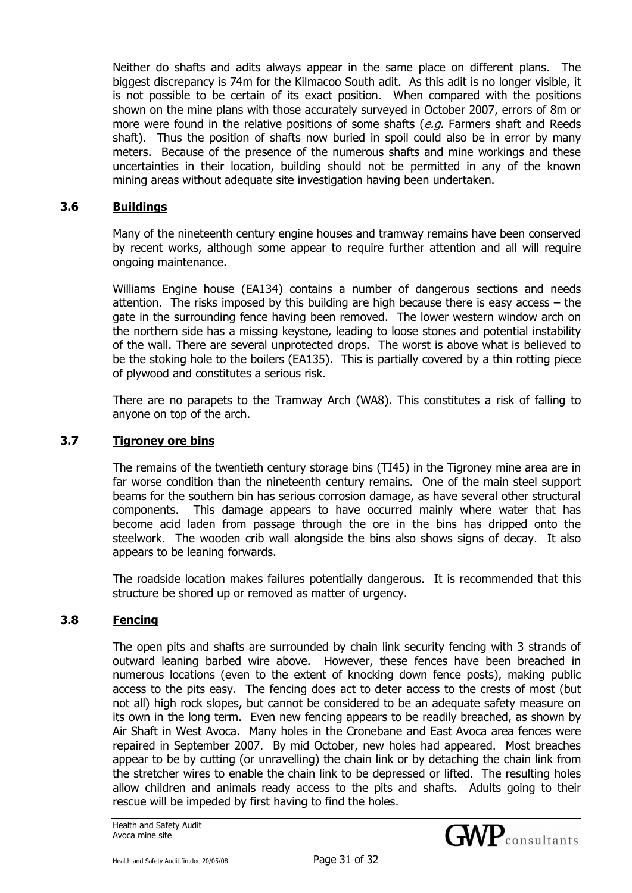Neither do shafts and adits always appear in the same place on different plans. The biggest discrepancy is 74m for the Kilmacoo South adit. As this adit is no longer visible, it is not possible to be certain of its exact position. When compared with the positions shown on the mine plans with those accurately surveyed in October 2007, errors of 8m or more were found in the relative positions of some shafts ( $e.g.$  Farmers shaft and Reeds shaft). Thus the position of shafts now buried in spoil could also be in error by many meters. Because of the presence of the numerous shafts and mine workings and these uncertainties in their location, building should not be permitted in any of the known mining areas without adequate site investigation having been undertaken.

#### **3.6 Buildings**

Many of the nineteenth century engine houses and tramway remains have been conserved by recent works, although some appear to require further attention and all will require ongoing maintenance.

Williams Engine house (EA134) contains a number of dangerous sections and needs attention. The risks imposed by this building are high because there is easy access – the gate in the surrounding fence having been removed. The lower western window arch on the northern side has a missing keystone, leading to loose stones and potential instability of the wall. There are several unprotected drops. The worst is above what is believed to be the stoking hole to the boilers (EA135). This is partially covered by a thin rotting piece of plywood and constitutes a serious risk.

There are no parapets to the Tramway Arch (WA8). This constitutes a risk of falling to anyone on top of the arch.

#### **3.7 Tigroney ore bins**

The remains of the twentieth century storage bins (TI45) in the Tigroney mine area are in far worse condition than the nineteenth century remains. One of the main steel support beams for the southern bin has serious corrosion damage, as have several other structural components. This damage appears to have occurred mainly where water that has become acid laden from passage through the ore in the bins has dripped onto the steelwork. The wooden crib wall alongside the bins also shows signs of decay. It also appears to be leaning forwards.

The roadside location makes failures potentially dangerous. It is recommended that this structure be shored up or removed as matter of urgency.

## **3.8 Fencing**

The open pits and shafts are surrounded by chain link security fencing with 3 strands of outward leaning barbed wire above. However, these fences have been breached in numerous locations (even to the extent of knocking down fence posts), making public access to the pits easy. The fencing does act to deter access to the crests of most (but not all) high rock slopes, but cannot be considered to be an adequate safety measure on its own in the long term. Even new fencing appears to be readily breached, as shown by Air Shaft in West Avoca. Many holes in the Cronebane and East Avoca area fences were repaired in September 2007. By mid October, new holes had appeared. Most breaches appear to be by cutting (or unravelling) the chain link or by detaching the chain link from the stretcher wires to enable the chain link to be depressed or lifted. The resulting holes allow children and animals ready access to the pits and shafts. Adults going to their rescue will be impeded by first having to find the holes.



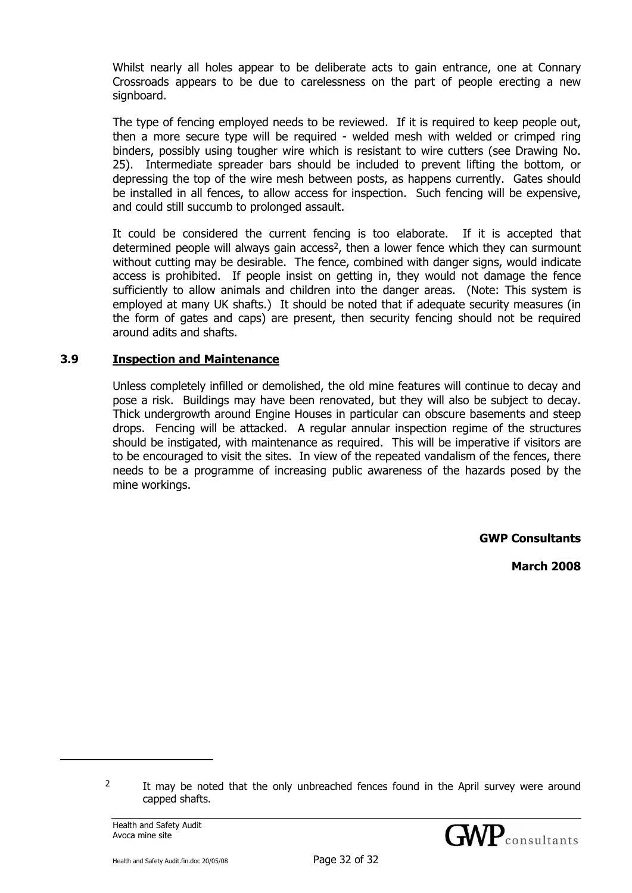Whilst nearly all holes appear to be deliberate acts to gain entrance, one at Connary Crossroads appears to be due to carelessness on the part of people erecting a new signboard.

The type of fencing employed needs to be reviewed. If it is required to keep people out, then a more secure type will be required - welded mesh with welded or crimped ring binders, possibly using tougher wire which is resistant to wire cutters (see Drawing No. 25). Intermediate spreader bars should be included to prevent lifting the bottom, or depressing the top of the wire mesh between posts, as happens currently. Gates should be installed in all fences, to allow access for inspection. Such fencing will be expensive, and could still succumb to prolonged assault.

It could be considered the current fencing is too elaborate. If it is accepted that determined people will always gain access<sup>2</sup>, then a lower fence which they can surmount without cutting may be desirable. The fence, combined with danger signs, would indicate access is prohibited. If people insist on getting in, they would not damage the fence sufficiently to allow animals and children into the danger areas. (Note: This system is employed at many UK shafts.) It should be noted that if adequate security measures (in the form of gates and caps) are present, then security fencing should not be required around adits and shafts.

#### **3.9 Inspection and Maintenance**

Unless completely infilled or demolished, the old mine features will continue to decay and pose a risk. Buildings may have been renovated, but they will also be subject to decay. Thick undergrowth around Engine Houses in particular can obscure basements and steep drops. Fencing will be attacked. A regular annular inspection regime of the structures should be instigated, with maintenance as required. This will be imperative if visitors are to be encouraged to visit the sites. In view of the repeated vandalism of the fences, there needs to be a programme of increasing public awareness of the hazards posed by the mine workings.

**GWP Consultants** 

**March 2008** 

j



 $2 \t{I}$  It may be noted that the only unbreached fences found in the April survey were around capped shafts.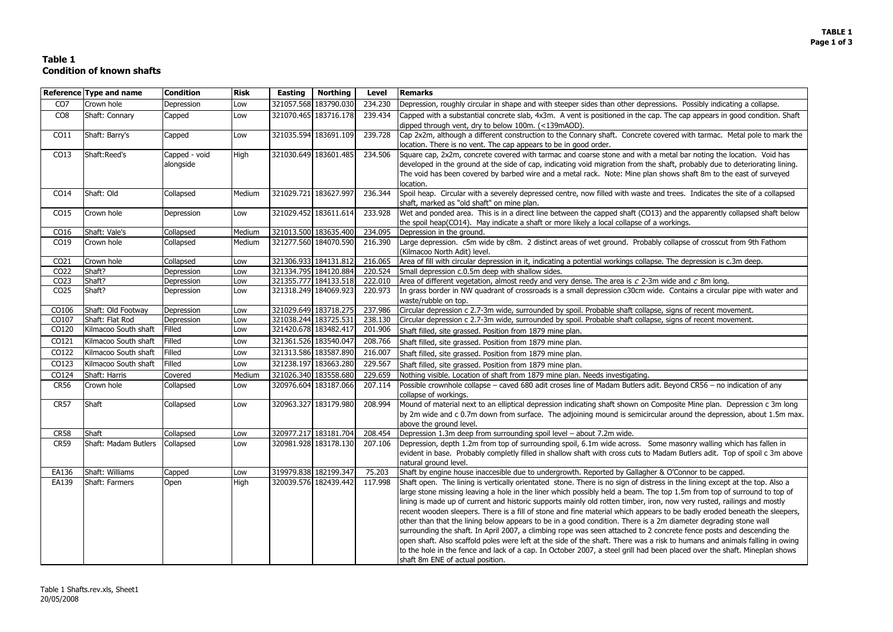# **Table 1 Condition of known shafts**

| <b>Risk</b><br><b>Northing</b><br><b>Remarks</b><br>Reference Type and name<br><b>Condition</b><br><b>Easting</b><br><b>Level</b>                                                                                                                                                                                                                                                                     |  |
|-------------------------------------------------------------------------------------------------------------------------------------------------------------------------------------------------------------------------------------------------------------------------------------------------------------------------------------------------------------------------------------------------------|--|
| 321057.568 183790.030<br>CO <sub>7</sub><br>Crown hole<br>234.230<br>Depression, roughly circular in shape and with steeper sides than other depressions. Possibly indicating a collapse.<br>Depression<br>Low                                                                                                                                                                                        |  |
| 321070.465 183716.178<br>Capped with a substantial concrete slab, 4x3m. A vent is positioned in the cap. The cap appears in good condition. Shaft<br>CO <sub>8</sub><br>Shaft: Connary<br>239.434<br>Capped<br>Low                                                                                                                                                                                    |  |
| dipped through vent, dry to below 100m. (<139mAOD).                                                                                                                                                                                                                                                                                                                                                   |  |
| 321035.594 183691.109<br>Cap 2x2m, although a different construction to the Connary shaft. Concrete covered with tarmac. Metal pole to mark the<br>Shaft: Barry's<br>239.728<br>CO11<br>Capped<br>Low                                                                                                                                                                                                 |  |
| location. There is no vent. The cap appears to be in good order.                                                                                                                                                                                                                                                                                                                                      |  |
| 321030.649 183601.485<br>Square cap, 2x2m, concrete covered with tarmac and coarse stone and with a metal bar noting the location. Void has<br>Shaft:Reed's<br>Capped - void<br>High<br>234.506<br>CO13                                                                                                                                                                                               |  |
| alongside<br>developed in the ground at the side of cap, indicating void migration from the shaft, probably due to deteriorating lining.                                                                                                                                                                                                                                                              |  |
| The void has been covered by barbed wire and a metal rack. Note: Mine plan shows shaft 8m to the east of surveyed<br>location.                                                                                                                                                                                                                                                                        |  |
| 321029.721 183627.997<br>Shaft: Old<br>236.344<br>Spoil heap. Circular with a severely depressed centre, now filled with waste and trees. Indicates the site of a collapsed<br>CO14<br>Collapsed<br>Medium                                                                                                                                                                                            |  |
| shaft, marked as "old shaft" on mine plan.                                                                                                                                                                                                                                                                                                                                                            |  |
| 321029.452 183611.614<br>Wet and ponded area. This is in a direct line between the capped shaft (CO13) and the apparently collapsed shaft below<br>233.928<br>CO15<br>Crown hole<br>Depression<br>Low                                                                                                                                                                                                 |  |
| the spoil heap(CO14). May indicate a shaft or more likely a local collapse of a workings.                                                                                                                                                                                                                                                                                                             |  |
| 321013.500 183635.400<br>Shaft: Vale's<br>Medium<br>234.095<br>Depression in the ground.<br>CO16<br>Collapsed                                                                                                                                                                                                                                                                                         |  |
| CO19<br>321277.560 184070.590<br>Large depression. c5m wide by c8m. 2 distinct areas of wet ground. Probably collapse of crosscut from 9th Fathom<br>Crown hole<br>Collapsed<br>Medium<br>216.390                                                                                                                                                                                                     |  |
| (Kilmacoo North Adit) level.                                                                                                                                                                                                                                                                                                                                                                          |  |
| Crown hole<br>321306.933 184131.812<br>216.065<br>CO21<br>Collapsed<br>Area of fill with circular depression in it, indicating a potential workings collapse. The depression is c.3m deep.<br>Low                                                                                                                                                                                                     |  |
| 321334.795 184120.884<br>Shaft?<br>CO22<br>Small depression c.0.5m deep with shallow sides.<br>Depression<br>220.524<br>Low                                                                                                                                                                                                                                                                           |  |
| Shaft?<br>321355.777 184133.518<br>Area of different vegetation, almost reedy and very dense. The area is $c$ 2-3m wide and $c$ 8m long.<br>CO <sub>23</sub><br>Depression<br>222.010<br>Low                                                                                                                                                                                                          |  |
| Shaft?<br>321318.249 184069.923<br>In grass border in NW quadrant of crossroads is a small depression c30cm wide. Contains a circular pipe with water and<br>CO <sub>25</sub><br>220.973<br>Depression<br>Low                                                                                                                                                                                         |  |
| waste/rubble on top.                                                                                                                                                                                                                                                                                                                                                                                  |  |
| 321029.649 183718.275<br>Circular depression c 2.7-3m wide, surrounded by spoil. Probable shaft collapse, signs of recent movement.<br>Shaft: Old Footway<br>Depression<br>237.986<br>CO106<br>Low<br>321038.244 183725.531<br>Shaft: Flat Rod<br>Circular depression c 2.7-3m wide, surrounded by spoil. Probable shaft collapse, signs of recent movement.<br>CO107<br>Depression<br>238.130<br>Low |  |
| 321420.678 183482.417<br>CO120<br>Kilmacoo South shaft<br>Filled<br>201.906<br>Low                                                                                                                                                                                                                                                                                                                    |  |
| Shaft filled, site grassed. Position from 1879 mine plan.<br>321361.526 183540.047<br>CO121<br>Kilmacoo South shaft<br>Filled<br>208.766<br>Low                                                                                                                                                                                                                                                       |  |
| Shaft filled, site grassed. Position from 1879 mine plan.<br>321313.586 183587.890<br>CO122<br>Kilmacoo South shaft<br>Filled<br>216.007                                                                                                                                                                                                                                                              |  |
| Low<br>Shaft filled, site grassed. Position from 1879 mine plan.                                                                                                                                                                                                                                                                                                                                      |  |
| 321238.197 183663.280<br>Filled<br>CO123<br>Kilmacoo South shaft<br>229.567<br>Low<br>Shaft filled, site grassed. Position from 1879 mine plan.                                                                                                                                                                                                                                                       |  |
| 321026.340 183558.680<br>Shaft: Harris<br>Nothing visible. Location of shaft from 1879 mine plan. Needs investigating.<br>CO124<br>Medium<br>229.659<br>Covered                                                                                                                                                                                                                                       |  |
| 320976.604 183187.066<br>Possible crownhole collapse – caved 680 adit croses line of Madam Butlers adit. Beyond CR56 – no indication of any<br><b>CR56</b><br>Crown hole<br>Collapsed<br>207.114<br>Low                                                                                                                                                                                               |  |
| collapse of workings.<br>320963.327 183179.980<br>Shaft<br>Mound of material next to an elliptical depression indicating shaft shown on Composite Mine plan. Depression c 3m long<br><b>CR57</b><br>208.994<br>Collapsed<br>Low                                                                                                                                                                       |  |
| by 2m wide and c 0.7m down from surface. The adjoining mound is semicircular around the depression, about 1.5m max.                                                                                                                                                                                                                                                                                   |  |
| above the ground level.                                                                                                                                                                                                                                                                                                                                                                               |  |
| 320977.217 183181.704<br>Shaft<br><b>CR58</b><br>Collapsed<br>Depression 1.3m deep from surrounding spoil level - about 7.2m wide.<br>208.454<br>Low                                                                                                                                                                                                                                                  |  |
| Shaft: Madam Butlers<br>320981.928 183178.130<br>207.106  Depression, depth 1.2m from top of surrounding spoil, 6.1m wide across. Some masonry walling which has fallen in<br><b>CR59</b><br>Collapsed<br>Low                                                                                                                                                                                         |  |
| evident in base. Probably completly filled in shallow shaft with cross cuts to Madam Butlers adit. Top of spoil c 3m above                                                                                                                                                                                                                                                                            |  |
| natural ground level.                                                                                                                                                                                                                                                                                                                                                                                 |  |
| Shaft: Williams<br>319979.838 182199.347<br>75.203<br>Shaft by engine house inaccesible due to undergrowth. Reported by Gallagher & O'Connor to be capped.<br>EA136<br>Capped<br>Low                                                                                                                                                                                                                  |  |
| High<br>320039.576 182439.442<br>Shaft open. The lining is vertically orientated stone. There is no sign of distress in the lining except at the top. Also a<br>EA139<br>Shaft: Farmers<br>Open<br>117.998                                                                                                                                                                                            |  |
| large stone missing leaving a hole in the liner which possibly held a beam. The top 1.5m from top of surround to top of                                                                                                                                                                                                                                                                               |  |
| lining is made up of current and historic supports mainly old rotten timber, iron, now very rusted, railings and mostly                                                                                                                                                                                                                                                                               |  |
| recent wooden sleepers. There is a fill of stone and fine material which appears to be badly eroded beneath the sleepers,                                                                                                                                                                                                                                                                             |  |
| other than that the lining below appears to be in a good condition. There is a 2m diameter degrading stone wall                                                                                                                                                                                                                                                                                       |  |
| surrounding the shaft. In April 2007, a climbing rope was seen attached to 2 concrete fence posts and descending the<br>open shaft. Also scaffold poles were left at the side of the shaft. There was a risk to humans and animals falling in owing                                                                                                                                                   |  |
| to the hole in the fence and lack of a cap. In October 2007, a steel grill had been placed over the shaft. Mineplan shows                                                                                                                                                                                                                                                                             |  |
| shaft 8m ENE of actual position.                                                                                                                                                                                                                                                                                                                                                                      |  |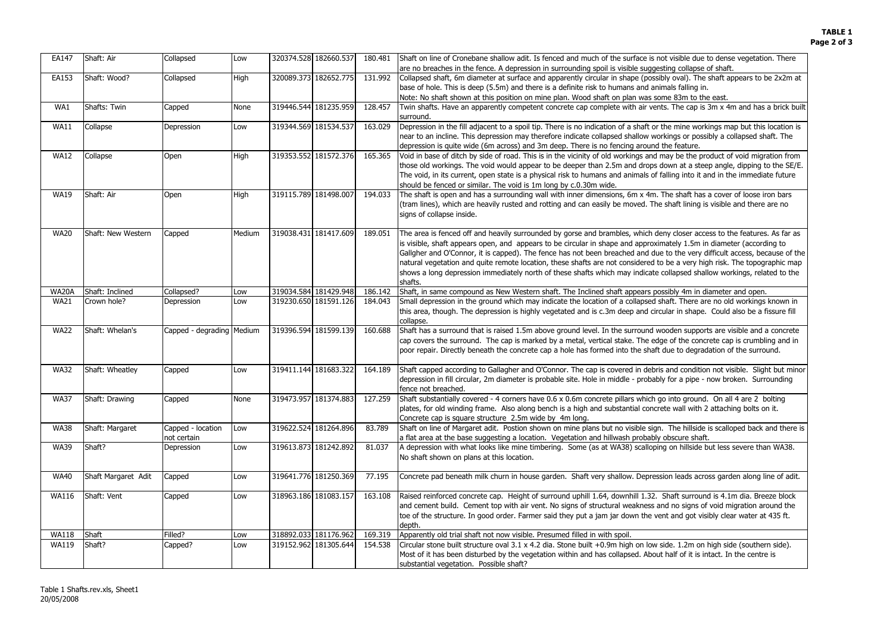| EA147                        | Shaft: Air          | Collapsed                 | Low         | 320374.528 182660.537                          | 180.481 | Shaft on line of Cronebane shallow adit. Is fenced and much of the surface is not visible due to dense vegetation. There                                                                                                                       |
|------------------------------|---------------------|---------------------------|-------------|------------------------------------------------|---------|------------------------------------------------------------------------------------------------------------------------------------------------------------------------------------------------------------------------------------------------|
|                              |                     |                           |             |                                                |         | are no breaches in the fence. A depression in surrounding spoil is visible suggesting collapse of shaft.                                                                                                                                       |
| EA153                        | Shaft: Wood?        | Collapsed                 | <b>High</b> | 320089.373 182652.775                          | 131.992 | Collapsed shaft, 6m diameter at surface and apparently circular in shape (possibly oval). The shaft appears to be 2x2m at                                                                                                                      |
|                              |                     |                           |             |                                                |         | base of hole. This is deep (5.5m) and there is a definite risk to humans and animals falling in.                                                                                                                                               |
|                              |                     |                           |             |                                                |         | Note: No shaft shown at this position on mine plan. Wood shaft on plan was some 83m to the east.                                                                                                                                               |
| WA1                          | Shafts: Twin        | Capped                    | <b>None</b> | 319446.544 181235.959                          | 128.457 | Twin shafts. Have an apparently competent concrete cap complete with air vents. The cap is 3m x 4m and has a brick built<br>surround.                                                                                                          |
| <b>WA11</b>                  | Collapse            | Depression                | Low         | 319344.569 181534.537                          | 163.029 | Depression in the fill adjacent to a spoil tip. There is no indication of a shaft or the mine workings map but this location is                                                                                                                |
|                              |                     |                           |             |                                                |         | near to an incline. This depression may therefore indicate collapsed shallow workings or possibly a collapsed shaft. The                                                                                                                       |
|                              |                     |                           |             |                                                |         | depression is quite wide (6m across) and 3m deep. There is no fencing around the feature.                                                                                                                                                      |
| <b>WA12</b>                  | Collapse            | Open                      | <b>High</b> | 319353.552 181572.376                          | 165.365 | Void in base of ditch by side of road. This is in the vicinity of old workings and may be the product of void migration from                                                                                                                   |
|                              |                     |                           |             |                                                |         | those old workings. The void would appear to be deeper than 2.5m and drops down at a steep angle, dipping to the SE/E.                                                                                                                         |
|                              |                     |                           |             |                                                |         | The void, in its current, open state is a physical risk to humans and animals of falling into it and in the immediate future                                                                                                                   |
|                              |                     |                           |             |                                                |         | should be fenced or similar. The void is 1m long by c.0.30m wide.                                                                                                                                                                              |
| <b>WA19</b>                  | Shaft: Air          | Open                      | <b>High</b> | 319115.789 181498.007                          | 194.033 | The shaft is open and has a surrounding wall with inner dimensions, 6m x 4m. The shaft has a cover of loose iron bars                                                                                                                          |
|                              |                     |                           |             |                                                |         | (tram lines), which are heavily rusted and rotting and can easily be moved. The shaft lining is visible and there are no                                                                                                                       |
|                              |                     |                           |             |                                                |         | signs of collapse inside.                                                                                                                                                                                                                      |
| <b>WA20</b>                  | Shaft: New Western  | Capped                    | Medium      | 319038.431 181417.609                          | 189.051 | The area is fenced off and heavily surrounded by gorse and brambles, which deny closer access to the features. As far as                                                                                                                       |
|                              |                     |                           |             |                                                |         | is visible, shaft appears open, and appears to be circular in shape and approximately 1.5m in diameter (according to                                                                                                                           |
|                              |                     |                           |             |                                                |         | Gallgher and O'Connor, it is capped). The fence has not been breached and due to the very difficult access, because of the                                                                                                                     |
|                              |                     |                           |             |                                                |         | natural vegetation and quite remote location, these shafts are not considered to be a very high risk. The topographic map                                                                                                                      |
|                              |                     |                           |             |                                                |         | shows a long depression immediately north of these shafts which may indicate collapsed shallow workings, related to the                                                                                                                        |
|                              |                     |                           |             |                                                |         | shafts.                                                                                                                                                                                                                                        |
| <b>WA20A</b>                 | Shaft: Inclined     | Collapsed?                | Low         | 319034.584 181429.948                          | 186.142 | Shaft, in same compound as New Western shaft. The Inclined shaft appears possibly 4m in diameter and open.                                                                                                                                     |
| <b>WA21</b>                  | Crown hole?         | Depression                | Low         | 319230.650 181591.126                          | 184.043 | Small depression in the ground which may indicate the location of a collapsed shaft. There are no old workings known in                                                                                                                        |
|                              |                     |                           |             |                                                |         | this area, though. The depression is highly vegetated and is c.3m deep and circular in shape. Could also be a fissure fill                                                                                                                     |
|                              |                     |                           |             |                                                |         | collapse.                                                                                                                                                                                                                                      |
| <b>WA22</b>                  | Shaft: Whelan's     | Capped - degrading Medium |             | 319396.594 181599.139                          | 160.688 | Shaft has a surround that is raised 1.5m above ground level. In the surround wooden supports are visible and a concrete                                                                                                                        |
|                              |                     |                           |             |                                                |         | cap covers the surround. The cap is marked by a metal, vertical stake. The edge of the concrete cap is crumbling and in<br>poor repair. Directly beneath the concrete cap a hole has formed into the shaft due to degradation of the surround. |
|                              |                     |                           |             |                                                |         |                                                                                                                                                                                                                                                |
| <b>WA32</b>                  | Shaft: Wheatley     | Capped                    | Low         | 319411.144 181683.322                          | 164.189 | Shaft capped according to Gallagher and O'Connor. The cap is covered in debris and condition not visible. Slight but minor                                                                                                                     |
|                              |                     |                           |             |                                                |         | depression in fill circular, 2m diameter is probable site. Hole in middle - probably for a pipe - now broken. Surrounding                                                                                                                      |
|                              |                     |                           |             |                                                |         | fence not breached.                                                                                                                                                                                                                            |
| <b>WA37</b>                  | Shaft: Drawing      | Capped                    | None        | 319473.957 181374.883                          | 127.259 | Shaft substantially covered - 4 corners have 0.6 x 0.6m concrete pillars which go into ground. On all 4 are 2 bolting                                                                                                                          |
|                              |                     |                           |             |                                                |         | plates, for old winding frame. Also along bench is a high and substantial concrete wall with 2 attaching bolts on it.                                                                                                                          |
|                              |                     |                           |             |                                                |         | Concrete cap is square structure 2.5m wide by 4m long.                                                                                                                                                                                         |
| <b>WA38</b>                  | Shaft: Margaret     | Capped - location         | Low         | 319622.524 181264.896                          | 83.789  | Shaft on line of Margaret adit. Postion shown on mine plans but no visible sign. The hillside is scalloped back and there is                                                                                                                   |
| <b>WA39</b>                  | Shaft?              | not certain<br>Depression | Low         | 319613.873 181242.892                          | 81.037  | a flat area at the base suggesting a location. Vegetation and hillwash probably obscure shaft.<br>A depression with what looks like mine timbering. Some (as at WA38) scalloping on hillside but less severe than WA38.                        |
|                              |                     |                           |             |                                                |         | No shaft shown on plans at this location.                                                                                                                                                                                                      |
|                              |                     |                           |             |                                                |         |                                                                                                                                                                                                                                                |
| <b>WA40</b>                  | Shaft Margaret Adit | Capped                    | Low         | 319641.776 181250.369                          | 77.195  | Concrete pad beneath milk churn in house garden. Shaft very shallow. Depression leads across garden along line of adit.                                                                                                                        |
|                              |                     |                           |             |                                                |         |                                                                                                                                                                                                                                                |
| <b>WA116</b>                 | Shaft: Vent         | Capped                    | Low         | 318963.186 181083.157                          |         | 163.108   Raised reinforced concrete cap. Height of surround uphill 1.64, downhill 1.32. Shaft surround is 4.1m dia. Breeze block                                                                                                              |
|                              |                     |                           |             |                                                |         | and cement build. Cement top with air vent. No signs of structural weakness and no signs of void migration around the                                                                                                                          |
|                              |                     |                           |             |                                                |         | toe of the structure. In good order. Farmer said they put a jam jar down the vent and got visibly clear water at 435 ft.                                                                                                                       |
|                              |                     |                           |             |                                                |         | depth.                                                                                                                                                                                                                                         |
| <b>WA118</b><br><b>WA119</b> | Shaft<br>Shaft?     | Filled?                   | Low         | 318892.033 181176.962<br>319152.962 181305.644 | 169.319 | Apparently old trial shaft not now visible. Presumed filled in with spoil.<br>154.538 Circular stone built structure oval 3.1 x 4.2 dia. Stone built +0.9m high on low side. 1.2m on high side (southern side).                                |
|                              |                     | Capped?                   | Low         |                                                |         | Most of it has been disturbed by the vegetation within and has collapsed. About half of it is intact. In the centre is                                                                                                                         |
|                              |                     |                           |             |                                                |         | substantial vegetation. Possible shaft?                                                                                                                                                                                                        |
|                              |                     |                           |             |                                                |         |                                                                                                                                                                                                                                                |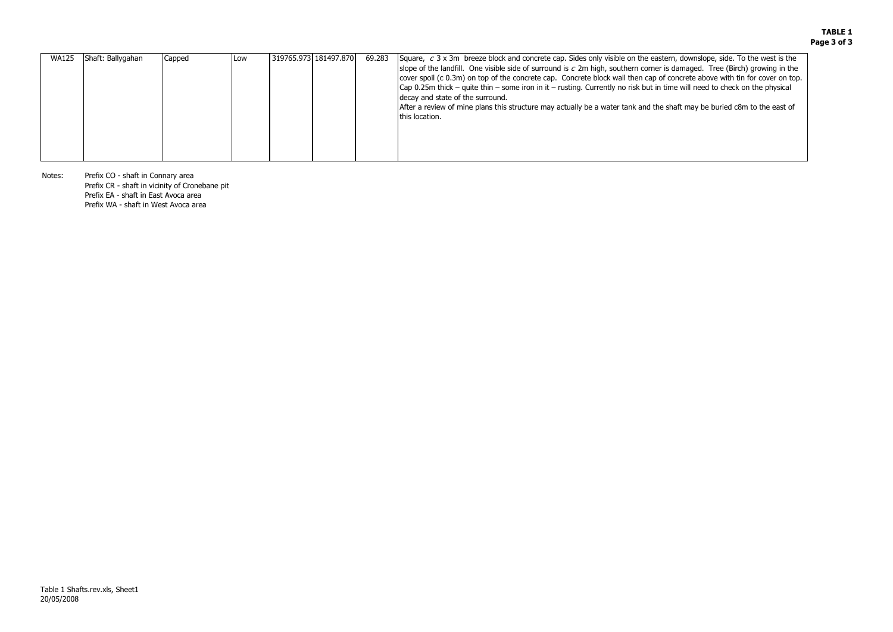| 319765.973 181497.870<br>69.283<br>Shaft: Ballygahan<br><b>WA125</b><br>Square, $c$ 3 x 3m breeze block and concrete cap. Sides only visible on the eastern, downslope, side. To the west is the<br>Capped<br>Low<br>slope of the landfill. One visible side of surround is $c$ 2m high, southern corner is damaged. Tree (Birch) growing in the<br>cover spoil (c 0.3m) on top of the concrete cap. Concrete block wall then cap of concrete above with tin for cover on top<br>$\lfloor$ Cap 0.25m thick – quite thin – some iron in it – rusting. Currently no risk but in time will need to check on the physical |
|-----------------------------------------------------------------------------------------------------------------------------------------------------------------------------------------------------------------------------------------------------------------------------------------------------------------------------------------------------------------------------------------------------------------------------------------------------------------------------------------------------------------------------------------------------------------------------------------------------------------------|
| decay and state of the surround.<br>After a review of mine plans this structure may actually be a water tank and the shaft may be buried c8m to the east of<br>this location.                                                                                                                                                                                                                                                                                                                                                                                                                                         |

Notes: Prefix CO - shaft in Connary area

Prefix CR - shaft in vicinity of Cronebane pit

Prefix EA - shaft in East Avoca area

Prefix WA - shaft in West Avoca area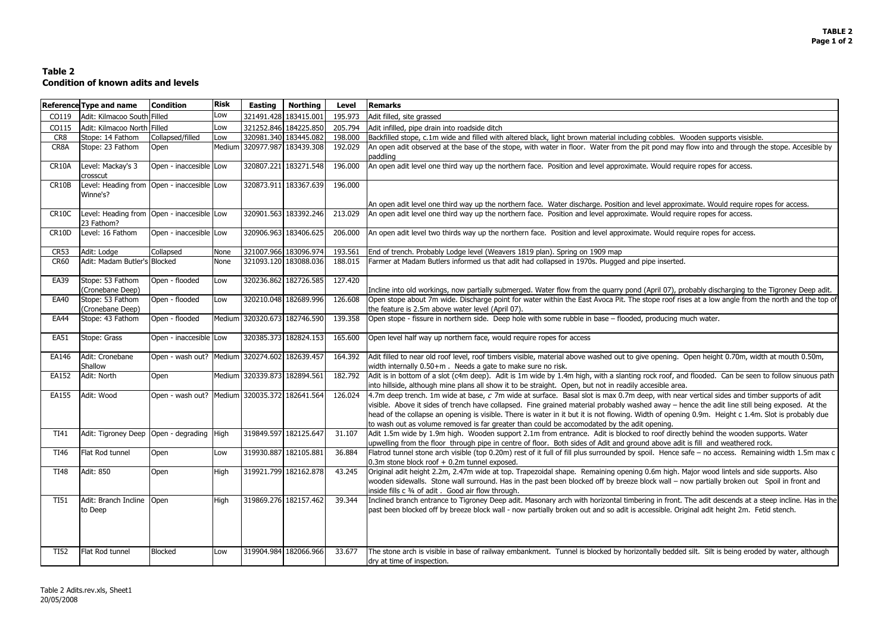| . Wooden supports visisble.                                                                                                                             |
|---------------------------------------------------------------------------------------------------------------------------------------------------------|
| hay flow into and through the stope. Accesible by                                                                                                       |
| require ropes for access.                                                                                                                               |
|                                                                                                                                                         |
| proximate. Would require ropes for access.                                                                                                              |
| require ropes for access.                                                                                                                               |
| require ropes for access.                                                                                                                               |
|                                                                                                                                                         |
| ted.                                                                                                                                                    |
| , probably discharging to the Tigroney Deep adit.<br>Frises at a low angle from the north and the top o                                                 |
| g much water.                                                                                                                                           |
|                                                                                                                                                         |
| g. Open height 0.70m, width at mouth 0.50m,                                                                                                             |
| and flooded. Can be seen to follow sinuous path<br>ırea.                                                                                                |
| near vertical sides and timber supports of adit<br>- hence the adit line still being exposed. At the<br>ening 0.9m. Height c 1.4m. Slot is probably due |
| ectly behind the wooden supports. Water<br>adit is fill and weathered rock.                                                                             |
| ce safe - no access. Remaining width 1.5m max o                                                                                                         |
| h. Major wood lintels and side supports. Also<br>- now partially broken out Spoil in front and                                                          |
| nt. The adit descends at a steep incline. Has in the<br>Original adit height 2m. Fetid stench.                                                          |
|                                                                                                                                                         |

# **Table 2 Condition of known adits and levels**

|             | <b>Reference Type and name</b>                           | <b>Condition</b>                              | <b>Risk</b> | <b>Easting</b>               | <b>Northing</b>              | <b>Level</b> | <b>Remarks</b>                                                                                                                                                                                                                                                                                                                                                                                                                                                                                                                                    |
|-------------|----------------------------------------------------------|-----------------------------------------------|-------------|------------------------------|------------------------------|--------------|---------------------------------------------------------------------------------------------------------------------------------------------------------------------------------------------------------------------------------------------------------------------------------------------------------------------------------------------------------------------------------------------------------------------------------------------------------------------------------------------------------------------------------------------------|
| CO119       | Adit: Kilmacoo South Filled                              |                                               | Low         |                              | 321491.428 183415.001        | 195.973      | Adit filled, site grassed                                                                                                                                                                                                                                                                                                                                                                                                                                                                                                                         |
| CO115       | Adit: Kilmacoo North Filled                              |                                               | Low         |                              | 321252.846 184225.850        | 205.794      | Adit infilled, pipe drain into roadside ditch                                                                                                                                                                                                                                                                                                                                                                                                                                                                                                     |
| CR8         | Stope: 14 Fathom                                         | Collapsed/filled                              | Low         |                              | 320981.340 183445.082        | 198.000      | Backfilled stope, c.1m wide and filled with altered black, light brown material including cobbles. Wooden supports visisble.                                                                                                                                                                                                                                                                                                                                                                                                                      |
| CR8A        | Stope: 23 Fathom                                         | Open                                          |             |                              | Medium 320977.987 183439.308 | 192.029      | An open adit observed at the base of the stope, with water in floor. Water from the pit pond may flow into and through the stope. Accesible by<br>paddling                                                                                                                                                                                                                                                                                                                                                                                        |
| CR10A       | Level: Mackay's 3<br>crosscut                            | Open - inaccesible Low                        |             |                              | 320807.221 183271.548        | 196.000      | An open adit level one third way up the northern face. Position and level approximate. Would require ropes for access.                                                                                                                                                                                                                                                                                                                                                                                                                            |
| CR10B       | Level: Heading from Open - inaccesible Low<br>Winne's?   |                                               |             |                              | 320873.911 183367.639        | 196.000      |                                                                                                                                                                                                                                                                                                                                                                                                                                                                                                                                                   |
|             |                                                          |                                               |             |                              |                              |              | An open adit level one third way up the northern face. Water discharge. Position and level approximate. Would require ropes for access.                                                                                                                                                                                                                                                                                                                                                                                                           |
| CR10C       | Level: Heading from Open - inaccesible Low<br>23 Fathom? |                                               |             |                              | 320901.563 183392.246        | 213.029      | An open adit level one third way up the northern face. Position and level approximate. Would require ropes for access.                                                                                                                                                                                                                                                                                                                                                                                                                            |
| CR10D       | Level: 16 Fathom                                         | Open - inaccesible Low                        |             |                              | 320906.963 183406.625        | 206.000      | An open adit level two thirds way up the northern face. Position and level approximate. Would require ropes for access.                                                                                                                                                                                                                                                                                                                                                                                                                           |
| <b>CR53</b> | Adit: Lodge                                              | Collapsed                                     | None        |                              | 321007.966 183096.974        | 193.561      | End of trench. Probably Lodge level (Weavers 1819 plan). Spring on 1909 map                                                                                                                                                                                                                                                                                                                                                                                                                                                                       |
| <b>CR60</b> | Adit: Madam Butler's Blocked                             |                                               | None        |                              | 321093.120 183088.036        | 188.015      | Farmer at Madam Butlers informed us that adit had collapsed in 1970s. Plugged and pipe inserted.                                                                                                                                                                                                                                                                                                                                                                                                                                                  |
| <b>EA39</b> | Stope: 53 Fathom                                         | Open - flooded                                | Low         |                              | 320236.862 182726.585        | 127.420      |                                                                                                                                                                                                                                                                                                                                                                                                                                                                                                                                                   |
|             | (Cronebane Deep)                                         |                                               |             |                              |                              |              | Incline into old workings, now partially submerged. Water flow from the quarry pond (April 07), probably discharging to the Tigroney Deep adit.                                                                                                                                                                                                                                                                                                                                                                                                   |
| EA40        | Stope: 53 Fathom<br>(Cronebane Deep)                     | Open - flooded                                | Low         |                              | 320210.048 182689.996        | 126.608      | Open stope about 7m wide. Discharge point for water within the East Avoca Pit. The stope roof rises at a low angle from the north and the top of<br>the feature is 2.5m above water level (April 07).                                                                                                                                                                                                                                                                                                                                             |
| <b>EA44</b> | Stope: 43 Fathom                                         | Open - flooded                                |             |                              | Medium 320320.673 182746.590 | 139.358      | Open stope - fissure in northern side. Deep hole with some rubble in base - flooded, producing much water.                                                                                                                                                                                                                                                                                                                                                                                                                                        |
| EA51        | Stope: Grass                                             | Open - inaccesible Low                        |             |                              | 320385.373 182824.153        | 165.600      | Open level half way up northern face, would require ropes for access                                                                                                                                                                                                                                                                                                                                                                                                                                                                              |
| EA146       | Adit: Cronebane<br>Shallow                               | Open - wash out? Medium 320274.602 182639.457 |             |                              |                              | 164.392      | Adit filled to near old roof level, roof timbers visible, material above washed out to give opening. Open height 0.70m, width at mouth 0.50m,<br>width internally 0.50+m. Needs a gate to make sure no risk.                                                                                                                                                                                                                                                                                                                                      |
| EA152       | Adit: North                                              | Open                                          |             | Medium 320339.873 182894.561 |                              | 182.792      | Adit is in bottom of a slot (c4m deep). Adit is 1m wide by 1.4m high, with a slanting rock roof, and flooded. Can be seen to follow sinuous path<br>into hillside, although mine plans all show it to be straight. Open, but not in readily accesible area.                                                                                                                                                                                                                                                                                       |
| EA155       | Adit: Wood                                               | Open - wash out? Medium 320035.372 182641.564 |             |                              |                              | 126.024      | 4.7m deep trench. 1m wide at base, c 7m wide at surface. Basal slot is max 0.7m deep, with near vertical sides and timber supports of adit<br>visible. Above it sides of trench have collapsed. Fine grained material probably washed away – hence the adit line still being exposed. At the<br>head of the collapse an opening is visible. There is water in it but it is not flowing. Width of opening 0.9m. Height c 1.4m. Slot is probably due<br>to wash out as volume removed is far greater than could be accomodated by the adit opening. |
| <b>TI41</b> | Adit: Tigroney Deep   Open - degrading   High            |                                               |             |                              | 319849.597 182125.647        | 31.107       | Adit 1.5m wide by 1.9m high. Wooden support 2.1m from entrance. Adit is blocked to roof directly behind the wooden supports. Water<br>upwelling from the floor through pipe in centre of floor. Both sides of Adit and ground above adit is fill and weathered rock.                                                                                                                                                                                                                                                                              |
| TI46        | Flat Rod tunnel                                          | Open                                          | Low         |                              | 319930.887 182105.881        | 36.884       | Flatrod tunnel stone arch visible (top 0.20m) rest of it full of fill plus surrounded by spoil. Hence safe - no access. Remaining width 1.5m max c<br>$0.3m$ stone block roof $+0.2m$ tunnel exposed.                                                                                                                                                                                                                                                                                                                                             |
| TI48        | <b>Adit: 850</b>                                         | Open                                          | High        |                              | 319921.799 182162.878        | 43.245       | Original adit height 2.2m, 2.47m wide at top. Trapezoidal shape. Remaining opening 0.6m high. Major wood lintels and side supports. Also<br>wooden sidewalls. Stone wall surround. Has in the past been blocked off by breeze block wall - now partially broken out Spoil in front and<br>inside fills c 3/4 of adit. Good air flow through.                                                                                                                                                                                                      |
| <b>TI51</b> | Adit: Branch Incline Open<br>to Deep                     |                                               | <b>High</b> |                              | 319869.276 182157.462        | 39.344       | Inclined branch entrance to Tigroney Deep adit. Masonary arch with horizontal timbering in front. The adit descends at a steep incline. Has in the<br>past been blocked off by breeze block wall - now partially broken out and so adit is accessible. Original adit height 2m. Fetid stench.                                                                                                                                                                                                                                                     |
| <b>TI52</b> | Flat Rod tunnel                                          | <b>Blocked</b>                                | Low         |                              | 319904.984 182066.966        | 33.677       | The stone arch is visible in base of railway embankment. Tunnel is blocked by horizontally bedded silt. Silt is being eroded by water, although<br>dry at time of inspection.                                                                                                                                                                                                                                                                                                                                                                     |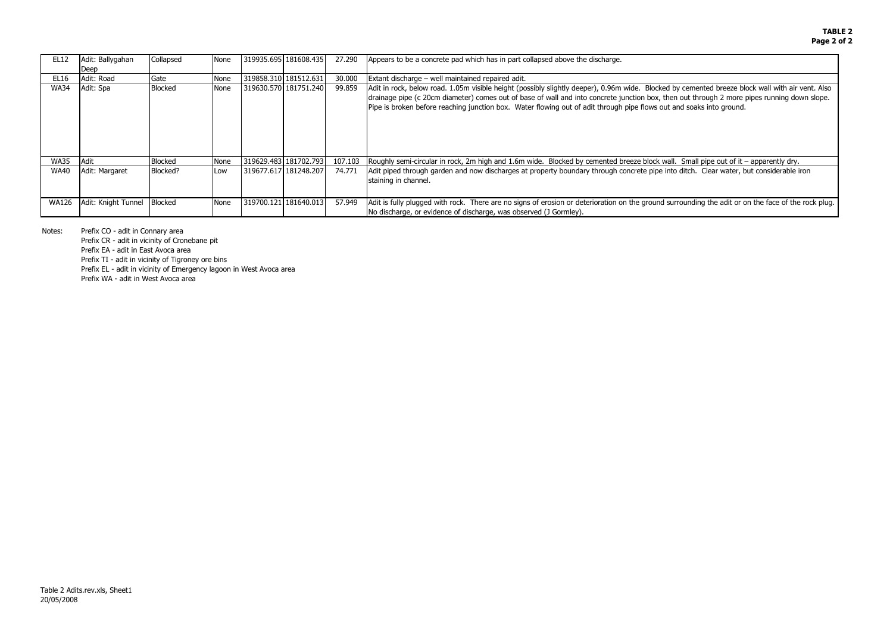by cemented breeze block wall with air vent. Also en out through 2 more pipes running down slope. and soaks into ground.

II. Small pipe out of it – apparently dry. to ditch. Clear water, but considerable iron

urrounding the adit or on the face of the rock plug.

| <b>EL12</b>  | Adit: Ballygahan    | Collapsed      | None | 319935.695 181608.435 | 27.290  | Appears to be a concrete pad which has in part collapsed above the discharge.                                                                                                                                                                                                                        |
|--------------|---------------------|----------------|------|-----------------------|---------|------------------------------------------------------------------------------------------------------------------------------------------------------------------------------------------------------------------------------------------------------------------------------------------------------|
|              | Deep                |                |      |                       |         |                                                                                                                                                                                                                                                                                                      |
| EL16         | Adit: Road          | Gate           | None | 319858.310 181512.631 | 30.000  | Extant discharge – well maintained repaired adit.                                                                                                                                                                                                                                                    |
| <b>WA34</b>  | Adit: Spa           | <b>Blocked</b> | None | 319630.570 181751.240 | 99.859  | Adit in rock, below road. 1.05m visible height (possibly slightly deeper), 0.96m wide. Blocked I<br>drainage pipe (c 20cm diameter) comes out of base of wall and into concrete junction box, the<br>Pipe is broken before reaching junction box. Water flowing out of adit through pipe flows out a |
| <b>WA35</b>  | Adit                | <b>Blocked</b> | None | 319629.483 181702.793 | 107.103 | Roughly semi-circular in rock, 2m high and 1.6m wide. Blocked by cemented breeze block wall                                                                                                                                                                                                          |
| <b>WA40</b>  | Adit: Margaret      | Blocked?       | Low  | 319677.617 181248.207 | 74.771  | Adit piped through garden and now discharges at property boundary through concrete pipe inte<br>staining in channel.                                                                                                                                                                                 |
| <b>WA126</b> | Adit: Knight Tunnel | <b>Blocked</b> | None | 319700.121 181640.013 | 57.949  | Adit is fully plugged with rock. There are no signs of erosion or deterioration on the ground su<br>No discharge, or evidence of discharge, was observed (J Gormley).                                                                                                                                |

Notes:Prefix CO - adit in Connary area

Prefix CR - adit in vicinity of Cronebane pit

Prefix EA - adit in East Avoca area

Prefix TI - adit in vicinity of Tigroney ore bins

Prefix EL - adit in vicinity of Emergency lagoon in West Avoca area

Prefix WA - adit in West Avoca area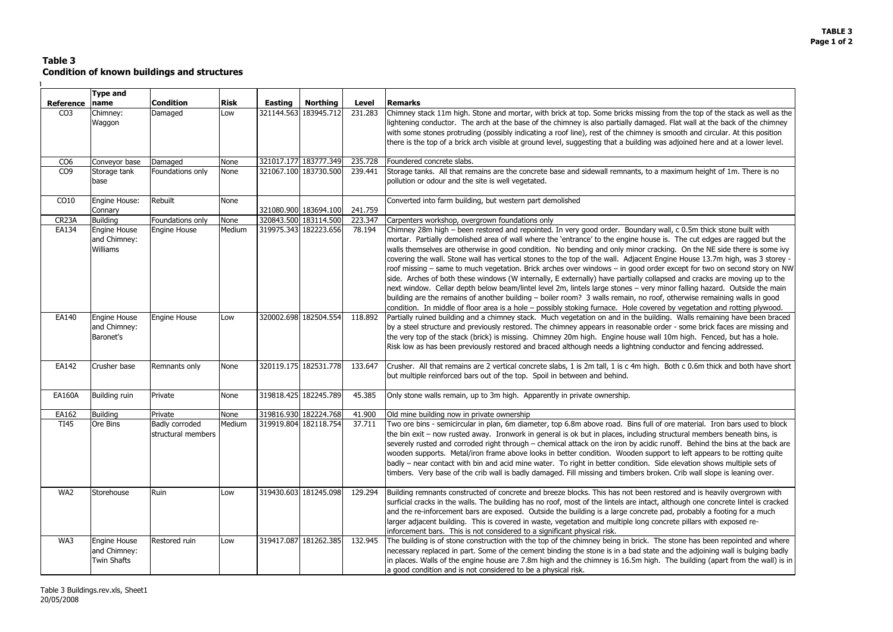m the top of the stack as well as the Flat wall at the back of the chimney nooth and circular. At this position adjoined here and at a lower level.

 $x$ imum height of 1m. There is no

, c 0.5m thick stone built with The cut edges are ragged but the g. On the NE side there is some ivy e House 13.7m high, was 3 storey xcept for two on second story on NW d and cracks are moving up to the or falling hazard. Outside the main therwise remaining walls in good y vegetation and rotting plywood. Walls remaining have been braced  $\cdot$  - some brick faces are missing and m high. Fenced, but has a hole. Ictor and fencing addressed.

oth c 0.6m thick and both have short

e material. Iron bars used to block ctural members beneath bins, is off. Behind the bins at the back are to left appears to be rotting quite elevation shows multiple sets of Crib wall slope is leaning over.

red and is heavily overgrown with hough one concrete lintel is cracked l, probably a footing for a much ete pillars with exposed re-

tone has been repointed and where d the adjoining wall is bulging badly ne building (apart from the wall) is in

# **Table 3Condition of known buildings and structures**

 $\mathbf{L}$ 

|                    | <b>Type and</b>                                    |                                             |             |         |                       |              |                                                                                                                                                                                                                                                                                                                                                                                                                                                                                                                                                                                                                                                                                                                                                                                                                                      |  |
|--------------------|----------------------------------------------------|---------------------------------------------|-------------|---------|-----------------------|--------------|--------------------------------------------------------------------------------------------------------------------------------------------------------------------------------------------------------------------------------------------------------------------------------------------------------------------------------------------------------------------------------------------------------------------------------------------------------------------------------------------------------------------------------------------------------------------------------------------------------------------------------------------------------------------------------------------------------------------------------------------------------------------------------------------------------------------------------------|--|
| <b>Reference</b>   | name                                               | <b>Condition</b>                            | <b>Risk</b> | Easting | <b>Northing</b>       | <b>Level</b> | <b>Remarks</b>                                                                                                                                                                                                                                                                                                                                                                                                                                                                                                                                                                                                                                                                                                                                                                                                                       |  |
| CO <sub>3</sub>    | Chimney:<br>Waggon                                 | Damaged                                     | Low         |         | 321144.563 183945.712 | 231.283      | Chimney stack 11m high. Stone and mortar, with brick at top. Some bricks missing fro<br>lightening conductor. The arch at the base of the chimney is also partially damaged. F<br>with some stones protruding (possibly indicating a roof line), rest of the chimney is sm<br>there is the top of a brick arch visible at ground level, suggesting that a building was a                                                                                                                                                                                                                                                                                                                                                                                                                                                             |  |
| CO <sub>6</sub>    | Conveyor base                                      | Damaged                                     | None        |         | 321017.177 183777.349 | 235.728      | Foundered concrete slabs.                                                                                                                                                                                                                                                                                                                                                                                                                                                                                                                                                                                                                                                                                                                                                                                                            |  |
| CO <sub>9</sub>    | Storage tank<br>base                               | Foundations only                            | None        |         | 321067.100 183730.500 | 239.441      | Storage tanks. All that remains are the concrete base and sidewall remnants, to a max<br>pollution or odour and the site is well vegetated.                                                                                                                                                                                                                                                                                                                                                                                                                                                                                                                                                                                                                                                                                          |  |
| CO10               | Engine House:<br>Connary                           | Rebuilt                                     | None        |         | 321080.900 183694.100 | 241.759      | Converted into farm building, but western part demolished                                                                                                                                                                                                                                                                                                                                                                                                                                                                                                                                                                                                                                                                                                                                                                            |  |
| CR <sub>23</sub> A | <b>Building</b>                                    | Foundations only                            | None        |         | 320843.500 183114.500 | 223.347      | Carpenters workshop, overgrown foundations only                                                                                                                                                                                                                                                                                                                                                                                                                                                                                                                                                                                                                                                                                                                                                                                      |  |
| EA134              | Engine House<br>and Chimney:<br><b>Williams</b>    | <b>Engine House</b>                         | Medium      |         | 319975.343 182223.656 | 78.194       | Chimney 28m high - been restored and repointed. In very good order. Boundary wall,<br>mortar. Partially demolished area of wall where the 'entrance' to the engine house is.<br>walls themselves are otherwise in good condition. No bending and only minor cracking<br>covering the wall. Stone wall has vertical stones to the top of the wall. Adjacent Engin<br>roof missing - same to much vegetation. Brick arches over windows - in good order ex<br>side. Arches of both these windows (W internally, E externally) have partially collapsed<br>next window. Cellar depth below beam/lintel level 2m, lintels large stones - very ming<br>building are the remains of another building – boiler room? 3 walls remain, no roof, of<br>condition. In middle of floor area is a hole - possibly stoking furnace. Hole covered b |  |
| EA140              | Engine House<br>and Chimney:<br>Baronet's          | <b>Engine House</b>                         | Low         |         | 320002.698 182504.554 | 118.892      | Partially ruined building and a chimney stack. Much vegetation on and in the building.<br>by a steel structure and previously restored. The chimney appears in reasonable order<br>the very top of the stack (brick) is missing. Chimney 20m high. Engine house wall 10<br>Risk low as has been previously restored and braced although needs a lightning condu                                                                                                                                                                                                                                                                                                                                                                                                                                                                      |  |
| EA142              | Crusher base                                       | Remnants only                               | None        |         | 320119.175 182531.778 | 133.647      | Crusher. All that remains are 2 vertical concrete slabs, 1 is 2m tall, 1 is c 4m high. Bo<br>but multiple reinforced bars out of the top. Spoil in between and behind.                                                                                                                                                                                                                                                                                                                                                                                                                                                                                                                                                                                                                                                               |  |
| <b>EA160A</b>      | <b>Building ruin</b>                               | Private                                     | <b>None</b> |         | 319818.425 182245.789 | 45.385       | Only stone walls remain, up to 3m high. Apparently in private ownership.                                                                                                                                                                                                                                                                                                                                                                                                                                                                                                                                                                                                                                                                                                                                                             |  |
| EA162              | Building                                           | Private                                     | None        |         | 319816.930 182224.768 | 41.900       | Old mine building now in private ownership                                                                                                                                                                                                                                                                                                                                                                                                                                                                                                                                                                                                                                                                                                                                                                                           |  |
| <b>TI45</b>        | Ore Bins                                           | <b>Badly corroded</b><br>structural members | Medium      |         | 319919.804 182118.754 | 37.711       | Two ore bins - semicircular in plan, 6m diameter, top 6.8m above road. Bins full of ore<br>the bin exit - now rusted away. Ironwork in general is ok but in places, including strue<br>severely rusted and corroded right through - chemical attack on the iron by acidic runo<br>wooden supports. Metal/iron frame above looks in better condition. Wooden support<br>badly – near contact with bin and acid mine water. To right in better condition. Side $\epsilon$<br>timbers. Very base of the crib wall is badly damaged. Fill missing and timbers broken.                                                                                                                                                                                                                                                                    |  |
| WA2                | Storehouse                                         | Ruin                                        | Low         |         | 319430.603 181245.098 | 129.294      | Building remnants constructed of concrete and breeze blocks. This has not been restor<br>surficial cracks in the walls. The building has no roof, most of the lintels are intact, alth<br>and the re-inforcement bars are exposed. Outside the building is a large concrete pad<br>larger adjacent building. This is covered in waste, vegetation and multiple long concre<br>inforcement bars. This is not considered to a significant physical risk.                                                                                                                                                                                                                                                                                                                                                                               |  |
| WA3                | <b>Engine House</b><br>and Chimney:<br>Twin Shafts | Restored ruin                               | Low         |         | 319417.087 181262.385 | 132.945      | The building is of stone construction with the top of the chimney being in brick. The s<br>necessary replaced in part. Some of the cement binding the stone is in a bad state and<br>in places. Walls of the engine house are 7.8m high and the chimney is 16.5m high. The<br>a good condition and is not considered to be a physical risk.                                                                                                                                                                                                                                                                                                                                                                                                                                                                                          |  |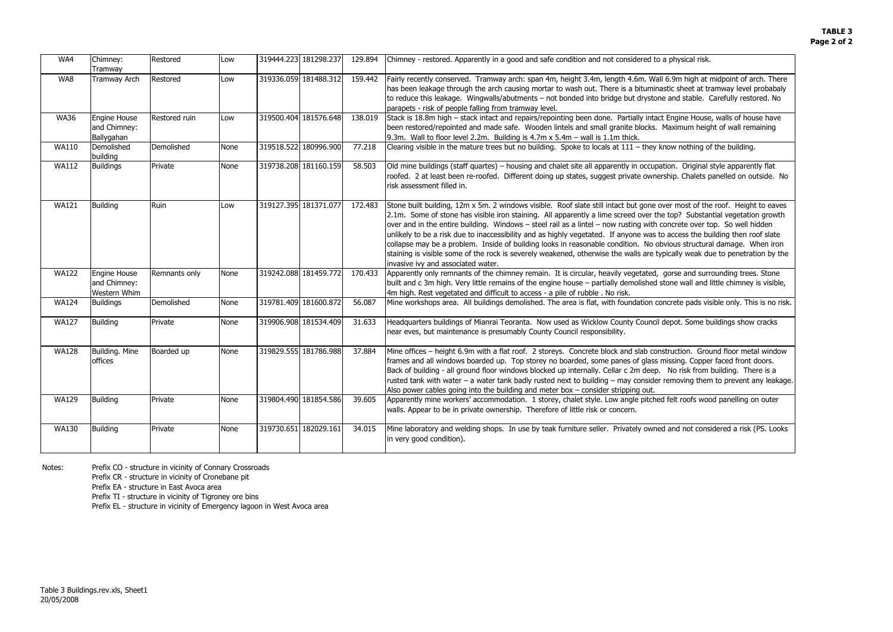9m high at midpoint of arch. There c sheet at tramway level probabaly and stable. Carefully restored. No

ngine House, walls of house have iximum height of wall remaining

w nothing of the building.

n. Original style apparently flat ip. Chalets panelled on outside. No

most of the roof. Height to eaves op? Substantial vegetation growth crete over top. So well hidden ccess the building then roof slate bus structural damage. When iron ally weak due to penetration by the

rse and surrounding trees. Stone he wall and little chimney is visible,

rete pads visible only. This is no risk.

pot. Some buildings show cracks

action. Ground floor metal window sing. Copper faced front doors. Io risk from building. There is a moving them to prevent any leakage.

elt roofs wood panelling on outer

nd not considered a risk (PS. Looks<sup>.</sup>

| WA4          | Chimney:<br>Tramway                               | Restored      | Low  | 319444.223 181298.237 | 129.894 | Chimney - restored. Apparently in a good and safe condition and not considered to a physical risk.                                                                                                                                                                                                                                                                                                                                                                                                                                                                                                                                                                            |
|--------------|---------------------------------------------------|---------------|------|-----------------------|---------|-------------------------------------------------------------------------------------------------------------------------------------------------------------------------------------------------------------------------------------------------------------------------------------------------------------------------------------------------------------------------------------------------------------------------------------------------------------------------------------------------------------------------------------------------------------------------------------------------------------------------------------------------------------------------------|
| WA8          | Tramway Arch                                      | Restored      | Low  | 319336.059 181488.312 | 159.442 | Fairly recently conserved. Tramway arch: span 4m, height 3.4m, length 4.6m. Wall 6.9m high at n<br>has been leakage through the arch causing mortar to wash out. There is a bituminastic sheet at tra<br>to reduce this leakage. Wingwalls/abutments - not bonded into bridge but drystone and stable. C<br>parapets - risk of people falling from tramway level.                                                                                                                                                                                                                                                                                                             |
| <b>WA36</b>  | <b>Engine House</b><br>and Chimney:<br>Ballygahan | Restored ruin | Low  | 319500.404 181576.648 | 138.019 | Stack is 18.8m high - stack intact and repairs/repointing been done. Partially intact Engine House,<br>been restored/repointed and made safe. Wooden lintels and small granite blocks. Maximum heigh<br>$9.3m$ . Wall to floor level 2.2m. Building is 4.7m x 5.4m $-$ wall is 1.1m thick.                                                                                                                                                                                                                                                                                                                                                                                    |
| <b>WA110</b> | Demolished<br>building                            | Demolished    | None | 319518.522 180996.900 | 77.218  | Clearing visible in the mature trees but no building. Spoke to locals at 111 - they know nothing of                                                                                                                                                                                                                                                                                                                                                                                                                                                                                                                                                                           |
| <b>WA112</b> | <b>Buildings</b>                                  | Private       | None | 319738.208 181160.159 | 58.503  | Old mine buildings (staff quartes) – housing and chalet site all apparently in occupation. Original s<br>roofed. 2 at least been re-roofed. Different doing up states, suggest private ownership. Chalets p<br>risk assessment filled in.                                                                                                                                                                                                                                                                                                                                                                                                                                     |
| <b>WA121</b> | <b>Building</b>                                   | Ruin          | Low  | 319127.395 181371.077 | 172.483 | Stone built building, 12m x 5m. 2 windows visible. Roof slate still intact but gone over most of the<br>2.1m. Some of stone has visible iron staining. All apparently a lime screed over the top? Substan<br>over and in the entire building. Windows - steel rail as a lintel - now rusting with concrete over to<br>unlikely to be a risk due to inaccessibility and as highly vegetated. If anyone was to access the bu<br>collapse may be a problem. Inside of building looks in reasonable condition. No obvious structura<br>staining is visible some of the rock is severely weakened, otherwise the walls are typically weak du<br>invasive ivy and associated water. |
| <b>WA122</b> | Engine House<br>and Chimney:<br>Western Whim      | Remnants only | None | 319242.088 181459.772 | 170.433 | Apparently only remnants of the chimney remain. It is circular, heavily vegetated, gorse and surro<br>built and c 3m high. Very little remains of the engine house - partially demolished stone wall and li<br>4m high. Rest vegetated and difficult to access - a pile of rubble. No risk.                                                                                                                                                                                                                                                                                                                                                                                   |
| <b>WA124</b> | <b>Buildings</b>                                  | Demolished    | None | 319781.409 181600.872 | 56.087  | Mine workshops area. All buildings demolished. The area is flat, with foundation concrete pads vis                                                                                                                                                                                                                                                                                                                                                                                                                                                                                                                                                                            |
| <b>WA127</b> | <b>Building</b>                                   | Private       | None | 319906.908 181534.409 | 31.633  | Headquarters buildings of Mianrai Teoranta. Now used as Wicklow County Council depot. Some bu<br>near eves, but maintenance is presumably County Council responsibility.                                                                                                                                                                                                                                                                                                                                                                                                                                                                                                      |
| <b>WA128</b> | Building. Mine<br>offices                         | Boarded up    | None | 319829.555 181786.988 | 37.884  | Mine offices - height 6.9m with a flat roof. 2 storeys. Concrete block and slab construction. Grou<br>frames and all windows boarded up. Top storey no boarded, some panes of glass missing. Copper<br>Back of building - all ground floor windows blocked up internally. Cellar c 2m deep. No risk from b<br>rusted tank with water - a water tank badly rusted next to building - may consider removing them<br>Also power cables going into the building and meter box - consider stripping out.                                                                                                                                                                           |
| <b>WA129</b> | <b>Building</b>                                   | Private       | None | 319804.490 181854.586 | 39.605  | Apparently mine workers' accommodation. 1 storey, chalet style. Low angle pitched felt roofs woo<br>walls. Appear to be in private ownership. Therefore of little risk or concern.                                                                                                                                                                                                                                                                                                                                                                                                                                                                                            |
| <b>WA130</b> | <b>Building</b>                                   | Private       | None | 319730.651 182029.161 | 34.015  | Mine laboratory and welding shops. In use by teak furniture seller. Privately owned and not consi<br>in very good condition).                                                                                                                                                                                                                                                                                                                                                                                                                                                                                                                                                 |

Notes: Prefix CO - structure in vicinity of Connary Crossroads

Prefix CR - structure in vicinity of Cronebane pit

Prefix EA - structure in East Avoca area

Prefix TI - structure in vicinity of Tigroney ore bins

Prefix EL - structure in vicinity of Emergency lagoon in West Avoca area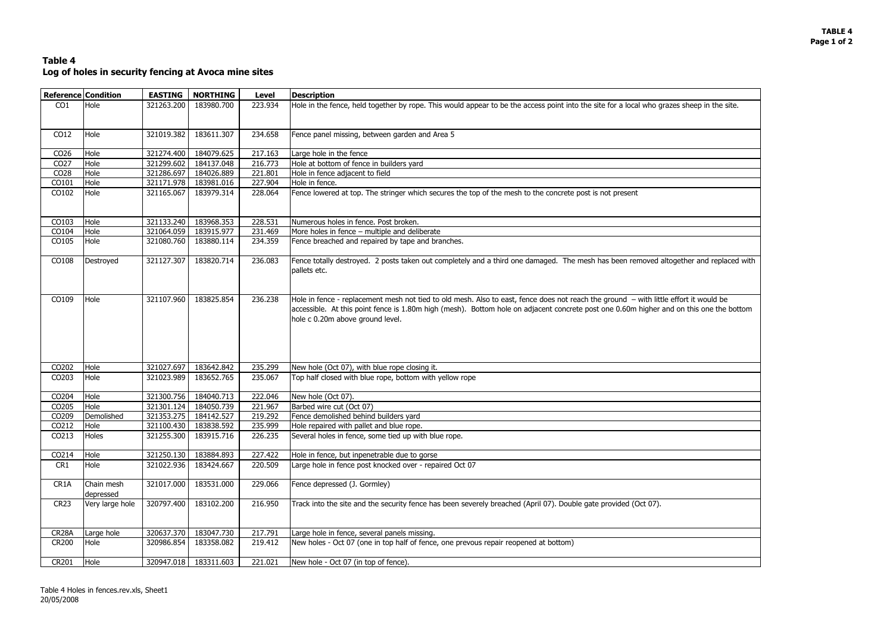## **TABLE 4 Page 1 of 2**

| zes sheep in the site.    |
|---------------------------|
|                           |
|                           |
|                           |
|                           |
|                           |
|                           |
|                           |
|                           |
|                           |
|                           |
| ogether and replaced with |
| effort it would be        |
| d on this one the bottom  |
|                           |
|                           |
|                           |
|                           |
|                           |
|                           |
|                           |
|                           |
|                           |
|                           |
|                           |
|                           |
|                           |
|                           |
|                           |
|                           |
|                           |
|                           |

# **Table 4 Log of holes in security fencing at Avoca mine sites**

|                    | <b>Reference Condition</b> | <b>EASTING</b> | <b>NORTHING</b>       | <b>Level</b> | <b>Description</b>                                                                                                                                                                                                                                                                                                   |
|--------------------|----------------------------|----------------|-----------------------|--------------|----------------------------------------------------------------------------------------------------------------------------------------------------------------------------------------------------------------------------------------------------------------------------------------------------------------------|
| CO <sub>1</sub>    | Hole                       | 321263.200     | 183980.700            | 223.934      | Hole in the fence, held together by rope. This would appear to be the access point into the site for a local who grazes sheep in the site.                                                                                                                                                                           |
| CO12               | Hole                       | 321019.382     | 183611.307            | 234.658      | Fence panel missing, between garden and Area 5                                                                                                                                                                                                                                                                       |
| CO <sub>26</sub>   | Hole                       | 321274.400     | 184079.625            | 217.163      | Large hole in the fence                                                                                                                                                                                                                                                                                              |
| CO <sub>27</sub>   | Hole                       | 321299.602     | 184137.048            | 216.773      | Hole at bottom of fence in builders yard                                                                                                                                                                                                                                                                             |
| CO <sub>28</sub>   | Hole                       | 321286.697     | 184026.889            | 221.801      | Hole in fence adjacent to field                                                                                                                                                                                                                                                                                      |
| CO101              | Hole                       | 321171.978     | 183981.016            | 227.904      | Hole in fence.                                                                                                                                                                                                                                                                                                       |
| CO102              | Hole                       | 321165.067     | 183979.314            | 228.064      | Fence lowered at top. The stringer which secures the top of the mesh to the concrete post is not present                                                                                                                                                                                                             |
| CO103              | Hole                       | 321133.240     | 183968.353            | 228.531      | Numerous holes in fence. Post broken.                                                                                                                                                                                                                                                                                |
| CO104              | Hole                       | 321064.059     | 183915.977            | 231.469      | More holes in fence - multiple and deliberate                                                                                                                                                                                                                                                                        |
| CO105              | Hole                       | 321080.760     | 183880.114            | 234.359      | Fence breached and repaired by tape and branches.                                                                                                                                                                                                                                                                    |
| CO108              | Destroyed                  | 321127.307     | 183820.714            | 236.083      | Fence totally destroyed. 2 posts taken out completely and a third one damaged. The mesh has been removed altogether and replaced with<br>pallets etc.                                                                                                                                                                |
| CO109              | Hole                       | 321107.960     | 183825.854            | 236.238      | Hole in fence - replacement mesh not tied to old mesh. Also to east, fence does not reach the ground - with little effort it would be<br>accessible. At this point fence is 1.80m high (mesh). Bottom hole on adjacent concrete post one 0.60m higher and on this one the bottom<br>hole c 0.20m above ground level. |
| CO202              | Hole                       | 321027.697     | 183642.842            | 235.299      | New hole (Oct 07), with blue rope closing it.                                                                                                                                                                                                                                                                        |
| CO203              | Hole                       | 321023.989     | 183652.765            | 235.067      | Top half closed with blue rope, bottom with yellow rope                                                                                                                                                                                                                                                              |
| CO204              | Hole                       | 321300.756     | 184040.713            | 222.046      | New hole (Oct 07).                                                                                                                                                                                                                                                                                                   |
| CO205              | Hole                       | 321301.124     | 184050.739            | 221.967      | Barbed wire cut (Oct 07)                                                                                                                                                                                                                                                                                             |
| CO209              | Demolished                 | 321353.275     | 184142.527            | 219.292      | Fence demolished behind builders yard                                                                                                                                                                                                                                                                                |
| CO212              | Hole                       |                | 321100.430 183838.592 | 235.999      | Hole repaired with pallet and blue rope.                                                                                                                                                                                                                                                                             |
| CO213              | Holes                      | 321255.300     | 183915.716            | 226.235      | Several holes in fence, some tied up with blue rope.                                                                                                                                                                                                                                                                 |
| CO214              | Hole                       | 321250.130     | 183884.893            | 227.422      | Hole in fence, but inpenetrable due to gorse                                                                                                                                                                                                                                                                         |
| CR1                | Hole                       | 321022.936     | 183424.667            | 220.509      | Large hole in fence post knocked over - repaired Oct 07                                                                                                                                                                                                                                                              |
| CR1A               | Chain mesh<br>depressed    | 321017.000     | 183531.000            | 229.066      | Fence depressed (J. Gormley)                                                                                                                                                                                                                                                                                         |
| <b>CR23</b>        | Very large hole            | 320797.400     | 183102.200            | 216.950      | Track into the site and the security fence has been severely breached (April 07). Double gate provided (Oct 07).                                                                                                                                                                                                     |
| CR <sub>28</sub> A | Large hole                 | 320637.370     | 183047.730            | 217.791      | Large hole in fence, several panels missing.                                                                                                                                                                                                                                                                         |
| <b>CR200</b>       | Hole                       | 320986.854     | 183358.082            | 219.412      | New holes - Oct 07 (one in top half of fence, one prevous repair reopened at bottom)                                                                                                                                                                                                                                 |
| CR201              | Hole                       |                | 320947.018 183311.603 | 221.021      | New hole - Oct 07 (in top of fence).                                                                                                                                                                                                                                                                                 |
|                    |                            |                |                       |              |                                                                                                                                                                                                                                                                                                                      |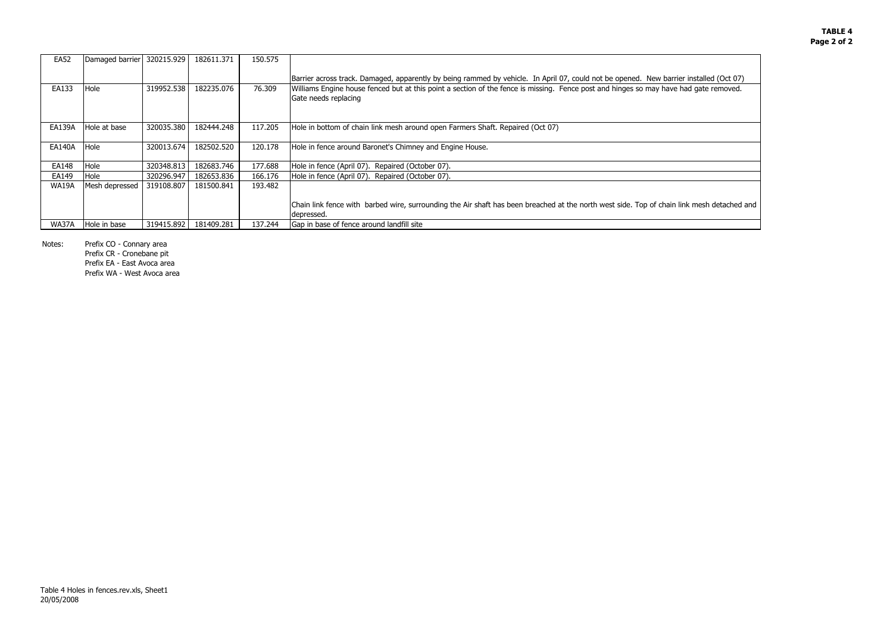# **TABLE 4Page 2 of 2**



i link mesh detached and

| <b>EA52</b>   | Damaged barrier | 320215.929 | 182611.371 | 150.575 |                                                                                                                                                               |
|---------------|-----------------|------------|------------|---------|---------------------------------------------------------------------------------------------------------------------------------------------------------------|
|               |                 |            |            |         | Barrier across track. Damaged, apparently by being rammed by vehicle. In April 07, could not be opened. New barrier installed (Oct 07)                        |
| EA133         | Hole            | 319952.538 | 182235.076 | 76.309  | Williams Engine house fenced but at this point a section of the fence is missing. Fence post and hinges so may have had gate removed.<br>Gate needs replacing |
| <b>EA139A</b> | Hole at base    | 320035.380 | 182444.248 | 117.205 | Hole in bottom of chain link mesh around open Farmers Shaft. Repaired (Oct 07)                                                                                |
| <b>EA140A</b> | Hole            | 320013.674 | 182502.520 | 120.178 | Hole in fence around Baronet's Chimney and Engine House.                                                                                                      |
| EA148         | Hole            | 320348.813 | 182683.746 | 177.688 | Hole in fence (April 07). Repaired (October 07).                                                                                                              |
| EA149         | Hole            | 320296.947 | 182653.836 | 166.176 | Hole in fence (April 07). Repaired (October 07).                                                                                                              |
| <b>WA19A</b>  | Mesh depressed  | 319108.807 | 181500.841 | 193.482 |                                                                                                                                                               |
|               |                 |            |            |         | Chain link fence with barbed wire, surrounding the Air shaft has been breached at the north west side. Top of chain link mesh detached<br>depressed.          |
| WA37A         | Hole in base    | 319415.892 | 181409.281 | 137.244 | Gap in base of fence around landfill site                                                                                                                     |

Notes: Prefix CO - Connary area

Prefix CR - Cronebane pit Prefix EA - East Avoca area Prefix WA - West Avoca area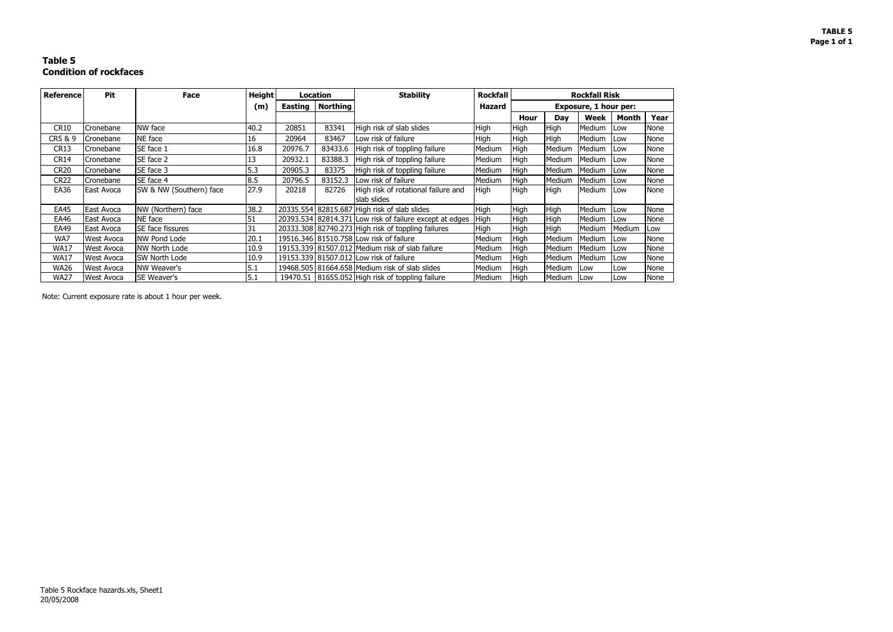# **TABLE 5Page 1 of 1**

# **Table 5 Condition of rockfaces**

| <b>Reference</b> | Pit               | <b>Face</b>             | <b>Height</b> | Location |                 | <b>Stability</b>                                        | <b>Rockfall</b> |             |                              | <b>Rockfall Risk</b> |              |             |
|------------------|-------------------|-------------------------|---------------|----------|-----------------|---------------------------------------------------------|-----------------|-------------|------------------------------|----------------------|--------------|-------------|
|                  |                   |                         | (m)           | Easting  | <b>Northing</b> |                                                         | Hazard          |             | <b>Exposure, 1 hour per:</b> |                      |              |             |
|                  |                   |                         |               |          |                 |                                                         |                 | <b>Hour</b> | Day                          | Week                 | <b>Month</b> | Year        |
| CR10             | Cronebane         | NW face                 | 40.2          | 20851    | 83341           | High risk of slab slides                                | <b>High</b>     | <b>High</b> | High                         | Medium               | <b>Low</b>   | None        |
| CR5 & 9          | Cronebane         | NE face                 | 16            | 20964    | 83467           | Low risk of failure                                     | <b>High</b>     | <b>High</b> | High                         | Medium               | <b>ILow</b>  | None        |
| CR <sub>13</sub> | Cronebane         | SE face 1               | 16.8          | 20976.7  | 83433.6         | High risk of toppling failure                           | Medium          | High        | Medium                       | Medium               | <b>ILow</b>  | None        |
| <b>CR14</b>      | Cronebane         | SE face 2               | 13            | 20932.1  | 83388.3         | High risk of toppling failure                           | Medium          | <b>High</b> | Medium                       | Medium               | <b>Low</b>   | None        |
| <b>CR20</b>      | Cronebane         | SE face 3               | 5.3           | 20905.3  | 83375           | High risk of toppling failure                           | Medium          | <b>High</b> | Medium                       | Medium               | <b>ILow</b>  | None        |
| <b>CR22</b>      | Cronebane         | SE face 4               | 8.5           | 20796.5  | 83152.3         | Low risk of failure                                     | Medium          | High        | Medium                       | Medium               | Low          | None        |
| EA36             | East Avoca        | SW & NW (Southern) face | 27.9          | 20218    | 82726           | High risk of rotational failure and                     | <b>High</b>     | High        | High                         | Medium               | <b>ILOW</b>  | <b>None</b> |
|                  |                   |                         |               |          |                 | slab slides                                             |                 |             |                              |                      |              |             |
| <b>EA45</b>      | East Avoca        | NW (Northern) face      | 38.2          |          |                 | 20335.554 82815.687 High risk of slab slides            | <b>High</b>     | <b>High</b> | <b>High</b>                  | Medium               | <b>Low</b>   | None        |
| EA46             | <b>East Avoca</b> | NE face                 | 51            |          |                 | 20393.534 82814.371 Low risk of failure except at edges | <b>High</b>     | High        | High                         | Medium               | <b>ILow</b>  | <b>None</b> |
| EA49             | East Avoca        | <b>SE</b> face fissures | 31            |          |                 | 20333.308 82740.273 High risk of toppling failures      | <b>High</b>     | <b>High</b> | High                         | Medium               | Medium       | Low         |
| WA7              | <b>West Avoca</b> | NW Pond Lode            | 20.1          |          |                 | 19516.346 81510.758 Low risk of failure                 | Medium          | <b>High</b> | Medium                       | Medium               | <b>ILow</b>  | None        |
| <b>WA17</b>      | <b>West Avoca</b> | NW North Lode           | 10.9          |          |                 | 19153.339 81507.012 Medium risk of slab failure         | Medium          | High        | Medium                       | Medium               | <b>Low</b>   | None        |
| <b>WA17</b>      | <b>West Avoca</b> | <b>SW North Lode</b>    | 10.9          |          |                 | 19153.339 81507.012 Low risk of failure                 | Medium          | <b>High</b> | Medium                       | Medium               | <b>ILow</b>  | None        |
| <b>WA26</b>      | <b>West Avoca</b> | NW Weaver's             | 5.1           |          |                 | 19468.505 81664.658 Medium risk of slab slides          | Medium          | High        | Medium                       | <b>Low</b>           | Low          | None        |
| WA27             | <b>West Avoca</b> | <b>SE Weaver's</b>      | 5.1           |          |                 | 19470.51   81655.052 High risk of toppling failure      | Medium          | High        | Medium                       | <b>ILow</b>          | Low          | None        |

Note: Current exposure rate is about 1 hour per week.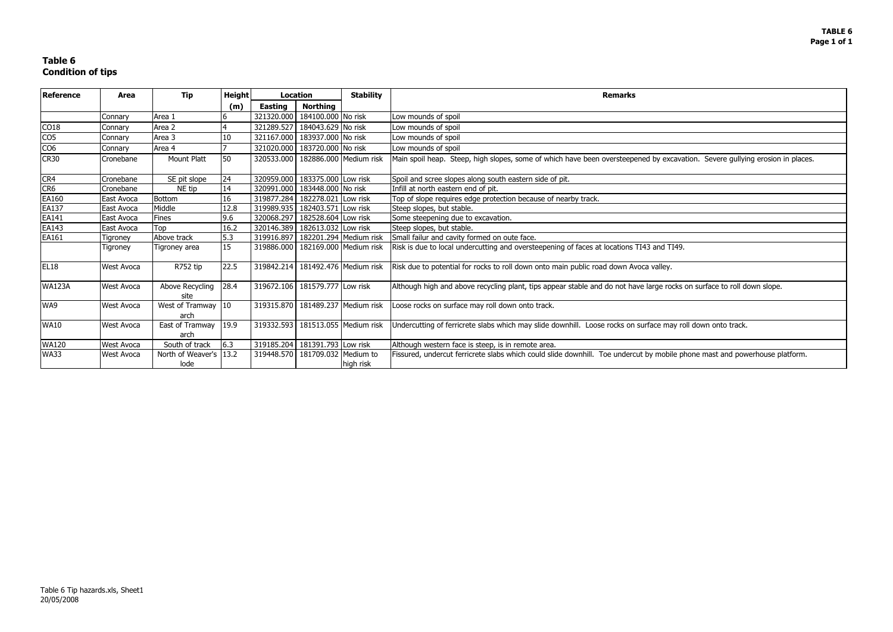| cavation. Severe gullying erosion in places. |
|----------------------------------------------|
|                                              |
|                                              |
|                                              |
|                                              |
|                                              |
|                                              |
| .<br>I49.                                    |
|                                              |
|                                              |
| ocks on surface to roll down slope.          |
|                                              |
| ay roll down onto track.                     |
|                                              |
| ile phone mast and powerhouse platform.      |
|                                              |

# **Table 6 Condition of tips**

| <b>Reference</b><br>Area |                   | <b>Tip</b>                           | Height |                | Location                              | <b>Stability</b>                      | <b>Remarks</b>                                                                                                               |
|--------------------------|-------------------|--------------------------------------|--------|----------------|---------------------------------------|---------------------------------------|------------------------------------------------------------------------------------------------------------------------------|
|                          |                   |                                      | (m)    | <b>Easting</b> | <b>Northing</b>                       |                                       |                                                                                                                              |
|                          | Connary           | Area 1                               |        | 321320.000     | 184100.000 No risk                    |                                       | Low mounds of spoil                                                                                                          |
| CO18                     | Connary           | Area 2                               |        | 321289.527     | 184043.629 No risk                    |                                       | Low mounds of spoil                                                                                                          |
| CO <sub>5</sub>          | Connary           | Area 3                               | 10     | 321167.000     | 183937.000 No risk                    |                                       | Low mounds of spoil                                                                                                          |
| CO <sub>6</sub>          | Connary           | Area 4                               |        |                | 321020.000 183720.000 No risk         |                                       | Low mounds of spoil                                                                                                          |
| <b>CR30</b>              | Cronebane         | Mount Platt                          | 50     |                | 320533.000   182886.000 Medium risk   |                                       | Main spoil heap. Steep, high slopes, some of which have been oversteepened by excavation. Severe gullying erosion in places. |
| CR4                      | Cronebane         | SE pit slope                         | 24     |                | 320959.000 183375.000 Low risk        |                                       | Spoil and scree slopes along south eastern side of pit.                                                                      |
| CR <sub>6</sub>          | Cronebane         | NE tip                               | 14     |                | 320991.000   183448.000 No risk       |                                       | Infill at north eastern end of pit.                                                                                          |
| EA160                    | East Avoca        | <b>Bottom</b>                        | 16     |                | 319877.284   182278.021 Low risk      |                                       | Top of slope requires edge protection because of nearby track.                                                               |
| EA137                    | East Avoca        | Middle                               | 12.8   |                | 319989.935   182403.571 Low risk      |                                       | Steep slopes, but stable.                                                                                                    |
| EA141                    | East Avoca        | Fines                                | 9.6    | 320068.297     | 182528.604 Low risk                   |                                       | Some steepening due to excavation.                                                                                           |
| EA143                    | East Avoca        | Top                                  | 16.2   |                | 320146.389   182613.032 Low risk      |                                       | Steep slopes, but stable.                                                                                                    |
| EA161                    | Tigroney          | Above track                          | 5.3    |                | 319916.897   182201.294   Medium risk |                                       | Small failur and cavity formed on oute face.                                                                                 |
|                          | <b>Tigroney</b>   | Tigroney area                        | 15     |                | 319886.000   182169.000 Medium risk   |                                       | Risk is due to local undercutting and oversteepening of faces at locations TI43 and TI49.                                    |
| <b>EL18</b>              | <b>West Avoca</b> | R752 tip                             | 22.5   |                |                                       | 319842.214   181492.476   Medium risk | Risk due to potential for rocks to roll down onto main public road down Avoca valley.                                        |
| <b>WA123A</b>            | West Avoca        | Above Recycling<br>site              | 28.4   |                | 319672.106   181579.777 Low risk      |                                       | Although high and above recycling plant, tips appear stable and do not have large rocks on surface to roll down slope.       |
| WA9                      | <b>West Avoca</b> | West of Tramway $ 10\rangle$<br>arch |        |                |                                       | 319315.870   181489.237   Medium risk | Loose rocks on surface may roll down onto track.                                                                             |
| <b>WA10</b>              | <b>West Avoca</b> | East of Tramway<br>arch              | 19.9   |                |                                       | 319332.593   181513.055   Medium risk | Undercutting of ferricrete slabs which may slide downhill. Loose rocks on surface may roll down onto track.                  |
| <b>WA120</b>             | West Avoca        | South of track                       | 6.3    |                | 319185.204 181391.793 Low risk        |                                       | Although western face is steep, is in remote area.                                                                           |
| <b>WA33</b>              | <b>West Avoca</b> | North of Weaver's 13.2<br>lode       |        | 319448.570     | 181709.032 Medium to                  | high risk                             | Fissured, undercut ferricrete slabs which could slide downhill. Toe undercut by mobile phone mast and powerhouse platform.   |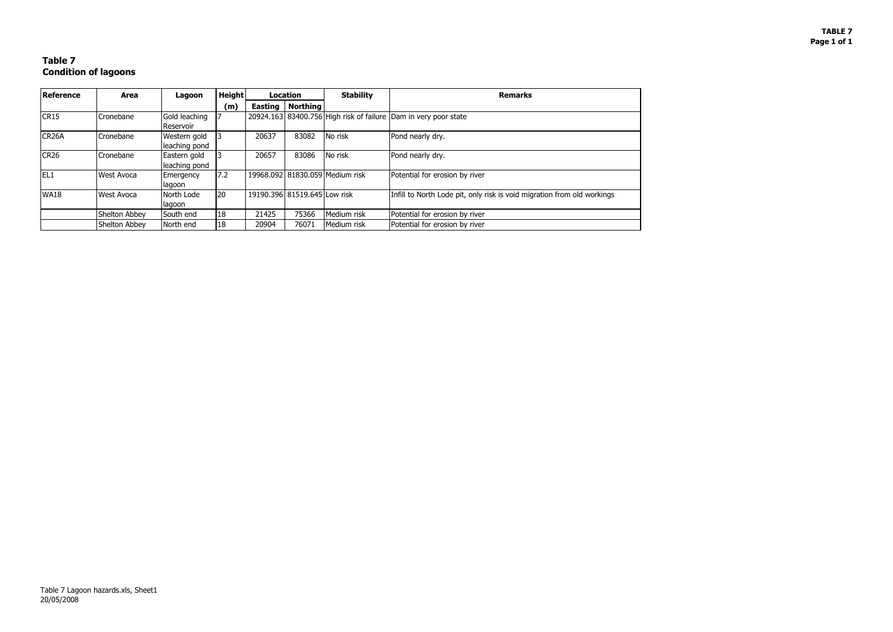### **TABLE 7 Page 1 of 1**

# **Table 7 Condition of lagoons**

| Reference          | Area              | Lagoon        | <b>Height</b> |       | Location                     | <b>Stability</b>                | <b>Remarks</b>                                                          |
|--------------------|-------------------|---------------|---------------|-------|------------------------------|---------------------------------|-------------------------------------------------------------------------|
|                    |                   |               | (m)           |       | Easting   Northing           |                                 |                                                                         |
| CR15               | Cronebane         | Gold leaching |               |       |                              |                                 | 20924.163 83400.756 High risk of failure Dam in very poor state         |
|                    |                   | Reservoir     |               |       |                              |                                 |                                                                         |
| CR <sub>26</sub> A | Cronebane         | Western gold  |               | 20637 | 83082                        | No risk                         | Pond nearly dry.                                                        |
|                    |                   | leaching pond |               |       |                              |                                 |                                                                         |
| <b>CR26</b>        | Cronebane         | Eastern gold  |               | 20657 | 83086                        | No risk                         | Pond nearly dry.                                                        |
|                    |                   | leaching pond |               |       |                              |                                 |                                                                         |
| IEL1               | <b>West Avoca</b> | Emergency     | 7.2           |       |                              | 19968.092 81830.059 Medium risk | Potential for erosion by river                                          |
|                    |                   | lagoon        |               |       |                              |                                 |                                                                         |
| <b>WA18</b>        | <b>West Avoca</b> | North Lode    | 20            |       | 19190.396 81519.645 Low risk |                                 | Infill to North Lode pit, only risk is void migration from old workings |
|                    |                   | lagoon        |               |       |                              |                                 |                                                                         |
|                    | Shelton Abbey     | South end     | 18            | 21425 | 75366                        | Medium risk                     | Potential for erosion by river                                          |
|                    | Shelton Abbey     | North end     | 18            | 20904 | 76071                        | Medium risk                     | Potential for erosion by river                                          |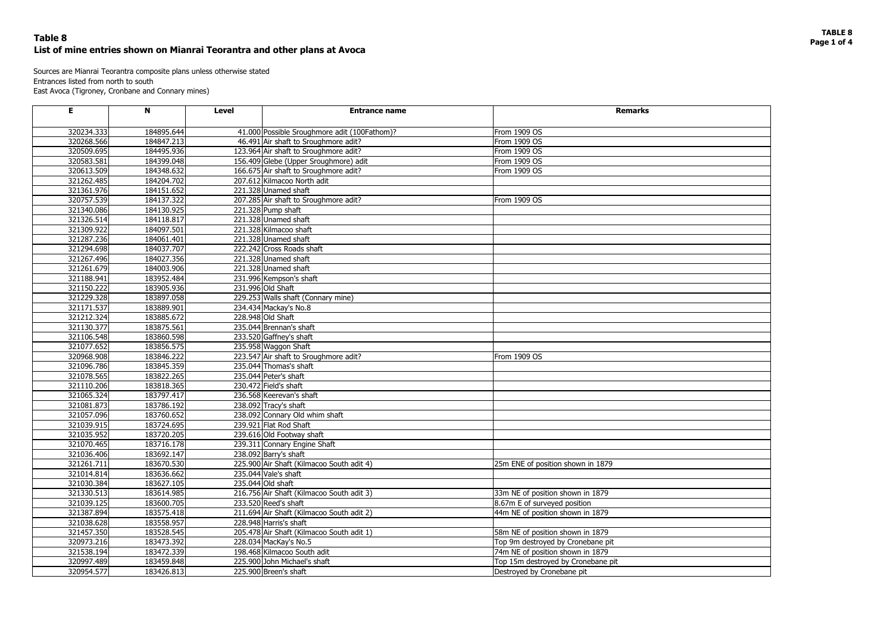# **TABLE 8**



# **Page 1 of 4 Table 8 List of mine entries shown on Mianrai Teorantra and other plans at Avoca**

Sources are Mianrai Teorantra composite plans unless otherwise stated Entrances listed from north to south East Avoca (Tigroney, Cronbane and Connary mines)

| E          | N          | <b>Level</b> | <b>Entrance name</b>                         | <b>Remarks</b>                     |
|------------|------------|--------------|----------------------------------------------|------------------------------------|
| 320234.333 | 184895.644 |              | 41.000 Possible Sroughmore adit (100Fathom)? | From 1909 OS                       |
| 320268.566 | 184847.213 |              | 46.491 Air shaft to Sroughmore adit?         | From 1909 OS                       |
| 320509.695 | 184495.936 |              | 123.964 Air shaft to Sroughmore adit?        | From 1909 OS                       |
| 320583.581 | 184399.048 |              | 156.409 Glebe (Upper Sroughmore) adit        | From 1909 OS                       |
| 320613.509 | 184348.632 |              | 166.675 Air shaft to Sroughmore adit?        | From 1909 OS                       |
| 321262.485 | 184204.702 |              | 207.612 Kilmacoo North adit                  |                                    |
| 321361.976 | 184151.652 |              | 221.328 Unamed shaft                         |                                    |
| 320757.539 | 184137.322 |              | 207.285 Air shaft to Sroughmore adit?        | From 1909 OS                       |
| 321340.086 | 184130.925 |              | 221.328 Pump shaft                           |                                    |
| 321326.514 | 184118.817 |              | 221.328 Unamed shaft                         |                                    |
| 321309.922 | 184097.501 |              | 221.328 Kilmacoo shaft                       |                                    |
| 321287.236 | 184061.401 |              | 221.328 Unamed shaft                         |                                    |
| 321294.698 | 184037.707 |              | 222.242 Cross Roads shaft                    |                                    |
| 321267.496 | 184027.356 |              | 221.328 Unamed shaft                         |                                    |
| 321261.679 | 184003.906 |              | 221.328 Unamed shaft                         |                                    |
| 321188.941 | 183952.484 |              | 231.996 Kempson's shaft                      |                                    |
| 321150.222 | 183905.936 |              | 231.996 Old Shaft                            |                                    |
| 321229.328 | 183897.058 |              | 229.253 Walls shaft (Connary mine)           |                                    |
| 321171.537 | 183889.901 |              | 234.434 Mackay's No.8                        |                                    |
| 321212.324 | 183885.672 |              | 228.948 Old Shaft                            |                                    |
| 321130.377 | 183875.561 |              | 235.044 Brennan's shaft                      |                                    |
| 321106.548 | 183860.598 |              | 233.520 Gaffney's shaft                      |                                    |
| 321077.652 | 183856.575 |              | 235.958 Waggon Shaft                         |                                    |
| 320968.908 | 183846.222 |              | 223.547 Air shaft to Sroughmore adit?        | From 1909 OS                       |
| 321096.786 | 183845.359 |              | 235.044 Thomas's shaft                       |                                    |
| 321078.565 | 183822.265 |              | 235.044 Peter's shaft                        |                                    |
| 321110.206 | 183818.365 |              | 230.472 Field's shaft                        |                                    |
| 321065.324 | 183797.417 |              | 236.568 Keerevan's shaft                     |                                    |
| 321081.873 | 183786.192 |              | 238.092 Tracy's shaft                        |                                    |
| 321057.096 | 183760.652 |              | 238.092 Connary Old whim shaft               |                                    |
| 321039.915 | 183724.695 |              | 239.921 Flat Rod Shaft                       |                                    |
| 321035.952 | 183720.205 |              | 239.616 Old Footway shaft                    |                                    |
| 321070.465 | 183716.178 |              | 239.311 Connary Engine Shaft                 |                                    |
| 321036.406 | 183692.147 |              | 238.092 Barry's shaft                        |                                    |
| 321261.711 | 183670.530 |              | 225.900 Air Shaft (Kilmacoo South adit 4)    | 25m ENE of position shown in 1879  |
| 321014.814 | 183636.662 |              | 235.044 Vale's shaft                         |                                    |
| 321030.384 | 183627.105 |              | 235.044 Old shaft                            |                                    |
| 321330.513 | 183614.985 |              | 216.756 Air Shaft (Kilmacoo South adit 3)    | 33m NE of position shown in 1879   |
| 321039.125 | 183600.705 |              | 233.520 Reed's shaft                         | 8.67m E of surveyed position       |
| 321387.894 | 183575.418 |              | 211.694 Air Shaft (Kilmacoo South adit 2)    | 44m NE of position shown in 1879   |
| 321038.628 | 183558.957 |              | 228.948 Harris's shaft                       |                                    |
| 321457.350 | 183528.545 |              | 205.478 Air Shaft (Kilmacoo South adit 1)    | 58m NE of position shown in 1879   |
| 320973.216 | 183473.392 |              | 228.034 MacKay's No.5                        | Top 9m destroyed by Cronebane pit  |
| 321538.194 | 183472.339 |              | 198.468 Kilmacoo South adit                  | 74m NE of position shown in 1879   |
| 320997.489 | 183459.848 |              | 225.900 John Michael's shaft                 | Top 15m destroyed by Cronebane pit |
| 320954.577 | 183426.813 |              | 225.900 Breen's shaft                        | Destroyed by Cronebane pit         |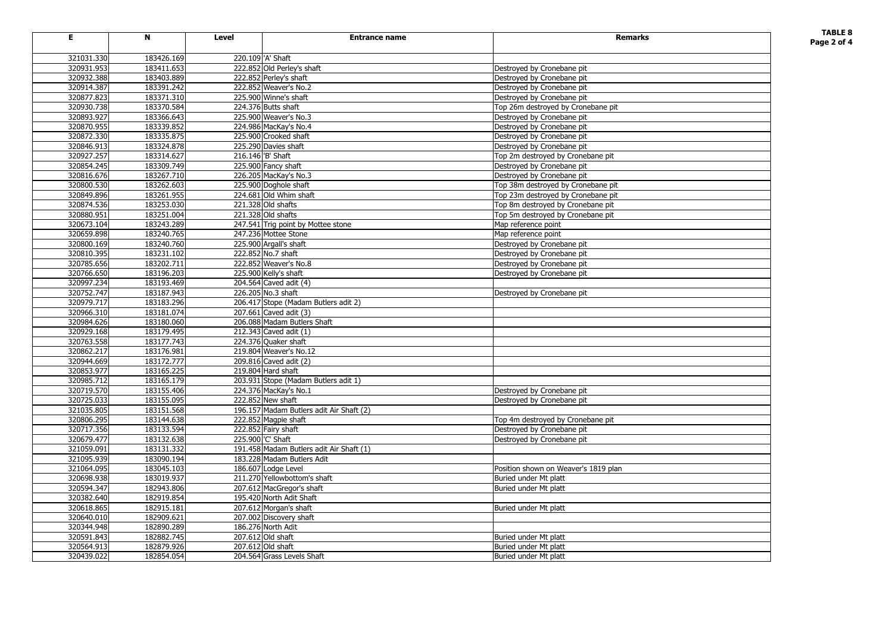# **TABLE 8**



| Е                        | N                        | <b>Level</b> | <b>Entrance name</b>                     | <b>Remarks</b>                                           | <b>TABLE 8</b><br>Page 2 of 4 |
|--------------------------|--------------------------|--------------|------------------------------------------|----------------------------------------------------------|-------------------------------|
|                          |                          |              | 220.109 'A' Shaft                        |                                                          |                               |
| 321031.330<br>320931.953 | 183426.169<br>183411.653 |              | 222.852 Old Perley's shaft               |                                                          |                               |
| 320932.388               | 183403.889               |              | 222.852 Perley's shaft                   | Destroyed by Cronebane pit                               |                               |
| 320914.387               | 183391.242               |              | 222.852 Weaver's No.2                    | Destroyed by Cronebane pit                               |                               |
| 320877.823               | 183371.310               |              | 225.900 Winne's shaft                    | Destroyed by Cronebane pit<br>Destroyed by Cronebane pit |                               |
| 320930.738               | 183370.584               |              | 224.376 Butts shaft                      | Top 26m destroyed by Cronebane pit                       |                               |
| 320893.927               | 183366.643               |              | 225.900 Weaver's No.3                    | Destroyed by Cronebane pit                               |                               |
| 320870.955               | 183339.852               |              | 224.986 MacKay's No.4                    | Destroyed by Cronebane pit                               |                               |
| 320872.330               | 183335.875               |              | 225.900 Crooked shaft                    | Destroyed by Cronebane pit                               |                               |
| 320846.913               | 183324.878               |              | 225.290 Davies shaft                     | Destroyed by Cronebane pit                               |                               |
| 320927.257               | 183314.627               |              | 216.146 'B' Shaft                        | Top 2m destroyed by Cronebane pit                        |                               |
| 320854.245               | 183309.749               |              | 225.900 Fancy shaft                      | Destroyed by Cronebane pit                               |                               |
| 320816.676               | 183267.710               |              | 226.205 MacKay's No.3                    | Destroyed by Cronebane pit                               |                               |
| 320800.530               | 183262.603               |              | 225.900 Doghole shaft                    | Top 38m destroyed by Cronebane pit                       |                               |
| 320849.896               | 183261.955               |              | 224.681 Old Whim shaft                   | Top 23m destroyed by Cronebane pit                       |                               |
| 320874.536               | 183253.030               |              | 221.328 Old shafts                       | Top 8m destroyed by Cronebane pit                        |                               |
| 320880.951               | 183251.004               |              | 221.328 Old shafts                       | Top 5m destroyed by Cronebane pit                        |                               |
| 320673.104               | 183243.289               |              | 247.541 Trig point by Mottee stone       | Map reference point                                      |                               |
| 320659.898               | 183240.765               |              | 247.236 Mottee Stone                     | Map reference point                                      |                               |
| 320800.169               | 183240.760               |              | 225.900 Argall's shaft                   | Destroyed by Cronebane pit                               |                               |
| 320810.395               | 183231.102               |              | 222.852 No.7 shaft                       | Destroyed by Cronebane pit                               |                               |
| 320785.656               | 183202.711               |              | 222.852 Weaver's No.8                    | Destroyed by Cronebane pit                               |                               |
| 320766.650               | 183196.203               |              | 225.900 Kelly's shaft                    | Destroyed by Cronebane pit                               |                               |
| 320997.234               | 183193.469               |              | 204.564 Caved adit (4)                   |                                                          |                               |
| 320752.747               | 183187.943               |              | 226.205 No.3 shaft                       | Destroyed by Cronebane pit                               |                               |
| 320979.717               | 183183.296               |              | 206.417 Stope (Madam Butlers adit 2)     |                                                          |                               |
| 320966.310               | 183181.074               |              | 207.661 Caved adit (3)                   |                                                          |                               |
| 320984.626               | 183180.060               |              | 206.088 Madam Butlers Shaft              |                                                          |                               |
| 320929.168               | 183179.495               |              | 212.343 Caved adit $(1)$                 |                                                          |                               |
| 320763.558               | 183177.743               |              | 224.376 Quaker shaft                     |                                                          |                               |
| 320862.217               | 183176.981               |              | 219.804 Weaver's No.12                   |                                                          |                               |
| 320944.669               | 183172.777               |              | 209.816 Caved adit $(2)$                 |                                                          |                               |
| 320853.977               | 183165.225               |              | 219.804 Hard shaft                       |                                                          |                               |
| 320985.712               | 183165.179               |              | 203.931 Stope (Madam Butlers adit 1)     |                                                          |                               |
| 320719.570               | 183155.406               |              | 224.376 MacKay's No.1                    | Destroyed by Cronebane pit                               |                               |
| 320725.033               | 183155.095               |              | 222.852 New shaft                        | Destroyed by Cronebane pit                               |                               |
| 321035.805               | 183151.568               |              | 196.157 Madam Butlers adit Air Shaft (2) |                                                          |                               |
| 320806.295               | 183144.638               |              | 222.852 Magpie shaft                     | Top 4m destroyed by Cronebane pit                        |                               |
| 320717.356               | 183133.594               |              | 222.852 Fairy shaft                      | Destroyed by Cronebane pit                               |                               |
| 320679.477               | 183132.638               |              | 225.900 'C' Shaft                        | Destroyed by Cronebane pit                               |                               |
| 321059.091               | 183131.332               |              | 191.458 Madam Butlers adit Air Shaft (1) |                                                          |                               |
| 321095.939               | 183090.194               |              | 183.228 Madam Butlers Adit               |                                                          |                               |
| 321064.095               | 183045.103               |              | 186.607 Lodge Level                      | Position shown on Weaver's 1819 plan                     |                               |
| 320698.938               | 183019.937               |              | 211.270 Yellowbottom's shaft             | Buried under Mt platt                                    |                               |
| 320594.347               | 182943.806               |              | 207.612 MacGregor's shaft                | Buried under Mt platt                                    |                               |
| 320382.640               | 182919.854               |              | 195.420 North Adit Shaft                 |                                                          |                               |
| 320618.865               | 182915.181               |              | 207.612 Morgan's shaft                   | Buried under Mt platt                                    |                               |
| 320640.010               | 182909.621               |              | 207.002 Discovery shaft                  |                                                          |                               |
| 320344.948               | 182890.289               |              | 186.276 North Adit                       |                                                          |                               |
| 320591.843               | 182882.745               |              | 207.612 Old shaft                        | Buried under Mt platt                                    |                               |
| 320564.913               | 182879.926               |              | $\overline{207.612}$ Old shaft           | Buried under Mt platt                                    |                               |
| 320439.022               | 182854.054               |              | 204.564 Grass Levels Shaft               | Buried under Mt platt                                    |                               |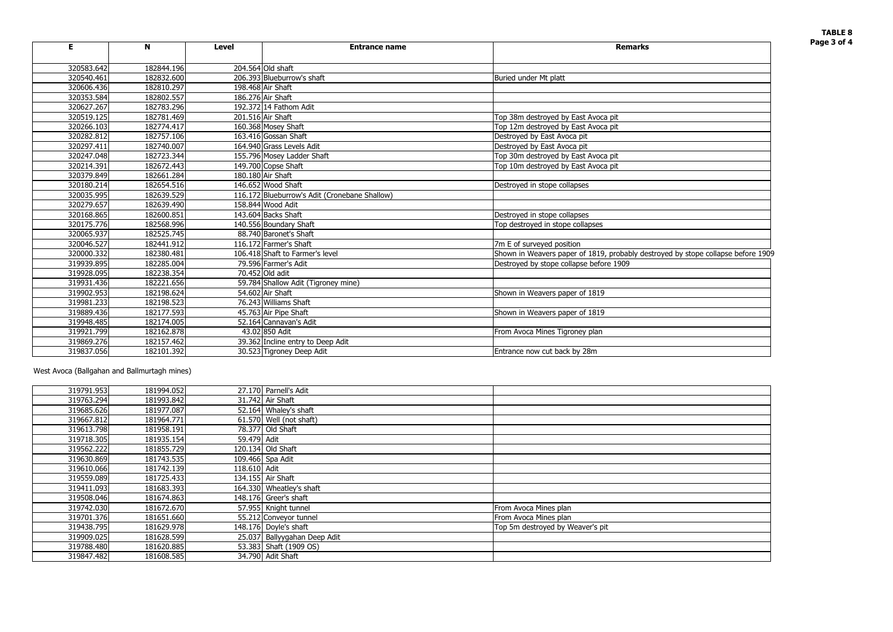# **TABLE 8**

|  |  |  | by stope collapse before 1909 |  |
|--|--|--|-------------------------------|--|
|  |  |  |                               |  |
|  |  |  |                               |  |
|  |  |  |                               |  |
|  |  |  |                               |  |
|  |  |  |                               |  |
|  |  |  |                               |  |
|  |  |  |                               |  |
|  |  |  |                               |  |
|  |  |  |                               |  |
|  |  |  |                               |  |
|  |  |  |                               |  |
|  |  |  |                               |  |
|  |  |  |                               |  |
|  |  |  |                               |  |
|  |  |  |                               |  |

| Е          | N          | <b>Level</b> | <b>Entrance name</b>                          | <b>Remarks</b>                                                                   |
|------------|------------|--------------|-----------------------------------------------|----------------------------------------------------------------------------------|
| 320583.642 | 182844.196 |              | 204.564 Old shaft                             |                                                                                  |
| 320540.461 | 182832.600 |              | 206.393 Blueburrow's shaft                    | Buried under Mt platt                                                            |
| 320606.436 | 182810.297 |              | 198.468 Air Shaft                             |                                                                                  |
| 320353.584 | 182802.557 |              | 186.276 Air Shaft                             |                                                                                  |
| 320627.267 | 182783.296 |              | 192.372 14 Fathom Adit                        |                                                                                  |
| 320519.125 | 182781.469 |              | 201.516 Air Shaft                             | Top 38m destroyed by East Avoca pit                                              |
| 320266.103 | 182774.417 |              | 160.368 Mosey Shaft                           | Top 12m destroyed by East Avoca pit                                              |
| 320282.812 | 182757.106 |              | 163.416 Gossan Shaft                          | Destroyed by East Avoca pit                                                      |
| 320297.411 | 182740.007 |              | 164.940 Grass Levels Adit                     | Destroyed by East Avoca pit                                                      |
| 320247.048 | 182723.344 |              | 155.796 Mosey Ladder Shaft                    | Top 30m destroyed by East Avoca pit                                              |
| 320214.391 | 182672.443 |              | 149.700 Copse Shaft                           | Top 10m destroyed by East Avoca pit                                              |
| 320379.849 | 182661.284 |              | 180.180 Air Shaft                             |                                                                                  |
| 320180.214 | 182654.516 |              | 146.652 Wood Shaft                            | Destroyed in stope collapses                                                     |
| 320035.995 | 182639.529 |              | 116.172 Blueburrow's Adit (Cronebane Shallow) |                                                                                  |
| 320279.657 | 182639.490 |              | 158.844 Wood Adit                             |                                                                                  |
| 320168.865 | 182600.851 |              | 143.604 Backs Shaft                           | Destroyed in stope collapses                                                     |
| 320175.776 | 182568.996 |              | 140.556 Boundary Shaft                        | Top destroyed in stope collapses                                                 |
| 320065.937 | 182525.745 |              | 88.740 Baronet's Shaft                        |                                                                                  |
| 320046.527 | 182441.912 |              | 116.172 Farmer's Shaft                        | 7m E of surveyed position                                                        |
| 320000.332 | 182380.481 |              | 106.418 Shaft to Farmer's level               | Shown in Weavers paper of 1819, probably destroyed by stope collapse before 1909 |
| 319939.895 | 182285.004 |              | 79.596 Farmer's Adit                          | Destroyed by stope collapse before 1909                                          |
| 319928.095 | 182238.354 |              | 70.452 Old adit                               |                                                                                  |
| 319931.436 | 182221.656 |              | 59.784 Shallow Adit (Tigroney mine)           |                                                                                  |
| 319902.953 | 182198.624 |              | 54.602 Air Shaft                              | Shown in Weavers paper of 1819                                                   |
| 319981.233 | 182198.523 |              | 76.243 Williams Shaft                         |                                                                                  |
| 319889.436 | 182177.593 |              | 45.763 Air Pipe Shaft                         | Shown in Weavers paper of 1819                                                   |
| 319948.485 | 182174.005 |              | 52.164 Cannavan's Adit                        |                                                                                  |
| 319921.799 | 182162.878 |              | 43.02 850 Adit                                | From Avoca Mines Tigroney plan                                                   |
| 319869.276 | 182157.462 |              | 39.362 Incline entry to Deep Adit             |                                                                                  |
| 319837.056 | 182101.392 |              | 30.523 Tigroney Deep Adit                     | Entrance now cut back by 28m                                                     |

West Avoca (Ball gahan and Ballmurta gh mines)

| 319791.953 | 181994.052 |              | 27.170 Parnell's Adit        |                                  |
|------------|------------|--------------|------------------------------|----------------------------------|
| 319763.294 | 181993.842 |              | $31.742$ Air Shaft           |                                  |
| 319685.626 | 181977.087 |              | 52.164 Whaley's shaft        |                                  |
| 319667.812 | 181964.771 |              | $61.570$ Well (not shaft)    |                                  |
| 319613.798 | 181958.191 |              | 78.377 Old Shaft             |                                  |
| 319718.305 | 181935.154 | 59.479 Adit  |                              |                                  |
| 319562.222 | 181855.729 |              | 120.134 Old Shaft            |                                  |
| 319630.869 | 181743.535 |              | 109.466 Spa Adit             |                                  |
| 319610.066 | 181742.139 | 118.610 Adit |                              |                                  |
| 319559.089 | 181725.433 |              | 134.155 Air Shaft            |                                  |
| 319411.093 | 181683.393 |              | 164.330 Wheatley's shaft     |                                  |
| 319508.046 | 181674.863 |              | 148.176 Greer's shaft        |                                  |
| 319742.030 | 181672.670 |              | 57.955 Knight tunnel         | From Avoca Mines plan            |
| 319701.376 | 181651.660 |              | 55.212 Conveyor tunnel       | From Avoca Mines plan            |
| 319438.795 | 181629.978 |              | 148.176 Doyle's shaft        | Top 5m destroyed by Weaver's pit |
| 319909.025 | 181628.599 |              | 25.037 Ballyygahan Deep Adit |                                  |
| 319788.480 | 181620.885 |              | 53.383 Shaft (1909 OS)       |                                  |
| 319847.482 | 181608.585 |              | 34.790 Adit Shaft            |                                  |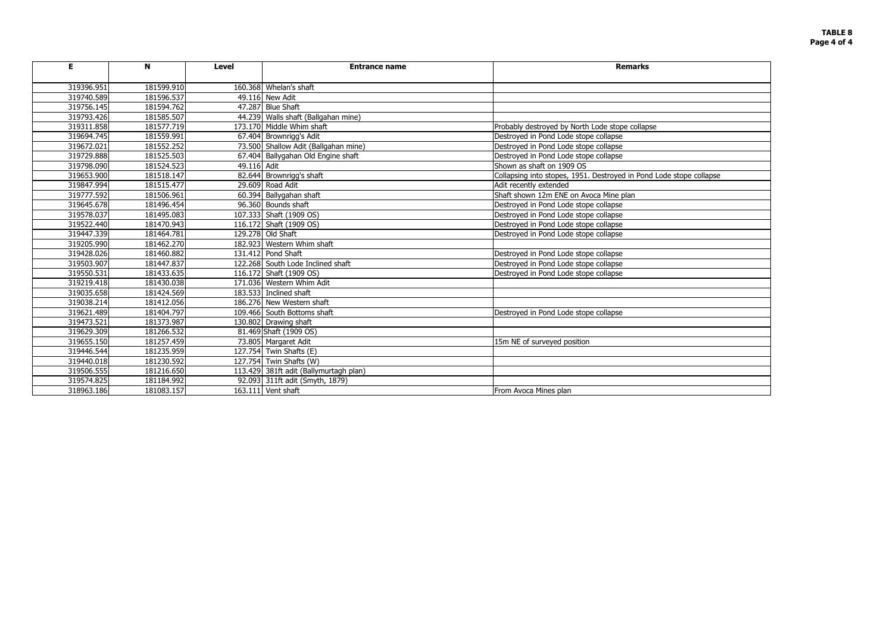## **TABLE 8 Page 4 of 4**

| stope collapse |
|----------------|
|                |
|                |
|                |
|                |
|                |
|                |
|                |
|                |
|                |
|                |
|                |
|                |
|                |
|                |
|                |
|                |
|                |
|                |
|                |
|                |
|                |
|                |

| E          | N          | <b>Level</b> | <b>Entrance name</b>                   | <b>Remarks</b>                                                      |
|------------|------------|--------------|----------------------------------------|---------------------------------------------------------------------|
| 319396.951 | 181599.910 |              | 160.368 Whelan's shaft                 |                                                                     |
| 319740.589 | 181596.537 |              | 49.116 New Adit                        |                                                                     |
| 319756.145 | 181594.762 |              | 47.287 Blue Shaft                      |                                                                     |
| 319793.426 | 181585.507 |              | 44.239 Walls shaft (Ballgahan mine)    |                                                                     |
| 319311.858 | 181577.719 |              | 173.170 Middle Whim shaft              | Probably destroyed by North Lode stope collapse                     |
| 319694.745 | 181559.991 |              | 67.404 Brownrigg's Adit                | Destroyed in Pond Lode stope collapse                               |
| 319672.021 | 181552.252 |              | 73.500 Shallow Adit (Ballgahan mine)   | Destroyed in Pond Lode stope collapse                               |
| 319729.888 | 181525.503 |              | 67.404 Ballygahan Old Engine shaft     | Destroyed in Pond Lode stope collapse                               |
| 319798.090 | 181524.523 | 49.116 Adit  |                                        | Shown as shaft on 1909 OS                                           |
| 319653.900 | 181518.147 |              | 82.644 Brownrigg's shaft               | Collapsing into stopes, 1951. Destroyed in Pond Lode stope collapse |
| 319847.994 | 181515.477 |              | 29.609 Road Adit                       | Adit recently extended                                              |
| 319777.592 | 181506.961 |              | 60.394 Ballygahan shaft                | Shaft shown 12m ENE on Avoca Mine plan                              |
| 319645.678 | 181496.454 |              | 96.360 Bounds shaft                    | Destroyed in Pond Lode stope collapse                               |
| 319578.037 | 181495.083 |              | 107.333 Shaft (1909 OS)                | Destroyed in Pond Lode stope collapse                               |
| 319522.440 | 181470.943 |              | 116.172 Shaft (1909 OS)                | Destroyed in Pond Lode stope collapse                               |
| 319447.339 | 181464.781 |              | 129.278 Old Shaft                      | Destroyed in Pond Lode stope collapse                               |
| 319205.990 | 181462.270 |              | 182.923 Western Whim shaft             |                                                                     |
| 319428.026 | 181460.882 |              | 131.412 Pond Shaft                     | Destroyed in Pond Lode stope collapse                               |
| 319503.907 | 181447.837 |              | 122.268 South Lode Inclined shaft      | Destroyed in Pond Lode stope collapse                               |
| 319550.531 | 181433.635 |              | 116.172 Shaft (1909 OS)                | Destroyed in Pond Lode stope collapse                               |
| 319219.418 | 181430.038 |              | 171.036 Western Whim Adit              |                                                                     |
| 319035.658 | 181424.569 |              | 183.533 Inclined shaft                 |                                                                     |
| 319038.214 | 181412.056 |              | 186.276 New Western shaft              |                                                                     |
| 319621.489 | 181404.797 |              | 109.466 South Bottoms shaft            | Destroyed in Pond Lode stope collapse                               |
| 319473.521 | 181373.987 |              | 130.802 Drawing shaft                  |                                                                     |
| 319629.309 | 181266.532 |              | 81.469 Shaft (1909 OS)                 |                                                                     |
| 319655.150 | 181257.459 |              | 73.805 Margaret Adit                   | 15m NE of surveyed position                                         |
| 319446.544 | 181235.959 |              | 127.754 Twin Shafts (E)                |                                                                     |
| 319440.018 | 181230.592 |              | 127.754 Twin Shafts (W)                |                                                                     |
| 319506.555 | 181216.650 |              | 113.429 381ft adit (Ballymurtagh plan) |                                                                     |
| 319574.825 | 181184.992 |              | 92.093 311ft adit (Smyth, 1879)        |                                                                     |
| 318963.186 | 181083.157 |              | 163.111 Vent shaft                     | From Avoca Mines plan                                               |
|            |            |              |                                        |                                                                     |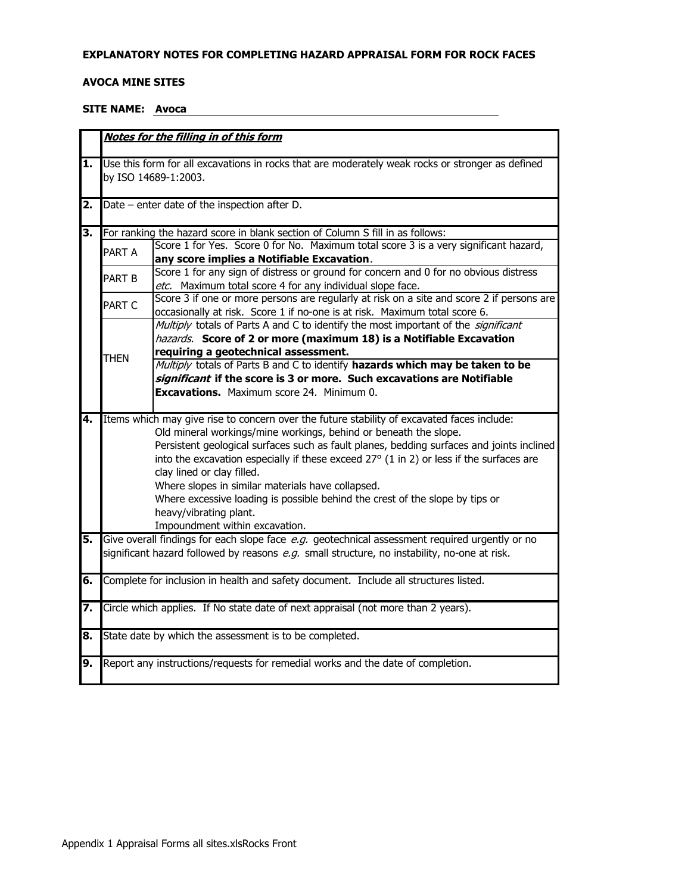#### EXPLANATORY NOTES FOR COMPLETING HAZARD APPRAISAL FORM FOR ROCK FACES

#### **AVOCA MINE SITES**

# SITE NAME: Avoca

|                           |                   | Notes for the filling in of this form                                                                                                                                                                                                                                                                                                                  |
|---------------------------|-------------------|--------------------------------------------------------------------------------------------------------------------------------------------------------------------------------------------------------------------------------------------------------------------------------------------------------------------------------------------------------|
| $\overline{\mathbf{1}}$ . |                   | Use this form for all excavations in rocks that are moderately weak rocks or stronger as defined<br>by ISO 14689-1:2003.                                                                                                                                                                                                                               |
| 2.                        |                   | Date - enter date of the inspection after D.                                                                                                                                                                                                                                                                                                           |
| 3.                        |                   | For ranking the hazard score in blank section of Column S fill in as follows:                                                                                                                                                                                                                                                                          |
|                           | PART A            | Score 1 for Yes. Score 0 for No. Maximum total score 3 is a very significant hazard,<br>any score implies a Notifiable Excavation.                                                                                                                                                                                                                     |
|                           | PART <sub>B</sub> | Score 1 for any sign of distress or ground for concern and 0 for no obvious distress<br>etc. Maximum total score 4 for any individual slope face.                                                                                                                                                                                                      |
|                           | PART C            | Score 3 if one or more persons are regularly at risk on a site and score 2 if persons are<br>occasionally at risk. Score 1 if no-one is at risk. Maximum total score 6.                                                                                                                                                                                |
|                           |                   | Multiply totals of Parts A and C to identify the most important of the significant<br>hazards. Score of 2 or more (maximum 18) is a Notifiable Excavation                                                                                                                                                                                              |
|                           | THFN              | requiring a geotechnical assessment.                                                                                                                                                                                                                                                                                                                   |
|                           |                   | Multiply totals of Parts B and C to identify hazards which may be taken to be                                                                                                                                                                                                                                                                          |
|                           |                   | significant if the score is 3 or more. Such excavations are Notifiable                                                                                                                                                                                                                                                                                 |
|                           |                   | <b>Excavations.</b> Maximum score 24. Minimum 0.                                                                                                                                                                                                                                                                                                       |
| 4.                        |                   | Items which may give rise to concern over the future stability of excavated faces include:<br>Old mineral workings/mine workings, behind or beneath the slope.<br>Persistent geological surfaces such as fault planes, bedding surfaces and joints inclined<br>into the excavation especially if these exceed 27° (1 in 2) or less if the surfaces are |
|                           |                   | clay lined or clay filled.                                                                                                                                                                                                                                                                                                                             |
|                           |                   | Where slopes in similar materials have collapsed.<br>Where excessive loading is possible behind the crest of the slope by tips or<br>heavy/vibrating plant.                                                                                                                                                                                            |
| 5.                        |                   | Impoundment within excavation.<br>Give overall findings for each slope face e.g. geotechnical assessment required urgently or no                                                                                                                                                                                                                       |
|                           |                   | significant hazard followed by reasons e.g. small structure, no instability, no-one at risk.                                                                                                                                                                                                                                                           |
| 6.                        |                   | Complete for inclusion in health and safety document. Include all structures listed.                                                                                                                                                                                                                                                                   |
| 7.                        |                   | Circle which applies. If No state date of next appraisal (not more than 2 years).                                                                                                                                                                                                                                                                      |
| 8.                        |                   | State date by which the assessment is to be completed.                                                                                                                                                                                                                                                                                                 |
| 9.                        |                   | Report any instructions/requests for remedial works and the date of completion.                                                                                                                                                                                                                                                                        |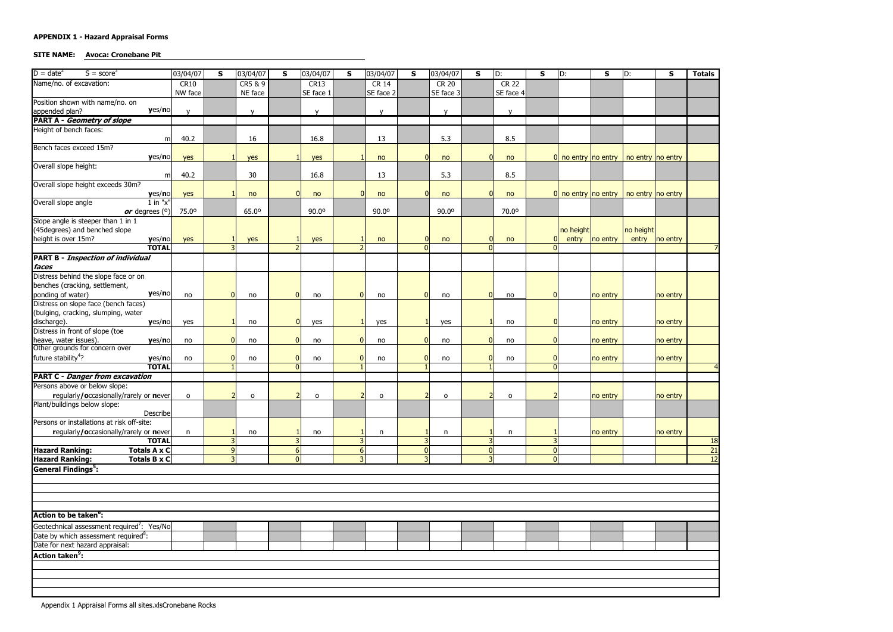### **SITE NAME:** Avoca: Cronebane Pit

| $D = date^2$<br>$S = score3$                                            | 03/04/07            | $\mathsf{s}$ | 03/04/07       | $\mathsf{s}$   | 03/04/07     | <b>S</b>       | 03/04/07     | S              | 03/04/07     | $\mathsf{s}$   | D:               | S                    | D:                                                                    | $\mathbf{s}$ | D:        | $\mathsf{s}$   | <b>Totals</b>   |
|-------------------------------------------------------------------------|---------------------|--------------|----------------|----------------|--------------|----------------|--------------|----------------|--------------|----------------|------------------|----------------------|-----------------------------------------------------------------------|--------------|-----------|----------------|-----------------|
| Name/no. of excavation:                                                 | <b>CR10</b>         |              | CR5 & 9        |                | CR13         |                | <b>CR 14</b> |                | <b>CR 20</b> |                | CR <sub>22</sub> |                      |                                                                       |              |           |                |                 |
|                                                                         | NW face             |              | NE face        |                | SE face 1    |                | SE face 2    |                | SE face 3    |                | SE face 4        |                      |                                                                       |              |           |                |                 |
| Position shown with name/no. on                                         |                     |              |                |                |              |                |              |                |              |                |                  |                      |                                                                       |              |           |                |                 |
| yes/no<br>appended plan?<br><b>PART A - Geometry of slope</b>           | $\mathsf{v}$        |              | $\mathsf{v}$   |                | $\mathbf{v}$ |                | $\mathbf{V}$ |                | $\mathbf{v}$ |                | $\mathsf{v}$     |                      |                                                                       |              |           |                |                 |
| Height of bench faces:                                                  |                     |              |                |                |              |                |              |                |              |                |                  |                      |                                                                       |              |           |                |                 |
| m                                                                       | 40.2                |              | 16             |                | 16.8         |                | 13           |                | 5.3          |                | 8.5              |                      |                                                                       |              |           |                |                 |
| Bench faces exceed 15m?                                                 |                     |              |                |                |              |                |              |                |              |                |                  |                      |                                                                       |              |           |                |                 |
| yes/no                                                                  | yes                 |              | yes            |                | yes          |                | no           |                | no           |                | no               |                      | $\frac{1}{2}$ no entry   no entry   no entry   no entry               |              |           |                |                 |
| Overall slope height:                                                   |                     |              |                |                |              |                |              |                |              |                |                  |                      |                                                                       |              |           |                |                 |
| m                                                                       | 40.2                |              | 30             |                | 16.8         |                | 13           |                | 5.3          |                | 8.5              |                      |                                                                       |              |           |                |                 |
| Overall slope height exceeds 30m?                                       |                     |              |                |                |              |                |              |                |              |                |                  |                      |                                                                       |              |           |                |                 |
| yes/no                                                                  | yes                 |              | no             |                | no           |                | no           |                | no           |                | no               |                      | $\vert$ 0 no entry $\vert$ no entry $\vert$ no entry $\vert$ no entry |              |           |                |                 |
| Overall slope angle<br>$1$ in " $x$ "                                   | 75.00               |              | 65.0°          |                | 90.0°        |                | 90.0°        |                | 90.0°        |                | 70.0°            |                      |                                                                       |              |           |                |                 |
| or degrees $(0)$<br>Slope angle is steeper than 1 in 1                  |                     |              |                |                |              |                |              |                |              |                |                  |                      |                                                                       |              |           |                |                 |
| (45degrees) and benched slope                                           |                     |              |                |                |              |                |              |                |              |                |                  |                      | no height                                                             |              | no height |                |                 |
| height is over 15m?<br>yes/no                                           | yes                 |              | yes            |                | yes          |                | no           |                | no           |                | no               |                      | entry                                                                 | no entry     |           | entry no entry |                 |
| <b>TOTAL</b>                                                            |                     |              |                |                |              |                |              | $\Omega$       |              | $\Omega$       |                  |                      |                                                                       |              |           |                |                 |
| <b>PART B - Inspection of individual</b>                                |                     |              |                |                |              |                |              |                |              |                |                  |                      |                                                                       |              |           |                |                 |
| faces                                                                   |                     |              |                |                |              |                |              |                |              |                |                  |                      |                                                                       |              |           |                |                 |
| Distress behind the slope face or on                                    |                     |              |                |                |              |                |              |                |              |                |                  |                      |                                                                       |              |           |                |                 |
| benches (cracking, settlement,                                          |                     |              |                |                |              |                |              |                |              |                |                  |                      |                                                                       |              |           |                |                 |
| yes/no<br>ponding of water)                                             | no                  |              | no             |                | no           | $\Omega$       | no           | $\overline{0}$ | no           | $\overline{0}$ | no               |                      |                                                                       | no entry     |           | no entry       |                 |
| Distress on slope face (bench faces)                                    |                     |              |                |                |              |                |              |                |              |                |                  |                      |                                                                       |              |           |                |                 |
| (bulging, cracking, slumping, water                                     |                     |              |                |                |              |                |              |                |              |                |                  |                      |                                                                       |              |           |                |                 |
| discharge).<br>yes/no                                                   | yes                 |              | no             | $\overline{0}$ | yes          |                | yes          |                | yes          |                | no               |                      |                                                                       | no entry     |           | no entry       |                 |
| Distress in front of slope (toe                                         |                     |              |                |                |              |                |              |                |              |                |                  |                      |                                                                       |              |           |                |                 |
| heave, water issues).<br>yes/no                                         | no                  |              | no             |                | no           | <sup>0</sup>   | no           | $\Omega$       | no           | $\overline{0}$ | no               | $\Omega$             |                                                                       | no entry     |           | no entry       |                 |
| Other grounds for concern over                                          |                     |              |                |                |              |                |              |                |              |                |                  |                      |                                                                       |              |           |                |                 |
| future stability <sup>4</sup> ?<br>yes/no                               | no                  |              | no             |                | no           | 0              | no           | $\Omega$       | no           | $\overline{0}$ | no               | $\Omega$<br>$\Omega$ |                                                                       | no entry     |           | no entry       |                 |
| <b>TOTAL</b><br><b>PART C - Danger from excavation</b>                  |                     |              |                |                |              |                |              |                |              |                |                  |                      |                                                                       |              |           |                |                 |
|                                                                         |                     |              |                |                |              |                |              |                |              |                |                  |                      |                                                                       |              |           |                |                 |
| Persons above or below slope:<br>regularly/occasionally/rarely or never | $\mathsf{o}\xspace$ |              |                |                |              |                |              |                |              |                |                  |                      |                                                                       |              |           |                |                 |
| Plant/buildings below slope:                                            |                     |              | $\mathsf{o}$   |                | $\mathsf{o}$ |                | $\mathsf{o}$ |                | $\circ$      |                | $\mathsf{o}\,$   |                      |                                                                       | no entry     |           | no entry       |                 |
| <b>Describe</b>                                                         |                     |              |                |                |              |                |              |                |              |                |                  |                      |                                                                       |              |           |                |                 |
| Persons or installations at risk off-site:                              |                     |              |                |                |              |                |              |                |              |                |                  |                      |                                                                       |              |           |                |                 |
| regularly/occasionally/rarely or never                                  | n                   |              | no             |                | no           |                | n            |                | n            |                | n                |                      |                                                                       | no entry     |           | no entry       |                 |
| <b>TOTAL</b>                                                            |                     | 3            |                |                |              |                |              |                |              | $\overline{3}$ |                  |                      |                                                                       |              |           |                | 18              |
| <b>Hazard Ranking:</b><br><b>Totals A x C</b>                           |                     |              | 9 <sub>l</sub> | $6 \mid$       |              | $6 \mid$       |              | 0              |              | $\overline{0}$ |                  | $\overline{0}$       |                                                                       |              |           |                | $\overline{21}$ |
| <b>Hazard Ranking:</b><br>Totals B x C                                  |                     |              | 3 <sup>1</sup> | <sup>0</sup>   |              | 3 <sup>l</sup> |              | $\overline{3}$ |              | $\overline{3}$ |                  | $\overline{0}$       |                                                                       |              |           |                | 12              |
| <b>General Findings<sup>5</sup></b> :                                   |                     |              |                |                |              |                |              |                |              |                |                  |                      |                                                                       |              |           |                |                 |
|                                                                         |                     |              |                |                |              |                |              |                |              |                |                  |                      |                                                                       |              |           |                |                 |
|                                                                         |                     |              |                |                |              |                |              |                |              |                |                  |                      |                                                                       |              |           |                |                 |
|                                                                         |                     |              |                |                |              |                |              |                |              |                |                  |                      |                                                                       |              |           |                |                 |
|                                                                         |                     |              |                |                |              |                |              |                |              |                |                  |                      |                                                                       |              |           |                |                 |
| <b>Action to be taken<sup>6</sup>:</b>                                  |                     |              |                |                |              |                |              |                |              |                |                  |                      |                                                                       |              |           |                |                 |
| Geotechnical assessment required <sup>7</sup> : Yes/No                  |                     |              |                |                |              |                |              |                |              |                |                  |                      |                                                                       |              |           |                |                 |
| Date by which assessment required <sup>8</sup> :                        |                     |              |                |                |              |                |              |                |              |                |                  |                      |                                                                       |              |           |                |                 |
| Date for next hazard appraisal:                                         |                     |              |                |                |              |                |              |                |              |                |                  |                      |                                                                       |              |           |                |                 |
| <b>Action taken<sup>9</sup>:</b>                                        |                     |              |                |                |              |                |              |                |              |                |                  |                      |                                                                       |              |           |                |                 |
|                                                                         |                     |              |                |                |              |                |              |                |              |                |                  |                      |                                                                       |              |           |                |                 |
|                                                                         |                     |              |                |                |              |                |              |                |              |                |                  |                      |                                                                       |              |           |                |                 |
|                                                                         |                     |              |                |                |              |                |              |                |              |                |                  |                      |                                                                       |              |           |                |                 |
|                                                                         |                     |              |                |                |              |                |              |                |              |                |                  |                      |                                                                       |              |           |                |                 |
|                                                                         |                     |              |                |                |              |                |              |                |              |                |                  |                      |                                                                       |              |           |                |                 |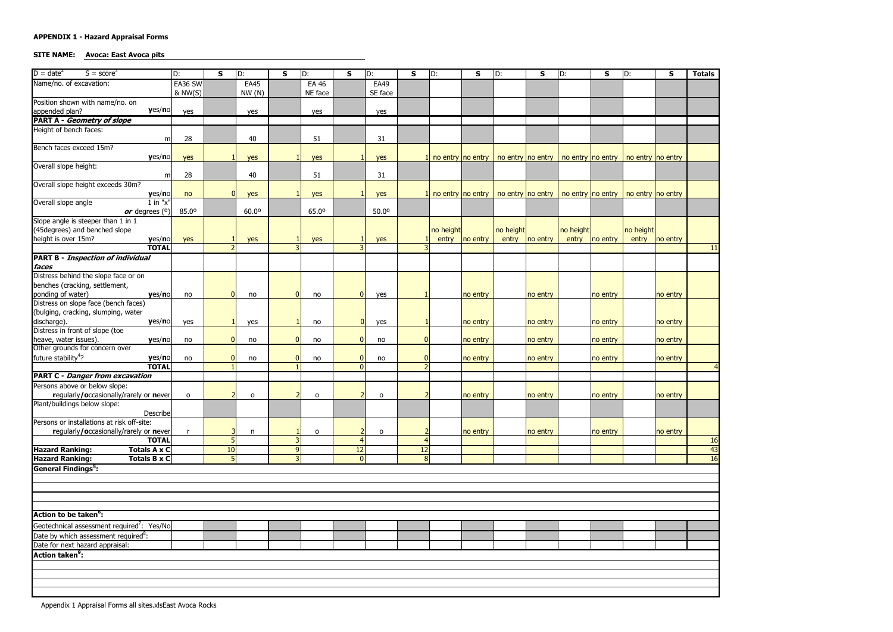# SITE NAME: Avoca: East Avoca pits

| $D = date^2$<br>$S = score3$                                      | D:                | $\mathbf S$ | D:                             | $\mathbf{s}$   | D:                | $\mathsf{s}$   | D:           | $\mathsf{s}$   | D:                | $\mathsf{s}$ | D:                 | $\mathsf{s}$ | D:                                        | $\mathsf{s}$ | D:                 | $\mathsf{s}$ | <b>Totals</b>   |
|-------------------------------------------------------------------|-------------------|-------------|--------------------------------|----------------|-------------------|----------------|--------------|----------------|-------------------|--------------|--------------------|--------------|-------------------------------------------|--------------|--------------------|--------------|-----------------|
| Name/no. of excavation:                                           | EA36 SW           |             | <b>EA45</b>                    |                | <b>EA 46</b>      |                | <b>EA49</b>  |                |                   |              |                    |              |                                           |              |                    |              |                 |
|                                                                   | & NW(S)           |             | NW(N)                          |                | NE face           |                | SE face      |                |                   |              |                    |              |                                           |              |                    |              |                 |
| Position shown with name/no. on                                   |                   |             |                                |                |                   |                |              |                |                   |              |                    |              |                                           |              |                    |              |                 |
| yes/no<br>appended plan?                                          | yes               |             | yes                            |                | yes               |                | yes          |                |                   |              |                    |              |                                           |              |                    |              |                 |
| <b>PART A - Geometry of slope</b>                                 |                   |             |                                |                |                   |                |              |                |                   |              |                    |              |                                           |              |                    |              |                 |
| Height of bench faces:                                            |                   |             |                                |                |                   |                |              |                |                   |              |                    |              |                                           |              |                    |              |                 |
| Bench faces exceed 15m?                                           | 28<br>m           |             | 40                             |                | 51                |                | 31           |                |                   |              |                    |              |                                           |              |                    |              |                 |
| yes/no                                                            | yes               |             | yes                            |                | yes               |                | yes          |                | no entry no entry |              | no entry no entry  |              | no entry   no entry   no entry   no entry |              |                    |              |                 |
| Overall slope height:                                             |                   |             |                                |                |                   |                |              |                |                   |              |                    |              |                                           |              |                    |              |                 |
|                                                                   | 28<br>m           |             | 40                             |                | 51                |                | 31           |                |                   |              |                    |              |                                           |              |                    |              |                 |
| Overall slope height exceeds 30m?                                 |                   |             |                                |                |                   |                |              |                |                   |              |                    |              |                                           |              |                    |              |                 |
| yes/no                                                            | no                |             | yes                            |                | yes               |                | yes          |                | no entry no entry |              | no entry no entry  |              | no entry   no entry   no entry   no entry |              |                    |              |                 |
| Overall slope angle<br>$1$ in " $x$ "                             |                   |             |                                |                |                   |                |              |                |                   |              |                    |              |                                           |              |                    |              |                 |
| or degrees (°)                                                    | 85.0 <sup>o</sup> |             | 60.0°                          |                | 65.0 <sup>o</sup> |                | 50.0°        |                |                   |              |                    |              |                                           |              |                    |              |                 |
| Slope angle is steeper than 1 in 1                                |                   |             |                                |                |                   |                |              |                |                   |              |                    |              |                                           |              |                    |              |                 |
| (45degrees) and benched slope<br>height is over 15m?<br>yes/no    |                   |             |                                |                |                   |                |              |                | no height         | no entry     | no height<br>entry | no entry     | no height<br>entry                        |              | no height<br>entry |              |                 |
| <b>TOTAL</b>                                                      | yes               |             | yes                            |                | yes               |                | yes          |                | entry             |              |                    |              |                                           | no entry     |                    | no entry     | <b>11</b>       |
| <b>PART B - Inspection of individual</b>                          |                   |             |                                |                |                   |                |              |                |                   |              |                    |              |                                           |              |                    |              |                 |
| faces                                                             |                   |             |                                |                |                   |                |              |                |                   |              |                    |              |                                           |              |                    |              |                 |
| Distress behind the slope face or on                              |                   |             |                                |                |                   |                |              |                |                   |              |                    |              |                                           |              |                    |              |                 |
| benches (cracking, settlement,                                    |                   |             |                                |                |                   |                |              |                |                   |              |                    |              |                                           |              |                    |              |                 |
| ponding of water)<br>yes/no                                       | no                |             | no                             |                | no                | 0              | yes          |                |                   | no entry     |                    | no entry     |                                           | no entry     |                    | no entry     |                 |
| Distress on slope face (bench faces)                              |                   |             |                                |                |                   |                |              |                |                   |              |                    |              |                                           |              |                    |              |                 |
| (bulging, cracking, slumping, water                               |                   |             |                                |                |                   |                |              |                |                   |              |                    |              |                                           |              |                    |              |                 |
| discharge).<br>yes/no                                             | yes               |             | yes                            |                | no                | $\overline{0}$ | yes          |                |                   | no entry     |                    | no entry     |                                           | no entry     |                    | no entry     |                 |
| Distress in front of slope (toe                                   |                   |             |                                |                |                   |                |              | <sup>0</sup>   |                   |              |                    |              |                                           |              |                    |              |                 |
| heave, water issues).<br>yes/no<br>Other grounds for concern over | no                |             | no                             |                | no                |                | no           |                |                   | no entry     |                    | no entry     |                                           | no entry     |                    | no entry     |                 |
| future stability <sup>4</sup> ?<br>yes/no                         | no                |             | no                             |                | no                |                | no           |                |                   | no entry     |                    | no entry     |                                           | no entry     |                    | no entry     |                 |
| <b>TOTAL</b>                                                      |                   |             |                                |                |                   |                |              |                |                   |              |                    |              |                                           |              |                    |              | $\overline{4}$  |
| <b>PART C - Danger from excavation</b>                            |                   |             |                                |                |                   |                |              |                |                   |              |                    |              |                                           |              |                    |              |                 |
| Persons above or below slope:                                     |                   |             |                                |                |                   |                |              |                |                   |              |                    |              |                                           |              |                    |              |                 |
| regularly/occasionally/rarely or never                            | $\mathsf{o}$      |             | o                              |                | 0                 |                | $\mathsf{o}$ |                |                   | no entry     |                    | no entry     |                                           | no entry     |                    | no entry     |                 |
| Plant/buildings below slope:                                      |                   |             |                                |                |                   |                |              |                |                   |              |                    |              |                                           |              |                    |              |                 |
| <b>Describe</b>                                                   |                   |             |                                |                |                   |                |              |                |                   |              |                    |              |                                           |              |                    |              |                 |
| Persons or installations at risk off-site:                        |                   |             |                                |                |                   |                |              |                |                   |              |                    |              |                                           |              |                    |              |                 |
| regularly/occasionally/rarely or never<br><b>TOTAL</b>            |                   |             | $\mathsf{n}$<br>$\overline{5}$ | 3              | O                 |                | $\mathbf 0$  |                |                   | no entry     |                    | no entry     |                                           | no entry     |                    | no entry     | 16              |
| <b>Totals A x C</b><br><b>Hazard Ranking:</b>                     |                   | 10          |                                | 9              |                   | 12             |              | 12             |                   |              |                    |              |                                           |              |                    |              | $\overline{43}$ |
| <b>Hazard Ranking:</b><br><b>Totals B x C</b>                     |                   |             | 5 <sup>1</sup>                 | $\overline{3}$ |                   |                |              | 8 <sup>1</sup> |                   |              |                    |              |                                           |              |                    |              | 16              |
| <b>General Findings<sup>5</sup>:</b>                              |                   |             |                                |                |                   |                |              |                |                   |              |                    |              |                                           |              |                    |              |                 |
|                                                                   |                   |             |                                |                |                   |                |              |                |                   |              |                    |              |                                           |              |                    |              |                 |
|                                                                   |                   |             |                                |                |                   |                |              |                |                   |              |                    |              |                                           |              |                    |              |                 |
|                                                                   |                   |             |                                |                |                   |                |              |                |                   |              |                    |              |                                           |              |                    |              |                 |
|                                                                   |                   |             |                                |                |                   |                |              |                |                   |              |                    |              |                                           |              |                    |              |                 |
| Action to be taken <sup>o</sup> :                                 |                   |             |                                |                |                   |                |              |                |                   |              |                    |              |                                           |              |                    |              |                 |
| Geotechnical assessment required <sup>7</sup> : Yes/No            |                   |             |                                |                |                   |                |              |                |                   |              |                    |              |                                           |              |                    |              |                 |
| Date by which assessment required <sup>8</sup> :                  |                   |             |                                |                |                   |                |              |                |                   |              |                    |              |                                           |              |                    |              |                 |
| Date for next hazard appraisal:                                   |                   |             |                                |                |                   |                |              |                |                   |              |                    |              |                                           |              |                    |              |                 |
| <b>Action taken<sup>9</sup>:</b>                                  |                   |             |                                |                |                   |                |              |                |                   |              |                    |              |                                           |              |                    |              |                 |
|                                                                   |                   |             |                                |                |                   |                |              |                |                   |              |                    |              |                                           |              |                    |              |                 |
|                                                                   |                   |             |                                |                |                   |                |              |                |                   |              |                    |              |                                           |              |                    |              |                 |
|                                                                   |                   |             |                                |                |                   |                |              |                |                   |              |                    |              |                                           |              |                    |              |                 |
|                                                                   |                   |             |                                |                |                   |                |              |                |                   |              |                    |              |                                           |              |                    |              |                 |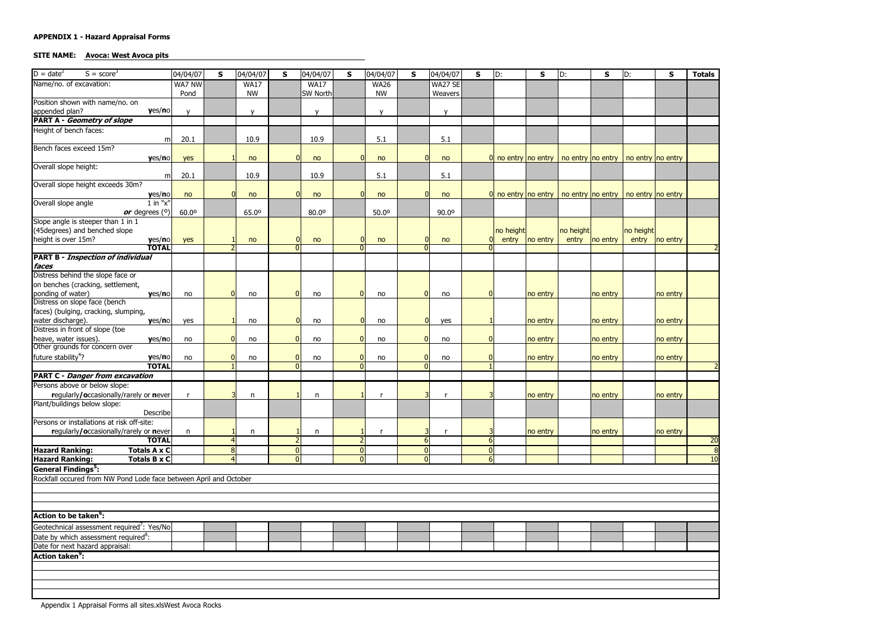#### SITE NAME: Avoca: West Avoca pits

| $D = date^2$                                                    | $S = score3$                                                      | 04/04/07     | $\mathsf{s}$ | 04/04/07           | <b>S</b> | 04/04/07        | $\mathsf{s}$   | 04/04/07    | <b>S</b>                 | 04/04/07              | S            | D:                                                              | S        | D:        | $\mathsf{s}$ | D:        | S        | <b>Totals</b>            |
|-----------------------------------------------------------------|-------------------------------------------------------------------|--------------|--------------|--------------------|----------|-----------------|----------------|-------------|--------------------------|-----------------------|--------------|-----------------------------------------------------------------|----------|-----------|--------------|-----------|----------|--------------------------|
| Name/no. of excavation:                                         |                                                                   | WA7 NW       |              | <b>WA17</b>        |          | <b>WA17</b>     |                | <b>WA26</b> |                          | WA27 SE               |              |                                                                 |          |           |              |           |          |                          |
|                                                                 |                                                                   | Pond         |              | <b>NW</b>          |          | <b>SW North</b> |                | <b>NW</b>   |                          | Weavers               |              |                                                                 |          |           |              |           |          |                          |
|                                                                 | Position shown with name/no. on                                   |              |              |                    |          |                 |                |             |                          |                       |              |                                                                 |          |           |              |           |          |                          |
| appended plan?                                                  | yes/no                                                            | $\mathsf{v}$ |              | $\mathsf{v}$       |          | $\mathbf{v}$    |                | $\mathbf v$ |                          | $\mathbf{v}$          |              |                                                                 |          |           |              |           |          |                          |
|                                                                 | <b>PART A - Geometry of slope</b>                                 |              |              |                    |          |                 |                |             |                          |                       |              |                                                                 |          |           |              |           |          |                          |
| Height of bench faces:                                          |                                                                   | 20.1         |              | 10.9               |          | 10.9            |                | 5.1         |                          | 5.1                   |              |                                                                 |          |           |              |           |          |                          |
| Bench faces exceed 15m?                                         | m                                                                 |              |              |                    |          |                 |                |             |                          |                       |              |                                                                 |          |           |              |           |          |                          |
|                                                                 | yes/no                                                            | yes          |              | no                 |          | no              | <sup>0</sup>   | no          | $\Omega$                 | no                    |              | 0 no entry no entry   no entry   no entry   no entry   no entry |          |           |              |           |          |                          |
| Overall slope height:                                           |                                                                   |              |              |                    |          |                 |                |             |                          |                       |              |                                                                 |          |           |              |           |          |                          |
|                                                                 | m                                                                 | 20.1         |              | 10.9               |          | 10.9            |                | 5.1         |                          | 5.1                   |              |                                                                 |          |           |              |           |          |                          |
|                                                                 | Overall slope height exceeds 30m?                                 |              |              |                    |          |                 |                |             |                          |                       |              |                                                                 |          |           |              |           |          |                          |
|                                                                 | yes/no                                                            | no           |              | <sup>0</sup><br>no | $\Omega$ | no              | $\mathbf{0}$   | no          |                          | $\Omega$<br>no        |              | 0 no entry no entry   no entry   no entry   no entry   no entry |          |           |              |           |          |                          |
| Overall slope angle                                             | $1$ in " $x$ "                                                    |              |              |                    |          |                 |                |             |                          |                       |              |                                                                 |          |           |              |           |          |                          |
|                                                                 | or degrees $(°)$<br>Slope angle is steeper than 1 in 1            | 60.00        |              | 65.0°              |          | 80.00           |                | 50.0°       |                          | 90.0°                 |              |                                                                 |          |           |              |           |          |                          |
|                                                                 | (45degrees) and benched slope                                     |              |              |                    |          |                 |                |             |                          |                       |              | no height                                                       |          | no height |              | no height |          |                          |
| height is over 15m?                                             | yes/no                                                            | yes          |              | no                 |          | no              | $\Omega$       | no          |                          | no                    |              | entry                                                           | no entry | entry     | no entry     | entry     | no entry |                          |
|                                                                 | <b>TOTAL</b>                                                      |              |              |                    |          |                 |                |             | <sup>n</sup>             |                       |              |                                                                 |          |           |              |           |          |                          |
|                                                                 | <b>PART B - Inspection of individual</b>                          |              |              |                    |          |                 |                |             |                          |                       |              |                                                                 |          |           |              |           |          |                          |
| faces                                                           |                                                                   |              |              |                    |          |                 |                |             |                          |                       |              |                                                                 |          |           |              |           |          |                          |
|                                                                 | Distress behind the slope face or                                 |              |              |                    |          |                 |                |             |                          |                       |              |                                                                 |          |           |              |           |          |                          |
|                                                                 | on benches (cracking, settlement,                                 |              |              |                    |          |                 | 0              |             |                          |                       | $\Omega$     |                                                                 |          |           |              |           |          |                          |
| ponding of water)                                               | yes/no<br>Distress on slope face (bench                           | no           |              | O<br>no            |          | no              |                | no          | $\overline{0}$           | no                    |              |                                                                 | no entry |           | no entry     |           | no entry |                          |
|                                                                 | faces) (bulging, cracking, slumping,                              |              |              |                    |          |                 |                |             |                          |                       |              |                                                                 |          |           |              |           |          |                          |
| water discharge).                                               | yes/no                                                            | yes          |              | no                 | $\Omega$ | no              | $\overline{0}$ | no          |                          | $\overline{0}$<br>yes |              |                                                                 | no entry |           | no entry     |           | no entry |                          |
|                                                                 | Distress in front of slope (toe                                   |              |              |                    |          |                 |                |             |                          |                       |              |                                                                 |          |           |              |           |          |                          |
| heave, water issues).                                           | yes/no                                                            | no           |              | no                 |          | no              | O              | no          | $\Omega$                 | no                    | $\Omega$     |                                                                 | no entry |           | no entry     |           | no entry |                          |
|                                                                 | Other grounds for concern over                                    |              |              |                    |          |                 |                |             |                          |                       |              |                                                                 |          |           |              |           |          |                          |
| future stability <sup>4</sup> ?                                 | yes/no                                                            | no           |              | no                 |          | no              |                | no          | $\mathbf{0}$<br>$\Omega$ | no                    | $\mathbf{0}$ |                                                                 | no entry |           | no entry     |           | no entry |                          |
|                                                                 | <b>TOTAL</b><br><b>PART C - Danger from excavation</b>            |              |              |                    |          |                 |                |             |                          |                       |              |                                                                 |          |           |              |           |          | $\overline{\phantom{a}}$ |
|                                                                 | Persons above or below slope:                                     |              |              |                    |          |                 |                |             |                          |                       |              |                                                                 |          |           |              |           |          |                          |
|                                                                 | regularly/occasionally/rarely or never                            | r            |              | n                  |          | n               |                |             |                          |                       |              |                                                                 | no entry |           | no entry     |           | no entry |                          |
|                                                                 | Plant/buildings below slope:                                      |              |              |                    |          |                 |                |             |                          |                       |              |                                                                 |          |           |              |           |          |                          |
|                                                                 | <b>Describe</b>                                                   |              |              |                    |          |                 |                |             |                          |                       |              |                                                                 |          |           |              |           |          |                          |
|                                                                 | Persons or installations at risk off-site:                        |              |              |                    |          |                 |                |             |                          |                       |              |                                                                 |          |           |              |           |          |                          |
|                                                                 | regularly/occasionally/rarely or never                            | $\mathsf{n}$ |              | $\mathsf{n}$       |          | n               |                | <b>r</b>    |                          |                       |              |                                                                 | no entry |           | no entry     |           | no entry |                          |
|                                                                 | <b>TOTAL</b>                                                      |              |              |                    |          |                 |                |             | 6                        |                       | 6            |                                                                 |          |           |              |           |          | 20                       |
| <b>Hazard Ranking:</b>                                          | Totals A x C                                                      |              | 4            | 8 <sup>1</sup>     |          |                 |                |             | 0                        |                       | 0            |                                                                 |          |           |              |           |          | 8                        |
| <b>Hazard Ranking:</b><br><b>General Findings<sup>5</sup></b> : | Totals B x C                                                      |              |              |                    | 0        |                 | 0              |             | $\overline{0}$           |                       |              | $6 \overline{6}$                                                |          |           |              |           |          | 10                       |
|                                                                 | Rockfall occured from NW Pond Lode face between April and October |              |              |                    |          |                 |                |             |                          |                       |              |                                                                 |          |           |              |           |          |                          |
|                                                                 |                                                                   |              |              |                    |          |                 |                |             |                          |                       |              |                                                                 |          |           |              |           |          |                          |
|                                                                 |                                                                   |              |              |                    |          |                 |                |             |                          |                       |              |                                                                 |          |           |              |           |          |                          |
|                                                                 |                                                                   |              |              |                    |          |                 |                |             |                          |                       |              |                                                                 |          |           |              |           |          |                          |
| <b>Action to be taken<sup>6</sup>:</b>                          |                                                                   |              |              |                    |          |                 |                |             |                          |                       |              |                                                                 |          |           |              |           |          |                          |
|                                                                 | Geotechnical assessment required <sup>7</sup> : Yes/No            |              |              |                    |          |                 |                |             |                          |                       |              |                                                                 |          |           |              |           |          |                          |
|                                                                 | Date by which assessment required <sup>8</sup> :                  |              |              |                    |          |                 |                |             |                          |                       |              |                                                                 |          |           |              |           |          |                          |
|                                                                 | Date for next hazard appraisal:                                   |              |              |                    |          |                 |                |             |                          |                       |              |                                                                 |          |           |              |           |          |                          |
| <b>Action taken<sup>9</sup>:</b>                                |                                                                   |              |              |                    |          |                 |                |             |                          |                       |              |                                                                 |          |           |              |           |          |                          |
|                                                                 |                                                                   |              |              |                    |          |                 |                |             |                          |                       |              |                                                                 |          |           |              |           |          |                          |
|                                                                 |                                                                   |              |              |                    |          |                 |                |             |                          |                       |              |                                                                 |          |           |              |           |          |                          |
|                                                                 |                                                                   |              |              |                    |          |                 |                |             |                          |                       |              |                                                                 |          |           |              |           |          |                          |
|                                                                 |                                                                   |              |              |                    |          |                 |                |             |                          |                       |              |                                                                 |          |           |              |           |          |                          |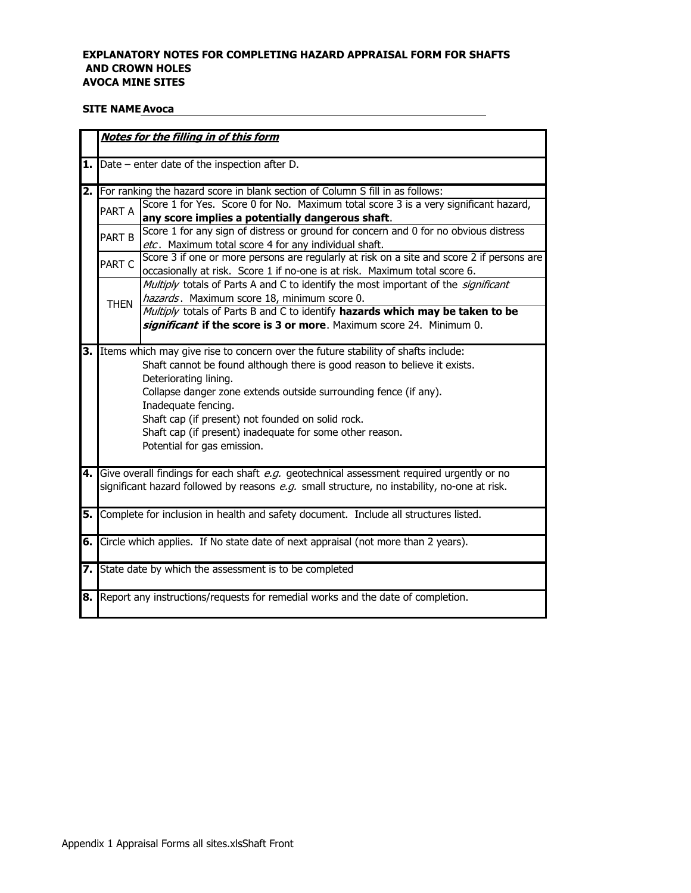#### EXPLANATORY NOTES FOR COMPLETING HAZARD APPRAISAL FORM FOR SHAFTS **AND CROWN HOLES AVOCA MINE SITES**

#### **SITE NAME Avoca**

|     |               | Notes for the filling in of this form                                                        |
|-----|---------------|----------------------------------------------------------------------------------------------|
| 1.1 |               | Date – enter date of the inspection after D.                                                 |
|     |               | <b>2.</b> For ranking the hazard score in blank section of Column S fill in as follows:      |
|     | PART A        | Score 1 for Yes. Score 0 for No. Maximum total score 3 is a very significant hazard,         |
|     |               | any score implies a potentially dangerous shaft.                                             |
|     | <b>PART B</b> | Score 1 for any sign of distress or ground for concern and 0 for no obvious distress         |
|     |               | etc. Maximum total score 4 for any individual shaft.                                         |
|     | PART C        | Score 3 if one or more persons are regularly at risk on a site and score 2 if persons are    |
|     |               | occasionally at risk. Score 1 if no-one is at risk. Maximum total score 6.                   |
|     |               | Multiply totals of Parts A and C to identify the most important of the <i>significant</i>    |
|     | <b>THEN</b>   | hazards. Maximum score 18, minimum score 0.                                                  |
|     |               | Multiply totals of Parts B and C to identify hazards which may be taken to be                |
|     |               | significant if the score is 3 or more. Maximum score 24. Minimum 0.                          |
| 3.  |               | Items which may give rise to concern over the future stability of shafts include:            |
|     |               | Shaft cannot be found although there is good reason to believe it exists.                    |
|     |               | Deteriorating lining.                                                                        |
|     |               | Collapse danger zone extends outside surrounding fence (if any).                             |
|     |               | Inadequate fencing.                                                                          |
|     |               | Shaft cap (if present) not founded on solid rock.                                            |
|     |               | Shaft cap (if present) inadequate for some other reason.                                     |
|     |               | Potential for gas emission.                                                                  |
|     |               |                                                                                              |
|     |               | 4. Give overall findings for each shaft e.g. geotechnical assessment required urgently or no |
|     |               | significant hazard followed by reasons e.g. small structure, no instability, no-one at risk. |
|     |               | 5. Complete for inclusion in health and safety document. Include all structures listed.      |
|     |               |                                                                                              |
|     |               | 6. Circle which applies. If No state date of next appraisal (not more than 2 years).         |
|     |               |                                                                                              |
|     |               | 7. State date by which the assessment is to be completed                                     |
| 8.  |               | Report any instructions/requests for remedial works and the date of completion.              |
|     |               |                                                                                              |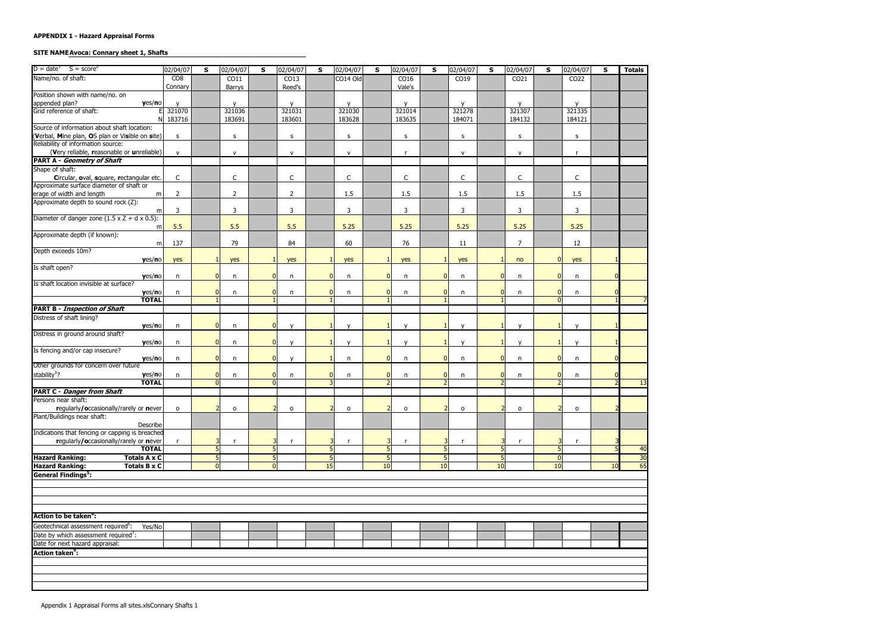#### SITE NAME Avoca: Connary sheet 1, Shafts

| $D = date^1$ $S = score^2$                                                     | 02/04/07       | S                                | 02/04/07               | S | 02/04/07               | S.             | 02/04/07               | S                                        | 02/04/07     | S                                | 02/04/07               | S                  | 02/04/07               | S              | 02/04/07         | S  | <b>Totals</b>   |
|--------------------------------------------------------------------------------|----------------|----------------------------------|------------------------|---|------------------------|----------------|------------------------|------------------------------------------|--------------|----------------------------------|------------------------|--------------------|------------------------|----------------|------------------|----|-----------------|
| Name/no. of shaft:                                                             | CO8            |                                  | $\overline{CO11}$      |   | CO13                   |                | CO14 Old               |                                          | CO16         |                                  | CO19                   |                    | CO <sub>21</sub>       |                | CO <sub>22</sub> |    |                 |
|                                                                                | Connary        |                                  | Barrys                 |   | Reed's                 |                |                        |                                          | Vale's       |                                  |                        |                    |                        |                |                  |    |                 |
| Position shown with name/no. on                                                |                |                                  |                        |   |                        |                |                        |                                          |              |                                  |                        |                    |                        |                |                  |    |                 |
| appended plan?<br>Grid reference of shaft:<br>yes/no                           | 321070         |                                  | $\mathsf{v}$<br>321036 |   | $\mathsf{v}$<br>321031 |                | $\mathsf{v}$<br>321030 |                                          | y<br>321014  |                                  | $\mathsf{v}$<br>321278 |                    | $\mathsf{v}$<br>321307 |                | y<br>321335      |    |                 |
|                                                                                | N 183716       |                                  | 183691                 |   | 183601                 |                | 183628                 |                                          | 183635       |                                  | 184071                 |                    | 184132                 |                | 184121           |    |                 |
| Source of information about shaft location:                                    |                |                                  |                        |   |                        |                |                        |                                          |              |                                  |                        |                    |                        |                |                  |    |                 |
| (Verbal, Mine plan, OS plan or Visible on site)                                | s.             |                                  | s                      |   | s                      |                | s                      |                                          | s            |                                  | S                      |                    | s                      |                | s                |    |                 |
| Reliability of information source:                                             |                |                                  |                        |   |                        |                |                        |                                          |              |                                  |                        |                    |                        |                |                  |    |                 |
| (Very reliable, reasonable or unreliable)<br><b>PART A - Geometry of Shaft</b> | $\mathsf{v}$   |                                  | ${\sf v}$              |   | ${\sf V}$              |                | ${\sf v}$              |                                          | r            |                                  | ${\sf V}$              |                    | $\mathsf{V}$           |                | $\mathsf{r}$     |    |                 |
| Shape of shaft:                                                                |                |                                  |                        |   |                        |                |                        |                                          |              |                                  |                        |                    |                        |                |                  |    |                 |
| Circular, oval, square, rectangular etc.                                       | $\mathsf C$    |                                  | $\mathsf C$            |   | $\mathsf C$            |                | $\mathsf C$            |                                          | $\mathsf C$  |                                  | $\mathsf C$            |                    | $\mathsf{C}$           |                | $\mathsf C$      |    |                 |
| Approximate surface diameter of shaft or                                       |                |                                  |                        |   |                        |                |                        |                                          |              |                                  |                        |                    |                        |                |                  |    |                 |
| erage of width and length<br>m                                                 | $\overline{2}$ |                                  | $\overline{2}$         |   | $\overline{2}$         |                | 1.5                    |                                          | 1.5          |                                  | 1.5                    |                    | 1.5                    |                | 1.5              |    |                 |
| Approximate depth to sound rock (Z):                                           |                |                                  |                        |   |                        |                |                        |                                          |              |                                  |                        |                    |                        |                |                  |    |                 |
| m                                                                              | 3              |                                  | 3                      |   | 3                      |                | 3                      |                                          | 3            |                                  | $\mathbf{3}$           |                    | 3                      |                | 3                |    |                 |
| Diameter of danger zone $(1.5 \times Z + d \times 0.5)$ :                      |                |                                  |                        |   |                        |                |                        |                                          |              |                                  |                        |                    |                        |                |                  |    |                 |
| m                                                                              | 5.5            |                                  | 5.5                    |   | 5.5                    |                | 5.25                   |                                          | 5.25         |                                  | 5.25                   |                    | 5.25                   |                | 5.25             |    |                 |
| Approximate depth (if known):                                                  |                |                                  |                        |   |                        |                |                        |                                          |              |                                  |                        |                    |                        |                |                  |    |                 |
| m                                                                              | 137            |                                  | 79                     |   | 84                     |                | 60                     |                                          | 76           |                                  | 11                     |                    | $\overline{7}$         |                | 12               |    |                 |
| Depth exceeds 10m?                                                             |                |                                  |                        |   |                        |                |                        |                                          |              |                                  |                        |                    |                        |                |                  |    |                 |
| yes/no                                                                         | yes            |                                  | yes                    |   | yes                    |                | yes                    |                                          | yes          |                                  | yes                    |                    | no                     |                | yes              |    |                 |
| Is shaft open?                                                                 | n              | <sup>0</sup>                     |                        |   |                        | $\overline{0}$ |                        | $\mathbf{0}$                             | n            | $\overline{0}$                   |                        |                    |                        |                | n                |    |                 |
| yes/no<br>Is shaft location invisible at surface?                              |                |                                  | n                      |   | n                      |                | n                      |                                          |              |                                  | n                      |                    | n                      |                |                  |    |                 |
| yes/no                                                                         | $\mathsf{n}$   | 0                                | n                      |   | n                      | $\overline{0}$ | n                      | $\mathbf{0}$                             | n            | $\overline{0}$                   | $\mathsf{n}$           |                    | n                      |                | n                |    |                 |
| <b>TOTAL</b>                                                                   |                |                                  |                        |   |                        |                |                        |                                          |              |                                  |                        |                    |                        |                |                  |    |                 |
| <b>PART B - Inspection of Shaft</b>                                            |                |                                  |                        |   |                        |                |                        |                                          |              |                                  |                        |                    |                        |                |                  |    |                 |
| Distress of shaft lining?                                                      |                |                                  |                        |   |                        |                |                        |                                          |              |                                  |                        |                    |                        |                |                  |    |                 |
| yes/no                                                                         | n              | $\overline{0}$                   | n                      |   | $\mathsf{v}$           |                | $\mathsf{v}$           |                                          | $\mathsf{v}$ |                                  | $\mathsf{v}$           |                    | $\mathsf{v}$           |                | $\mathsf{v}$     |    |                 |
| Distress in ground around shaft?                                               |                |                                  |                        |   |                        |                |                        |                                          |              |                                  |                        |                    |                        |                |                  |    |                 |
| yes/no                                                                         | n              | $\overline{0}$                   | n                      |   | $\mathbf{v}$           |                | $\mathbf{v}$           |                                          | $\mathbf{v}$ | -1                               |                        |                    | $\mathbf{v}$           |                | $\mathsf{v}$     |    |                 |
| Is fencing and/or cap insecure?                                                |                |                                  |                        |   |                        |                |                        |                                          |              |                                  |                        |                    |                        |                |                  |    |                 |
| yes/no<br>Other grounds for concern over future                                | n              | $\Omega$                         | $\mathsf{n}$           |   | $\mathsf{v}$           |                | n                      | $\Omega$                                 | n            | $\overline{0}$                   | n                      |                    | n                      |                | n                |    |                 |
| stability <sup>3</sup> ?                                                       |                |                                  |                        |   |                        |                |                        |                                          |              |                                  |                        |                    |                        |                |                  |    |                 |
| yes/no<br><b>TOTAL</b>                                                         | n              | $\overline{0}$<br>$\overline{0}$ | n                      |   | n                      | $\mathbf{0}$   | n                      | $\mathbf{0}$<br>$\overline{\phantom{0}}$ | n            | $\overline{0}$<br>$\overline{2}$ | n                      | 0<br>$\mathcal{P}$ | n                      |                | n                |    | $\overline{13}$ |
| <b>PART C - Danger from Shaft</b>                                              |                |                                  |                        |   |                        |                |                        |                                          |              |                                  |                        |                    |                        |                |                  |    |                 |
| Persons near shaft:                                                            |                |                                  |                        |   |                        |                |                        |                                          |              |                                  |                        |                    |                        |                |                  |    |                 |
| regularly/occasionally/rarely or never                                         | $\mathsf{o}$   | $\overline{\phantom{a}}$         | $\mathsf{o}\,$         |   | 0                      |                | $\mathsf{o}$           | 2                                        | $\mathsf{o}$ |                                  | $\mathsf{o}$           |                    | $\mathsf{o}$           |                | 0                |    |                 |
| Plant/Buildings near shaft:                                                    |                |                                  |                        |   |                        |                |                        |                                          |              |                                  |                        |                    |                        |                |                  |    |                 |
| Describe                                                                       |                |                                  |                        |   |                        |                |                        |                                          |              |                                  |                        |                    |                        |                |                  |    |                 |
| Indications that fencing or capping is breached                                |                |                                  |                        |   |                        |                |                        |                                          |              |                                  |                        |                    |                        |                |                  |    |                 |
| regularly/occasionally/rarely or never                                         |                | 3                                | $\mathsf{r}$           |   | r                      |                | - r                    |                                          | r            | 3                                | - r                    |                    | r                      |                | r,               |    |                 |
| <b>TOTAL</b>                                                                   |                | $\overline{5}$                   |                        |   |                        |                |                        | 5                                        |              | 5                                |                        | 5                  |                        |                |                  |    | 40              |
| <b>Hazard Ranking:</b><br><b>Totals A x C</b>                                  |                | 5                                |                        | 5 |                        | 5              |                        | 5                                        |              | 5                                |                        | 5 <sub>5</sub>     |                        | $\overline{0}$ |                  |    | 30              |
| <b>Hazard Ranking:</b><br><b>Totals B x C</b>                                  |                | $\overline{0}$                   |                        | n |                        | 15             |                        | 10                                       |              | 10                               |                        | 10                 |                        | 10             |                  | 10 | 65              |
| <b>General Findings<sup>5</sup></b> :                                          |                |                                  |                        |   |                        |                |                        |                                          |              |                                  |                        |                    |                        |                |                  |    |                 |
|                                                                                |                |                                  |                        |   |                        |                |                        |                                          |              |                                  |                        |                    |                        |                |                  |    |                 |
|                                                                                |                |                                  |                        |   |                        |                |                        |                                          |              |                                  |                        |                    |                        |                |                  |    |                 |
|                                                                                |                |                                  |                        |   |                        |                |                        |                                          |              |                                  |                        |                    |                        |                |                  |    |                 |
| Action to be taken <sup>o</sup> :                                              |                |                                  |                        |   |                        |                |                        |                                          |              |                                  |                        |                    |                        |                |                  |    |                 |
| Geotechnical assessment required <sup>6</sup> :<br>Yes/No                      |                |                                  |                        |   |                        |                |                        |                                          |              |                                  |                        |                    |                        |                |                  |    |                 |
| Date by which assessment required <sup>7</sup> :                               |                |                                  |                        |   |                        |                |                        |                                          |              |                                  |                        |                    |                        |                |                  |    |                 |
| Date for next hazard appraisal:                                                |                |                                  |                        |   |                        |                |                        |                                          |              |                                  |                        |                    |                        |                |                  |    |                 |
| <b>Action taken<sup>9</sup>:</b>                                               |                |                                  |                        |   |                        |                |                        |                                          |              |                                  |                        |                    |                        |                |                  |    |                 |
|                                                                                |                |                                  |                        |   |                        |                |                        |                                          |              |                                  |                        |                    |                        |                |                  |    |                 |
|                                                                                |                |                                  |                        |   |                        |                |                        |                                          |              |                                  |                        |                    |                        |                |                  |    |                 |
|                                                                                |                |                                  |                        |   |                        |                |                        |                                          |              |                                  |                        |                    |                        |                |                  |    |                 |
|                                                                                |                |                                  |                        |   |                        |                |                        |                                          |              |                                  |                        |                    |                        |                |                  |    |                 |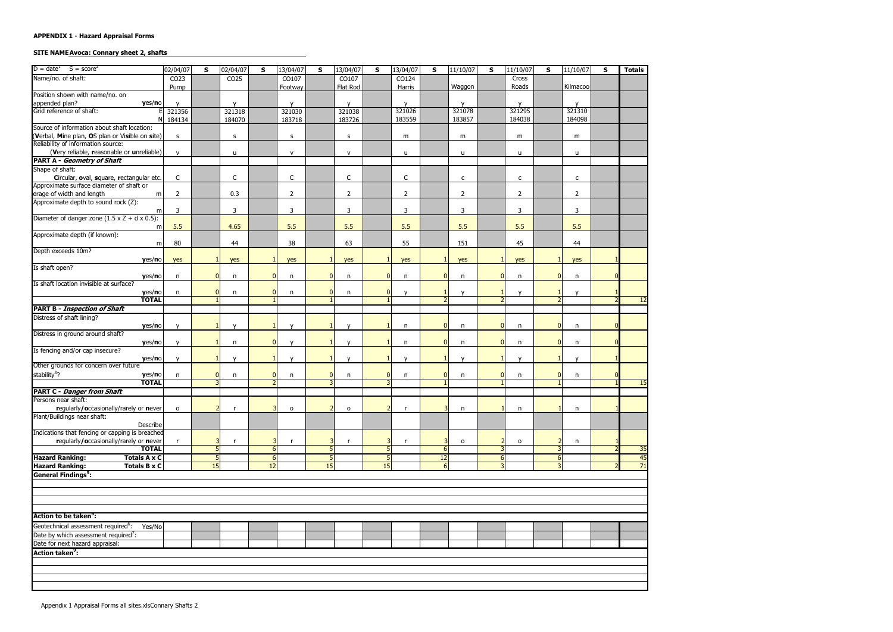#### SITE NAME Avoca: Connary sheet 2, shafts

| $D = date^1$ $S = score^2$                                                                | 02/04/07         | S                        | 02/04/07               | S                | 13/04/07         | S               | 13/04/07         | S              | 13/04/07       | S                        | 11/10/07               | S                | 11/10/07               | S | 11/10/07       | S | <b>Totals</b> |
|-------------------------------------------------------------------------------------------|------------------|--------------------------|------------------------|------------------|------------------|-----------------|------------------|----------------|----------------|--------------------------|------------------------|------------------|------------------------|---|----------------|---|---------------|
| Name/no. of shaft:                                                                        | CO <sub>23</sub> |                          | CO <sub>25</sub>       |                  | CO107            |                 | CO107            |                | CO124          |                          |                        |                  | Cross                  |   |                |   |               |
|                                                                                           | Pump             |                          |                        |                  | Footway          |                 | Flat Rod         |                | Harris         |                          | Waggon                 |                  | Roads                  |   | Kilmacoo       |   |               |
| Position shown with name/no. on                                                           |                  |                          |                        |                  |                  |                 |                  |                |                |                          |                        |                  |                        |   |                |   |               |
| appended plan?<br>Grid reference of shaft:<br>yes/no                                      |                  |                          | $\mathsf{v}$<br>321318 |                  | $\mathsf{v}$     |                 | y                |                | y<br>321026    |                          | $\mathsf{V}$<br>321078 |                  | $\mathsf{v}$<br>321295 |   | y<br>321310    |   |               |
| ΝI                                                                                        | 321356<br>184134 |                          | 184070                 |                  | 321030<br>183718 |                 | 321038<br>183726 |                | 183559         |                          | 183857                 |                  | 184038                 |   | 184098         |   |               |
| Source of information about shaft location:                                               |                  |                          |                        |                  |                  |                 |                  |                |                |                          |                        |                  |                        |   |                |   |               |
| (Verbal, Mine plan, OS plan or Visible on site)                                           | s                |                          | s                      |                  | s                |                 | $\mathsf S$      |                | m              |                          | m                      |                  | m                      |   | m              |   |               |
| Reliability of information source:<br>(Very reliable, reasonable or unreliable)           |                  |                          |                        |                  |                  |                 |                  |                |                |                          |                        |                  |                        |   |                |   |               |
| <b>PART A - Geometry of Shaft</b>                                                         | $\mathsf{v}$     |                          | u                      |                  | ${\sf V}$        |                 | ${\sf V}$        |                | u              |                          | u                      |                  | u                      |   | u              |   |               |
| Shape of shaft:                                                                           |                  |                          |                        |                  |                  |                 |                  |                |                |                          |                        |                  |                        |   |                |   |               |
| Circular, oval, square, rectangular etc.                                                  | $\mathsf C$      |                          | C                      |                  | $\mathsf C$      |                 | C                |                | $\mathsf{C}$   |                          | $\mathsf{C}$           |                  | $\mathsf{C}$           |   | $\mathsf{C}$   |   |               |
| Approximate surface diameter of shaft or                                                  |                  |                          |                        |                  |                  |                 |                  |                |                |                          |                        |                  |                        |   |                |   |               |
| erage of width and length<br>m                                                            | $\overline{2}$   |                          | 0.3                    |                  | $\overline{2}$   |                 | $\overline{2}$   |                | $\overline{2}$ |                          | $\overline{2}$         |                  | $\overline{2}$         |   | $\overline{2}$ |   |               |
| Approximate depth to sound rock (Z):                                                      |                  |                          |                        |                  |                  |                 |                  |                |                |                          |                        |                  |                        |   |                |   |               |
| m                                                                                         | 3                |                          | 3                      |                  | 3                |                 | 3                |                | 3              |                          | $\mathbf{3}$           |                  | 3                      |   | 3              |   |               |
| Diameter of danger zone $(1.5 \times Z + d \times 0.5)$ :                                 |                  |                          |                        |                  |                  |                 |                  |                |                |                          |                        |                  |                        |   |                |   |               |
| m                                                                                         | 5.5              |                          | 4.65                   |                  | 5.5              |                 | 5.5              |                | 5.5            |                          | 5.5                    |                  | 5.5                    |   | 5.5            |   |               |
| Approximate depth (if known):<br>m                                                        | 80               |                          | 44                     |                  | 38               |                 | 63               |                | 55             |                          | 151                    |                  | 45                     |   | 44             |   |               |
| Depth exceeds 10m?                                                                        |                  |                          |                        |                  |                  |                 |                  |                |                |                          |                        |                  |                        |   |                |   |               |
| yes/no                                                                                    | yes              |                          | yes                    |                  | yes              |                 | yes              |                | yes            |                          | yes                    |                  | yes                    |   | yes            |   |               |
| Is shaft open?                                                                            |                  |                          |                        |                  |                  |                 |                  |                |                |                          |                        |                  |                        |   |                |   |               |
| yes/no                                                                                    | n                | $\overline{0}$           | n                      | $\Omega$         | n                | $\overline{0}$  | n                | $\overline{0}$ | n              | $\overline{0}$           | n                      |                  | n                      |   | n              |   |               |
| Is shaft location invisible at surface?                                                   |                  |                          |                        |                  |                  |                 |                  |                |                |                          |                        |                  |                        |   |                |   |               |
| yes/no                                                                                    | $\mathsf{n}$     | $\overline{0}$           | n                      | $\Omega$         | n                | $\overline{0}$  | n                | $\overline{0}$ | $\mathsf{v}$   |                          | $\mathsf{v}$           |                  | $\mathsf{v}$           |   | y              |   |               |
| <b>TOTAL</b>                                                                              |                  |                          |                        |                  |                  |                 |                  |                |                | $\overline{\phantom{0}}$ |                        |                  |                        |   |                |   | 12            |
| <b>PART B - Inspection of Shaft</b>                                                       |                  |                          |                        |                  |                  |                 |                  |                |                |                          |                        |                  |                        |   |                |   |               |
| Distress of shaft lining?                                                                 |                  |                          |                        |                  |                  |                 |                  |                |                |                          |                        |                  |                        |   |                |   |               |
| yes/no<br>Distress in ground around shaft?                                                | $\mathbf v$      |                          | $\mathsf{v}$           |                  | $\mathsf{v}$     |                 | $\mathsf{v}$     |                | n              | 0                        | n                      |                  | n                      |   | n              |   |               |
| yes/no                                                                                    |                  |                          | n                      | $\Omega$         | $\mathbf{v}$     |                 | $\mathbf v$      |                | n              | 0                        | $\mathsf{n}$           |                  | n                      |   | n              |   |               |
| Is fencing and/or cap insecure?                                                           |                  |                          |                        |                  |                  |                 |                  |                |                |                          |                        |                  |                        |   |                |   |               |
| yes/no                                                                                    |                  |                          | $\mathbf v$            |                  | $\mathbf{v}$     |                 | $\mathsf{v}$     |                | $\mathsf{v}$   |                          | $\mathbf v$            |                  | $\mathbf{v}$           |   | $\mathsf{v}$   |   |               |
| Other grounds for concern over future                                                     |                  |                          |                        |                  |                  |                 |                  |                |                |                          |                        |                  |                        |   |                |   |               |
| stability <sup>3</sup> ?<br>yes/no                                                        | n                | $\overline{0}$           | n                      | $\overline{0}$   | n                | $\Omega$        | n                | $\mathbf 0$    | n              | $\overline{0}$           | n                      | 0                | n                      |   | n              |   |               |
| <b>TOTAL</b>                                                                              |                  | 3                        |                        |                  |                  |                 |                  | 3              |                |                          |                        |                  |                        |   |                |   | 15            |
| <b>PART C - Danger from Shaft</b>                                                         |                  |                          |                        |                  |                  |                 |                  |                |                |                          |                        |                  |                        |   |                |   |               |
| Persons near shaft:<br>regularly/occasionally/rarely or never                             | $\circ$          | $\overline{\mathcal{L}}$ | $\mathsf{r}$           |                  | $\mathsf{o}$     |                 | 0                | $\overline{2}$ |                | ٦                        | n                      |                  | n                      |   | n              |   |               |
| Plant/Buildings near shaft:                                                               |                  |                          |                        |                  |                  |                 |                  |                |                |                          |                        |                  |                        |   |                |   |               |
| Describe                                                                                  |                  |                          |                        |                  |                  |                 |                  |                |                |                          |                        |                  |                        |   |                |   |               |
| Indications that fencing or capping is breached<br>regularly/occasionally/rarely or never |                  | 3                        |                        |                  |                  | 3               |                  | B              |                | 3                        |                        |                  |                        |   |                |   |               |
| <b>TOTAL</b>                                                                              |                  | 5                        | $\mathsf{r}$           | $6 \overline{6}$ |                  | 5               | $\mathsf{r}$     | 5              | -r             | $6 \overline{6}$         | $\mathsf{o}$           |                  | $\mathsf{o}$           |   | n              |   | 35            |
| <b>Hazard Ranking:</b><br><b>Totals A x C</b>                                             |                  | 5                        |                        | $6 \mid$         |                  | $5\phantom{.0}$ |                  | 5              |                | 12                       |                        | $6 \overline{6}$ |                        | 6 |                |   | 45            |
| <b>Hazard Ranking:</b><br><b>Totals B x C</b>                                             |                  | 15                       |                        | 12               |                  | 15              |                  | 15             |                | $6 \overline{6}$         |                        | $\overline{3}$   |                        |   |                |   | 71            |
| <b>General Findings<sup>5</sup></b> :                                                     |                  |                          |                        |                  |                  |                 |                  |                |                |                          |                        |                  |                        |   |                |   |               |
|                                                                                           |                  |                          |                        |                  |                  |                 |                  |                |                |                          |                        |                  |                        |   |                |   |               |
|                                                                                           |                  |                          |                        |                  |                  |                 |                  |                |                |                          |                        |                  |                        |   |                |   |               |
|                                                                                           |                  |                          |                        |                  |                  |                 |                  |                |                |                          |                        |                  |                        |   |                |   |               |
|                                                                                           |                  |                          |                        |                  |                  |                 |                  |                |                |                          |                        |                  |                        |   |                |   |               |
| Action to be taken <sup>o</sup> :                                                         |                  |                          |                        |                  |                  |                 |                  |                |                |                          |                        |                  |                        |   |                |   |               |
| Geotechnical assessment required <sup>6</sup> :<br>Yes/No                                 |                  |                          |                        |                  |                  |                 |                  |                |                |                          |                        |                  |                        |   |                |   |               |
| Date by which assessment required <sup>7</sup> :<br>Date for next hazard appraisal:       |                  |                          |                        |                  |                  |                 |                  |                |                |                          |                        |                  |                        |   |                |   |               |
|                                                                                           |                  |                          |                        |                  |                  |                 |                  |                |                |                          |                        |                  |                        |   |                |   |               |
| Action taken <sup>9</sup> :                                                               |                  |                          |                        |                  |                  |                 |                  |                |                |                          |                        |                  |                        |   |                |   |               |
|                                                                                           |                  |                          |                        |                  |                  |                 |                  |                |                |                          |                        |                  |                        |   |                |   |               |
|                                                                                           |                  |                          |                        |                  |                  |                 |                  |                |                |                          |                        |                  |                        |   |                |   |               |
|                                                                                           |                  |                          |                        |                  |                  |                 |                  |                |                |                          |                        |                  |                        |   |                |   |               |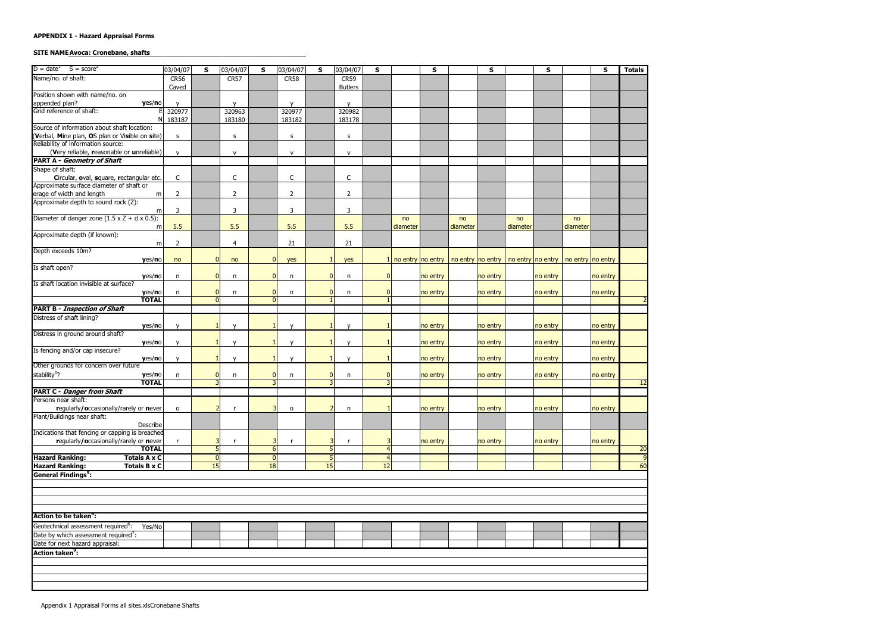# **SITE NAME Avoca: Cronebane, shafts**

| $D = date^1$ S = score <sup>2</sup>                                                 | 03/04/07       | S                          | 03/04/07       | S                   | 03/04/07       | S              | 03/04/07       | S              |          | S        |          | $\sf s$                                                                               |          | S        |          | S        | <b>Totals</b>   |
|-------------------------------------------------------------------------------------|----------------|----------------------------|----------------|---------------------|----------------|----------------|----------------|----------------|----------|----------|----------|---------------------------------------------------------------------------------------|----------|----------|----------|----------|-----------------|
|                                                                                     |                |                            |                |                     |                |                |                |                |          |          |          |                                                                                       |          |          |          |          |                 |
| Name/no. of shaft:                                                                  | <b>CR56</b>    |                            | CR57           |                     | CR58           |                | CR59           |                |          |          |          |                                                                                       |          |          |          |          |                 |
|                                                                                     | Caved          |                            |                |                     |                |                | <b>Butlers</b> |                |          |          |          |                                                                                       |          |          |          |          |                 |
| Position shown with name/no. on                                                     |                |                            |                |                     |                |                |                |                |          |          |          |                                                                                       |          |          |          |          |                 |
| appended plan?<br>Grid reference of shaft:<br>yes/no                                |                |                            | $\mathsf{v}$   |                     | $\mathsf{v}$   |                | $\mathsf{v}$   |                |          |          |          |                                                                                       |          |          |          |          |                 |
|                                                                                     | 320977         |                            | 320963         |                     | 320977         |                | 320982         |                |          |          |          |                                                                                       |          |          |          |          |                 |
|                                                                                     | 183187         |                            | 183180         |                     | 183182         |                | 183178         |                |          |          |          |                                                                                       |          |          |          |          |                 |
| Source of information about shaft location:                                         |                |                            |                |                     |                |                |                |                |          |          |          |                                                                                       |          |          |          |          |                 |
| (Verbal, Mine plan, OS plan or Visible on site)                                     | s              |                            | s              |                     | s              |                | $\sf S$        |                |          |          |          |                                                                                       |          |          |          |          |                 |
| Reliability of information source:                                                  |                |                            |                |                     |                |                |                |                |          |          |          |                                                                                       |          |          |          |          |                 |
| (Very reliable, reasonable or unreliable)                                           | $\mathsf{v}$   |                            | $\mathsf{V}$   |                     | $\mathsf{v}$   |                | $\mathsf{v}$   |                |          |          |          |                                                                                       |          |          |          |          |                 |
| <b>PART A - Geometry of Shaft</b>                                                   |                |                            |                |                     |                |                |                |                |          |          |          |                                                                                       |          |          |          |          |                 |
| Shape of shaft:                                                                     |                |                            |                |                     |                |                |                |                |          |          |          |                                                                                       |          |          |          |          |                 |
| Circular, oval, square, rectangular etc.                                            | $\mathsf C$    |                            | $\mathsf C$    |                     | $\mathsf{C}$   |                | $\mathsf C$    |                |          |          |          |                                                                                       |          |          |          |          |                 |
| Approximate surface diameter of shaft or                                            |                |                            |                |                     |                |                |                |                |          |          |          |                                                                                       |          |          |          |          |                 |
| erage of width and length<br>m                                                      | $\overline{2}$ |                            | $\overline{2}$ |                     | $\overline{2}$ |                | $\overline{2}$ |                |          |          |          |                                                                                       |          |          |          |          |                 |
| Approximate depth to sound rock (Z):                                                |                |                            |                |                     |                |                |                |                |          |          |          |                                                                                       |          |          |          |          |                 |
| m                                                                                   | 3              |                            | 3              |                     | 3              |                | 3              |                |          |          |          |                                                                                       |          |          |          |          |                 |
| Diameter of danger zone $(1.5 \times Z + d \times 0.5)$ :                           |                |                            |                |                     |                |                |                |                | no       |          | no       |                                                                                       | no       |          | no       |          |                 |
| m                                                                                   | 5.5            |                            | 5.5            |                     | 5.5            |                | 5.5            |                | diameter |          | diameter |                                                                                       | diameter |          | diameter |          |                 |
| Approximate depth (if known):                                                       |                |                            |                |                     |                |                |                |                |          |          |          |                                                                                       |          |          |          |          |                 |
| m                                                                                   | 2              |                            | $\overline{4}$ |                     | 21             |                | 21             |                |          |          |          |                                                                                       |          |          |          |          |                 |
| Depth exceeds 10m?                                                                  |                |                            |                |                     |                |                |                |                |          |          |          |                                                                                       |          |          |          |          |                 |
|                                                                                     | no             | $\overline{0}$             | no             | $\Omega$            |                |                |                | $\mathbf{1}$   |          |          |          | no entry   no entry   no entry   no entry   no entry   no entry   no entry   no entry |          |          |          |          |                 |
| yes/no<br>Is shaft open?                                                            |                |                            |                |                     | yes            |                | yes            |                |          |          |          |                                                                                       |          |          |          |          |                 |
|                                                                                     |                | $\overline{0}$             |                | n                   |                | $\overline{0}$ |                | $\overline{0}$ |          |          |          |                                                                                       |          |          |          |          |                 |
| yes/no                                                                              | $\mathsf{n}$   |                            | n              |                     | n              |                | n              |                |          | no entry |          | no entry                                                                              |          | no entry |          | no entry |                 |
| Is shaft location invisible at surface?                                             |                |                            |                |                     |                |                |                |                |          |          |          |                                                                                       |          |          |          |          |                 |
| yes/no<br><b>TOTAL</b>                                                              | n              | $\overline{0}$<br>$\Omega$ | n              | $\overline{0}$<br>n | n              | $\overline{0}$ | n              | $\mathbf 0$    |          | no entry |          | no entry                                                                              |          | no entry |          | no entry |                 |
|                                                                                     |                |                            |                |                     |                |                |                |                |          |          |          |                                                                                       |          |          |          |          |                 |
| <b>PART B - Inspection of Shaft</b>                                                 |                |                            |                |                     |                |                |                |                |          |          |          |                                                                                       |          |          |          |          |                 |
| Distress of shaft lining?                                                           |                |                            |                |                     |                |                |                |                |          |          |          |                                                                                       |          |          |          |          |                 |
| yes/no                                                                              | v              |                            | $\mathsf{V}$   |                     | $\mathsf{v}$   |                | $\mathsf{v}$   |                |          | no entry |          | no entry                                                                              |          | no entry |          | no entry |                 |
| Distress in ground around shaft?                                                    |                |                            |                |                     |                |                |                |                |          |          |          |                                                                                       |          |          |          |          |                 |
| yes/no                                                                              |                |                            | $\mathsf{v}$   |                     | $\mathbf v$    |                | $\mathsf{v}$   |                |          | no entry |          | no entry                                                                              |          | no entry |          | no entry |                 |
| Is fencing and/or cap insecure?                                                     |                |                            |                |                     |                |                |                |                |          |          |          |                                                                                       |          |          |          |          |                 |
| yes/no                                                                              |                |                            | $\mathbf v$    |                     | $\mathbf{v}$   |                | $\mathbf{v}$   |                |          | no entry |          | no entry                                                                              |          | no entry |          | no entry |                 |
| Other grounds for concern over future                                               |                |                            |                |                     |                |                |                |                |          |          |          |                                                                                       |          |          |          |          |                 |
| stability <sup>3</sup> ?<br>yes/no                                                  | n              | $\overline{0}$             | n              | $\Omega$            | n              | $\mathbf{0}$   | n              | $\mathbf 0$    |          | no entry |          | no entry                                                                              |          | no entry |          | no entry |                 |
| <b>TOTAL</b>                                                                        |                | $\overline{3}$             |                |                     |                |                |                | 3              |          |          |          |                                                                                       |          |          |          |          | $\overline{12}$ |
| <b>PART C - Danger from Shaft</b><br>Persons near shaft:                            |                |                            |                |                     |                |                |                |                |          |          |          |                                                                                       |          |          |          |          |                 |
|                                                                                     |                |                            |                |                     |                |                |                |                |          |          |          |                                                                                       |          |          |          |          |                 |
| regularly/occasionally/rarely or never                                              | $\circ$        | $\mathcal{P}$              |                |                     | $\mathsf{o}$   |                | n              |                |          | no entry |          | no entry                                                                              |          | no entry |          | no entry |                 |
| Plant/Buildings near shaft:                                                         |                |                            |                |                     |                |                |                |                |          |          |          |                                                                                       |          |          |          |          |                 |
| Describe                                                                            |                |                            |                |                     |                |                |                |                |          |          |          |                                                                                       |          |          |          |          |                 |
| Indications that fencing or capping is breached                                     |                |                            |                |                     |                |                |                |                |          |          |          |                                                                                       |          |          |          |          |                 |
| regularly/occasionally/rarely or never                                              |                | 3                          | $\mathsf{r}$   |                     |                |                | $\mathsf{r}$   |                |          | no entry |          | no entry                                                                              |          | no entry |          | no entry |                 |
| <b>TOTAL</b>                                                                        |                | $5\overline{)}$            |                | 6 <sup>1</sup>      |                | 5              |                |                |          |          |          |                                                                                       |          |          |          |          | 20              |
| <b>Hazard Ranking:</b><br><b>Totals A x C</b>                                       |                | $\overline{0}$             |                | $\overline{0}$      |                | 5 <sub>l</sub> |                | $\overline{4}$ |          |          |          |                                                                                       |          |          |          |          | q               |
| <b>Hazard Ranking:</b><br><b>Totals B x C</b>                                       |                | 15                         |                | 18                  |                | 15             |                | 12             |          |          |          |                                                                                       |          |          |          |          | 60              |
| <b>General Findings<sup>5</sup></b> :                                               |                |                            |                |                     |                |                |                |                |          |          |          |                                                                                       |          |          |          |          |                 |
|                                                                                     |                |                            |                |                     |                |                |                |                |          |          |          |                                                                                       |          |          |          |          |                 |
|                                                                                     |                |                            |                |                     |                |                |                |                |          |          |          |                                                                                       |          |          |          |          |                 |
|                                                                                     |                |                            |                |                     |                |                |                |                |          |          |          |                                                                                       |          |          |          |          |                 |
|                                                                                     |                |                            |                |                     |                |                |                |                |          |          |          |                                                                                       |          |          |          |          |                 |
| Action to be taken <sup>o</sup> :                                                   |                |                            |                |                     |                |                |                |                |          |          |          |                                                                                       |          |          |          |          |                 |
|                                                                                     |                |                            |                |                     |                |                |                |                |          |          |          |                                                                                       |          |          |          |          |                 |
| Geotechnical assessment required <sup>6</sup> :<br>Yes/No                           |                |                            |                |                     |                |                |                |                |          |          |          |                                                                                       |          |          |          |          |                 |
|                                                                                     |                |                            |                |                     |                |                |                |                |          |          |          |                                                                                       |          |          |          |          |                 |
| Date by which assessment required <sup>7</sup> :<br>Date for next hazard appraisal: |                |                            |                |                     |                |                |                |                |          |          |          |                                                                                       |          |          |          |          |                 |
| Action taken <sup>9</sup> :                                                         |                |                            |                |                     |                |                |                |                |          |          |          |                                                                                       |          |          |          |          |                 |
|                                                                                     |                |                            |                |                     |                |                |                |                |          |          |          |                                                                                       |          |          |          |          |                 |
|                                                                                     |                |                            |                |                     |                |                |                |                |          |          |          |                                                                                       |          |          |          |          |                 |
|                                                                                     |                |                            |                |                     |                |                |                |                |          |          |          |                                                                                       |          |          |          |          |                 |
|                                                                                     |                |                            |                |                     |                |                |                |                |          |          |          |                                                                                       |          |          |          |          |                 |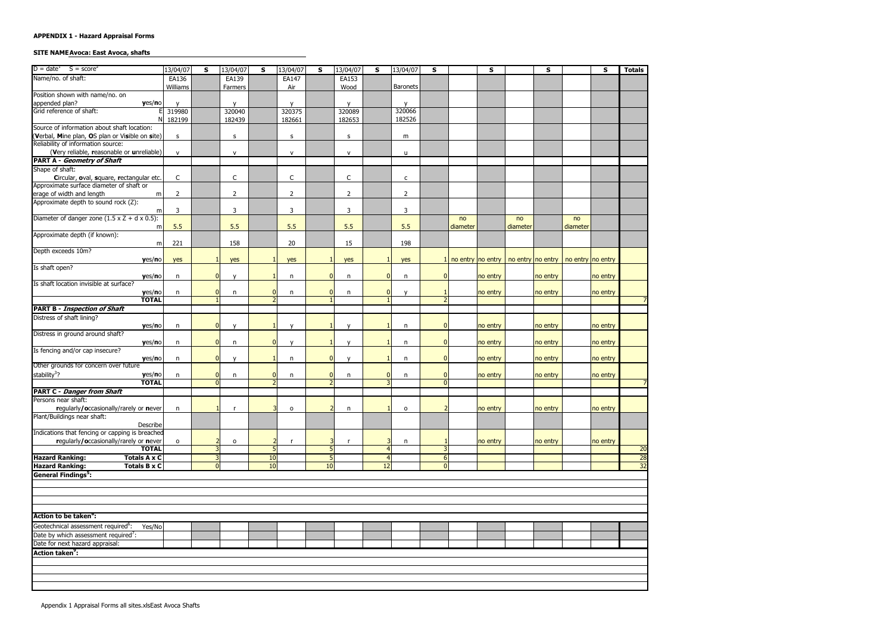#### **SITE NAME Avoca: East Avoca, shafts**

| $D = date^1$ $S = score^2$                                                                     | 13/04/07       | S                                | 13/04/07               | S.       | 13/04/07               | S              | 13/04/07               | S.                   | 13/04/07               | s                                |                                                               | S        |          | S        |          | <b>S</b> | <b>Totals</b>   |
|------------------------------------------------------------------------------------------------|----------------|----------------------------------|------------------------|----------|------------------------|----------------|------------------------|----------------------|------------------------|----------------------------------|---------------------------------------------------------------|----------|----------|----------|----------|----------|-----------------|
| Name/no. of shaft:                                                                             | EA136          |                                  | EA139                  |          | EA147                  |                | EA153                  |                      |                        |                                  |                                                               |          |          |          |          |          |                 |
|                                                                                                | Williams       |                                  | Farmers                |          | Air                    |                | Wood                   |                      | <b>Baronets</b>        |                                  |                                                               |          |          |          |          |          |                 |
| Position shown with name/no. on                                                                |                |                                  |                        |          |                        |                |                        |                      |                        |                                  |                                                               |          |          |          |          |          |                 |
| appended plan?<br>yes/no<br>Grid reference of shaft:                                           | 319980         |                                  | $\mathsf{v}$<br>320040 |          | $\mathsf{v}$<br>320375 |                | $\mathsf{v}$<br>320089 |                      | $\mathsf{v}$<br>320066 |                                  |                                                               |          |          |          |          |          |                 |
| NI                                                                                             | 182199         |                                  | 182439                 |          | 182661                 |                | 182653                 |                      | 182526                 |                                  |                                                               |          |          |          |          |          |                 |
| Source of information about shaft location:                                                    |                |                                  |                        |          |                        |                |                        |                      |                        |                                  |                                                               |          |          |          |          |          |                 |
| (Verbal, Mine plan, OS plan or Visible on site)                                                | S              |                                  | $\sf S$                |          | s                      |                | $\sf S$                |                      | m                      |                                  |                                                               |          |          |          |          |          |                 |
| Reliability of information source:                                                             |                |                                  |                        |          |                        |                |                        |                      |                        |                                  |                                                               |          |          |          |          |          |                 |
| (Very reliable, reasonable or unreliable)                                                      | $\mathsf{v}$   |                                  | $\mathsf{V}$           |          | $\mathsf{v}$           |                | ${\sf V}$              |                      | u                      |                                  |                                                               |          |          |          |          |          |                 |
| <b>PART A - Geometry of Shaft</b>                                                              |                |                                  |                        |          |                        |                |                        |                      |                        |                                  |                                                               |          |          |          |          |          |                 |
| Shape of shaft:                                                                                |                |                                  |                        |          |                        |                |                        |                      |                        |                                  |                                                               |          |          |          |          |          |                 |
| Circular, oval, square, rectangular etc.                                                       | $\mathsf C$    |                                  | $\mathsf C$            |          | C                      |                | $\mathsf{C}$           |                      | c                      |                                  |                                                               |          |          |          |          |          |                 |
| Approximate surface diameter of shaft or<br>erage of width and length<br>m                     | $\overline{2}$ |                                  | $\overline{2}$         |          | $\overline{2}$         |                | $\overline{2}$         |                      | $\overline{2}$         |                                  |                                                               |          |          |          |          |          |                 |
| Approximate depth to sound rock (Z):                                                           |                |                                  |                        |          |                        |                |                        |                      |                        |                                  |                                                               |          |          |          |          |          |                 |
| m                                                                                              | 3              |                                  | 3                      |          | 3                      |                | 3                      |                      | 3                      |                                  |                                                               |          |          |          |          |          |                 |
| Diameter of danger zone $(1.5 \times Z + d \times 0.5)$ :                                      |                |                                  |                        |          |                        |                |                        |                      |                        |                                  | no                                                            |          | no       |          | no       |          |                 |
| m                                                                                              | 5.5            |                                  | 5.5                    |          | 5.5                    |                | 5.5                    |                      | 5.5                    |                                  | diameter                                                      |          | diameter |          | diameter |          |                 |
| Approximate depth (if known):                                                                  |                |                                  |                        |          |                        |                |                        |                      |                        |                                  |                                                               |          |          |          |          |          |                 |
| m                                                                                              | 221            |                                  | 158                    |          | 20                     |                | 15                     |                      | 198                    |                                  |                                                               |          |          |          |          |          |                 |
| Depth exceeds 10m?                                                                             |                |                                  |                        |          |                        |                |                        |                      |                        |                                  |                                                               |          |          |          |          |          |                 |
| yes/no                                                                                         | yes            |                                  | yes                    |          | yes                    |                | yes                    |                      | yes                    |                                  | $1$ no entry no entry   no entry no entry   no entry no entry |          |          |          |          |          |                 |
| Is shaft open?                                                                                 |                |                                  |                        |          |                        |                |                        |                      |                        |                                  |                                                               |          |          |          |          |          |                 |
| yes/no<br>Is shaft location invisible at surface?                                              | n              | $\overline{0}$                   | $\mathsf{v}$           |          | n                      | $\Omega$       | n                      | $\Omega$             | n                      | $\Omega$                         |                                                               | no entry |          | no entry |          | no entry |                 |
| yes/no                                                                                         | $\mathsf{n}$   | $\overline{0}$                   | n                      |          | n                      | $\overline{0}$ | n                      | $\overline{0}$       | $\mathsf{V}$           |                                  |                                                               | no entry |          | no entry |          | no entry |                 |
| <b>TOTAL</b>                                                                                   |                |                                  |                        |          |                        |                |                        |                      |                        |                                  |                                                               |          |          |          |          |          |                 |
| <b>PART B - Inspection of Shaft</b>                                                            |                |                                  |                        |          |                        |                |                        |                      |                        |                                  |                                                               |          |          |          |          |          |                 |
| Distress of shaft lining?                                                                      |                |                                  |                        |          |                        |                |                        |                      |                        |                                  |                                                               |          |          |          |          |          |                 |
| yes/no                                                                                         | n              | $\overline{0}$                   | $\mathsf{V}$           |          | $\mathsf{v}$           |                | $\mathsf{v}$           |                      | n                      | $\overline{0}$                   |                                                               | no entry |          | no entry |          | no entry |                 |
| Distress in ground around shaft?                                                               |                |                                  |                        |          |                        |                |                        |                      |                        |                                  |                                                               |          |          |          |          |          |                 |
| yes/no                                                                                         | n              | $\overline{0}$                   | n                      |          | $\mathsf{v}$           |                | $\mathbf{v}$           |                      | n                      | $\overline{0}$                   |                                                               | no entry |          | no entry |          | no entry |                 |
| Is fencing and/or cap insecure?                                                                |                |                                  |                        |          |                        |                |                        |                      |                        |                                  |                                                               |          |          |          |          |          |                 |
| yes/no<br>Other grounds for concern over future                                                | n              | $\Omega$                         | $\mathsf{v}$           |          | n                      | $\Omega$       | $\mathbf{v}$           |                      | n                      | $\Omega$                         |                                                               | no entry |          | no entry |          | no entry |                 |
| stability <sup>3</sup> ?                                                                       |                |                                  |                        |          |                        |                |                        | $\mathbf{0}$         |                        |                                  |                                                               |          |          |          |          |          |                 |
| yes/no<br><b>TOTAL</b>                                                                         | n              | $\overline{0}$<br>$\overline{0}$ | n                      |          | n                      | $\overline{0}$ | n                      | 3                    | n                      | 0<br>$\overline{0}$              |                                                               | no entry |          | no entry |          | no entry |                 |
| <b>PART C - Danger from Shaft</b>                                                              |                |                                  |                        |          |                        |                |                        |                      |                        |                                  |                                                               |          |          |          |          |          |                 |
| Persons near shaft:                                                                            |                |                                  |                        |          |                        |                |                        |                      |                        |                                  |                                                               |          |          |          |          |          |                 |
| regularly/occasionally/rarely or never                                                         | n              |                                  | <b>r</b>               |          | o                      |                | n                      |                      | 0                      |                                  |                                                               | no entry |          | no entry |          | no entry |                 |
| Plant/Buildings near shaft:                                                                    |                |                                  |                        |          |                        |                |                        |                      |                        |                                  |                                                               |          |          |          |          |          |                 |
| Describe                                                                                       |                |                                  |                        |          |                        |                |                        |                      |                        |                                  |                                                               |          |          |          |          |          |                 |
| Indications that fencing or capping is breached                                                |                |                                  |                        |          |                        |                |                        |                      |                        |                                  |                                                               |          |          |          |          |          |                 |
| regularly/occasionally/rarely or never                                                         | $\circ$        | 2                                | $\mathsf{o}$           |          | r,                     |                | <b>r</b>               |                      | n                      |                                  |                                                               | no entry |          | no entry |          | no entry |                 |
| <b>TOTAL</b>                                                                                   |                | 3                                |                        |          |                        |                |                        | $\overline{4}$       |                        | 3                                |                                                               |          |          |          |          |          | <b>20</b>       |
| <b>Hazard Ranking:</b><br><b>Totals A x C</b><br><b>Hazard Ranking:</b><br><b>Totals B x C</b> |                | $\overline{3}$<br>$\overline{0}$ |                        | 10<br>10 |                        | 5<br>10        |                        | $\overline{4}$<br>12 |                        | $\overline{6}$<br>$\overline{0}$ |                                                               |          |          |          |          |          | $\frac{28}{32}$ |
| <b>General Findings<sup>5</sup></b> :                                                          |                |                                  |                        |          |                        |                |                        |                      |                        |                                  |                                                               |          |          |          |          |          |                 |
|                                                                                                |                |                                  |                        |          |                        |                |                        |                      |                        |                                  |                                                               |          |          |          |          |          |                 |
|                                                                                                |                |                                  |                        |          |                        |                |                        |                      |                        |                                  |                                                               |          |          |          |          |          |                 |
|                                                                                                |                |                                  |                        |          |                        |                |                        |                      |                        |                                  |                                                               |          |          |          |          |          |                 |
|                                                                                                |                |                                  |                        |          |                        |                |                        |                      |                        |                                  |                                                               |          |          |          |          |          |                 |
| Action to be taken <sup>o</sup> :                                                              |                |                                  |                        |          |                        |                |                        |                      |                        |                                  |                                                               |          |          |          |          |          |                 |
| Geotechnical assessment required <sup>6</sup> :<br>Yes/No                                      |                |                                  |                        |          |                        |                |                        |                      |                        |                                  |                                                               |          |          |          |          |          |                 |
| Date by which assessment required <sup>7</sup> :                                               |                |                                  |                        |          |                        |                |                        |                      |                        |                                  |                                                               |          |          |          |          |          |                 |
| Date for next hazard appraisal:                                                                |                |                                  |                        |          |                        |                |                        |                      |                        |                                  |                                                               |          |          |          |          |          |                 |
| Action taken <sup>9</sup> :                                                                    |                |                                  |                        |          |                        |                |                        |                      |                        |                                  |                                                               |          |          |          |          |          |                 |
|                                                                                                |                |                                  |                        |          |                        |                |                        |                      |                        |                                  |                                                               |          |          |          |          |          |                 |
|                                                                                                |                |                                  |                        |          |                        |                |                        |                      |                        |                                  |                                                               |          |          |          |          |          |                 |
|                                                                                                |                |                                  |                        |          |                        |                |                        |                      |                        |                                  |                                                               |          |          |          |          |          |                 |
|                                                                                                |                |                                  |                        |          |                        |                |                        |                      |                        |                                  |                                                               |          |          |          |          |          |                 |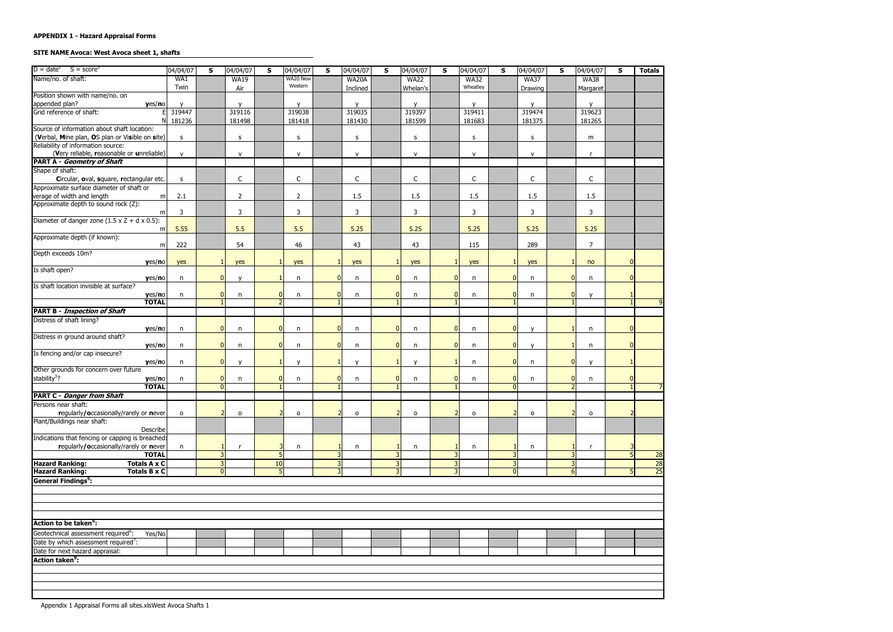#### SITE NAME Avoca: West Avoca sheet 1, shafts

| $D = date^1$ S = score <sup>2</sup>                                             | 04/04/07     | S              | 04/04/07            | S              | 04/04/07       | S.             | 04/04/07       | S              | 04/04/07     | <b>S</b>       | 04/04/07     | S              | 04/04/07     | S            | 04/04/07       | S | <b>Totals</b>   |
|---------------------------------------------------------------------------------|--------------|----------------|---------------------|----------------|----------------|----------------|----------------|----------------|--------------|----------------|--------------|----------------|--------------|--------------|----------------|---|-----------------|
| Name/no. of shaft:                                                              | WA1          |                | <b>WA19</b>         |                | WA20 New       |                | WA20A          |                | <b>WA22</b>  |                | <b>WA32</b>  |                | <b>WA37</b>  |              | <b>WA38</b>    |   |                 |
|                                                                                 | Twin         |                | Air                 |                | Western        |                | Inclined       |                | Whelan's     |                | Wheatley     |                | Drawing      |              | Margaret       |   |                 |
| Position shown with name/no. on                                                 |              |                |                     |                |                |                |                |                |              |                |              |                |              |              |                |   |                 |
| yes/no<br>appended plan?<br>Grid reference of shaft:                            |              |                | $\mathsf{v}$        |                | $\mathbf{v}$   |                | $\mathbf v$    |                | $\mathsf{v}$ |                | $\mathsf{v}$ |                | $\mathsf{v}$ |              | $\mathsf{v}$   |   |                 |
|                                                                                 | 319447       |                | 319116              |                | 319038         |                | 319035         |                | 319397       |                | 319411       |                | 319474       |              | 319623         |   |                 |
| ΝI                                                                              | 181236       |                | 181498              |                | 181418         |                | 181430         |                | 181599       |                | 181683       |                | 181375       |              | 181265         |   |                 |
| Source of information about shaft location:                                     |              |                |                     |                |                |                |                |                |              |                |              |                |              |              |                |   |                 |
| (Verbal, Mine plan, OS plan or Visible on site)                                 | S            |                | S                   |                | s              |                | $\sf S$        |                | s            |                | $\sf S$      |                | S            |              | m              |   |                 |
| Reliability of information source:<br>(Very reliable, reasonable or unreliable) |              |                |                     |                |                |                |                |                |              |                |              |                |              |              |                |   |                 |
| PART A - Geometry of Shaft                                                      | $\mathsf{v}$ |                | $\mathsf{V}$        |                | $\mathsf{v}$   |                | $\mathsf{V}$   |                | $\mathsf{v}$ |                | ${\sf v}$    |                | $\mathsf{v}$ |              | $\mathsf{r}$   |   |                 |
| Shape of shaft:                                                                 |              |                |                     |                |                |                |                |                |              |                |              |                |              |              |                |   |                 |
| Circular, oval, square, rectangular etc.                                        | $\sf S$      |                | $\mathsf C$         |                | $\mathsf C$    |                | $\mathsf C$    |                | C            |                | $\mathsf C$  |                | $\mathsf{C}$ |              | C              |   |                 |
| Approximate surface diameter of shaft or                                        |              |                |                     |                |                |                |                |                |              |                |              |                |              |              |                |   |                 |
| verage of width and length<br>m                                                 | 2.1          |                | $\overline{2}$      |                | $\overline{2}$ |                | 1.5            |                | 1.5          |                | 1.5          |                | 1.5          |              | 1.5            |   |                 |
| Approximate depth to sound rock (Z):                                            |              |                |                     |                |                |                |                |                |              |                |              |                |              |              |                |   |                 |
| m                                                                               | 3            |                | 3                   |                | 3              |                | 3              |                | 3            |                | $\mathsf{3}$ |                | 3            |              | 3              |   |                 |
| Diameter of danger zone $(1.5 \times Z + d \times 0.5)$ :                       |              |                |                     |                |                |                |                |                |              |                |              |                |              |              |                |   |                 |
| m                                                                               | 5.55         |                | 5.5                 |                | 5.5            |                | 5.25           |                | 5.25         |                | 5.25         |                | 5.25         |              | 5.25           |   |                 |
| Approximate depth (if known):                                                   |              |                |                     |                |                |                |                |                |              |                |              |                |              |              |                |   |                 |
| m                                                                               | 222          |                | 54                  |                | 46             |                | 43             |                | 43           |                | 115          |                | 289          |              | $\overline{7}$ |   |                 |
| Depth exceeds 10m?                                                              |              |                |                     |                |                |                |                |                |              |                |              |                |              |              |                |   |                 |
| yes/no                                                                          | yes          |                | yes                 |                | yes            |                | yes            |                | yes          |                | yes          |                | yes          |              | no             |   |                 |
| Is shaft open?                                                                  |              |                |                     |                |                |                |                |                |              |                |              |                |              |              |                |   |                 |
| yes/no<br>Is shaft location invisible at surface?                               | $\mathsf{n}$ | $\overline{0}$ | $\mathsf{v}$        |                | n              | $\overline{0}$ | n              | $\overline{0}$ | n            | $\mathbf{0}$   | n            | <sup>n</sup>   | n            | <sup>0</sup> | n              |   |                 |
| yes/no                                                                          | n            | $\Omega$       | n                   |                | n              | $\overline{0}$ |                | $\overline{0}$ | n            | $\mathbf{0}$   | n            | $\Omega$       | n            | n            | $\mathbf{v}$   |   |                 |
| <b>TOTAL</b>                                                                    |              |                |                     |                |                |                | n              |                |              |                |              |                |              |              |                |   |                 |
| <b>PART B - Inspection of Shaft</b>                                             |              |                |                     |                |                |                |                |                |              |                |              |                |              |              |                |   |                 |
| Distress of shaft lining?                                                       |              |                |                     |                |                |                |                |                |              |                |              |                |              |              |                |   |                 |
| yes/no                                                                          | n            | $\Omega$       | n                   |                | n              | $\overline{0}$ | n              | $\mathbf{0}$   | n            | $\mathbf{0}$   | n            | $\Omega$       | $\mathsf{v}$ |              | n              |   |                 |
| Distress in ground around shaft?                                                |              |                |                     |                |                |                |                |                |              |                |              |                |              |              |                |   |                 |
| yes/no                                                                          | n            | $\overline{0}$ | n                   | n              | n              | $\overline{0}$ | $\mathsf{n}$   | $\overline{0}$ | n            | $\mathbf{0}$   | n            | $\Omega$       | $\mathsf{v}$ |              | n              |   |                 |
| Is fencing and/or cap insecure?                                                 |              |                |                     |                |                |                |                |                |              |                |              |                |              |              |                |   |                 |
| yes/no                                                                          | n            | $\overline{0}$ |                     |                | $\mathsf{v}$   |                | $\mathbf{v}$   | $\mathbf{1}$   | $\mathsf{v}$ |                | n            | $\Omega$       | n            | $\Omega$     | $\mathsf{v}$   |   |                 |
| Other grounds for concern over future                                           |              |                |                     |                |                |                |                |                |              |                |              |                |              |              |                |   |                 |
| stability <sup>3</sup> ?<br>yes/no                                              | n            | $\overline{0}$ | n                   |                | n              | $\overline{0}$ | n              | $\overline{0}$ | n            | $\mathbf{0}$   | n            | $\mathbf{0}$   | n            | $\Omega$     | n              |   |                 |
| <b>TOTAL</b>                                                                    |              | $\overline{0}$ |                     |                |                |                |                |                |              |                |              | $\Omega$       |              |              |                |   |                 |
| <b>PART C - Danger from Shaft</b>                                               |              |                |                     |                |                |                |                |                |              |                |              |                |              |              |                |   |                 |
| Persons near shaft:                                                             |              |                |                     |                |                |                |                |                |              |                |              |                |              |              |                |   |                 |
| regularly/occasionally/rarely or never                                          | $\circ$      | $\overline{2}$ | $\mathsf{o}\xspace$ |                | $\mathsf{o}\,$ |                | $\mathsf{o}\,$ | $\overline{2}$ | $\mathsf{o}$ | $\overline{2}$ | $\mathsf{o}$ | $\overline{2}$ | $\mathsf{o}$ |              | 0              |   |                 |
| Plant/Buildings near shaft:                                                     |              |                |                     |                |                |                |                |                |              |                |              |                |              |              |                |   |                 |
| Describe                                                                        |              |                |                     |                |                |                |                |                |              |                |              |                |              |              |                |   |                 |
| Indications that fencing or capping is breached:                                |              |                |                     |                |                |                |                |                |              |                |              |                |              |              |                |   |                 |
| regularly/occasionally/rarely or never<br><b>TOTAL</b>                          | n            | 3 <sup>1</sup> | r                   |                | n              |                | n              | 3              | n            | 3              | n            | 3              | n            | २            | r              |   | 28              |
| <b>Hazard Ranking:</b><br><b>Totals A x C</b>                                   |              | $\overline{3}$ |                     | 10             |                | 3              |                | $\overline{3}$ |              | $\overline{3}$ |              | 3              |              | ٦            |                |   | $\overline{28}$ |
| <b>Hazard Ranking:</b><br><b>Totals B x C</b>                                   |              | $\overline{0}$ |                     | $\overline{5}$ |                |                |                | 3              |              | 3              |              | <sup>n</sup>   |              | $6 \mid$     |                |   | 25              |
| <b>General Findings<sup>5</sup></b> :                                           |              |                |                     |                |                |                |                |                |              |                |              |                |              |              |                |   |                 |
|                                                                                 |              |                |                     |                |                |                |                |                |              |                |              |                |              |              |                |   |                 |
|                                                                                 |              |                |                     |                |                |                |                |                |              |                |              |                |              |              |                |   |                 |
|                                                                                 |              |                |                     |                |                |                |                |                |              |                |              |                |              |              |                |   |                 |
|                                                                                 |              |                |                     |                |                |                |                |                |              |                |              |                |              |              |                |   |                 |
| Action to be taken <sup>o</sup> :                                               |              |                |                     |                |                |                |                |                |              |                |              |                |              |              |                |   |                 |
| Geotechnical assessment required <sup>6</sup> :                                 |              |                |                     |                |                |                |                |                |              |                |              |                |              |              |                |   |                 |
| Yes/No                                                                          |              |                |                     |                |                |                |                |                |              |                |              |                |              |              |                |   |                 |
| Date by which assessment required <sup>7</sup> :                                |              |                |                     |                |                |                |                |                |              |                |              |                |              |              |                |   |                 |
| Date for next hazard appraisal:                                                 |              |                |                     |                |                |                |                |                |              |                |              |                |              |              |                |   |                 |
| <b>Action taken<sup>9</sup>:</b>                                                |              |                |                     |                |                |                |                |                |              |                |              |                |              |              |                |   |                 |
|                                                                                 |              |                |                     |                |                |                |                |                |              |                |              |                |              |              |                |   |                 |
|                                                                                 |              |                |                     |                |                |                |                |                |              |                |              |                |              |              |                |   |                 |
|                                                                                 |              |                |                     |                |                |                |                |                |              |                |              |                |              |              |                |   |                 |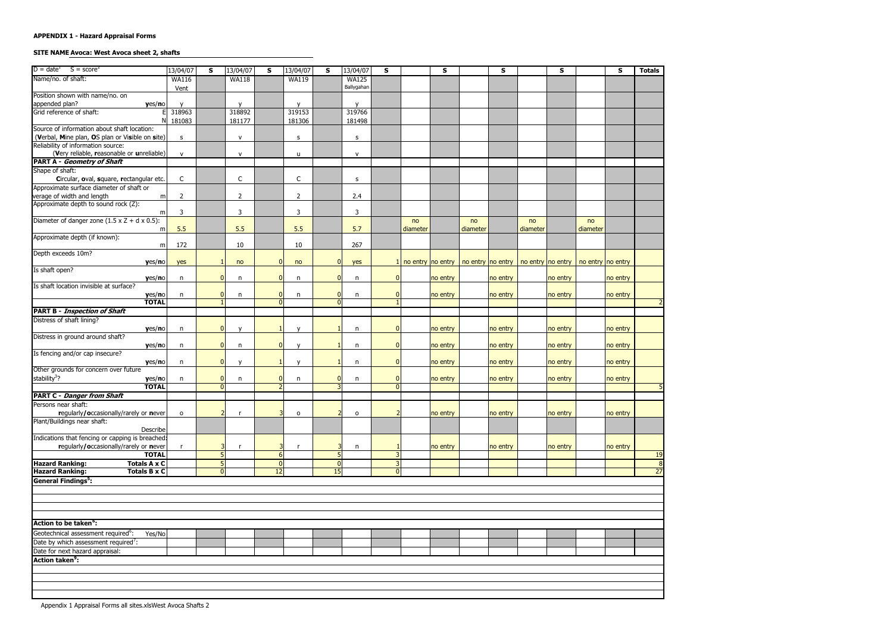#### SITE NAME Avoca: West Avoca sheet 2, shafts

| $D = date1$ S = score <sup>2</sup>                                                             | 13/04/07       | S                   | 13/04/07       | S                    | 13/04/07       | S                    | 13/04/07       | S                   |          | S                                         |          | S        |                   | S        |                   | S        | <b>Totals</b>                     |
|------------------------------------------------------------------------------------------------|----------------|---------------------|----------------|----------------------|----------------|----------------------|----------------|---------------------|----------|-------------------------------------------|----------|----------|-------------------|----------|-------------------|----------|-----------------------------------|
| Name/no. of shaft:                                                                             | <b>WA116</b>   |                     | <b>WA118</b>   |                      | <b>WA119</b>   |                      | <b>WA125</b>   |                     |          |                                           |          |          |                   |          |                   |          |                                   |
|                                                                                                | Vent           |                     |                |                      |                |                      | Ballygahan     |                     |          |                                           |          |          |                   |          |                   |          |                                   |
| Position shown with name/no. on                                                                |                |                     |                |                      |                |                      |                |                     |          |                                           |          |          |                   |          |                   |          |                                   |
| yes/no                                                                                         |                |                     | $\mathsf{v}$   |                      | $\mathsf{v}$   |                      | $\mathbf v$    |                     |          |                                           |          |          |                   |          |                   |          |                                   |
| appended plan?<br>Grid reference of shaft:                                                     | 318963         |                     | 318892         |                      | 319153         |                      | 319766         |                     |          |                                           |          |          |                   |          |                   |          |                                   |
| N                                                                                              | 181083         |                     | 181177         |                      | 181306         |                      | 181498         |                     |          |                                           |          |          |                   |          |                   |          |                                   |
| Source of information about shaft location:                                                    |                |                     |                |                      |                |                      |                |                     |          |                                           |          |          |                   |          |                   |          |                                   |
| (Verbal, Mine plan, OS plan or Visible on site)                                                | S              |                     | ${\sf v}$      |                      | s              |                      | S              |                     |          |                                           |          |          |                   |          |                   |          |                                   |
| Reliability of information source:                                                             |                |                     |                |                      |                |                      |                |                     |          |                                           |          |          |                   |          |                   |          |                                   |
| (Very reliable, reasonable or unreliable)                                                      | $\mathsf{v}$   |                     | $\mathsf{V}$   |                      | u              |                      | ${\sf v}$      |                     |          |                                           |          |          |                   |          |                   |          |                                   |
| <b>PART A - Geometry of Shaft</b>                                                              |                |                     |                |                      |                |                      |                |                     |          |                                           |          |          |                   |          |                   |          |                                   |
| Shape of shaft:                                                                                |                |                     |                |                      |                |                      |                |                     |          |                                           |          |          |                   |          |                   |          |                                   |
| Circular, oval, square, rectangular etc.                                                       | $\mathsf C$    |                     | C              |                      | C              |                      | s              |                     |          |                                           |          |          |                   |          |                   |          |                                   |
| Approximate surface diameter of shaft or                                                       |                |                     |                |                      |                |                      |                |                     |          |                                           |          |          |                   |          |                   |          |                                   |
| verage of width and length<br>m                                                                | $\overline{2}$ |                     | $\overline{2}$ |                      | $\overline{2}$ |                      | 2.4            |                     |          |                                           |          |          |                   |          |                   |          |                                   |
| Approximate depth to sound rock (Z):                                                           |                |                     |                |                      |                |                      |                |                     |          |                                           |          |          |                   |          |                   |          |                                   |
| m                                                                                              | 3              |                     | $\mathbf{3}$   |                      | 3              |                      | $\mathbf{3}$   |                     |          |                                           |          |          |                   |          |                   |          |                                   |
| Diameter of danger zone $(1.5 \times Z + d \times 0.5)$ :                                      |                |                     |                |                      |                |                      |                |                     | no       |                                           | no       |          | no                |          | no                |          |                                   |
| m                                                                                              | 5.5            |                     | 5.5            |                      | 5.5            |                      | 5.7            |                     | diameter |                                           | diameter |          | diameter          |          | diameter          |          |                                   |
| Approximate depth (if known):                                                                  |                |                     |                |                      |                |                      | 267            |                     |          |                                           |          |          |                   |          |                   |          |                                   |
| m                                                                                              | 172            |                     | 10             |                      | 10             |                      |                |                     |          |                                           |          |          |                   |          |                   |          |                                   |
| Depth exceeds 10m?                                                                             |                |                     |                |                      |                | $\overline{0}$       |                |                     |          |                                           |          |          |                   |          |                   |          |                                   |
| yes/no<br>Is shaft open?                                                                       | yes            |                     | no             |                      | no             |                      | yes            |                     |          | $1$ no entry no entry   no entry no entry |          |          | no entry no entry |          | no entry no entry |          |                                   |
| yes/no                                                                                         | $\mathsf{n}$   | $\Omega$            | n              |                      | n              | $\overline{0}$       | n              | $\overline{0}$      |          | no entry                                  |          | no entry |                   | no entry |                   | no entry |                                   |
| Is shaft location invisible at surface?                                                        |                |                     |                |                      |                |                      |                |                     |          |                                           |          |          |                   |          |                   |          |                                   |
| yes/no                                                                                         | n              | $\Omega$            | n              |                      | n              | $\overline{0}$       | n              | $\mathbf{0}$        |          | no entry                                  |          | no entry |                   | no entry |                   | no entry |                                   |
| <b>TOTAL</b>                                                                                   |                |                     |                |                      |                | $\Omega$             |                |                     |          |                                           |          |          |                   |          |                   |          |                                   |
| <b>PART B - Inspection of Shaft</b>                                                            |                |                     |                |                      |                |                      |                |                     |          |                                           |          |          |                   |          |                   |          |                                   |
| Distress of shaft lining?                                                                      |                |                     |                |                      |                |                      |                |                     |          |                                           |          |          |                   |          |                   |          |                                   |
| yes/no                                                                                         | n              | $\overline{0}$      | $\mathsf{v}$   |                      | $\mathsf{v}$   |                      | n              | $\mathbf{0}$        |          | no entry                                  |          | no entry |                   | no entry |                   | no entry |                                   |
| Distress in ground around shaft?                                                               |                |                     |                |                      |                |                      |                |                     |          |                                           |          |          |                   |          |                   |          |                                   |
| yes/no                                                                                         | n              | $\overline{0}$      | n              | $\Omega$             | $\mathsf{v}$   | $\overline{1}$       | n              | $\overline{0}$      |          | no entry                                  |          | no entry |                   | no entry |                   | no entry |                                   |
| Is fencing and/or cap insecure?                                                                |                |                     |                |                      |                |                      |                |                     |          |                                           |          |          |                   |          |                   |          |                                   |
| yes/no                                                                                         | n              | $\overline{0}$      | $\mathsf{v}$   |                      | $\mathsf{v}$   | -1                   | n              | $\overline{0}$      |          | no entry                                  |          | no entry |                   | no entry |                   | no entry |                                   |
| Other grounds for concern over future                                                          |                |                     |                |                      |                |                      |                |                     |          |                                           |          |          |                   |          |                   |          |                                   |
| stability <sup>3</sup> ?<br>yes/no                                                             | n              | $\overline{0}$      | n              | 0                    | n              | $\overline{0}$       | n              | $\overline{0}$      |          | no entry                                  |          | no entry |                   | no entry |                   | no entry |                                   |
| <b>TOTAL</b>                                                                                   |                | $\overline{0}$      |                |                      |                |                      |                | $\overline{0}$      |          |                                           |          |          |                   |          |                   |          |                                   |
| <b>PART C - Danger from Shaft</b>                                                              |                |                     |                |                      |                |                      |                |                     |          |                                           |          |          |                   |          |                   |          |                                   |
| Persons near shaft:                                                                            |                |                     |                |                      |                |                      |                |                     |          |                                           |          |          |                   |          |                   |          |                                   |
| regularly/occasionally/rarely or never                                                         | $\mathsf{o}\,$ | $\overline{2}$      | $\mathsf{r}$   |                      | 0              |                      | $\mathsf{o}\,$ | 2                   |          | no entry                                  |          | no entry |                   | no entry |                   | no entry |                                   |
| Plant/Buildings near shaft:                                                                    |                |                     |                |                      |                |                      |                |                     |          |                                           |          |          |                   |          |                   |          |                                   |
| Describe                                                                                       |                |                     |                |                      |                |                      |                |                     |          |                                           |          |          |                   |          |                   |          |                                   |
| Indications that fencing or capping is breached:                                               |                |                     |                |                      |                |                      |                |                     |          |                                           |          |          |                   |          |                   |          |                                   |
| regularly/occasionally/rarely or never                                                         |                | 3                   | r,             |                      | r              |                      | n              |                     |          | no entry                                  |          | no entry |                   | no entry |                   | no entry |                                   |
| <b>TOTAL</b>                                                                                   |                | $\overline{5}$      |                | $6 \overline{6}$     |                | 5                    |                | $\overline{3}$      |          |                                           |          |          |                   |          |                   |          | 19                                |
| <b>Hazard Ranking:</b><br><b>Totals A x C</b><br><b>Hazard Ranking:</b><br><b>Totals B x C</b> |                | 5<br>$\overline{0}$ |                | $\overline{0}$<br>12 |                | $\overline{0}$<br>15 |                | 3<br>$\overline{0}$ |          |                                           |          |          |                   |          |                   |          | $\overline{8}$<br>$\overline{27}$ |
|                                                                                                |                |                     |                |                      |                |                      |                |                     |          |                                           |          |          |                   |          |                   |          |                                   |
| General Findings <sup>5</sup> :                                                                |                |                     |                |                      |                |                      |                |                     |          |                                           |          |          |                   |          |                   |          |                                   |
|                                                                                                |                |                     |                |                      |                |                      |                |                     |          |                                           |          |          |                   |          |                   |          |                                   |
|                                                                                                |                |                     |                |                      |                |                      |                |                     |          |                                           |          |          |                   |          |                   |          |                                   |
|                                                                                                |                |                     |                |                      |                |                      |                |                     |          |                                           |          |          |                   |          |                   |          |                                   |
|                                                                                                |                |                     |                |                      |                |                      |                |                     |          |                                           |          |          |                   |          |                   |          |                                   |
| Action to be taken <sup>o</sup> :                                                              |                |                     |                |                      |                |                      |                |                     |          |                                           |          |          |                   |          |                   |          |                                   |
| Geotechnical assessment required <sup>6</sup> :<br>Yes/No                                      |                |                     |                |                      |                |                      |                |                     |          |                                           |          |          |                   |          |                   |          |                                   |
| Date by which assessment required <sup>7</sup> :                                               |                |                     |                |                      |                |                      |                |                     |          |                                           |          |          |                   |          |                   |          |                                   |
| Date for next hazard appraisal:                                                                |                |                     |                |                      |                |                      |                |                     |          |                                           |          |          |                   |          |                   |          |                                   |
| <b>Action taken<sup>9</sup>:</b>                                                               |                |                     |                |                      |                |                      |                |                     |          |                                           |          |          |                   |          |                   |          |                                   |
|                                                                                                |                |                     |                |                      |                |                      |                |                     |          |                                           |          |          |                   |          |                   |          |                                   |
|                                                                                                |                |                     |                |                      |                |                      |                |                     |          |                                           |          |          |                   |          |                   |          |                                   |
|                                                                                                |                |                     |                |                      |                |                      |                |                     |          |                                           |          |          |                   |          |                   |          |                                   |
|                                                                                                |                |                     |                |                      |                |                      |                |                     |          |                                           |          |          |                   |          |                   |          |                                   |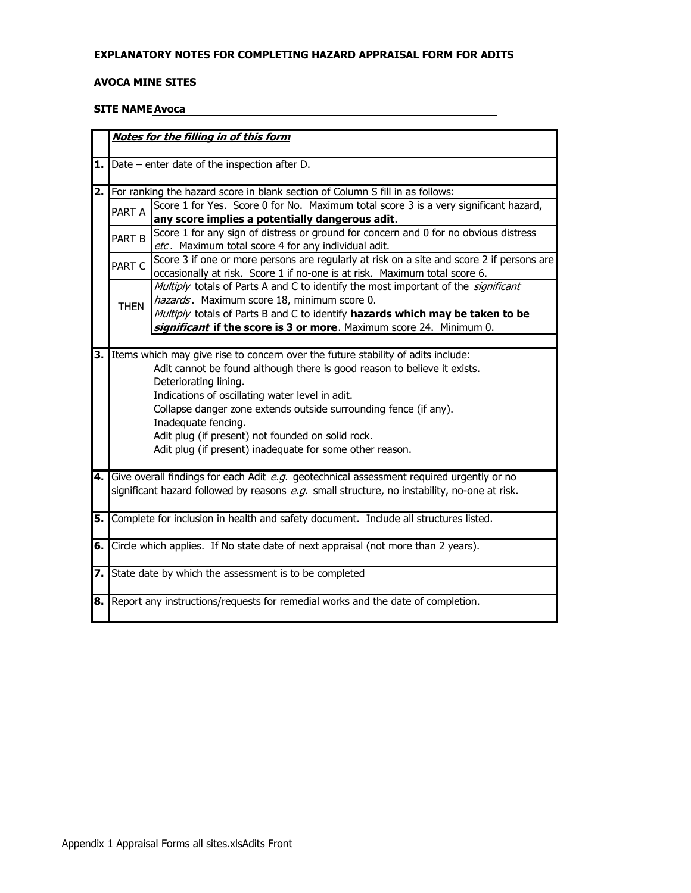#### EXPLANATORY NOTES FOR COMPLETING HAZARD APPRAISAL FORM FOR ADITS

#### **AVOCA MINE SITES**

#### **SITE NAME Avoca**

|    |             | Notes for the filling in of this form                                                                                                       |
|----|-------------|---------------------------------------------------------------------------------------------------------------------------------------------|
|    |             | <b>1.</b> $\vert$ Date – enter date of the inspection after D.                                                                              |
|    |             | 2. For ranking the hazard score in blank section of Column S fill in as follows:                                                            |
|    | PART A      | Score 1 for Yes. Score 0 for No. Maximum total score 3 is a very significant hazard,                                                        |
|    |             | any score implies a potentially dangerous adit.                                                                                             |
|    | PART B      | Score 1 for any sign of distress or ground for concern and 0 for no obvious distress<br>etc. Maximum total score 4 for any individual adit. |
|    |             | Score 3 if one or more persons are regularly at risk on a site and score 2 if persons are                                                   |
|    | PART C      | occasionally at risk. Score 1 if no-one is at risk. Maximum total score 6.                                                                  |
|    |             | Multiply totals of Parts A and C to identify the most important of the significant                                                          |
|    | <b>THEN</b> | hazards. Maximum score 18, minimum score 0.                                                                                                 |
|    |             | Multiply totals of Parts B and C to identify hazards which may be taken to be                                                               |
|    |             | significant if the score is 3 or more. Maximum score 24. Minimum 0.                                                                         |
|    |             |                                                                                                                                             |
| 3. |             | Items which may give rise to concern over the future stability of adits include:                                                            |
|    |             | Adit cannot be found although there is good reason to believe it exists.                                                                    |
|    |             | Deteriorating lining.                                                                                                                       |
|    |             | Indications of oscillating water level in adit.                                                                                             |
|    |             | Collapse danger zone extends outside surrounding fence (if any).                                                                            |
|    |             | Inadequate fencing.                                                                                                                         |
|    |             | Adit plug (if present) not founded on solid rock.<br>Adit plug (if present) inadequate for some other reason.                               |
|    |             |                                                                                                                                             |
|    |             | 4. Give overall findings for each Adit e.g. geotechnical assessment required urgently or no                                                 |
|    |             | significant hazard followed by reasons e.g. small structure, no instability, no-one at risk.                                                |
|    |             |                                                                                                                                             |
|    |             | 5. Complete for inclusion in health and safety document. Include all structures listed.                                                     |
|    |             | 6. Circle which applies. If No state date of next appraisal (not more than 2 years).                                                        |
|    |             |                                                                                                                                             |
|    |             | 7. State date by which the assessment is to be completed                                                                                    |
|    |             | 8. Report any instructions/requests for remedial works and the date of completion.                                                          |
|    |             |                                                                                                                                             |
|    |             |                                                                                                                                             |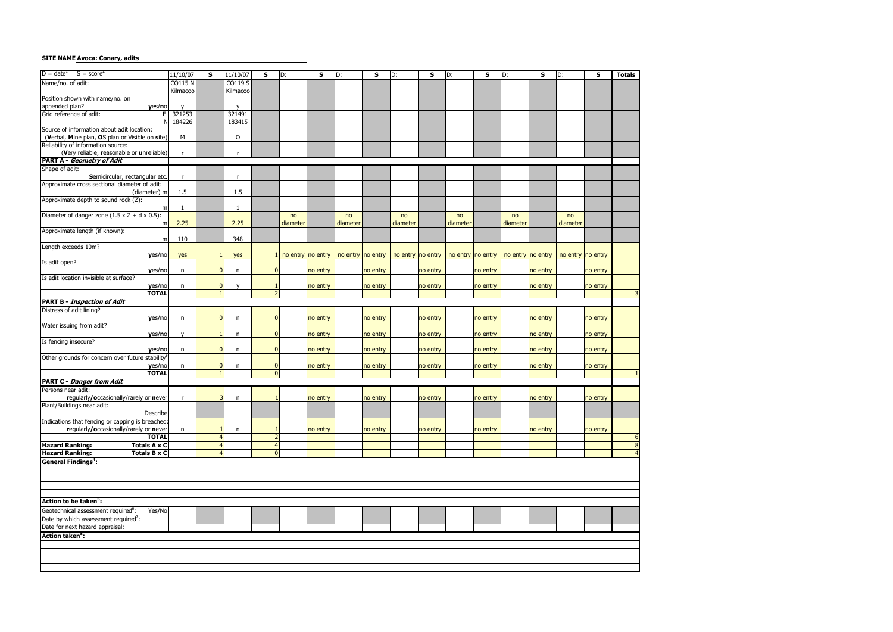#### **SITE NAME Avoca: Conary, adits**

| $D = dateT$ S = score <sup>2</sup>                           |                |                |              |                |                   |          |                   |          |          |          |          |                                           |          |                                                                 |          |          |                |
|--------------------------------------------------------------|----------------|----------------|--------------|----------------|-------------------|----------|-------------------|----------|----------|----------|----------|-------------------------------------------|----------|-----------------------------------------------------------------|----------|----------|----------------|
|                                                              | 11/10/07       | $\mathsf{s}$   | 11/10/07     | S              | $\overline{D}$ :  | S        | D:                | S        | D:       | S        | D:       | S                                         | D:       | S                                                               | D:       | S        | <b>Totals</b>  |
| Name/no. of adit:                                            | <b>CO115 N</b> |                | CO119 S      |                |                   |          |                   |          |          |          |          |                                           |          |                                                                 |          |          |                |
|                                                              | Kilmacoo       |                | Kilmacoo     |                |                   |          |                   |          |          |          |          |                                           |          |                                                                 |          |          |                |
| Position shown with name/no. on                              |                |                |              |                |                   |          |                   |          |          |          |          |                                           |          |                                                                 |          |          |                |
| appended plan?<br>yes/no                                     |                |                | $\mathsf{v}$ |                |                   |          |                   |          |          |          |          |                                           |          |                                                                 |          |          |                |
| Grid reference of adit:<br>Е                                 | 321253         |                | 321491       |                |                   |          |                   |          |          |          |          |                                           |          |                                                                 |          |          |                |
| N                                                            | 184226         |                | 183415       |                |                   |          |                   |          |          |          |          |                                           |          |                                                                 |          |          |                |
| Source of information about adit location:                   |                |                |              |                |                   |          |                   |          |          |          |          |                                           |          |                                                                 |          |          |                |
|                                                              |                |                |              |                |                   |          |                   |          |          |          |          |                                           |          |                                                                 |          |          |                |
| (Verbal, Mine plan, OS plan or Visible on site)              | M              |                | $\mathsf O$  |                |                   |          |                   |          |          |          |          |                                           |          |                                                                 |          |          |                |
| Reliability of information source:                           |                |                |              |                |                   |          |                   |          |          |          |          |                                           |          |                                                                 |          |          |                |
| (Very reliable, reasonable or unreliable)                    |                |                | $\mathsf{r}$ |                |                   |          |                   |          |          |          |          |                                           |          |                                                                 |          |          |                |
| <b>PART A - Geometry of Adit</b>                             |                |                |              |                |                   |          |                   |          |          |          |          |                                           |          |                                                                 |          |          |                |
| Shape of adit:                                               |                |                |              |                |                   |          |                   |          |          |          |          |                                           |          |                                                                 |          |          |                |
| Semicircular, rectangular etc.                               | $\mathsf{r}$   |                | $\mathsf{r}$ |                |                   |          |                   |          |          |          |          |                                           |          |                                                                 |          |          |                |
| Approximate cross sectional diameter of adit:                |                |                |              |                |                   |          |                   |          |          |          |          |                                           |          |                                                                 |          |          |                |
| (diameter) m                                                 | 1.5            |                | 1.5          |                |                   |          |                   |          |          |          |          |                                           |          |                                                                 |          |          |                |
| Approximate depth to sound rock (Z):                         |                |                |              |                |                   |          |                   |          |          |          |          |                                           |          |                                                                 |          |          |                |
|                                                              |                |                |              |                |                   |          |                   |          |          |          |          |                                           |          |                                                                 |          |          |                |
| m                                                            | $\mathbf{1}$   |                | $\mathbf{1}$ |                |                   |          |                   |          |          |          |          |                                           |          |                                                                 |          |          |                |
| Diameter of danger zone $(1.5 \times Z + d \times 0.5)$ :    |                |                |              |                | no                |          | no                |          | no       |          | no       |                                           | no       |                                                                 | no       |          |                |
| m                                                            | 2.25           |                | 2.25         |                | diameter          |          | diameter          |          | diameter |          | diameter |                                           | diameter |                                                                 | diameter |          |                |
| Approximate length (if known):                               |                |                |              |                |                   |          |                   |          |          |          |          |                                           |          |                                                                 |          |          |                |
| m                                                            | 110            |                | 348          |                |                   |          |                   |          |          |          |          |                                           |          |                                                                 |          |          |                |
| Length exceeds 10m?                                          |                |                |              |                |                   |          |                   |          |          |          |          |                                           |          |                                                                 |          |          |                |
| yes/no                                                       | yes            | $\mathbf{1}$   | yes          |                | no entry no entry |          | no entry no entry |          |          |          |          | no entry   no entry   no entry   no entry |          | $\mid$ no entry $\mid$ no entry $\mid$ no entry $\mid$ no entry |          |          |                |
| Is adit open?                                                |                |                |              |                |                   |          |                   |          |          |          |          |                                           |          |                                                                 |          |          |                |
|                                                              |                | $\overline{0}$ |              | ŋ              |                   |          |                   |          |          |          |          |                                           |          |                                                                 |          |          |                |
| yes/no                                                       | n              |                | n            |                |                   | no entry |                   | no entry |          | no entry |          | no entry                                  |          | no entry                                                        |          | no entry |                |
| Is adit location invisible at surface?                       |                |                |              |                |                   |          |                   |          |          |          |          |                                           |          |                                                                 |          |          |                |
| yes/no                                                       | n              | $\overline{0}$ |              |                |                   | no entry |                   | no entry |          | no entry |          | no entry                                  |          | no entry                                                        |          | no entry |                |
| <b>TOTAL</b>                                                 |                | $\mathbf{1}$   |              | 2              |                   |          |                   |          |          |          |          |                                           |          |                                                                 |          |          |                |
| <b>PART B - Inspection of Adit</b>                           |                |                |              |                |                   |          |                   |          |          |          |          |                                           |          |                                                                 |          |          |                |
| Distress of adit lining?                                     |                |                |              |                |                   |          |                   |          |          |          |          |                                           |          |                                                                 |          |          |                |
| yes/no                                                       | n              | $\overline{0}$ | $\mathsf{n}$ | $\mathbf{0}$   |                   | no entry |                   | no entry |          | no entry |          | no entry                                  |          | no entry                                                        |          | no entry |                |
| Water issuing from adit?                                     |                |                |              |                |                   |          |                   |          |          |          |          |                                           |          |                                                                 |          |          |                |
|                                                              |                | $\mathbf{1}$   |              | $\Omega$       |                   |          |                   |          |          |          |          |                                           |          |                                                                 |          |          |                |
| yes/no                                                       | v              |                | $\mathsf{n}$ |                |                   | no entry |                   | no entry |          | no entry |          | no entry                                  |          | no entry                                                        |          | no entry |                |
| Is fencing insecure?                                         |                |                |              |                |                   |          |                   |          |          |          |          |                                           |          |                                                                 |          |          |                |
| yes/no                                                       | n              | $\overline{0}$ | $\mathsf{n}$ | $\mathbf{0}$   |                   | no entry |                   | no entry |          | no entry |          | no entry                                  |          | no entry                                                        |          | no entry |                |
| Other grounds for concern over future stability <sup>3</sup> |                |                |              |                |                   |          |                   |          |          |          |          |                                           |          |                                                                 |          |          |                |
| yes/no                                                       | n              | $\overline{0}$ | n            | 0              |                   | no entry |                   | no entry |          | no entry |          | no entry                                  |          | no entry                                                        |          | no entry |                |
| <b>TOTAL</b>                                                 |                | $\mathbf{1}$   |              | $\overline{0}$ |                   |          |                   |          |          |          |          |                                           |          |                                                                 |          |          |                |
| <b>PART C - Danger from Adit</b>                             |                |                |              |                |                   |          |                   |          |          |          |          |                                           |          |                                                                 |          |          |                |
| Persons near adit:                                           |                |                |              |                |                   |          |                   |          |          |          |          |                                           |          |                                                                 |          |          |                |
|                                                              |                | 3              |              |                |                   |          |                   |          |          |          |          |                                           |          |                                                                 |          |          |                |
| regularly/occasionally/rarely or never                       |                |                | n            |                |                   | no entry |                   | no entry |          | no entry |          | no entry                                  |          | no entry                                                        |          | no entry |                |
| Plant/Buildings near adit:                                   |                |                |              |                |                   |          |                   |          |          |          |          |                                           |          |                                                                 |          |          |                |
| Describe                                                     |                |                |              |                |                   |          |                   |          |          |          |          |                                           |          |                                                                 |          |          |                |
| Indications that fencing or capping is breached:             |                |                |              |                |                   |          |                   |          |          |          |          |                                           |          |                                                                 |          |          |                |
| regularly/occasionally/rarely or never                       | n              | $\mathbf{1}$   | $\mathsf{n}$ |                |                   | no entry |                   | no entry |          | no entry |          | no entry                                  |          | no entry                                                        |          | no entry |                |
| <b>TOTAL</b>                                                 |                | $\overline{4}$ |              | $\overline{2}$ |                   |          |                   |          |          |          |          |                                           |          |                                                                 |          |          | $\overline{6}$ |
| <b>Hazard Ranking:</b><br><b>Totals A x C</b>                |                | $\overline{4}$ |              | $\overline{4}$ |                   |          |                   |          |          |          |          |                                           |          |                                                                 |          |          | $\overline{8}$ |
| <b>Hazard Ranking:</b><br><b>Totals B x C</b>                |                | $\overline{4}$ |              | $\overline{0}$ |                   |          |                   |          |          |          |          |                                           |          |                                                                 |          |          | $\overline{4}$ |
|                                                              |                |                |              |                |                   |          |                   |          |          |          |          |                                           |          |                                                                 |          |          |                |
| <b>General Findings<sup>4</sup></b> :                        |                |                |              |                |                   |          |                   |          |          |          |          |                                           |          |                                                                 |          |          |                |
|                                                              |                |                |              |                |                   |          |                   |          |          |          |          |                                           |          |                                                                 |          |          |                |
|                                                              |                |                |              |                |                   |          |                   |          |          |          |          |                                           |          |                                                                 |          |          |                |
|                                                              |                |                |              |                |                   |          |                   |          |          |          |          |                                           |          |                                                                 |          |          |                |
|                                                              |                |                |              |                |                   |          |                   |          |          |          |          |                                           |          |                                                                 |          |          |                |
| Action to be taken <sup>5</sup> :                            |                |                |              |                |                   |          |                   |          |          |          |          |                                           |          |                                                                 |          |          |                |
|                                                              |                |                |              |                |                   |          |                   |          |          |          |          |                                           |          |                                                                 |          |          |                |
| Geotechnical assessment required <sup>6</sup> :<br>Yes/No    |                |                |              |                |                   |          |                   |          |          |          |          |                                           |          |                                                                 |          |          |                |
| Date by which assessment required <sup>7</sup> :             |                |                |              |                |                   |          |                   |          |          |          |          |                                           |          |                                                                 |          |          |                |
| Date for next hazard appraisal:                              |                |                |              |                |                   |          |                   |          |          |          |          |                                           |          |                                                                 |          |          |                |
| <b>Action taken<sup>8</sup>:</b>                             |                |                |              |                |                   |          |                   |          |          |          |          |                                           |          |                                                                 |          |          |                |
|                                                              |                |                |              |                |                   |          |                   |          |          |          |          |                                           |          |                                                                 |          |          |                |
|                                                              |                |                |              |                |                   |          |                   |          |          |          |          |                                           |          |                                                                 |          |          |                |
|                                                              |                |                |              |                |                   |          |                   |          |          |          |          |                                           |          |                                                                 |          |          |                |
|                                                              |                |                |              |                |                   |          |                   |          |          |          |          |                                           |          |                                                                 |          |          |                |
|                                                              |                |                |              |                |                   |          |                   |          |          |          |          |                                           |          |                                                                 |          |          |                |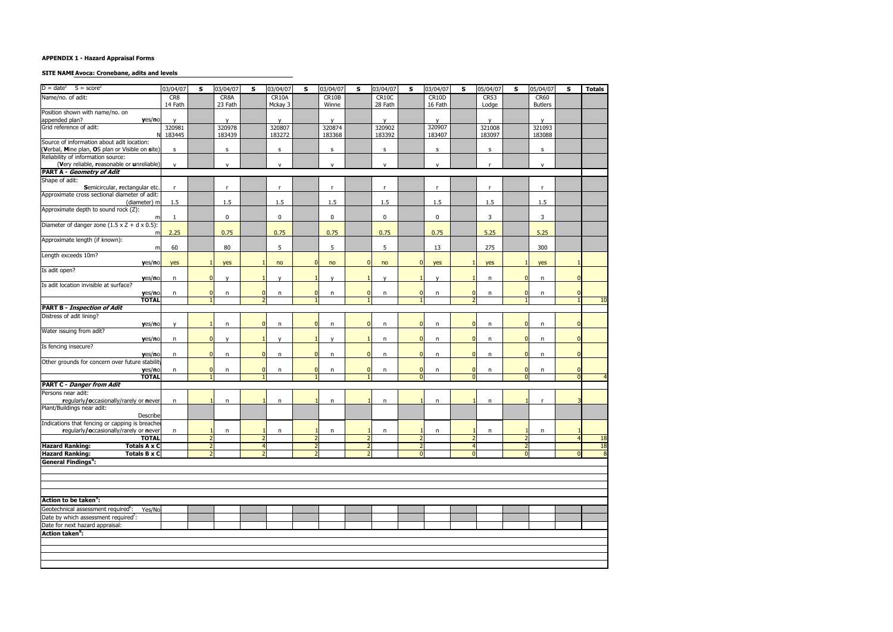#### **SITE NAME Avoca: Cronebane, adits and levels**

| $D = date1$ S = score <sup>2</sup>                        | 03/04/07     | s              | 03/04/07     | s                        | 03/04/07     | s              | 03/04/07     | s              | 03/04/07     | S              | 03/04/07     | s              | 05/04/07     | S              | 05/04/07       | S        | <b>Totals</b> |
|-----------------------------------------------------------|--------------|----------------|--------------|--------------------------|--------------|----------------|--------------|----------------|--------------|----------------|--------------|----------------|--------------|----------------|----------------|----------|---------------|
| Name/no. of adit:                                         | CR8          |                | CR8A         |                          | CR10A        |                | CR10B        |                | CR10C        |                | CR10D        |                | CR53         |                | CR60           |          |               |
|                                                           | 14 Fath      |                | 23 Fath      |                          | Mckay 3      |                | Winne        |                | 28 Fath      |                | 16 Fath      |                | Lodge        |                | <b>Butlers</b> |          |               |
| Position shown with name/no. on                           |              |                |              |                          |              |                |              |                |              |                |              |                |              |                |                |          |               |
| appended plan?<br>yes/no                                  |              |                |              |                          | $\mathsf{V}$ |                | $\mathsf{v}$ |                | $\mathsf{v}$ |                | $\mathsf{v}$ |                | $\mathsf{v}$ |                | v              |          |               |
| Grid reference of adit:                                   | 320981       |                | 320978       |                          | 320807       |                | 320874       |                | 320902       |                | 320907       |                | 321008       |                | 321093         |          |               |
| N                                                         | 183445       |                | 183439       |                          | 183272       |                | 183368       |                | 183392       |                | 183407       |                | 183097       |                | 183088         |          |               |
| Source of information about adit location:                |              |                |              |                          |              |                |              |                |              |                |              |                |              |                |                |          |               |
| (Verbal, Mine plan, OS plan or Visible on site)           | s            |                | $\sf S$      |                          | $\sf S$      |                | s            |                | s            |                | s            |                | s            |                | $\sf S$        |          |               |
| Reliability of information source:                        |              |                |              |                          |              |                |              |                |              |                |              |                |              |                |                |          |               |
| (Very reliable, reasonable or unreliable)                 | $\mathsf{v}$ |                | $\mathsf{V}$ |                          | $\mathsf{v}$ |                | ${\sf v}$    |                | $\mathsf{v}$ |                | v            |                | <b>r</b>     |                | $\mathsf{v}$   |          |               |
| <b>PART A - Geometry of Adit</b>                          |              |                |              |                          |              |                |              |                |              |                |              |                |              |                |                |          |               |
| Shape of adit:                                            |              |                |              |                          |              |                |              |                |              |                |              |                |              |                |                |          |               |
| Semicircular, rectangular etc.                            | r.           |                | $\mathsf{r}$ |                          | $\mathsf{r}$ |                | r            |                | $\mathsf{r}$ |                | r            |                | $\mathsf{r}$ |                | $\mathsf{r}$   |          |               |
| Approximate cross sectional diameter of adit:             |              |                |              |                          |              |                |              |                |              |                |              |                |              |                |                |          |               |
| (diameter) m                                              | 1.5          |                | 1.5          |                          | 1.5          |                | 1.5          |                | 1.5          |                | 1.5          |                | 1.5          |                | 1.5            |          |               |
| Approximate depth to sound rock (Z):                      |              |                |              |                          |              |                |              |                |              |                |              |                |              |                |                |          |               |
| m                                                         | -1           |                | $\mathbf 0$  |                          | $\bf{0}$     |                | $\mathbf 0$  |                | $\mathbf 0$  |                | $\mathbf 0$  |                | 3            |                | 3              |          |               |
| Diameter of danger zone $(1.5 \times Z + d \times 0.5)$ : |              |                |              |                          |              |                |              |                |              |                |              |                |              |                |                |          |               |
| m                                                         | 2.25         |                | 0.75         |                          | 0.75         |                | 0.75         |                | 0.75         |                | 0.75         |                | 5.25         |                | 5.25           |          |               |
| Approximate length (if known):                            |              |                |              |                          |              |                |              |                |              |                |              |                |              |                |                |          |               |
| m                                                         | 60           |                | 80           |                          | 5            |                | 5            |                | 5            |                | 13           |                | 275          |                | 300            |          |               |
| Length exceeds 10m?                                       |              |                |              |                          |              |                |              |                |              |                |              |                |              |                |                |          |               |
| yes/no                                                    | yes          |                | yes          |                          | no           |                | no           | $\Omega$       | no           | $\mathbf{0}$   | yes          |                | yes          |                | yes            |          |               |
| Is adit open?                                             |              |                |              |                          |              |                |              |                |              |                |              |                |              |                |                |          |               |
| yes/no                                                    | n            | $\overline{0}$ | $\mathsf{v}$ |                          | $\mathsf{v}$ |                | $\mathsf{v}$ | $\mathbf{1}$   | $\mathsf{v}$ |                | y            |                | n            | n              | n              |          |               |
| Is adit location invisible at surface?                    |              |                |              |                          |              |                |              |                |              |                |              |                |              |                |                |          |               |
| yes/no                                                    | $\mathsf{n}$ | $\overline{0}$ | n            | $\Omega$                 | n            |                | n            | $\overline{0}$ | n            | $\mathbf{0}$   | n            | $\overline{0}$ | n            | $\Omega$       | n              |          |               |
| <b>TOTAL</b>                                              |              | $\mathbf{1}$   |              | $\overline{\phantom{0}}$ |              |                |              | $\mathbf{1}$   |              | $\mathbf{1}$   |              | $\overline{2}$ |              |                |                |          | 10            |
| <b>PART B - Inspection of Adit</b>                        |              |                |              |                          |              |                |              |                |              |                |              |                |              |                |                |          |               |
| Distress of adit lining?                                  |              |                |              |                          |              |                |              |                |              |                |              |                |              |                |                |          |               |
| yes/no                                                    | v            | $\mathbf{1}$   | n            | $\overline{0}$           | $\mathsf{n}$ | n              | n            | $\overline{0}$ | n            | $\mathbf{0}$   | n            | $\mathbf{0}$   | n            | $\overline{0}$ | n              |          |               |
| Water issuing from adit?                                  |              |                |              |                          |              |                |              |                |              |                |              |                |              |                |                |          |               |
| yes/no                                                    | n            | $\overline{0}$ | $\mathsf{v}$ |                          | $\mathsf{V}$ |                | $\mathsf{v}$ |                | n            | $\mathbf{0}$   | n            | $\overline{0}$ | n            | $\overline{0}$ | $\mathsf{n}$   |          |               |
| Is fencing insecure?                                      |              |                |              |                          |              |                |              |                |              |                |              |                |              |                |                |          |               |
| yes/no                                                    | n            | $\overline{0}$ | $\mathsf{n}$ | $\Omega$                 | n            |                | n            | $\overline{0}$ | n            | $\mathbf{0}$   | $\mathsf{n}$ | $\overline{0}$ | n            | $\overline{0}$ | $\mathsf{n}$   |          |               |
| Other grounds for concern over future stability           |              |                |              |                          |              |                |              |                |              |                |              |                |              |                |                |          |               |
| yes/no                                                    | n            | $\overline{0}$ | n            | $\Omega$                 | n            |                | n            | $\overline{0}$ | n            | $\mathbf{0}$   | n            | $\overline{0}$ | n            | O              | n              |          |               |
| <b>TOTAL</b>                                              |              | $\overline{1}$ |              |                          |              |                |              | $\mathbf{1}$   |              | $\Omega$       |              | $\overline{0}$ |              | $\overline{0}$ |                |          |               |
| <b>PART C - Danger from Adit</b>                          |              |                |              |                          |              |                |              |                |              |                |              |                |              |                |                |          |               |
| Persons near adit:                                        |              |                |              |                          |              |                |              |                |              |                |              |                |              |                |                |          |               |
| regularly/occasionally/rarely or never                    | n            | $\mathbf{1}$   | n            |                          | n            |                | n            |                | n            |                | n            | $\mathbf{1}$   | n            |                | $\mathsf{r}$   |          |               |
| Plant/Buildings near adit:                                |              |                |              |                          |              |                |              |                |              |                |              |                |              |                |                |          |               |
| Describe                                                  |              |                |              |                          |              |                |              |                |              |                |              |                |              |                |                |          |               |
| Indications that fencing or capping is breached           |              |                |              |                          |              |                |              |                |              |                |              |                |              |                |                |          |               |
| regularly/occasionally/rarely or never                    | n            | $\mathbf{1}$   | n            |                          | n            |                | n            |                | n            |                | n            | $\mathbf{1}$   | n            |                | n              |          |               |
| <b>TOTAL</b>                                              |              | $\overline{2}$ |              | $\overline{2}$           |              | $\overline{2}$ |              | $\overline{2}$ |              | $\overline{2}$ |              | $\overline{2}$ |              | 2              |                |          | <b>18</b>     |
| <b>Hazard Ranking:</b><br><b>Totals A x C</b>             |              | $\overline{2}$ |              | $\overline{4}$           |              | $\overline{2}$ |              | $\overline{2}$ |              | $\overline{2}$ |              | $\overline{4}$ |              | $\overline{2}$ |                |          | 18            |
| <b>Hazard Ranking:</b><br><b>Totals B x C</b>             |              | $\overline{2}$ |              | $\overline{\phantom{0}}$ |              | $\overline{2}$ |              |                |              | $\overline{0}$ |              | $\Omega$       |              | $\overline{0}$ |                | $\Omega$ | 8             |
| <b>General Findings<sup>4</sup></b> :                     |              |                |              |                          |              |                |              |                |              |                |              |                |              |                |                |          |               |
|                                                           |              |                |              |                          |              |                |              |                |              |                |              |                |              |                |                |          |               |
|                                                           |              |                |              |                          |              |                |              |                |              |                |              |                |              |                |                |          |               |
|                                                           |              |                |              |                          |              |                |              |                |              |                |              |                |              |                |                |          |               |
|                                                           |              |                |              |                          |              |                |              |                |              |                |              |                |              |                |                |          |               |
|                                                           |              |                |              |                          |              |                |              |                |              |                |              |                |              |                |                |          |               |
| Action to be taken <sup>5</sup> :                         |              |                |              |                          |              |                |              |                |              |                |              |                |              |                |                |          |               |
| Geotechnical assessment required <sup>6</sup> :<br>Yes/No |              |                |              |                          |              |                |              |                |              |                |              |                |              |                |                |          |               |
| Date by which assessment required <sup>7</sup> :          |              |                |              |                          |              |                |              |                |              |                |              |                |              |                |                |          |               |
| Date for next hazard appraisal:                           |              |                |              |                          |              |                |              |                |              |                |              |                |              |                |                |          |               |
| <b>Action taken<sup>8</sup>:</b>                          |              |                |              |                          |              |                |              |                |              |                |              |                |              |                |                |          |               |
|                                                           |              |                |              |                          |              |                |              |                |              |                |              |                |              |                |                |          |               |
|                                                           |              |                |              |                          |              |                |              |                |              |                |              |                |              |                |                |          |               |
|                                                           |              |                |              |                          |              |                |              |                |              |                |              |                |              |                |                |          |               |
|                                                           |              |                |              |                          |              |                |              |                |              |                |              |                |              |                |                |          |               |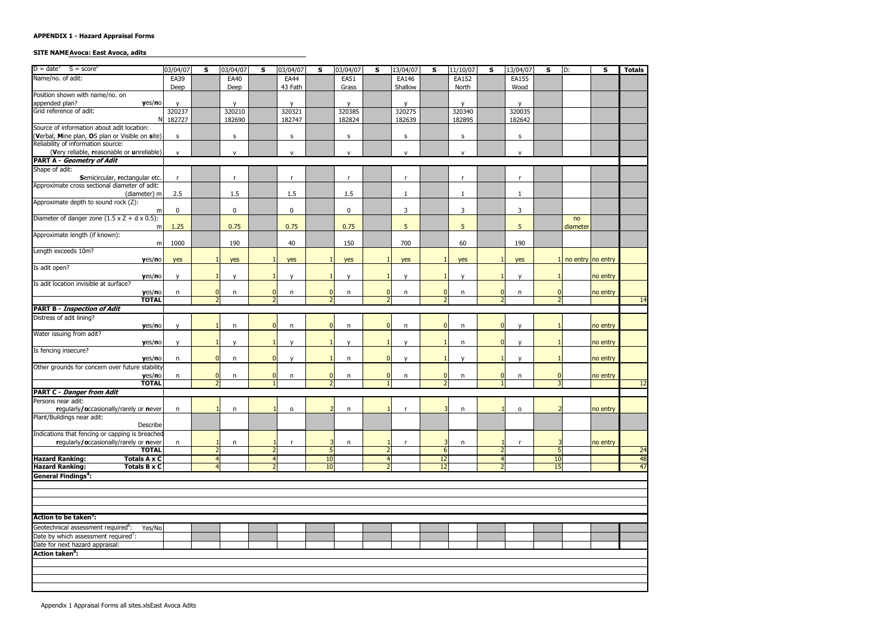#### **SITE NAME Avoca: East Avoca, adits**

| $D = date^1$ $S = score^2$                                | 03/04/07     | S                        | 03/04/07     | S | 03/04/07     | S              | 03/04/07     | S                        | 13/04/07     | S                                          | 11/10/07     | s                        | 13/04/07     | S  | ID:                   | S        | <b>Totals</b>   |
|-----------------------------------------------------------|--------------|--------------------------|--------------|---|--------------|----------------|--------------|--------------------------|--------------|--------------------------------------------|--------------|--------------------------|--------------|----|-----------------------|----------|-----------------|
| Name/no. of adit:                                         | EA39         |                          | EA40         |   | <b>EA44</b>  |                | EA51         |                          | EA146        |                                            | <b>EA152</b> |                          | <b>EA155</b> |    |                       |          |                 |
|                                                           | Deep         |                          | Deep         |   | 43 Fath      |                | Grass        |                          | Shallow      |                                            | North        |                          | Wood         |    |                       |          |                 |
| Position shown with name/no. on                           |              |                          |              |   |              |                |              |                          |              |                                            |              |                          |              |    |                       |          |                 |
| appended plan?<br>yes/no                                  | $\mathsf{v}$ |                          | $\mathsf{v}$ |   | $\mathsf{v}$ |                | $\mathsf{v}$ |                          | $\mathsf{v}$ |                                            | $\mathsf{v}$ |                          | $\mathsf{V}$ |    |                       |          |                 |
| Grid reference of adit:                                   | 320237       |                          | 320210       |   | 320321       |                | 320385       |                          | 320275       |                                            | 320340       |                          | 320035       |    |                       |          |                 |
| NI                                                        | 182727       |                          | 182690       |   | 182747       |                | 182824       |                          | 182639       |                                            | 182895       |                          | 182642       |    |                       |          |                 |
| Source of information about adit location:                |              |                          |              |   |              |                |              |                          |              |                                            |              |                          |              |    |                       |          |                 |
| (Verbal, Mine plan, OS plan or Visible on site)           | s            |                          | $\sf S$      |   | s            |                | $\sf S$      |                          | s            |                                            | S            |                          | s            |    |                       |          |                 |
| Reliability of information source:                        |              |                          |              |   |              |                |              |                          |              |                                            |              |                          |              |    |                       |          |                 |
| (Very reliable, reasonable or unreliable)                 | $\mathsf{v}$ |                          | $\mathsf{v}$ |   | $\mathsf{v}$ |                | $\mathsf{v}$ |                          | $\mathsf{v}$ |                                            | $\mathsf{v}$ |                          | $\mathsf{v}$ |    |                       |          |                 |
| <b>PART A - Geometry of Adit</b>                          |              |                          |              |   |              |                |              |                          |              |                                            |              |                          |              |    |                       |          |                 |
| Shape of adit:                                            |              |                          |              |   |              |                |              |                          |              |                                            |              |                          |              |    |                       |          |                 |
| Semicircular, rectangular etc.                            | $\mathsf{r}$ |                          | $\mathsf{r}$ |   | $\mathsf{r}$ |                | $\mathsf{r}$ |                          | $\mathsf{r}$ |                                            | $\mathsf{r}$ |                          | $\mathsf{r}$ |    |                       |          |                 |
| Approximate cross sectional diameter of adit:             |              |                          |              |   |              |                |              |                          |              |                                            |              |                          |              |    |                       |          |                 |
| (diameter) m                                              | 2.5          |                          | 1.5          |   | 1.5          |                | 1.5          |                          | $\mathbf{1}$ |                                            | $\mathbf{1}$ |                          |              |    |                       |          |                 |
| Approximate depth to sound rock (Z):                      |              |                          |              |   |              |                |              |                          |              |                                            |              |                          |              |    |                       |          |                 |
| m                                                         | $\mathbf 0$  |                          | $\bf{0}$     |   | $\mathbf 0$  |                | 0            |                          | 3            |                                            | 3            |                          | 3            |    |                       |          |                 |
| Diameter of danger zone $(1.5 \times Z + d \times 0.5)$ : |              |                          |              |   |              |                |              |                          |              |                                            |              |                          |              |    | no                    |          |                 |
| m                                                         | 1.25         |                          | 0.75         |   | 0.75         |                | 0.75         |                          | 5            |                                            | 5            |                          | 5            |    | diameter              |          |                 |
| Approximate length (if known):                            |              |                          |              |   |              |                |              |                          |              |                                            |              |                          |              |    |                       |          |                 |
| m                                                         | 1000         |                          | 190          |   | 40           |                | 150          |                          | 700          |                                            | 60           |                          | 190          |    |                       |          |                 |
| Length exceeds 10m?                                       |              |                          |              |   |              |                |              |                          |              |                                            |              |                          |              |    |                       |          |                 |
| yes/no                                                    | yes          |                          | yes          |   | yes          |                | yes          |                          | yes          |                                            | yes          |                          | yes          |    | $1$ no entry no entry |          |                 |
| Is adit open?                                             |              |                          |              |   |              |                |              |                          |              |                                            |              |                          |              |    |                       |          |                 |
| yes/no                                                    |              |                          | $\mathbf{v}$ |   | $\mathsf{v}$ |                | $\mathbf{v}$ |                          | $\mathbf{v}$ | $\mathbf{1}$                               |              |                          | $\mathbf{v}$ |    |                       | no entry |                 |
| Is adit location invisible at surface?                    |              |                          |              |   |              |                |              |                          |              |                                            |              |                          |              |    |                       |          |                 |
| yes/no                                                    | n            | $\overline{0}$           | n            |   | n            | $\overline{0}$ | n            | $\mathbf 0$              | n            | $\overline{0}$                             | n            | $\overline{0}$           | n            | 0  |                       | no entry |                 |
| <b>TOTAL</b>                                              |              | $\overline{\phantom{0}}$ |              |   |              |                |              | $\overline{ }$           |              | $\overline{2}$                             |              | $\overline{\phantom{0}}$ |              |    |                       |          | 14              |
| <b>PART B - Inspection of Adit</b>                        |              |                          |              |   |              |                |              |                          |              |                                            |              |                          |              |    |                       |          |                 |
| Distress of adit lining?                                  |              |                          |              |   |              |                |              |                          |              |                                            |              |                          |              |    |                       |          |                 |
| yes/no                                                    |              |                          | n            |   | n            | $\overline{0}$ | n            | $\mathbf{0}$             | n            | 0                                          | n            | $\overline{0}$           | $\mathsf{v}$ |    |                       | no entry |                 |
| Water issuing from adit?                                  |              |                          |              |   |              |                |              |                          |              |                                            |              |                          |              |    |                       |          |                 |
| yes/no                                                    | $\mathsf{v}$ |                          | $\mathbf v$  |   | $\mathsf{v}$ |                | $\mathbf v$  |                          | $\mathsf{v}$ |                                            | $\mathsf{n}$ | 0                        | $\mathsf{v}$ |    |                       | no entry |                 |
| Is fencing insecure?                                      |              |                          |              |   |              |                |              |                          |              |                                            |              |                          |              |    |                       |          |                 |
| yes/no                                                    | n            | $\Omega$                 | n            |   | $\mathsf{v}$ |                | n            | $\mathbf{0}$             | $\mathsf{v}$ |                                            | $\mathsf{v}$ |                          | $\mathsf{v}$ |    |                       | no entry |                 |
| Other grounds for concern over future stability           |              |                          |              |   |              |                |              |                          |              |                                            |              |                          |              |    |                       |          |                 |
| yes/no                                                    | n            | $\overline{0}$           | n            |   | n            | $\overline{0}$ | n            | $\mathbf{0}$             | n            | $\overline{0}$<br>$\overline{\phantom{0}}$ | n            | O                        | n            |    |                       | no entry |                 |
| <b>TOTAL</b>                                              |              | 2 <sup>1</sup>           |              |   |              |                |              |                          |              |                                            |              |                          |              |    |                       |          | $\overline{12}$ |
| <b>PART C - Danger from Adit</b>                          |              |                          |              |   |              |                |              |                          |              |                                            |              |                          |              |    |                       |          |                 |
| Persons near adit:                                        |              |                          |              |   |              |                |              |                          |              |                                            |              |                          |              |    |                       |          |                 |
| regularly/occasionally/rarely or never                    | n            |                          | n            |   | 0            |                | n            |                          | $\mathsf{r}$ | 3                                          | n            |                          | $\mathsf{o}$ |    |                       | no entry |                 |
| Plant/Buildings near adit:<br>Describe                    |              |                          |              |   |              |                |              |                          |              |                                            |              |                          |              |    |                       |          |                 |
|                                                           |              |                          |              |   |              |                |              |                          |              |                                            |              |                          |              |    |                       |          |                 |
| Indications that fencing or capping is breached           |              |                          |              |   |              |                |              |                          |              | 3                                          |              |                          |              |    |                       |          |                 |
| regularly/occasionally/rarely or never<br><b>TOTAL</b>    | n.           | $\overline{2}$           | n            |   | r            |                | n            | $\overline{2}$           |              | 6                                          | n            | 2                        |              |    |                       | no entry | $\overline{24}$ |
| <b>Hazard Ranking:</b><br><b>Totals A x C</b>             |              | $\overline{4}$           |              |   |              | <b>10</b>      |              | $\overline{4}$           |              | 12                                         |              | 4                        |              | 10 |                       |          | 48              |
| <b>Hazard Ranking:</b><br><b>Totals B x C</b>             |              | $\overline{4}$           |              |   |              | 10             |              | $\overline{\phantom{a}}$ |              | 12                                         |              | $\mathcal{P}$            |              | 15 |                       |          | 47              |
| <b>General Findings<sup>4</sup></b> :                     |              |                          |              |   |              |                |              |                          |              |                                            |              |                          |              |    |                       |          |                 |
|                                                           |              |                          |              |   |              |                |              |                          |              |                                            |              |                          |              |    |                       |          |                 |
|                                                           |              |                          |              |   |              |                |              |                          |              |                                            |              |                          |              |    |                       |          |                 |
|                                                           |              |                          |              |   |              |                |              |                          |              |                                            |              |                          |              |    |                       |          |                 |
|                                                           |              |                          |              |   |              |                |              |                          |              |                                            |              |                          |              |    |                       |          |                 |
| Action to be taken <sup>5</sup> :                         |              |                          |              |   |              |                |              |                          |              |                                            |              |                          |              |    |                       |          |                 |
|                                                           |              |                          |              |   |              |                |              |                          |              |                                            |              |                          |              |    |                       |          |                 |
| Geotechnical assessment required <sup>6</sup> :<br>Yes/No |              |                          |              |   |              |                |              |                          |              |                                            |              |                          |              |    |                       |          |                 |
| Date by which assessment required <sup>7</sup> :          |              |                          |              |   |              |                |              |                          |              |                                            |              |                          |              |    |                       |          |                 |
| Date for next hazard appraisal:                           |              |                          |              |   |              |                |              |                          |              |                                            |              |                          |              |    |                       |          |                 |
| <b>Action taken<sup>8</sup>:</b>                          |              |                          |              |   |              |                |              |                          |              |                                            |              |                          |              |    |                       |          |                 |
|                                                           |              |                          |              |   |              |                |              |                          |              |                                            |              |                          |              |    |                       |          |                 |
|                                                           |              |                          |              |   |              |                |              |                          |              |                                            |              |                          |              |    |                       |          |                 |
|                                                           |              |                          |              |   |              |                |              |                          |              |                                            |              |                          |              |    |                       |          |                 |
|                                                           |              |                          |              |   |              |                |              |                          |              |                                            |              |                          |              |    |                       |          |                 |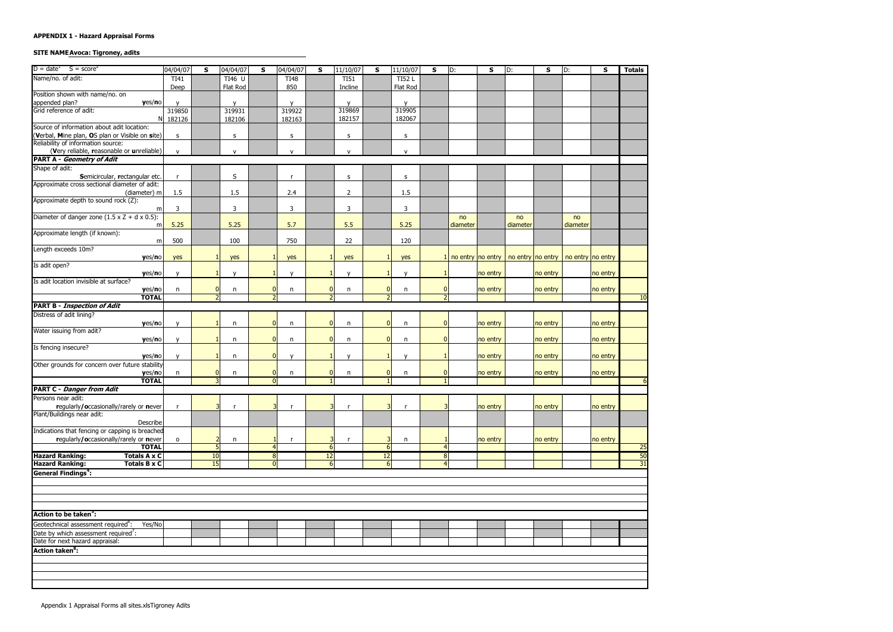# **SITE NAME Avoca: Tigroney, adits**

| $D = date^1$ $S = score^2$                                | 04/04/07       | S              | 04/04/07      | S              | 04/04/07     | S              | 11/10/07          | $\sf s$        | 11/10/07     | S                | D:       | $\sf s$                                                         | D:       | S        | D:       | S        | <b>Totals</b>   |
|-----------------------------------------------------------|----------------|----------------|---------------|----------------|--------------|----------------|-------------------|----------------|--------------|------------------|----------|-----------------------------------------------------------------|----------|----------|----------|----------|-----------------|
| Name/no. of adit:                                         | TI41           |                | <b>TI46 U</b> |                | <b>TI48</b>  |                | $\overline{TI51}$ |                | <b>TI52L</b> |                  |          |                                                                 |          |          |          |          |                 |
|                                                           | Deep           |                | Flat Rod      |                | 850          |                | Incline           |                | Flat Rod     |                  |          |                                                                 |          |          |          |          |                 |
| Position shown with name/no. on                           |                |                |               |                |              |                |                   |                |              |                  |          |                                                                 |          |          |          |          |                 |
| appended plan?<br>yes/no                                  |                |                | $\mathbf{v}$  |                | $\mathsf{v}$ |                | $\mathbf{v}$      |                | $\mathbf{v}$ |                  |          |                                                                 |          |          |          |          |                 |
| Grid reference of adit:                                   | 319850         |                | 319931        |                | 319922       |                | 319869            |                | 319905       |                  |          |                                                                 |          |          |          |          |                 |
|                                                           | N 182126       |                | 182106        |                | 182163       |                | 182157            |                | 182067       |                  |          |                                                                 |          |          |          |          |                 |
| Source of information about adit location:                |                |                |               |                |              |                |                   |                |              |                  |          |                                                                 |          |          |          |          |                 |
| (Verbal, Mine plan, OS plan or Visible on site)           | s.             |                | s             |                | s            |                | s                 |                | s            |                  |          |                                                                 |          |          |          |          |                 |
| Reliability of information source:                        |                |                |               |                |              |                |                   |                |              |                  |          |                                                                 |          |          |          |          |                 |
| (Very reliable, reasonable or unreliable)                 | $\mathsf{v}$   |                | $\mathsf{V}$  |                | ${\sf V}$    |                | ${\sf v}$         |                | V            |                  |          |                                                                 |          |          |          |          |                 |
| <b>PART A - Geometry of Adit</b>                          |                |                |               |                |              |                |                   |                |              |                  |          |                                                                 |          |          |          |          |                 |
| Shape of adit:                                            |                |                |               |                |              |                |                   |                |              |                  |          |                                                                 |          |          |          |          |                 |
| Semicircular, rectangular etc.                            | $\mathsf{r}$   |                | S             |                | r            |                | $\sf S$           |                | s            |                  |          |                                                                 |          |          |          |          |                 |
| Approximate cross sectional diameter of adit:             |                |                |               |                |              |                |                   |                |              |                  |          |                                                                 |          |          |          |          |                 |
| (diameter) m                                              | 1.5            |                | 1.5           |                | 2.4          |                | $\overline{2}$    |                | 1.5          |                  |          |                                                                 |          |          |          |          |                 |
| Approximate depth to sound rock (Z):                      |                |                |               |                |              |                |                   |                |              |                  |          |                                                                 |          |          |          |          |                 |
| m                                                         | 3              |                | 3             |                | $\mathbf{3}$ |                | 3                 |                | 3            |                  |          |                                                                 |          |          |          |          |                 |
| Diameter of danger zone $(1.5 \times Z + d \times 0.5)$ : |                |                |               |                |              |                |                   |                |              |                  | no       |                                                                 | no       |          | no       |          |                 |
| m                                                         | 5.25           |                | 5.25          |                | 5.7          |                | 5.5               |                | 5.25         |                  | diameter |                                                                 | diameter |          | diameter |          |                 |
| Approximate length (if known):                            |                |                |               |                |              |                |                   |                |              |                  |          |                                                                 |          |          |          |          |                 |
| m                                                         | 500            |                | 100           |                | 750          |                | 22                |                | 120          |                  |          |                                                                 |          |          |          |          |                 |
| Length exceeds 10m?                                       |                |                |               |                |              |                |                   |                |              |                  |          |                                                                 |          |          |          |          |                 |
| yes/no<br>Is adit open?                                   | yes            |                | yes           |                | yes          |                | yes               |                | yes          |                  |          | 1 no entry no entry   no entry   no entry   no entry   no entry |          |          |          |          |                 |
|                                                           | $\mathsf{v}$   |                | $\mathsf{v}$  |                | $\mathsf{v}$ |                | $\mathsf{v}$      | $\mathbf{1}$   | $\mathsf{v}$ | $\mathbf{1}$     |          | no entry                                                        |          |          |          |          |                 |
| yes/no<br>Is adit location invisible at surface?          |                |                |               |                |              |                |                   |                |              |                  |          |                                                                 |          | no entry |          | no entry |                 |
| yes/no                                                    | n              | 0              | n             |                | n            | $\overline{0}$ | n                 | $\mathbf{0}$   | n            | $\boldsymbol{0}$ |          | no entry                                                        |          | no entry |          | no entry |                 |
| <b>TOTAL</b>                                              |                | 2 <sup>1</sup> |               |                |              | $\overline{2}$ |                   | $\overline{2}$ |              | $\overline{2}$   |          |                                                                 |          |          |          |          | 10              |
| <b>PART B - Inspection of Adit</b>                        |                |                |               |                |              |                |                   |                |              |                  |          |                                                                 |          |          |          |          |                 |
| Distress of adit lining?                                  |                |                |               |                |              |                |                   |                |              |                  |          |                                                                 |          |          |          |          |                 |
| yes/no                                                    |                |                | $\mathsf{n}$  |                | n            | $\overline{0}$ | n                 | $\mathbf{0}$   | n            | $\overline{0}$   |          | no entry                                                        |          | no entry |          | no entry |                 |
| Water issuing from adit?                                  |                |                |               |                |              |                |                   |                |              |                  |          |                                                                 |          |          |          |          |                 |
| yes/no                                                    |                |                | n             |                | n            | $\overline{0}$ | n                 | $\mathbf{0}$   | n            | $\overline{0}$   |          | no entry                                                        |          | no entry |          | no entry |                 |
| Is fencing insecure?                                      |                |                |               |                |              |                |                   |                |              |                  |          |                                                                 |          |          |          |          |                 |
| yes/no                                                    | $\mathsf{v}$   |                | n             |                | $\mathsf{v}$ |                | $\mathsf{v}$      |                | $\mathsf{v}$ |                  |          | no entry                                                        |          | no entry |          | no entry |                 |
| Other grounds for concern over future stability           |                |                |               |                |              |                |                   |                |              |                  |          |                                                                 |          |          |          |          |                 |
| yes/no                                                    | n              | $\mathbf{0}$   | n             |                | n            | $\mathbf{0}$   | n                 | $\mathbf{0}$   | n            | $\bf{0}$         |          | no entry                                                        |          | no entry |          | no entry |                 |
| <b>TOTAL</b>                                              |                | $\overline{3}$ |               |                |              |                |                   |                |              | $\mathbf{1}$     |          |                                                                 |          |          |          |          |                 |
| <b>PART C - Danger from Adit</b>                          |                |                |               |                |              |                |                   |                |              |                  |          |                                                                 |          |          |          |          |                 |
| Persons near adit:                                        |                |                |               |                |              |                |                   |                |              |                  |          |                                                                 |          |          |          |          |                 |
| regularly/occasionally/rarely or never                    | $\mathsf{r}$   | 3              |               |                |              |                |                   | 3              |              | 3                |          | no entry                                                        |          | no entry |          | no entry |                 |
| Plant/Buildings near adit:                                |                |                |               |                |              |                |                   |                |              |                  |          |                                                                 |          |          |          |          |                 |
| Describe                                                  |                |                |               |                |              |                |                   |                |              |                  |          |                                                                 |          |          |          |          |                 |
| Indications that fencing or capping is breached           |                |                |               |                |              |                |                   |                |              |                  |          |                                                                 |          |          |          |          |                 |
| regularly/occasionally/rarely or never                    | $\mathsf{o}\,$ |                | n             |                | r            |                |                   |                | n            |                  |          | no entry                                                        |          | no entry |          | no entry |                 |
| <b>TOTAL</b>                                              |                | 5 <sub>5</sub> |               |                |              | 6              |                   | 6              |              | $\overline{4}$   |          |                                                                 |          |          |          |          | $\overline{25}$ |
| <b>Hazard Ranking:</b><br><b>Totals A x C</b>             |                | 10             |               | 8 <sup>1</sup> |              | 12             |                   | 12             |              | $\infty$         |          |                                                                 |          |          |          |          | 50              |
| <b>Hazard Ranking:</b><br><b>Totals B x C</b>             |                | 15             |               | n              |              | 6 <sup>1</sup> |                   | 6              |              | $\overline{4}$   |          |                                                                 |          |          |          |          | 31              |
| <b>General Findings<sup>4</sup>:</b>                      |                |                |               |                |              |                |                   |                |              |                  |          |                                                                 |          |          |          |          |                 |
|                                                           |                |                |               |                |              |                |                   |                |              |                  |          |                                                                 |          |          |          |          |                 |
|                                                           |                |                |               |                |              |                |                   |                |              |                  |          |                                                                 |          |          |          |          |                 |
|                                                           |                |                |               |                |              |                |                   |                |              |                  |          |                                                                 |          |          |          |          |                 |
|                                                           |                |                |               |                |              |                |                   |                |              |                  |          |                                                                 |          |          |          |          |                 |
| Action to be taken <sup>5</sup> :                         |                |                |               |                |              |                |                   |                |              |                  |          |                                                                 |          |          |          |          |                 |
| Geotechnical assessment required <sup>6</sup> :<br>Yes/No |                |                |               |                |              |                |                   |                |              |                  |          |                                                                 |          |          |          |          |                 |
| Date by which assessment required <sup>7</sup> :          |                |                |               |                |              |                |                   |                |              |                  |          |                                                                 |          |          |          |          |                 |
| Date for next hazard appraisal:                           |                |                |               |                |              |                |                   |                |              |                  |          |                                                                 |          |          |          |          |                 |
| <b>Action taken<sup>8</sup></b> :                         |                |                |               |                |              |                |                   |                |              |                  |          |                                                                 |          |          |          |          |                 |
|                                                           |                |                |               |                |              |                |                   |                |              |                  |          |                                                                 |          |          |          |          |                 |
|                                                           |                |                |               |                |              |                |                   |                |              |                  |          |                                                                 |          |          |          |          |                 |
|                                                           |                |                |               |                |              |                |                   |                |              |                  |          |                                                                 |          |          |          |          |                 |
|                                                           |                |                |               |                |              |                |                   |                |              |                  |          |                                                                 |          |          |          |          |                 |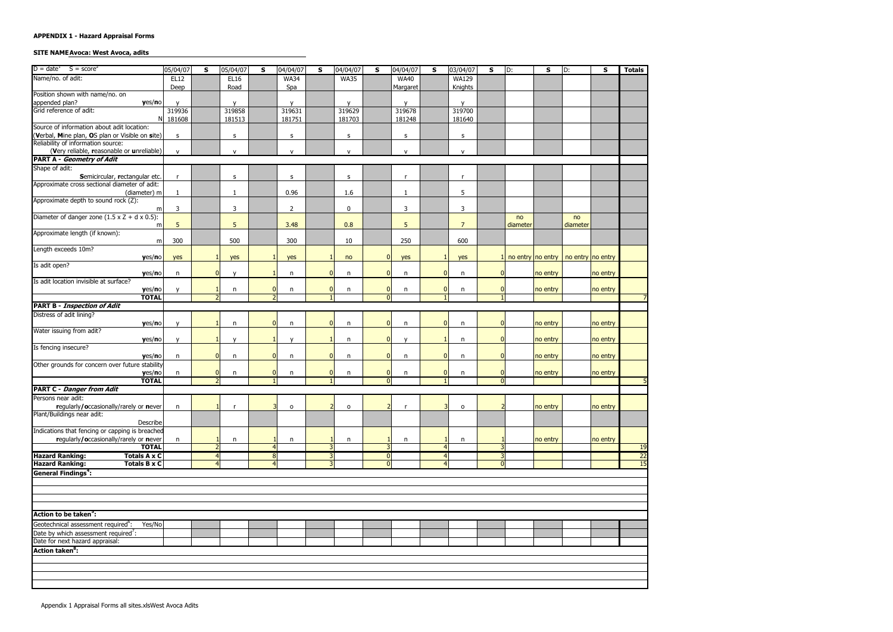#### SITE NAME Avoca: West Avoca, adits

| $D = date^1$ $S = score^2$                                | 05/04/07     | S                | 05/04/07     | S                        | 04/04/07       | S              | 04/04/07       | S                       | 04/04/07     | S              | 03/04/07       | S              | D:       | S                                     | D:       | S        | <b>Totals</b>   |
|-----------------------------------------------------------|--------------|------------------|--------------|--------------------------|----------------|----------------|----------------|-------------------------|--------------|----------------|----------------|----------------|----------|---------------------------------------|----------|----------|-----------------|
| Name/no. of adit:                                         | EL12         |                  | EL16         |                          | <b>WA34</b>    |                | <b>WA35</b>    |                         | <b>WA40</b>  |                | <b>WA129</b>   |                |          |                                       |          |          |                 |
|                                                           | Deep         |                  | Road         |                          | Spa            |                |                |                         | Margaret     |                | Knights        |                |          |                                       |          |          |                 |
| Position shown with name/no. on                           |              |                  |              |                          |                |                |                |                         |              |                |                |                |          |                                       |          |          |                 |
| appended plan?<br>yes/no                                  |              |                  | $\mathbf v$  |                          | $\mathbf{v}$   |                | $\mathbf{v}$   |                         | $\mathbf{v}$ |                | $\mathbf{v}$   |                |          |                                       |          |          |                 |
| Grid reference of adit:                                   | 319936       |                  | 319858       |                          | 319631         |                | 319629         |                         | 319678       |                | 319700         |                |          |                                       |          |          |                 |
| NI                                                        | 181608       |                  | 181513       |                          | 181751         |                | 181703         |                         | 181248       |                | 181640         |                |          |                                       |          |          |                 |
| Source of information about adit location:                |              |                  |              |                          |                |                |                |                         |              |                |                |                |          |                                       |          |          |                 |
| (Verbal, Mine plan, OS plan or Visible on site)           | s            |                  | s            |                          | s              |                | s              |                         | s            |                | S              |                |          |                                       |          |          |                 |
| Reliability of information source:                        |              |                  |              |                          |                |                |                |                         |              |                |                |                |          |                                       |          |          |                 |
| (Very reliable, reasonable or unreliable)                 | ${\sf v}$    |                  | ${\sf v}$    |                          | $\mathsf{v}$   |                | $\mathsf{v}$   |                         | ${\sf V}$    |                | $\mathsf{v}$   |                |          |                                       |          |          |                 |
| <b>PART A - Geometry of Adit</b>                          |              |                  |              |                          |                |                |                |                         |              |                |                |                |          |                                       |          |          |                 |
| Shape of adit:                                            |              |                  |              |                          |                |                |                |                         |              |                |                |                |          |                                       |          |          |                 |
| Semicircular, rectangular etc.                            |              |                  | s            |                          | s              |                | $\sf s$        |                         | $\mathsf{r}$ |                | $\mathsf{r}$   |                |          |                                       |          |          |                 |
| Approximate cross sectional diameter of adit:             |              |                  |              |                          |                |                |                |                         |              |                |                |                |          |                                       |          |          |                 |
| (diameter) m                                              | 1            |                  | 1            |                          | 0.96           |                | 1.6            |                         | $\mathbf{1}$ |                | 5              |                |          |                                       |          |          |                 |
| Approximate depth to sound rock (Z):                      |              |                  |              |                          |                |                |                |                         |              |                |                |                |          |                                       |          |          |                 |
| m                                                         | 3            |                  | 3            |                          | $\overline{2}$ |                | $\mathbf 0$    |                         | 3            |                | $\mathbf{3}$   |                |          |                                       |          |          |                 |
| Diameter of danger zone $(1.5 \times Z + d \times 0.5)$ : |              |                  |              |                          |                |                |                |                         |              |                |                |                | no       |                                       | no       |          |                 |
| m                                                         | 5            |                  | 5            |                          | 3.48           |                | 0.8            |                         | 5            |                | $\overline{7}$ |                | diameter |                                       | diameter |          |                 |
| Approximate length (if known):                            |              |                  |              |                          |                |                |                |                         |              |                |                |                |          |                                       |          |          |                 |
| m                                                         | 300          |                  | 500          |                          | 300            |                | 10             |                         | 250          |                | 600            |                |          |                                       |          |          |                 |
| Length exceeds 10m?                                       |              |                  |              |                          |                |                |                |                         |              |                |                |                |          |                                       |          |          |                 |
| yes/no                                                    | yes          |                  | yes          |                          | yes            |                | no             | $\overline{0}$          | yes          | -1             | yes            |                |          | no entry no entry   no entry no entry |          |          |                 |
| Is adit open?                                             |              | $\overline{0}$   |              |                          |                | $\mathbf{0}$   |                |                         |              |                |                |                |          |                                       |          |          |                 |
| yes/no<br>Is adit location invisible at surface?          | $\mathsf{n}$ |                  | $\mathsf{v}$ |                          | n              |                | n              | $\overline{0}$          | n            | 0              | n              |                |          | no entry                              |          | no entry |                 |
|                                                           |              |                  |              | $\mathbf{0}$             |                | $\mathbf{0}$   |                | $\overline{0}$          |              | $\overline{0}$ |                |                |          | no entry                              |          | no entry |                 |
| yes/no<br><b>TOTAL</b>                                    |              | $2 \overline{ }$ | n            | $\overline{\phantom{0}}$ | n              | $\mathbf{1}$   | n              | $\overline{0}$          | n            |                | n              |                |          |                                       |          |          |                 |
| <b>PART B - Inspection of Adit</b>                        |              |                  |              |                          |                |                |                |                         |              |                |                |                |          |                                       |          |          |                 |
| Distress of adit lining?                                  |              |                  |              |                          |                |                |                |                         |              |                |                |                |          |                                       |          |          |                 |
| yes/no                                                    | $\mathbf{v}$ |                  | n            | $\Omega$                 | n              | $\Omega$       | n              | $\overline{0}$          | n            | $\overline{0}$ | n              |                |          | no entry                              |          | no entry |                 |
| Water issuing from adit?                                  |              |                  |              |                          |                |                |                |                         |              |                |                |                |          |                                       |          |          |                 |
| yes/no                                                    |              |                  | $\mathbf v$  |                          | $\mathbf{v}$   |                | n              | $\overline{0}$          | $\mathsf{v}$ |                | n              |                |          | no entry                              |          | no entry |                 |
| Is fencing insecure?                                      |              |                  |              |                          |                |                |                |                         |              |                |                |                |          |                                       |          |          |                 |
| yes/no                                                    | n            | $\overline{0}$   | n            | $\Omega$                 | n              | $\Omega$       | n              | $\overline{0}$          | n            | $\overline{0}$ | n              |                |          | no entry                              |          | no entry |                 |
| Other grounds for concern over future stability           |              |                  |              |                          |                |                |                |                         |              |                |                |                |          |                                       |          |          |                 |
| yes/no                                                    | n            | $\overline{0}$   | n            | $\mathbf{0}$             | n              | $\mathbf 0$    | n              | $\overline{0}$          | n            | $\overline{0}$ | n              |                |          | no entry                              |          | no entry |                 |
| <b>TOTAL</b>                                              |              | $\overline{2}$   |              |                          |                | $\mathbf{1}$   |                | $\overline{0}$          |              |                |                | $\Omega$       |          |                                       |          |          |                 |
| <b>PART C - Danger from Adit</b>                          |              |                  |              |                          |                |                |                |                         |              |                |                |                |          |                                       |          |          |                 |
| Persons near adit:                                        |              |                  |              |                          |                |                |                |                         |              |                |                |                |          |                                       |          |          |                 |
| regularly/occasionally/rarely or never                    | $\mathsf{n}$ | $\mathbf{1}$     | $\mathsf{r}$ |                          | 0              | $\overline{2}$ | $\mathsf{o}\,$ | $\overline{2}$          |              | $\overline{3}$ | $\mathsf{o}$   |                |          | no entry                              |          | no entry |                 |
| Plant/Buildings near adit:                                |              |                  |              |                          |                |                |                |                         |              |                |                |                |          |                                       |          |          |                 |
| Describe                                                  |              |                  |              |                          |                |                |                |                         |              |                |                |                |          |                                       |          |          |                 |
| Indications that fencing or capping is breached           |              |                  |              |                          |                |                |                |                         |              |                |                |                |          |                                       |          |          |                 |
| regularly/occasionally/rarely or never                    | n            |                  | n            |                          | n              |                | n              |                         | n            |                | n              |                |          | no entry                              |          | no entry |                 |
| <b>TOTAL</b>                                              |              | $2 \overline{ }$ |              |                          |                | 3              |                | 3                       |              | $\overline{4}$ |                |                |          |                                       |          |          | 19              |
| <b>Hazard Ranking:</b><br><b>Totals A x C</b>             |              | $\overline{4}$   |              | 8 <sup>l</sup>           |                | 3              |                | $\overline{\mathbf{0}}$ |              | $\overline{4}$ |                | $\overline{3}$ |          |                                       |          |          | $\overline{22}$ |
| <b>Hazard Ranking:</b><br><b>Totals B x C</b>             |              | $\overline{4}$   |              | 4                        |                |                |                | $\overline{0}$          |              | $\overline{4}$ |                | 0              |          |                                       |          |          | $\overline{15}$ |
| <b>General Findings<sup>4</sup>:</b>                      |              |                  |              |                          |                |                |                |                         |              |                |                |                |          |                                       |          |          |                 |
|                                                           |              |                  |              |                          |                |                |                |                         |              |                |                |                |          |                                       |          |          |                 |
|                                                           |              |                  |              |                          |                |                |                |                         |              |                |                |                |          |                                       |          |          |                 |
|                                                           |              |                  |              |                          |                |                |                |                         |              |                |                |                |          |                                       |          |          |                 |
|                                                           |              |                  |              |                          |                |                |                |                         |              |                |                |                |          |                                       |          |          |                 |
| Action to be taken <sup>5</sup> :                         |              |                  |              |                          |                |                |                |                         |              |                |                |                |          |                                       |          |          |                 |
| Geotechnical assessment required <sup>6</sup> :<br>Yes/No |              |                  |              |                          |                |                |                |                         |              |                |                |                |          |                                       |          |          |                 |
| Date by which assessment required <sup>7</sup> :          |              |                  |              |                          |                |                |                |                         |              |                |                |                |          |                                       |          |          |                 |
| Date for next hazard appraisal:                           |              |                  |              |                          |                |                |                |                         |              |                |                |                |          |                                       |          |          |                 |
| Action taken <sup>8</sup> :                               |              |                  |              |                          |                |                |                |                         |              |                |                |                |          |                                       |          |          |                 |
|                                                           |              |                  |              |                          |                |                |                |                         |              |                |                |                |          |                                       |          |          |                 |
|                                                           |              |                  |              |                          |                |                |                |                         |              |                |                |                |          |                                       |          |          |                 |
|                                                           |              |                  |              |                          |                |                |                |                         |              |                |                |                |          |                                       |          |          |                 |
|                                                           |              |                  |              |                          |                |                |                |                         |              |                |                |                |          |                                       |          |          |                 |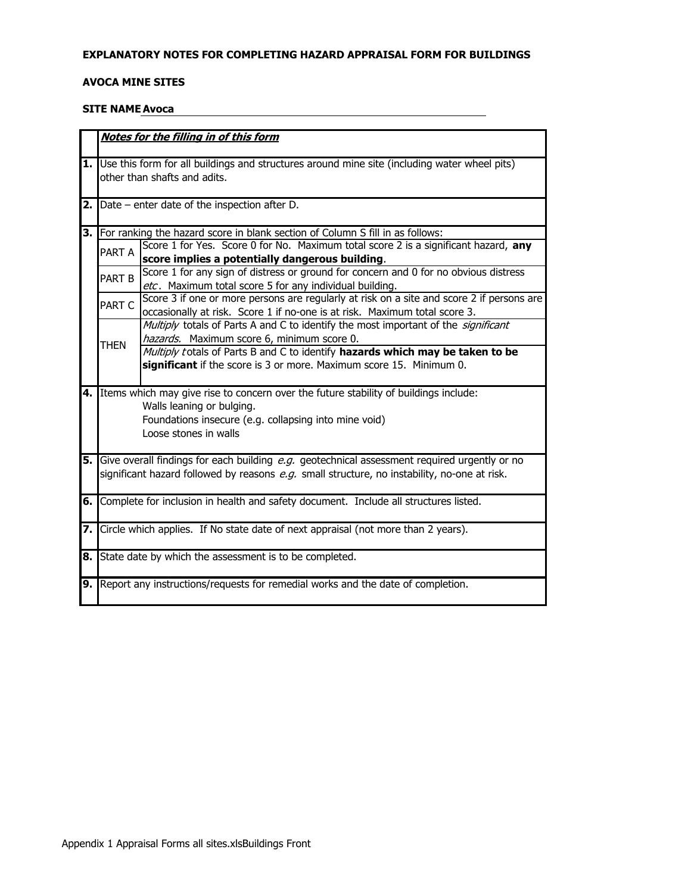#### EXPLANATORY NOTES FOR COMPLETING HAZARD APPRAISAL FORM FOR BUILDINGS

#### **AVOCA MINE SITES**

#### **SITE NAME Avoca**

|                   | Notes for the filling in of this form                                                                                                                |
|-------------------|------------------------------------------------------------------------------------------------------------------------------------------------------|
|                   | 1. Use this form for all buildings and structures around mine site (including water wheel pits)                                                      |
|                   | other than shafts and adits.                                                                                                                         |
|                   |                                                                                                                                                      |
|                   | <b>2.</b> $Date$ – enter date of the inspection after D.                                                                                             |
|                   |                                                                                                                                                      |
|                   | 3. For ranking the hazard score in blank section of Column S fill in as follows:                                                                     |
| PART A            | Score 1 for Yes. Score 0 for No. Maximum total score 2 is a significant hazard, any                                                                  |
|                   | score implies a potentially dangerous building.                                                                                                      |
| PART <sub>B</sub> | Score 1 for any sign of distress or ground for concern and 0 for no obvious distress                                                                 |
|                   | etc. Maximum total score 5 for any individual building.<br>Score 3 if one or more persons are regularly at risk on a site and score 2 if persons are |
| PART C            | occasionally at risk. Score 1 if no-one is at risk. Maximum total score 3.                                                                           |
|                   | Multiply totals of Parts A and C to identify the most important of the significant                                                                   |
|                   | hazards. Maximum score 6, minimum score 0.                                                                                                           |
| <b>THEN</b>       | Multiply totals of Parts B and C to identify hazards which may be taken to be                                                                        |
|                   | significant if the score is 3 or more. Maximum score 15. Minimum 0.                                                                                  |
|                   |                                                                                                                                                      |
|                   | 4. Items which may give rise to concern over the future stability of buildings include:                                                              |
|                   | Walls leaning or bulging.                                                                                                                            |
|                   | Foundations insecure (e.g. collapsing into mine void)                                                                                                |
|                   | Loose stones in walls                                                                                                                                |
|                   |                                                                                                                                                      |
|                   | 5. Give overall findings for each building e.g. geotechnical assessment required urgently or no                                                      |
|                   | significant hazard followed by reasons e.g. small structure, no instability, no-one at risk.                                                         |
|                   | 6. Complete for inclusion in health and safety document. Include all structures listed.                                                              |
|                   |                                                                                                                                                      |
|                   | 7. Circle which applies. If No state date of next appraisal (not more than 2 years).                                                                 |
|                   |                                                                                                                                                      |
|                   | 8. State date by which the assessment is to be completed.                                                                                            |
|                   |                                                                                                                                                      |
|                   | 9. Report any instructions/requests for remedial works and the date of completion.                                                                   |
|                   |                                                                                                                                                      |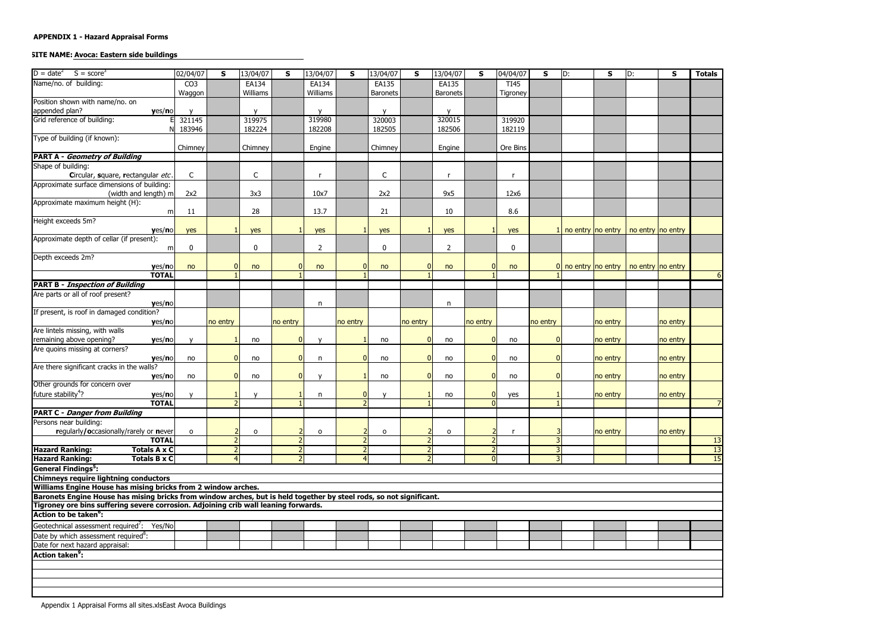# **SITE NAME: Avoca: Eastern side buildings**

| $S = score3$<br>$D = date^2$                                                                                        | 02/04/07        | S              | 13/04/07     | $\mathsf{s}$   | 13/04/07       | S                                | 13/04/07     | S              | 13/04/07        | S                              | 04/04/07    | $\mathsf{s}$ | D:                               | ${\sf s}$ | D:                                             | $\mathsf{s}$ | <b>Totals</b>         |
|---------------------------------------------------------------------------------------------------------------------|-----------------|----------------|--------------|----------------|----------------|----------------------------------|--------------|----------------|-----------------|--------------------------------|-------------|--------------|----------------------------------|-----------|------------------------------------------------|--------------|-----------------------|
| Name/no. of building:                                                                                               | CO <sub>3</sub> |                | EA134        |                | EA134          |                                  | EA135        |                | EA135           |                                | <b>TI45</b> |              |                                  |           |                                                |              |                       |
|                                                                                                                     | Waggon          |                | Williams     |                | Williams       |                                  | Baronets     |                | <b>Baronets</b> |                                | Tigroney    |              |                                  |           |                                                |              |                       |
| Position shown with name/no. on                                                                                     |                 |                |              |                |                |                                  |              |                |                 |                                |             |              |                                  |           |                                                |              |                       |
| appended plan?<br>yes/no                                                                                            |                 |                |              |                | $\mathbf{v}$   |                                  |              |                |                 |                                |             |              |                                  |           |                                                |              |                       |
| Grid reference of building:                                                                                         | 321145          |                | 319975       |                | 319980         |                                  | 320003       |                | 320015          |                                | 319920      |              |                                  |           |                                                |              |                       |
|                                                                                                                     | 183946          |                | 182224       |                | 182208         |                                  | 182505       |                | 182506          |                                | 182119      |              |                                  |           |                                                |              |                       |
| Type of building (if known):                                                                                        |                 |                |              |                |                |                                  |              |                |                 |                                |             |              |                                  |           |                                                |              |                       |
|                                                                                                                     | Chimney         |                | Chimney      |                | Engine         |                                  | Chimney      |                | Engine          |                                | Ore Bins    |              |                                  |           |                                                |              |                       |
| <b>PART A - Geometry of Building</b>                                                                                |                 |                |              |                |                |                                  |              |                |                 |                                |             |              |                                  |           |                                                |              |                       |
| Shape of building:                                                                                                  |                 |                |              |                |                |                                  |              |                |                 |                                |             |              |                                  |           |                                                |              |                       |
| Circular, square, rectangular etc.                                                                                  | $\mathsf{C}$    |                | $\mathsf{C}$ |                |                |                                  | $\mathsf{C}$ |                |                 |                                | -r          |              |                                  |           |                                                |              |                       |
| Approximate surface dimensions of building:                                                                         |                 |                |              |                |                |                                  |              |                |                 |                                |             |              |                                  |           |                                                |              |                       |
| (width and length) m                                                                                                | 2x2             |                | 3x3          |                | 10x7           |                                  | 2x2          |                | 9x5             |                                | 12x6        |              |                                  |           |                                                |              |                       |
| Approximate maximum height (H):                                                                                     |                 |                |              |                |                |                                  |              |                |                 |                                |             |              |                                  |           |                                                |              |                       |
| m                                                                                                                   | 11              |                | 28           |                | 13.7           |                                  | 21           |                | 10              |                                | 8.6         |              |                                  |           |                                                |              |                       |
| Height exceeds 5m?                                                                                                  |                 |                |              |                |                |                                  |              |                |                 |                                |             |              |                                  |           |                                                |              |                       |
| yes/no                                                                                                              | yes             |                | yes          |                | yes            |                                  | yes          |                | yes             |                                | yes         |              |                                  |           | 1 no entry $ no$ entry $ no$ entry $ no$ entry |              |                       |
| Approximate depth of cellar (if present):                                                                           |                 |                |              |                |                |                                  |              |                |                 |                                |             |              |                                  |           |                                                |              |                       |
| m                                                                                                                   | $\bf{0}$        |                | 0            |                | $\overline{2}$ |                                  | $\pmb{0}$    |                | $\overline{2}$  |                                | $\pmb{0}$   |              |                                  |           |                                                |              |                       |
| Depth exceeds 2m?                                                                                                   |                 | $\overline{0}$ |              |                |                |                                  |              |                |                 | $\Omega$                       |             |              | $\overline{0}$ no entry no entry |           |                                                |              |                       |
| yes/no<br><b>TOTAL</b>                                                                                              | no              |                | no           |                | no             |                                  | no           |                | no              |                                | no          |              |                                  |           | no entry no entry                              |              | 6                     |
| <b>PART B - Inspection of Building</b>                                                                              |                 |                |              |                |                |                                  |              |                |                 |                                |             |              |                                  |           |                                                |              |                       |
| Are parts or all of roof present?                                                                                   |                 |                |              |                |                |                                  |              |                |                 |                                |             |              |                                  |           |                                                |              |                       |
| yes/no                                                                                                              |                 |                |              |                | n              |                                  |              |                | $\mathsf{n}$    |                                |             |              |                                  |           |                                                |              |                       |
| If present, is roof in damaged condition?                                                                           |                 |                |              |                |                |                                  |              |                |                 |                                |             |              |                                  |           |                                                |              |                       |
| yes/no                                                                                                              |                 | no entry       |              | no entry       |                | no entry                         |              | no entry       |                 | no entry                       |             | no entry     |                                  | no entry  |                                                | no entry     |                       |
| Are lintels missing, with walls                                                                                     |                 |                |              |                |                |                                  |              |                |                 |                                |             |              |                                  |           |                                                |              |                       |
| remaining above opening?<br>yes/no                                                                                  |                 |                | no           | $\overline{0}$ | $\mathbf{v}$   |                                  | no           | $\Omega$       | no              | $\Omega$                       | no          | $\Omega$     |                                  | no entry  |                                                | no entry     |                       |
| Are quoins missing at corners?                                                                                      |                 |                |              |                |                |                                  |              |                |                 |                                |             |              |                                  |           |                                                |              |                       |
| yes/no                                                                                                              | no              | $\overline{0}$ | no           | $\overline{0}$ | n              | $\Omega$                         | no           | $\Omega$       | no              | $\Omega$                       | no          | $\Omega$     |                                  | no entry  |                                                | no entry     |                       |
| Are there significant cracks in the walls?                                                                          |                 |                |              |                |                |                                  |              |                |                 |                                |             |              |                                  |           |                                                |              |                       |
| yes/no                                                                                                              | no              | $\overline{0}$ | no           | $\Omega$       | $\mathbf v$    |                                  | no           | $\Omega$       | no              | $\overline{0}$                 | no          | $\Omega$     |                                  | no entry  |                                                | no entry     |                       |
| Other grounds for concern over                                                                                      |                 |                |              |                |                |                                  |              |                |                 |                                |             |              |                                  |           |                                                |              |                       |
| future stability <sup>4</sup> ?<br>yes/no                                                                           | $\mathsf{v}$    |                | $\mathsf{v}$ |                | n              | 0                                | v            |                | no              | $\pmb{0}$                      | yes         |              |                                  | no entry  |                                                | no entry     |                       |
| <b>TOTAL</b>                                                                                                        |                 |                |              |                |                |                                  |              |                |                 | $\overline{ }$                 |             |              |                                  |           |                                                |              |                       |
| <b>PART C - Danger from Building</b>                                                                                |                 |                |              |                |                |                                  |              |                |                 |                                |             |              |                                  |           |                                                |              |                       |
| Persons near building:                                                                                              |                 |                |              |                |                |                                  |              |                |                 |                                |             |              |                                  |           |                                                |              |                       |
| regularly/occasionally/rarely or never                                                                              | $\mathbf{o}$    |                | $\mathbf{o}$ |                | $\mathbf 0$    |                                  | $\mathbf{o}$ |                | $\mathbf{o}$    |                                |             |              |                                  | no entry  |                                                | no entry     |                       |
| <b>TOTAL</b>                                                                                                        |                 |                |              |                |                | 2                                |              |                |                 | $\overline{2}$                 |             |              |                                  |           |                                                |              | 13                    |
| <b>Hazard Ranking:</b><br>Totals A x C<br><b>Totals B x C</b><br><b>Hazard Ranking:</b>                             |                 |                |              |                |                | $\overline{2}$<br>$\overline{4}$ |              | $\overline{2}$ |                 | $\overline{2}$<br>$\mathbf{0}$ |             |              |                                  |           |                                                |              | 13<br>$\overline{15}$ |
|                                                                                                                     |                 |                |              |                |                |                                  |              |                |                 |                                |             |              |                                  |           |                                                |              |                       |
| <b>General Findings<sup>5</sup></b> :<br>Chimneys require lightning conductors                                      |                 |                |              |                |                |                                  |              |                |                 |                                |             |              |                                  |           |                                                |              |                       |
| Williams Engine House has mising bricks from 2 window arches.                                                       |                 |                |              |                |                |                                  |              |                |                 |                                |             |              |                                  |           |                                                |              |                       |
| Baronets Engine House has mising bricks from window arches, but is held together by steel rods, so not significant. |                 |                |              |                |                |                                  |              |                |                 |                                |             |              |                                  |           |                                                |              |                       |
| Tigroney ore bins suffering severe corrosion. Adjoining crib wall leaning forwards.                                 |                 |                |              |                |                |                                  |              |                |                 |                                |             |              |                                  |           |                                                |              |                       |
| Action to be taken <sup>o</sup> :                                                                                   |                 |                |              |                |                |                                  |              |                |                 |                                |             |              |                                  |           |                                                |              |                       |
| Geotechnical assessment required <sup>7</sup> : Yes/No                                                              |                 |                |              |                |                |                                  |              |                |                 |                                |             |              |                                  |           |                                                |              |                       |
|                                                                                                                     |                 |                |              |                |                |                                  |              |                |                 |                                |             |              |                                  |           |                                                |              |                       |
| Date by which assessment required <sup>8</sup> :<br>Date for next hazard appraisal:                                 |                 |                |              |                |                |                                  |              |                |                 |                                |             |              |                                  |           |                                                |              |                       |
| <b>Action taken<sup>9</sup>:</b>                                                                                    |                 |                |              |                |                |                                  |              |                |                 |                                |             |              |                                  |           |                                                |              |                       |
|                                                                                                                     |                 |                |              |                |                |                                  |              |                |                 |                                |             |              |                                  |           |                                                |              |                       |
|                                                                                                                     |                 |                |              |                |                |                                  |              |                |                 |                                |             |              |                                  |           |                                                |              |                       |
|                                                                                                                     |                 |                |              |                |                |                                  |              |                |                 |                                |             |              |                                  |           |                                                |              |                       |
|                                                                                                                     |                 |                |              |                |                |                                  |              |                |                 |                                |             |              |                                  |           |                                                |              |                       |
|                                                                                                                     |                 |                |              |                |                |                                  |              |                |                 |                                |             |              |                                  |           |                                                |              |                       |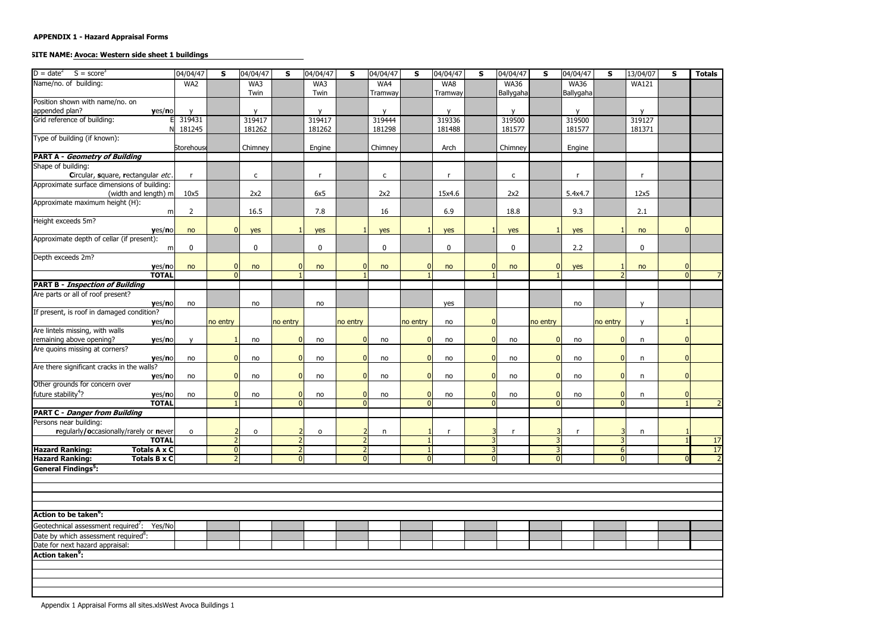# SITE NAME: Avoca: Western side sheet 1 buildings

| $S = score3$<br>$D = date^2$                     | 04/04/47       | S              | 04/04/47     | S              | 04/04/47     | $\mathsf{s}$   | 04/04/47     | S           | 04/04/47     | S              | 04/04/47     | S              | 04/04/47    | S                       | 13/04/07     | $\mathbf{s}$ | <b>Totals</b>  |
|--------------------------------------------------|----------------|----------------|--------------|----------------|--------------|----------------|--------------|-------------|--------------|----------------|--------------|----------------|-------------|-------------------------|--------------|--------------|----------------|
| Name/no. of building:                            | WA2            |                | WA3          |                | WA3          |                | WA4          |             | WA8          |                | <b>WA36</b>  |                | <b>WA36</b> |                         | <b>WA121</b> |              |                |
|                                                  |                |                | Twin         |                | Twin         |                | Tramway      |             | Tramway      |                | Ballygaha    |                | Ballygaha   |                         |              |              |                |
| Position shown with name/no. on                  |                |                |              |                |              |                |              |             |              |                |              |                |             |                         |              |              |                |
| appended plan?<br>yes/no                         | $\mathbf{v}$   |                | $\mathbf{v}$ |                | $\mathbf{v}$ |                | $\mathsf{v}$ |             | $\mathbf{v}$ |                |              |                |             |                         | $\mathbf{V}$ |              |                |
| Grid reference of building:                      | 319431         |                | 319417       |                | 319417       |                | 319444       |             | 319336       |                | 319500       |                | 319500      |                         | 319127       |              |                |
|                                                  | 181245         |                | 181262       |                | 181262       |                | 181298       |             | 181488       |                | 181577       |                | 181577      |                         | 181371       |              |                |
| Type of building (if known):                     |                |                |              |                |              |                |              |             |              |                |              |                |             |                         |              |              |                |
|                                                  | Storehouse     |                | Chimney      |                | Engine       |                | Chimney      |             | Arch         |                | Chimney      |                | Engine      |                         |              |              |                |
| <b>PART A - Geometry of Building</b>             |                |                |              |                |              |                |              |             |              |                |              |                |             |                         |              |              |                |
| Shape of building:                               |                |                |              |                |              |                |              |             |              |                |              |                |             |                         |              |              |                |
| Circular, square, rectangular etc.               | r              |                | $\mathsf{C}$ |                |              |                | $\mathsf{C}$ |             |              |                | $\mathsf{C}$ |                |             |                         | <b>r</b>     |              |                |
| Approximate surface dimensions of building:      |                |                |              |                |              |                |              |             |              |                |              |                |             |                         |              |              |                |
| (width and length) m                             | 10x5           |                | 2x2          |                | 6x5          |                | 2x2          |             | 15x4.6       |                | 2x2          |                | 5.4x4.7     |                         | 12x5         |              |                |
| Approximate maximum height (H):                  |                |                |              |                |              |                |              |             |              |                |              |                |             |                         |              |              |                |
| m                                                | $\overline{2}$ |                | 16.5         |                | 7.8          |                | 16           |             | 6.9          |                | 18.8         |                | 9.3         |                         | 2.1          |              |                |
| Height exceeds 5m?                               |                |                |              |                |              |                |              |             |              |                |              |                |             |                         |              |              |                |
| yes/no                                           | no             | $\overline{0}$ | yes          |                | yes          |                | yes          |             | yes          |                | yes          |                | yes         |                         | no           | $\Omega$     |                |
| Approximate depth of cellar (if present):        |                |                |              |                |              |                |              |             |              |                |              |                |             |                         |              |              |                |
| m                                                | 0              |                | $\mathbf 0$  |                | 0            |                | $\pmb{0}$    |             | $\bf{0}$     |                | $\mathbf 0$  |                | 2.2         |                         | $\pmb{0}$    |              |                |
| Depth exceeds 2m?                                |                |                |              |                |              |                |              |             |              |                |              |                |             |                         |              |              |                |
| yes/no                                           | no             | $\overline{0}$ | no           |                | no           |                | no           |             | no           | 0              | no           | 0              | yes         |                         | no           | $\Omega$     |                |
| <b>TOTAL</b>                                     |                | $\Omega$       |              |                |              |                |              |             |              |                |              |                |             |                         |              | $\Omega$     |                |
| <b>PART B - Inspection of Building</b>           |                |                |              |                |              |                |              |             |              |                |              |                |             |                         |              |              |                |
| Are parts or all of roof present?                |                |                |              |                |              |                |              |             |              |                |              |                |             |                         |              |              |                |
| yes/no                                           | no             |                | no           |                | no           |                |              |             | yes          |                |              |                | no          |                         | $\mathbf{V}$ |              |                |
| If present, is roof in damaged condition?        |                |                |              |                |              |                |              |             |              |                |              |                |             |                         |              |              |                |
| yes/no                                           |                | no entry       |              | no entry       |              | no entry       |              | no entry    | no           | $\overline{0}$ |              | no entry       |             | no entry                | $\mathbf{v}$ |              |                |
| Are lintels missing, with walls                  |                |                |              |                |              |                |              |             |              |                |              |                |             |                         |              |              |                |
| remaining above opening?<br>yes/no               |                |                | no           | $\Omega$       | no           | $\Omega$       | no           | $\Omega$    | no           | $\Omega$       | no           | $\Omega$       | no          | $\mathbf{0}$            | n            | $\Omega$     |                |
| Are quoins missing at corners?                   |                |                |              |                |              |                |              |             |              |                |              |                |             |                         |              |              |                |
| yes/no                                           | no             | $\overline{0}$ | no           | $\overline{0}$ | no           | $\Omega$       | no           | $\Omega$    | no           | $\Omega$       | no           | $\Omega$       | no          | $\mathbf{0}$            | n            | $\Omega$     |                |
| Are there significant cracks in the walls?       |                |                |              |                |              |                |              |             |              |                |              |                |             |                         |              |              |                |
| yes/no                                           | no             | $\overline{0}$ | no           | $\Omega$       | no           | $\Omega$       | no           | $\Omega$    | no           | $\Omega$       | no           | $\Omega$       | no          | $\mathbf{0}$            | n            | $\Omega$     |                |
| Other grounds for concern over                   |                |                |              |                |              |                |              |             |              |                |              |                |             |                         |              |              |                |
| future stability <sup>4</sup> ?<br>yes/no        | no             | 01             | no           | $\overline{0}$ | no           | $\mathbf 0$    | no           | $\mathbf 0$ | no           | $\mathbf{0}$   | no           | $\mathbf{0}$   | no          | $\pmb{0}$               | n            | $\mathbf{0}$ |                |
| <b>TOTAL</b>                                     |                |                |              |                |              | $\Omega$       |              | $\Omega$    |              | $\overline{0}$ |              | $\overline{0}$ |             | $\overline{\mathbf{0}}$ |              |              |                |
| <b>PART C - Danger from Building</b>             |                |                |              |                |              |                |              |             |              |                |              |                |             |                         |              |              |                |
| Persons near building:                           |                |                |              |                |              |                |              |             |              |                |              |                |             |                         |              |              |                |
| regularly/occasionally/rarely or never           | $\mathbf{o}$   |                | $\mathbf{o}$ |                | $\mathbf{o}$ |                | n            |             |              |                |              |                |             |                         | n            |              |                |
| <b>TOTAL</b>                                     |                |                |              |                |              | $\overline{2}$ |              |             |              | 3              |              | 3              |             | 3                       |              |              | 17             |
| <b>Totals A x C</b><br><b>Hazard Ranking:</b>    |                | 0              |              |                |              | $\overline{2}$ |              |             |              | 3              |              |                |             | $6 \overline{6}$        |              |              | 17             |
| <b>Hazard Ranking:</b><br><b>Totals B x C</b>    |                | $\overline{2}$ |              | $\overline{0}$ |              | $\mathbf{0}$   |              | $\Omega$    |              | $\overline{0}$ |              | $\Omega$       |             | $\overline{0}$          |              | $\Omega$     | $\overline{2}$ |
| <b>General Findings<sup>5</sup></b> :            |                |                |              |                |              |                |              |             |              |                |              |                |             |                         |              |              |                |
|                                                  |                |                |              |                |              |                |              |             |              |                |              |                |             |                         |              |              |                |
|                                                  |                |                |              |                |              |                |              |             |              |                |              |                |             |                         |              |              |                |
|                                                  |                |                |              |                |              |                |              |             |              |                |              |                |             |                         |              |              |                |
|                                                  |                |                |              |                |              |                |              |             |              |                |              |                |             |                         |              |              |                |
| Action to be taken <sup>o</sup> :                |                |                |              |                |              |                |              |             |              |                |              |                |             |                         |              |              |                |
| Geotechnical assessment required': Yes/No        |                |                |              |                |              |                |              |             |              |                |              |                |             |                         |              |              |                |
| Date by which assessment required <sup>8</sup> : |                |                |              |                |              |                |              |             |              |                |              |                |             |                         |              |              |                |
| Date for next hazard appraisal:                  |                |                |              |                |              |                |              |             |              |                |              |                |             |                         |              |              |                |
| Action taken <sup>9</sup> :                      |                |                |              |                |              |                |              |             |              |                |              |                |             |                         |              |              |                |
|                                                  |                |                |              |                |              |                |              |             |              |                |              |                |             |                         |              |              |                |
|                                                  |                |                |              |                |              |                |              |             |              |                |              |                |             |                         |              |              |                |
|                                                  |                |                |              |                |              |                |              |             |              |                |              |                |             |                         |              |              |                |
|                                                  |                |                |              |                |              |                |              |             |              |                |              |                |             |                         |              |              |                |
|                                                  |                |                |              |                |              |                |              |             |              |                |              |                |             |                         |              |              |                |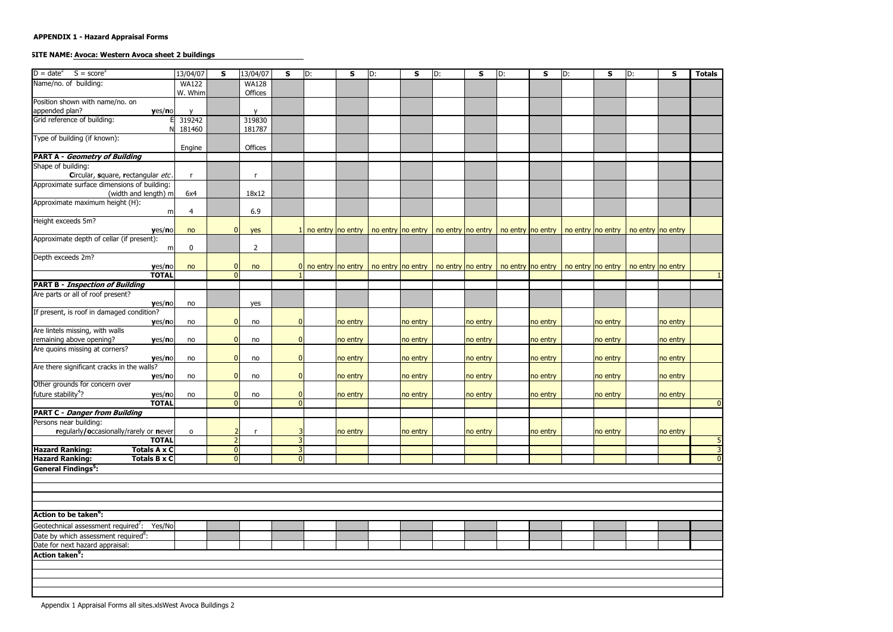# SITE NAME: Avoca: Western Avoca sheet 2 buildings

| $D = date^2$<br>$S = score3$                           | 13/04/07         | S              | 13/04/07         | S              | D: | S                     | D: | S        | D: | S        | D: | S        | D: | $\mathbf{s}$ | D:                                                                                                          | $\mathsf{s}$ | <b>Totals</b>  |
|--------------------------------------------------------|------------------|----------------|------------------|----------------|----|-----------------------|----|----------|----|----------|----|----------|----|--------------|-------------------------------------------------------------------------------------------------------------|--------------|----------------|
|                                                        | <b>WA122</b>     |                |                  |                |    |                       |    |          |    |          |    |          |    |              |                                                                                                             |              |                |
| Name/no. of building:                                  |                  |                | <b>WA128</b>     |                |    |                       |    |          |    |          |    |          |    |              |                                                                                                             |              |                |
|                                                        | W. Whim          |                | Offices          |                |    |                       |    |          |    |          |    |          |    |              |                                                                                                             |              |                |
| Position shown with name/no. on                        |                  |                | $\mathbf{v}$     |                |    |                       |    |          |    |          |    |          |    |              |                                                                                                             |              |                |
| appended plan?<br>yes/no                               |                  |                |                  |                |    |                       |    |          |    |          |    |          |    |              |                                                                                                             |              |                |
| Grid reference of building:                            | 319242<br>181460 |                | 319830<br>181787 |                |    |                       |    |          |    |          |    |          |    |              |                                                                                                             |              |                |
| Type of building (if known):                           |                  |                |                  |                |    |                       |    |          |    |          |    |          |    |              |                                                                                                             |              |                |
|                                                        | Engine           |                | Offices          |                |    |                       |    |          |    |          |    |          |    |              |                                                                                                             |              |                |
| <b>PART A - Geometry of Building</b>                   |                  |                |                  |                |    |                       |    |          |    |          |    |          |    |              |                                                                                                             |              |                |
| Shape of building:                                     |                  |                |                  |                |    |                       |    |          |    |          |    |          |    |              |                                                                                                             |              |                |
| Circular, square, rectangular etc.                     |                  |                |                  |                |    |                       |    |          |    |          |    |          |    |              |                                                                                                             |              |                |
| Approximate surface dimensions of building:            |                  |                |                  |                |    |                       |    |          |    |          |    |          |    |              |                                                                                                             |              |                |
| (width and length) m                                   | 6x4              |                | 18x12            |                |    |                       |    |          |    |          |    |          |    |              |                                                                                                             |              |                |
| Approximate maximum height (H):                        |                  |                |                  |                |    |                       |    |          |    |          |    |          |    |              |                                                                                                             |              |                |
| m                                                      | 4                |                | 6.9              |                |    |                       |    |          |    |          |    |          |    |              |                                                                                                             |              |                |
| Height exceeds 5m?                                     |                  |                |                  |                |    |                       |    |          |    |          |    |          |    |              |                                                                                                             |              |                |
| yes/no                                                 | no               | $\overline{0}$ | yes              |                |    | no entry no entry     |    |          |    |          |    |          |    |              | no entry   no entry   no entry   no entry   no entry   no entry   no entry   no entry   no entry   no entry |              |                |
| Approximate depth of cellar (if present):              |                  |                |                  |                |    |                       |    |          |    |          |    |          |    |              |                                                                                                             |              |                |
| m                                                      | $\mathbf{0}$     |                | $\overline{2}$   |                |    |                       |    |          |    |          |    |          |    |              |                                                                                                             |              |                |
| Depth exceeds 2m?                                      |                  |                |                  |                |    |                       |    |          |    |          |    |          |    |              |                                                                                                             |              |                |
| yes/no                                                 | no               | $\overline{0}$ | no               |                |    | $0$ no entry no entry |    |          |    |          |    |          |    |              | no entry   no entry   no entry   no entry   no entry   no entry   no entry   no entry   no entry   no entry |              |                |
| <b>TOTAL</b>                                           |                  | $\Omega$       |                  |                |    |                       |    |          |    |          |    |          |    |              |                                                                                                             |              |                |
| <b>PART B - Inspection of Building</b>                 |                  |                |                  |                |    |                       |    |          |    |          |    |          |    |              |                                                                                                             |              |                |
| Are parts or all of roof present?                      |                  |                |                  |                |    |                       |    |          |    |          |    |          |    |              |                                                                                                             |              |                |
| yes/no                                                 | no               |                | yes              |                |    |                       |    |          |    |          |    |          |    |              |                                                                                                             |              |                |
| If present, is roof in damaged condition?              |                  |                |                  |                |    |                       |    |          |    |          |    |          |    |              |                                                                                                             |              |                |
| yes/no                                                 | no               | $\overline{0}$ | no               | $\mathbf{0}$   |    | no entry              |    | no entry |    | no entry |    | no entry |    | no entry     |                                                                                                             | no entry     |                |
| Are lintels missing, with walls                        |                  |                |                  |                |    |                       |    |          |    |          |    |          |    |              |                                                                                                             |              |                |
| remaining above opening?<br>yes/no                     | no               | $\overline{0}$ | no               | $\Omega$       |    | no entry              |    | no entry |    | no entry |    | no entry |    | no entry     |                                                                                                             | no entry     |                |
| Are quoins missing at corners?                         |                  |                |                  |                |    |                       |    |          |    |          |    |          |    |              |                                                                                                             |              |                |
| yes/no                                                 | no               | $\overline{0}$ | no               | $\Omega$       |    | no entry              |    | no entry |    | no entry |    | no entry |    | no entry     |                                                                                                             | no entry     |                |
| Are there significant cracks in the walls?             |                  |                |                  |                |    |                       |    |          |    |          |    |          |    |              |                                                                                                             |              |                |
| yes/no                                                 | no               | $\overline{0}$ | no               | $\Omega$       |    | no entry              |    | no entry |    | no entry |    | no entry |    | no entry     |                                                                                                             | no entry     |                |
| Other grounds for concern over                         |                  |                |                  |                |    |                       |    |          |    |          |    |          |    |              |                                                                                                             |              |                |
| future stability <sup>4</sup> ?<br>yes/no              | no               | 0              | no               |                |    | no entry              |    | no entry |    | no entry |    | no entry |    | no entry     |                                                                                                             | no entry     |                |
| <b>TOTAL</b>                                           |                  | 0              |                  | $\overline{0}$ |    |                       |    |          |    |          |    |          |    |              |                                                                                                             |              |                |
| <b>PART C - Danger from Building</b>                   |                  |                |                  |                |    |                       |    |          |    |          |    |          |    |              |                                                                                                             |              |                |
| Persons near building:                                 |                  |                |                  |                |    |                       |    |          |    |          |    |          |    |              |                                                                                                             |              |                |
| regularly/occasionally/rarely or never                 | $\mathbf{o}$     |                |                  |                |    | no entry              |    | no entry |    | no entry |    | no entry |    | no entry     |                                                                                                             | no entry     |                |
| <b>TOTAL</b>                                           |                  | $\overline{2}$ |                  |                |    |                       |    |          |    |          |    |          |    |              |                                                                                                             |              | 5              |
| <b>Totals A x C</b><br><b>Hazard Ranking:</b>          |                  | 0              |                  | 3              |    |                       |    |          |    |          |    |          |    |              |                                                                                                             |              | $\overline{3}$ |
| <b>Hazard Ranking:</b><br><b>Totals B x C</b>          |                  | 0              |                  | $\mathbf{0}$   |    |                       |    |          |    |          |    |          |    |              |                                                                                                             |              |                |
| <b>General Findings<sup>5</sup>:</b>                   |                  |                |                  |                |    |                       |    |          |    |          |    |          |    |              |                                                                                                             |              |                |
|                                                        |                  |                |                  |                |    |                       |    |          |    |          |    |          |    |              |                                                                                                             |              |                |
|                                                        |                  |                |                  |                |    |                       |    |          |    |          |    |          |    |              |                                                                                                             |              |                |
|                                                        |                  |                |                  |                |    |                       |    |          |    |          |    |          |    |              |                                                                                                             |              |                |
|                                                        |                  |                |                  |                |    |                       |    |          |    |          |    |          |    |              |                                                                                                             |              |                |
|                                                        |                  |                |                  |                |    |                       |    |          |    |          |    |          |    |              |                                                                                                             |              |                |
| Action to be taken <sup>o</sup> :                      |                  |                |                  |                |    |                       |    |          |    |          |    |          |    |              |                                                                                                             |              |                |
| Geotechnical assessment required <sup>7</sup> : Yes/No |                  |                |                  |                |    |                       |    |          |    |          |    |          |    |              |                                                                                                             |              |                |
| Date by which assessment required <sup>8</sup> :       |                  |                |                  |                |    |                       |    |          |    |          |    |          |    |              |                                                                                                             |              |                |
| Date for next hazard appraisal:                        |                  |                |                  |                |    |                       |    |          |    |          |    |          |    |              |                                                                                                             |              |                |
| Action taken <sup>9</sup> :                            |                  |                |                  |                |    |                       |    |          |    |          |    |          |    |              |                                                                                                             |              |                |
|                                                        |                  |                |                  |                |    |                       |    |          |    |          |    |          |    |              |                                                                                                             |              |                |
|                                                        |                  |                |                  |                |    |                       |    |          |    |          |    |          |    |              |                                                                                                             |              |                |
|                                                        |                  |                |                  |                |    |                       |    |          |    |          |    |          |    |              |                                                                                                             |              |                |
|                                                        |                  |                |                  |                |    |                       |    |          |    |          |    |          |    |              |                                                                                                             |              |                |
|                                                        |                  |                |                  |                |    |                       |    |          |    |          |    |          |    |              |                                                                                                             |              |                |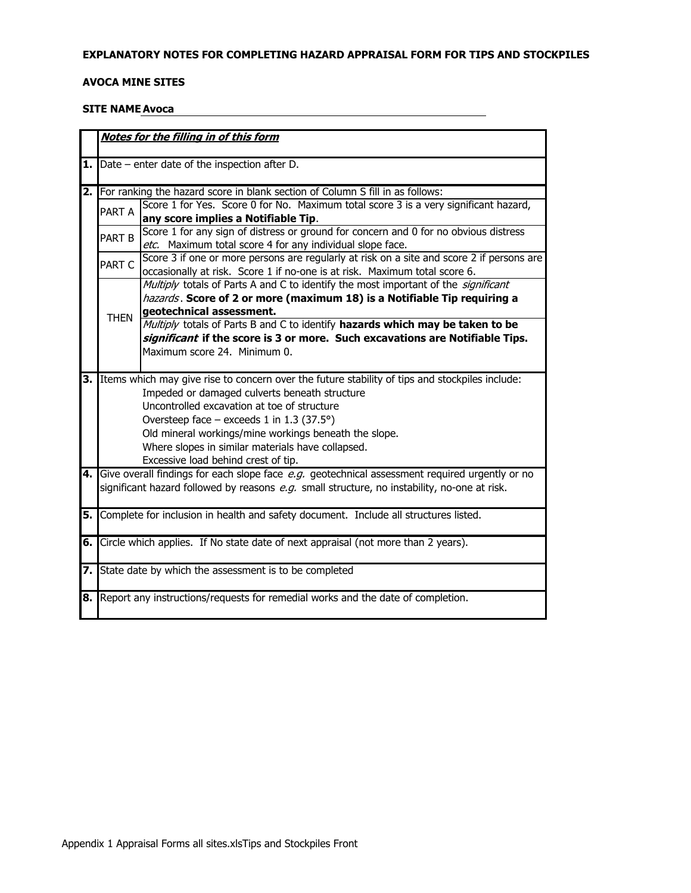#### EXPLANATORY NOTES FOR COMPLETING HAZARD APPRAISAL FORM FOR TIPS AND STOCKPILES

#### **AVOCA MINE SITES**

#### **SITE NAME Avoca**

|      |             | Notes for the filling in of this form                                                                        |
|------|-------------|--------------------------------------------------------------------------------------------------------------|
|      |             |                                                                                                              |
|      |             | <b>1.</b> $\blacksquare$ Date – enter date of the inspection after D.                                        |
| 2.1  |             | For ranking the hazard score in blank section of Column S fill in as follows:                                |
|      | PART A      | Score 1 for Yes. Score 0 for No. Maximum total score 3 is a very significant hazard,                         |
|      |             | any score implies a Notifiable Tip.                                                                          |
|      | PART B      | Score 1 for any sign of distress or ground for concern and 0 for no obvious distress                         |
|      |             | etc. Maximum total score 4 for any individual slope face.                                                    |
|      | PART C      | Score 3 if one or more persons are regularly at risk on a site and score 2 if persons are                    |
|      |             | occasionally at risk. Score 1 if no-one is at risk. Maximum total score 6.                                   |
|      |             | Multiply totals of Parts A and C to identify the most important of the significant                           |
|      |             | hazards. Score of 2 or more (maximum 18) is a Notifiable Tip requiring a                                     |
|      | <b>THEN</b> | geotechnical assessment.                                                                                     |
|      |             | Multiply totals of Parts B and C to identify hazards which may be taken to be                                |
|      |             | significant if the score is 3 or more. Such excavations are Notifiable Tips.<br>Maximum score 24. Minimum 0. |
|      |             |                                                                                                              |
| 3.   |             | Items which may give rise to concern over the future stability of tips and stockpiles include:               |
|      |             | Impeded or damaged culverts beneath structure                                                                |
|      |             | Uncontrolled excavation at toe of structure                                                                  |
|      |             | Oversteep face – exceeds 1 in 1.3 (37.5°)                                                                    |
|      |             | Old mineral workings/mine workings beneath the slope.                                                        |
|      |             | Where slopes in similar materials have collapsed.                                                            |
|      |             | Excessive load behind crest of tip.                                                                          |
| 4. I |             | Give overall findings for each slope face e.g. geotechnical assessment required urgently or no               |
|      |             | significant hazard followed by reasons e.g. small structure, no instability, no-one at risk.                 |
|      |             |                                                                                                              |
| 5.   |             | Complete for inclusion in health and safety document. Include all structures listed.                         |
|      |             |                                                                                                              |
| 6. l |             | Circle which applies. If No state date of next appraisal (not more than 2 years).                            |
|      |             |                                                                                                              |
|      |             | 7. State date by which the assessment is to be completed                                                     |
|      |             |                                                                                                              |
| 8.   |             | Report any instructions/requests for remedial works and the date of completion.                              |
|      |             |                                                                                                              |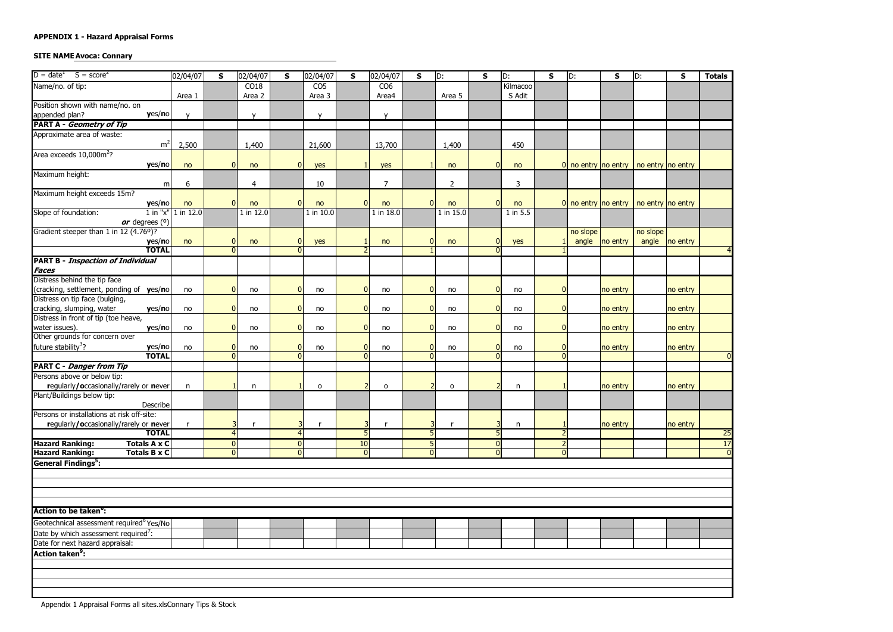### **SITE NAME Avoca: Connary**

| $D = dateT$<br>$S = score2$                                                          | 02/04/07               | S.             | 02/04/07     | S              | 02/04/07        | S            | 02/04/07        | $\mathsf{s}$ | D:             | S | D:       | $\mathbf{s}$   | D:                      | S        | D:                                      | S              | <b>Totals</b>  |
|--------------------------------------------------------------------------------------|------------------------|----------------|--------------|----------------|-----------------|--------------|-----------------|--------------|----------------|---|----------|----------------|-------------------------|----------|-----------------------------------------|----------------|----------------|
| Name/no. of tip:                                                                     |                        |                | CO18         |                | CO <sub>5</sub> |              | CO <sub>6</sub> |              |                |   | Kilmacoo |                |                         |          |                                         |                |                |
|                                                                                      | Area 1                 |                | Area 2       |                | Area 3          |              | Area4           |              | Area 5         |   | S Adit   |                |                         |          |                                         |                |                |
| Position shown with name/no. on                                                      |                        |                |              |                |                 |              |                 |              |                |   |          |                |                         |          |                                         |                |                |
| yes/no<br>appended plan?                                                             |                        |                | $\mathsf{v}$ |                | $\mathsf{v}$    |              | $\mathsf{v}$    |              |                |   |          |                |                         |          |                                         |                |                |
| <b>PART A - Geometry of Tip</b>                                                      |                        |                |              |                |                 |              |                 |              |                |   |          |                |                         |          |                                         |                |                |
| Approximate area of waste:                                                           |                        |                |              |                |                 |              |                 |              |                |   |          |                |                         |          |                                         |                |                |
| m <sup>2</sup>                                                                       | 2,500                  |                | 1,400        |                | 21,600          |              | 13,700          |              | 1,400          |   | 450      |                |                         |          |                                         |                |                |
| Area exceeds 10,000m <sup>2</sup> ?                                                  |                        |                |              |                |                 |              |                 |              |                |   |          |                |                         |          |                                         |                |                |
| yes/no                                                                               | no                     | $\overline{0}$ | no           | 0              | yes             |              | yes             |              | no             |   | no       |                |                         |          | 0 no entry no entry   no entry no entry |                |                |
| Maximum height:                                                                      |                        |                |              |                |                 |              |                 |              |                |   |          |                |                         |          |                                         |                |                |
| m                                                                                    | 6                      |                | 4            |                | 10              |              | $\overline{7}$  |              | $\overline{2}$ |   | 3        |                |                         |          |                                         |                |                |
| Maximum height exceeds 15m?                                                          |                        |                |              |                |                 |              |                 |              |                |   |          |                |                         |          |                                         |                |                |
| yes/no                                                                               | no                     | $\Omega$       | no           | $\overline{0}$ | no              | $\Omega$     | no              | $\Omega$     | no             |   | no       |                | $ 0 $ no entry no entry |          | no entry no entry                       |                |                |
| Slope of foundation:                                                                 | $1$ in "x" $1$ in 12.0 |                | 1 in 12.0    |                | 1 in 10.0       |              | 1 in 18.0       |              | 1 in $15.0$    |   | 1 in 5.5 |                |                         |          |                                         |                |                |
| or degrees $(0)$<br>Gradient steeper than 1 in 12 (4.76°)?                           |                        |                |              |                |                 |              |                 |              |                |   |          |                | no slope                |          | no slope                                |                |                |
| yes/no                                                                               | no                     | $\overline{0}$ | no           | $\Omega$       | yes             |              | no              | $\Omega$     | no             |   | yes      |                | angle                   | no entry |                                         | angle no entry |                |
| <b>TOTAL</b>                                                                         |                        | $\Omega$       |              | $\Omega$       |                 |              |                 |              |                |   |          |                |                         |          |                                         |                |                |
| <b>PART B - Inspection of Individual</b>                                             |                        |                |              |                |                 |              |                 |              |                |   |          |                |                         |          |                                         |                |                |
| <b>Faces</b>                                                                         |                        |                |              |                |                 |              |                 |              |                |   |          |                |                         |          |                                         |                |                |
| Distress behind the tip face                                                         |                        |                |              |                |                 |              |                 |              |                |   |          |                |                         |          |                                         |                |                |
| (cracking, settlement, ponding of yes/no                                             | no                     | $\Omega$       | no           | n              | no              | $\Omega$     | no              | n            | no             |   | no       | $\Omega$       |                         | no entry |                                         | no entry       |                |
| Distress on tip face (bulging,                                                       |                        |                |              |                |                 |              |                 |              |                |   |          |                |                         |          |                                         |                |                |
| cracking, slumping, water<br>yes/no                                                  | no                     | $\Omega$       | no           | $\Omega$       | no              | $\Omega$     | no              | $\Omega$     | no             |   | no       | $\Omega$       |                         | no entry |                                         | no entry       |                |
| Distress in front of tip (toe heave,                                                 |                        |                |              |                |                 |              |                 |              |                |   |          |                |                         |          |                                         |                |                |
| water issues).<br>yes/no                                                             | no                     | $\overline{0}$ | no           | $\Omega$       | no              | $\mathbf{0}$ | no              | $\Omega$     | no             |   | no       | $\Omega$       |                         | no entry |                                         | no entry       |                |
| Other grounds for concern over                                                       |                        |                |              |                |                 |              |                 |              |                |   |          |                |                         |          |                                         |                |                |
| future stability <sup>3</sup> ?<br>yes/no                                            | no                     | $\overline{0}$ | no           | $\Omega$       | no              | $\Omega$     | no              | $\Omega$     | no             |   | no       | $\overline{0}$ |                         | no entry |                                         | no entry       |                |
| <b>TOTAL</b>                                                                         |                        | $\Omega$       |              | $\Omega$       |                 | $\Omega$     |                 | $\Omega$     |                |   |          | $\Omega$       |                         |          |                                         |                |                |
| <b>PART C - Danger from Tip</b>                                                      |                        |                |              |                |                 |              |                 |              |                |   |          |                |                         |          |                                         |                |                |
| Persons above or below tip:                                                          |                        |                |              |                |                 |              |                 |              |                |   |          |                |                         |          |                                         |                |                |
| regularly/occasionally/rarely or never                                               | n                      |                | n            |                | $\mathbf{o}$    |              | $\mathsf{o}$    |              | $\circ$        |   | n        |                |                         | no entry |                                         | no entry       |                |
| Plant/Buildings below tip:                                                           |                        |                |              |                |                 |              |                 |              |                |   |          |                |                         |          |                                         |                |                |
| Describe                                                                             |                        |                |              |                |                 |              |                 |              |                |   |          |                |                         |          |                                         |                |                |
| Persons or installations at risk off-site:<br>regularly/occasionally/rarely or never |                        |                |              |                |                 |              |                 |              |                |   |          |                |                         |          |                                         | no entry       |                |
| <b>TOTAL</b>                                                                         |                        | $\overline{4}$ |              | 4              |                 | 5            |                 | 5            |                |   | n        |                |                         | no entry |                                         |                | 25             |
| <b>Totals A x C</b><br><b>Hazard Ranking:</b>                                        |                        | $\overline{0}$ |              | $\Omega$       |                 | 10           |                 | 5            |                |   |          |                |                         |          |                                         |                | 17             |
| <b>Hazard Ranking:</b><br><b>Totals B x C</b>                                        |                        | $\overline{0}$ |              | $\Omega$       |                 | $\Omega$     |                 | $\Omega$     |                | O |          | $\overline{0}$ |                         |          |                                         |                | $\overline{0}$ |
| General Findings <sup>5</sup> :                                                      |                        |                |              |                |                 |              |                 |              |                |   |          |                |                         |          |                                         |                |                |
|                                                                                      |                        |                |              |                |                 |              |                 |              |                |   |          |                |                         |          |                                         |                |                |
|                                                                                      |                        |                |              |                |                 |              |                 |              |                |   |          |                |                         |          |                                         |                |                |
|                                                                                      |                        |                |              |                |                 |              |                 |              |                |   |          |                |                         |          |                                         |                |                |
|                                                                                      |                        |                |              |                |                 |              |                 |              |                |   |          |                |                         |          |                                         |                |                |
| <b>Action to be taken<sup>o</sup>:</b>                                               |                        |                |              |                |                 |              |                 |              |                |   |          |                |                         |          |                                         |                |                |
| Geotechnical assessment required <sup>6</sup> Yes/No                                 |                        |                |              |                |                 |              |                 |              |                |   |          |                |                         |          |                                         |                |                |
| Date by which assessment required <sup>7</sup> :                                     |                        |                |              |                |                 |              |                 |              |                |   |          |                |                         |          |                                         |                |                |
| Date for next hazard appraisal:                                                      |                        |                |              |                |                 |              |                 |              |                |   |          |                |                         |          |                                         |                |                |
| <b>Action taken<sup>9</sup>:</b>                                                     |                        |                |              |                |                 |              |                 |              |                |   |          |                |                         |          |                                         |                |                |
|                                                                                      |                        |                |              |                |                 |              |                 |              |                |   |          |                |                         |          |                                         |                |                |
|                                                                                      |                        |                |              |                |                 |              |                 |              |                |   |          |                |                         |          |                                         |                |                |
|                                                                                      |                        |                |              |                |                 |              |                 |              |                |   |          |                |                         |          |                                         |                |                |
|                                                                                      |                        |                |              |                |                 |              |                 |              |                |   |          |                |                         |          |                                         |                |                |
|                                                                                      |                        |                |              |                |                 |              |                 |              |                |   |          |                |                         |          |                                         |                |                |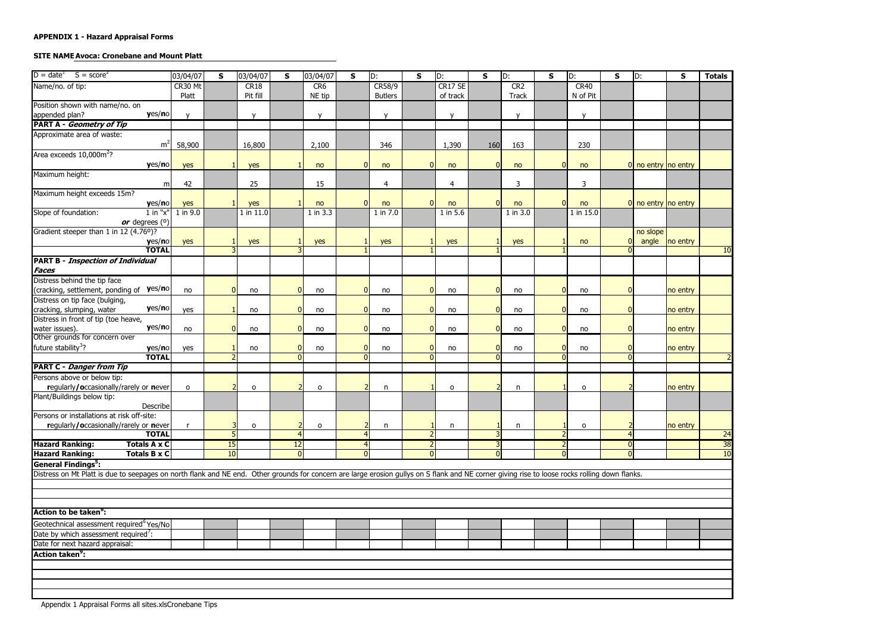# **SITE NAME Avoca: Cronebane and Mount Platt**

| $D = dateT$<br>$S = score2$                                                                                                                                                                    | 03/04/07 | <b>S</b>     | 03/04/07     | S              | 03/04/07        | $\mathsf{s}$   | D:             | S            | D:           | $\mathsf{s}$ | D:           | S              | D:           | S              | D:                    | $\mathsf{s}$ | <b>Totals</b> |
|------------------------------------------------------------------------------------------------------------------------------------------------------------------------------------------------|----------|--------------|--------------|----------------|-----------------|----------------|----------------|--------------|--------------|--------------|--------------|----------------|--------------|----------------|-----------------------|--------------|---------------|
| Name/no. of tip:                                                                                                                                                                               | CR30 Mt  |              | CR18         |                | CR <sub>6</sub> |                | CR58/9         |              | CR17 SE      |              | CR2          |                | <b>CR40</b>  |                |                       |              |               |
|                                                                                                                                                                                                | Platt    |              | Pit fill     |                | NE tip          |                | <b>Butlers</b> |              | of track     |              | <b>Track</b> |                | N of Pit     |                |                       |              |               |
| Position shown with name/no. on                                                                                                                                                                |          |              |              |                |                 |                |                |              |              |              |              |                |              |                |                       |              |               |
| yes/no<br>appended plan?                                                                                                                                                                       |          |              | $\mathbf{v}$ |                | $\mathsf{V}$    |                | $\mathbf v$    |              | $\mathbf{v}$ |              | $\mathbf{v}$ |                | $\mathbf v$  |                |                       |              |               |
| <b>PART A - Geometry of Tip</b>                                                                                                                                                                |          |              |              |                |                 |                |                |              |              |              |              |                |              |                |                       |              |               |
| Approximate area of waste:                                                                                                                                                                     |          |              |              |                |                 |                |                |              |              |              |              |                |              |                |                       |              |               |
| m <sup>2</sup>                                                                                                                                                                                 | 58,900   |              | 16,800       |                | 2,100           |                | 346            |              | 1,390        | 160          | 163          |                | 230          |                |                       |              |               |
| Area exceeds 10,000m <sup>2</sup> ?                                                                                                                                                            |          |              |              |                |                 |                |                |              |              |              |              |                |              |                |                       |              |               |
| yes/no                                                                                                                                                                                         | yes      |              | yes          |                | no              | $\overline{0}$ | no             | $\mathbf 0$  | no           | $\Omega$     | no           | $\overline{0}$ | no           |                | $0$ no entry no entry |              |               |
| Maximum height:                                                                                                                                                                                |          |              |              |                |                 |                |                |              |              |              |              |                |              |                |                       |              |               |
| m                                                                                                                                                                                              | 42       |              | 25           |                | 15              |                | 4              |              | 4            |              | 3            |                | 3            |                |                       |              |               |
| Maximum height exceeds 15m?                                                                                                                                                                    |          |              |              |                |                 |                |                |              |              |              |              |                |              |                |                       |              |               |
| yes/no                                                                                                                                                                                         | yes      | $\mathbf{1}$ | yes          |                | no              | $\Omega$       | no             | $\mathbf{0}$ | no           | $\Omega$     | no           | $\overline{0}$ | no           |                | $0$ no entry no entry |              |               |
| $1$ in " $x$ "<br>Slope of foundation:                                                                                                                                                         | 1 in 9.0 |              | 1 in $11.0$  |                | 1 in 3.3        |                | 1 in 7.0       |              | 1 in 5.6     |              | 1 in 3.0     |                | 1 in 15.0    |                |                       |              |               |
| or degrees $(°)$<br>Gradient steeper than 1 in 12 (4.76°)?                                                                                                                                     |          |              |              |                |                 |                |                |              |              |              |              |                |              |                | no slope              |              |               |
| yes/no                                                                                                                                                                                         | yes      |              | yes          |                | yes             |                | yes            |              | yes          |              | yes          |                | no           |                | angle                 | no entry     |               |
| <b>TOTAL</b>                                                                                                                                                                                   |          |              |              | $\mathbf{R}$   |                 |                |                |              |              |              |              |                |              | $\Omega$       |                       |              | 10            |
| <b>PART B - Inspection of Individual</b>                                                                                                                                                       |          |              |              |                |                 |                |                |              |              |              |              |                |              |                |                       |              |               |
| <b>Faces</b>                                                                                                                                                                                   |          |              |              |                |                 |                |                |              |              |              |              |                |              |                |                       |              |               |
| Distress behind the tip face                                                                                                                                                                   |          |              |              |                |                 |                |                |              |              |              |              |                |              |                |                       |              |               |
| (cracking, settlement, ponding of yes/no                                                                                                                                                       | no       | n            | no           | $\Omega$       | no              | $\Omega$       | no             | $\Omega$     | no           | $\Omega$     | no           | $\Omega$       | no           | $\overline{0}$ |                       | no entry     |               |
| Distress on tip face (bulging,                                                                                                                                                                 |          |              |              |                |                 |                |                |              |              |              |              |                |              |                |                       |              |               |
| yes/no<br>cracking, slumping, water                                                                                                                                                            | yes      |              | no           | $\mathbf{0}$   | no              | $\overline{0}$ | no             | $\mathbf{0}$ | no           | $\mathbf{0}$ | no           | 0              | no           | $\overline{0}$ |                       | no entry     |               |
| Distress in front of tip (toe heave,                                                                                                                                                           |          |              |              |                |                 |                |                |              |              |              |              |                |              |                |                       |              |               |
| yes/no<br>water issues).                                                                                                                                                                       | no       | $\Omega$     | no           | $\mathbf{0}$   | no              | $\overline{0}$ | no             | $\Omega$     | no           | $\Omega$     | no           | $\overline{0}$ | no           | $\overline{0}$ |                       | no entry     |               |
| Other grounds for concern over                                                                                                                                                                 |          |              |              |                |                 |                |                |              |              |              |              |                |              |                |                       |              |               |
| future stability <sup>3</sup> ?<br>yes/no                                                                                                                                                      | yes      |              | no           | $\mathbf{0}$   | no              | $\Omega$       | no             | $\Omega$     | no           | $\sqrt{ }$   | no           | $\overline{0}$ | no           | $\overline{0}$ |                       | no entry     |               |
| <b>TOTAL</b>                                                                                                                                                                                   |          |              |              | $\overline{0}$ |                 | $\Omega$       |                | $\Omega$     |              |              |              | $\Omega$       |              | $\Omega$       |                       |              |               |
| <b>PART C - Danger from Tip</b>                                                                                                                                                                |          |              |              |                |                 |                |                |              |              |              |              |                |              |                |                       |              |               |
| Persons above or below tip:                                                                                                                                                                    |          |              |              |                |                 |                |                |              |              |              |              |                |              |                |                       |              |               |
| regularly/occasionally/rarely or never                                                                                                                                                         | $\Omega$ |              | $\mathsf{o}$ |                | $\circ$         |                | n              |              | $\mathsf{o}$ |              | $\mathsf{n}$ |                | $\mathsf{o}$ |                |                       | no entry     |               |
| Plant/Buildings below tip:                                                                                                                                                                     |          |              |              |                |                 |                |                |              |              |              |              |                |              |                |                       |              |               |
| Describe<br>Persons or installations at risk off-site:                                                                                                                                         |          |              |              |                |                 |                |                |              |              |              |              |                |              |                |                       |              |               |
| regularly/occasionally/rarely or never                                                                                                                                                         |          |              | $\mathbf{o}$ |                | $\circ$         |                | n              |              | n            |              | n            |                | 0            |                |                       | no entry     |               |
| <b>TOTAL</b>                                                                                                                                                                                   |          |              |              | $\overline{4}$ |                 | 4              |                |              |              |              |              |                |              |                |                       |              | 24            |
| <b>Hazard Ranking:</b><br><b>Totals A x C</b>                                                                                                                                                  |          | 15           |              | 12             |                 | 4              |                | 2            |              |              |              |                |              | $\overline{0}$ |                       |              | 38            |
| <b>Hazard Ranking:</b><br><b>Totals B x C</b>                                                                                                                                                  |          | 10           |              | $\mathbf{0}$   |                 | $\Omega$       |                | $\Omega$     |              | $\Omega$     |              | $\Omega$       |              | $\Omega$       |                       |              | 10            |
| General Findings <sup>5</sup> :                                                                                                                                                                |          |              |              |                |                 |                |                |              |              |              |              |                |              |                |                       |              |               |
| Distress on Mt Platt is due to seepages on north flank and NE end. Other grounds for concern are large erosion gullys on S flank and NE corner giving rise to loose rocks rolling down flanks. |          |              |              |                |                 |                |                |              |              |              |              |                |              |                |                       |              |               |
|                                                                                                                                                                                                |          |              |              |                |                 |                |                |              |              |              |              |                |              |                |                       |              |               |
|                                                                                                                                                                                                |          |              |              |                |                 |                |                |              |              |              |              |                |              |                |                       |              |               |
|                                                                                                                                                                                                |          |              |              |                |                 |                |                |              |              |              |              |                |              |                |                       |              |               |
| Action to be taken <sup>o</sup> :                                                                                                                                                              |          |              |              |                |                 |                |                |              |              |              |              |                |              |                |                       |              |               |
| Geotechnical assessment required <sup>6</sup> Yes/No                                                                                                                                           |          |              |              |                |                 |                |                |              |              |              |              |                |              |                |                       |              |               |
| Date by which assessment required <sup>7</sup> :                                                                                                                                               |          |              |              |                |                 |                |                |              |              |              |              |                |              |                |                       |              |               |
| Date for next hazard appraisal:                                                                                                                                                                |          |              |              |                |                 |                |                |              |              |              |              |                |              |                |                       |              |               |
| <b>Action taken<sup>9</sup>:</b>                                                                                                                                                               |          |              |              |                |                 |                |                |              |              |              |              |                |              |                |                       |              |               |
|                                                                                                                                                                                                |          |              |              |                |                 |                |                |              |              |              |              |                |              |                |                       |              |               |
|                                                                                                                                                                                                |          |              |              |                |                 |                |                |              |              |              |              |                |              |                |                       |              |               |
|                                                                                                                                                                                                |          |              |              |                |                 |                |                |              |              |              |              |                |              |                |                       |              |               |
|                                                                                                                                                                                                |          |              |              |                |                 |                |                |              |              |              |              |                |              |                |                       |              |               |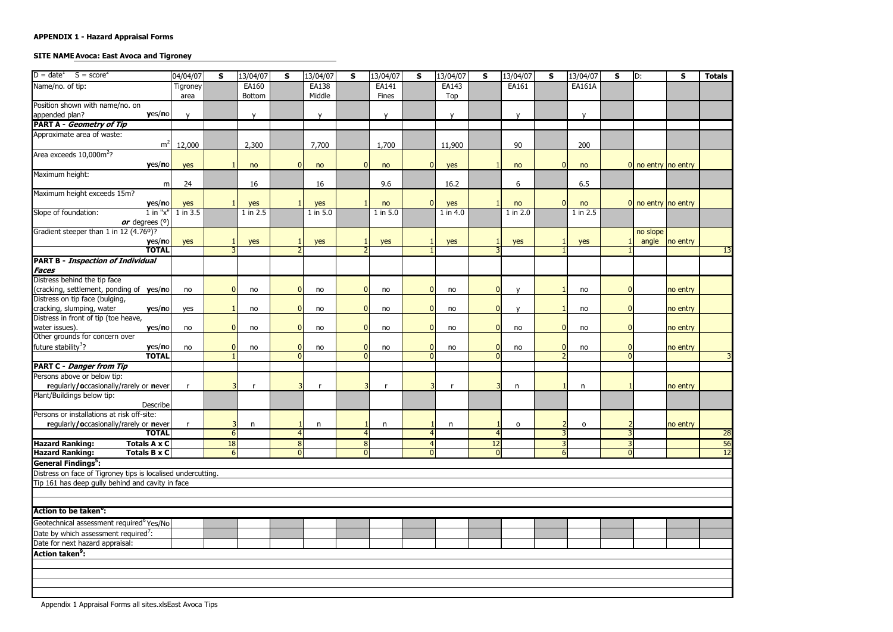# **SITE NAME Avoca: East Avoca and Tigroney**

| $D = dateT$<br>$S = score2$                                  | 04/04/07        | $\mathsf{s}$ | 13/04/07     | S                           | 13/04/07     | S              | 13/04/07     | S              | 13/04/07     | $\mathsf{s}$ | 13/04/07     | S              | 13/04/07     | $\mathsf{s}$               | D:                    | $\mathsf{s}$   | <b>Totals</b> |
|--------------------------------------------------------------|-----------------|--------------|--------------|-----------------------------|--------------|----------------|--------------|----------------|--------------|--------------|--------------|----------------|--------------|----------------------------|-----------------------|----------------|---------------|
| Name/no. of tip:                                             | <b>Tigroney</b> |              | EA160        |                             | EA138        |                | EA141        |                | EA143        |              | EA161        |                | EA161A       |                            |                       |                |               |
|                                                              | area            |              | Bottom       |                             | Middle       |                | Fines        |                | Top          |              |              |                |              |                            |                       |                |               |
| Position shown with name/no. on                              |                 |              |              |                             |              |                |              |                |              |              |              |                |              |                            |                       |                |               |
| yes/no<br>appended plan?                                     |                 |              | $\mathsf{v}$ |                             | $\mathsf{V}$ |                | $\mathbf{V}$ |                | $\mathsf{v}$ |              | $\mathbf{v}$ |                | $\mathsf{v}$ |                            |                       |                |               |
| <b>PART A - Geometry of Tip</b>                              |                 |              |              |                             |              |                |              |                |              |              |              |                |              |                            |                       |                |               |
| Approximate area of waste:                                   |                 |              |              |                             |              |                |              |                |              |              |              |                |              |                            |                       |                |               |
| m <sup>2</sup>                                               | 12,000          |              | 2,300        |                             | 7,700        |                | 1,700        |                | 11,900       |              | 90           |                | 200          |                            |                       |                |               |
| Area exceeds $10,000\,\mathrm{m}^2$ ?                        |                 |              |              |                             |              |                |              |                |              |              |              |                |              |                            |                       |                |               |
| yes/no                                                       | yes             |              | no           | $\overline{0}$              | no           | $\Omega$       | no           | $\Omega$       | yes          |              | no           | $\Omega$       | no           |                            | $0$ no entry no entry |                |               |
| Maximum height:                                              |                 |              |              |                             |              |                |              |                |              |              |              |                |              |                            |                       |                |               |
| m                                                            | 24              |              | 16           |                             | 16           |                | 9.6          |                | 16.2         |              | 6            |                | 6.5          |                            |                       |                |               |
| Maximum height exceeds 15m?                                  |                 |              |              |                             |              |                |              |                |              |              |              |                |              |                            |                       |                |               |
| yes/no                                                       | yes             |              | yes          |                             | yes          |                | no           | $\Omega$       | yes          |              | no           | $\overline{0}$ | no           |                            | 0 no entry no entry   |                |               |
| Slope of foundation:<br>$1$ in " $x$ "                       | 1 in 3.5        |              | 1 in 2.5     |                             | 1 in 5.0     |                | 1 in 5.0     |                | 1 in 4.0     |              | 1 in 2.0     |                | 1 in 2.5     |                            |                       |                |               |
| or degrees $(°)$                                             |                 |              |              |                             |              |                |              |                |              |              |              |                |              |                            |                       |                |               |
| Gradient steeper than 1 in 12 (4.76°)?                       |                 |              |              |                             |              |                |              |                |              |              |              |                |              |                            | no slope              |                |               |
| yes/no                                                       | yes             | 3            | yes          |                             | yes          |                | yes          |                | yes          |              | yes          |                | yes          |                            |                       | angle no entry |               |
| <b>TOTAL</b>                                                 |                 |              |              |                             |              |                |              |                |              |              |              |                |              |                            |                       |                | 13            |
| <b>PART B - Inspection of Individual</b>                     |                 |              |              |                             |              |                |              |                |              |              |              |                |              |                            |                       |                |               |
| <b>Faces</b>                                                 |                 |              |              |                             |              |                |              |                |              |              |              |                |              |                            |                       |                |               |
| Distress behind the tip face                                 |                 |              |              |                             |              |                |              |                |              |              |              |                |              |                            |                       |                |               |
| (cracking, settlement, ponding of yes/no)                    | no              |              | no           | $\Omega$                    | no           | $\Omega$       | no           | n              | no           |              | $\mathbf{v}$ |                | no           | 0                          |                       | no entry       |               |
| Distress on tip face (bulging,                               |                 |              |              |                             |              | $\Omega$       |              | $\Omega$       |              |              | $\mathbf{v}$ |                |              |                            |                       |                |               |
| cracking, slumping, water<br>yes/no                          | yes             |              | no           | $\Omega$                    | no           |                | no           |                | no           |              |              |                | no           | $\overline{0}$             |                       | no entry       |               |
| Distress in front of tip (toe heave,                         |                 |              |              |                             |              |                |              | $\Omega$       |              |              |              |                |              |                            |                       |                |               |
| water issues).<br>yes/no<br>Other grounds for concern over   | no              |              | no           | $\mathbf{0}$                | no           | $\mathbf{0}$   | no           |                | no           |              | no           | $\overline{0}$ | no           | $\overline{0}$             |                       | no entry       |               |
| future stability <sup>3</sup> ?                              |                 |              |              |                             |              | $\mathbf{0}$   |              | $\Omega$       |              |              |              | $\overline{0}$ |              |                            |                       |                |               |
| yes/no<br><b>TOTAL</b>                                       | no              |              | no           | $\mathbf 0$<br>$\mathbf{0}$ | no           | $\Omega$       | no           | $\Omega$       | no           |              | no           |                | no           | $\overline{0}$<br>$\Omega$ |                       | no entry       |               |
| <b>PART C - Danger from Tip</b>                              |                 |              |              |                             |              |                |              |                |              |              |              |                |              |                            |                       |                |               |
| Persons above or below tip:                                  |                 |              |              |                             |              |                |              |                |              |              |              |                |              |                            |                       |                |               |
| regularly/occasionally/rarely or never                       |                 |              |              | Р                           |              |                |              |                |              |              | n            |                | n            |                            |                       | no entry       |               |
| Plant/Buildings below tip:                                   |                 |              |              |                             |              |                |              |                |              |              |              |                |              |                            |                       |                |               |
| Describe                                                     |                 |              |              |                             |              |                |              |                |              |              |              |                |              |                            |                       |                |               |
| Persons or installations at risk off-site:                   |                 |              |              |                             |              |                |              |                |              |              |              |                |              |                            |                       |                |               |
| regularly/occasionally/rarely or never                       |                 |              | n            |                             | $\mathsf{n}$ |                | n            |                | n            |              | $\circ$      |                | $\mathsf{o}$ |                            |                       | no entry       |               |
| <b>TOTAL</b>                                                 |                 | 6            |              |                             |              |                |              |                |              |              |              |                |              |                            |                       |                | 28            |
| <b>Totals A x C</b><br><b>Hazard Ranking:</b>                |                 | 18           |              | 8                           |              | 8              |              | $\overline{4}$ |              | 12           |              |                |              |                            |                       |                | 56            |
| <b>Hazard Ranking:</b><br><b>Totals B x C</b>                |                 | 6            |              | $\Omega$                    |              | $\overline{0}$ |              | $\Omega$       |              | $\Omega$     |              | 6 <sup>1</sup> |              | $\Omega$                   |                       |                | 12            |
| General Findings <sup>5</sup> :                              |                 |              |              |                             |              |                |              |                |              |              |              |                |              |                            |                       |                |               |
| Distress on face of Tigroney tips is localised undercutting. |                 |              |              |                             |              |                |              |                |              |              |              |                |              |                            |                       |                |               |
| Tip 161 has deep gully behind and cavity in face             |                 |              |              |                             |              |                |              |                |              |              |              |                |              |                            |                       |                |               |
|                                                              |                 |              |              |                             |              |                |              |                |              |              |              |                |              |                            |                       |                |               |
|                                                              |                 |              |              |                             |              |                |              |                |              |              |              |                |              |                            |                       |                |               |
| <b>Action to be taken<sup>o</sup>:</b>                       |                 |              |              |                             |              |                |              |                |              |              |              |                |              |                            |                       |                |               |
|                                                              |                 |              |              |                             |              |                |              |                |              |              |              |                |              |                            |                       |                |               |
| Geotechnical assessment required <sup>6</sup> Yes/No         |                 |              |              |                             |              |                |              |                |              |              |              |                |              |                            |                       |                |               |
| Date by which assessment required <sup>7</sup> :             |                 |              |              |                             |              |                |              |                |              |              |              |                |              |                            |                       |                |               |
| Date for next hazard appraisal:                              |                 |              |              |                             |              |                |              |                |              |              |              |                |              |                            |                       |                |               |
| Action taken <sup>9</sup> :                                  |                 |              |              |                             |              |                |              |                |              |              |              |                |              |                            |                       |                |               |
|                                                              |                 |              |              |                             |              |                |              |                |              |              |              |                |              |                            |                       |                |               |
|                                                              |                 |              |              |                             |              |                |              |                |              |              |              |                |              |                            |                       |                |               |
|                                                              |                 |              |              |                             |              |                |              |                |              |              |              |                |              |                            |                       |                |               |
|                                                              |                 |              |              |                             |              |                |              |                |              |              |              |                |              |                            |                       |                |               |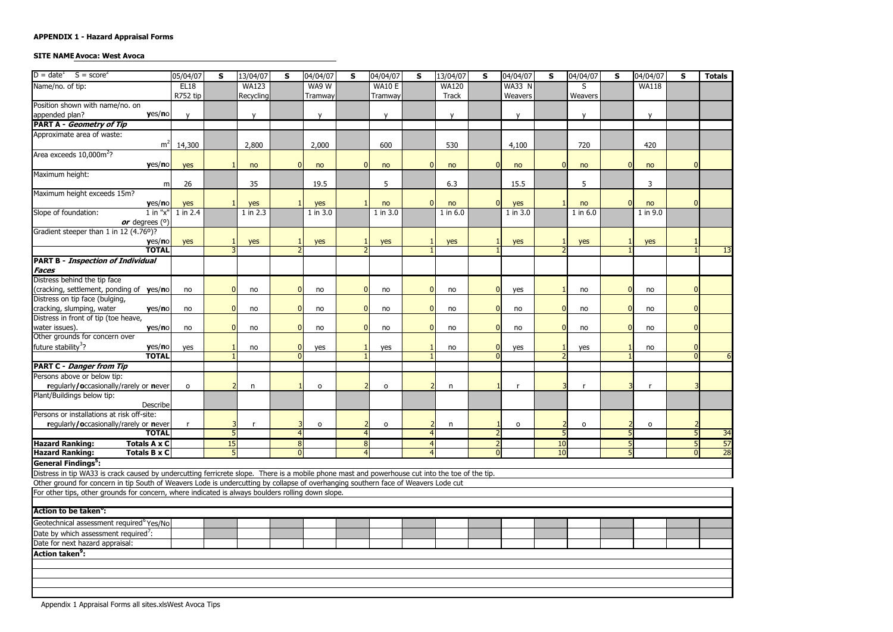# **SITE NAME Avoca: West Avoca**

| $D = date^T$ $S = score^2$                                                                                                                      | 05/04/07    | $\mathsf{s}$ | 13/04/07     | $\mathbf{s}$                | 04/04/07     | $\mathsf{s}$ | 04/04/07      | $\mathsf{s}$   | 13/04/07     | S                    | 04/04/07      | $\mathsf{s}$ | 04/04/07     | $\mathsf{s}$ | 04/04/07     | $\mathbf{s}$ | <b>Totals</b>   |
|-------------------------------------------------------------------------------------------------------------------------------------------------|-------------|--------------|--------------|-----------------------------|--------------|--------------|---------------|----------------|--------------|----------------------|---------------|--------------|--------------|--------------|--------------|--------------|-----------------|
| Name/no. of tip:                                                                                                                                | <b>EL18</b> |              | <b>WA123</b> |                             | WA9 W        |              | <b>WA10 E</b> |                | <b>WA120</b> |                      | <b>WA33 N</b> |              | S            |              | <b>WA118</b> |              |                 |
|                                                                                                                                                 | R752 tip    |              | Recycling    |                             | Tramway      |              | Tramway       |                | <b>Track</b> |                      | Weavers       |              | Weavers      |              |              |              |                 |
| Position shown with name/no. on                                                                                                                 |             |              |              |                             |              |              |               |                |              |                      |               |              |              |              |              |              |                 |
| yes/no<br>appended plan?                                                                                                                        |             |              | $\mathsf{v}$ |                             | $\mathsf{V}$ |              | $\mathsf{v}$  |                | $\mathbf{v}$ |                      | $\mathsf{v}$  |              | $\mathsf{v}$ |              | $\mathbf{V}$ |              |                 |
| <b>PART A - Geometry of Tip</b>                                                                                                                 |             |              |              |                             |              |              |               |                |              |                      |               |              |              |              |              |              |                 |
| Approximate area of waste:                                                                                                                      |             |              |              |                             |              |              |               |                |              |                      |               |              |              |              |              |              |                 |
| m <sup>2</sup>                                                                                                                                  | 14,300      |              | 2,800        |                             | 2,000        |              | 600           |                | 530          |                      | 4,100         |              | 720          |              | 420          |              |                 |
| Area exceeds 10,000m <sup>2</sup> ?                                                                                                             |             |              |              |                             |              | n            |               |                |              |                      |               |              |              |              |              |              |                 |
| yes/no                                                                                                                                          | yes         |              | no           | $\Omega$                    | no           |              | no            | $\Omega$       | no           | <sup>0</sup>         | no            |              | no           |              | no           |              |                 |
| Maximum height:                                                                                                                                 | 26          |              | 35           |                             | 19.5         |              | 5             |                | 6.3          |                      | 15.5          |              | 5            |              | 3            |              |                 |
| m<br>Maximum height exceeds 15m?                                                                                                                |             |              |              |                             |              |              |               |                |              |                      |               |              |              |              |              |              |                 |
| yes/no                                                                                                                                          | yes         |              | yes          |                             | yes          |              | no            | $\overline{0}$ | no           | $\Omega$             | yes           |              | no           |              | no           |              |                 |
| Slope of foundation:<br>$1$ in " $x$ "                                                                                                          | 1 in 2.4    |              | 1 in 2.3     |                             | 1 in 3.0     |              | 1 in 3.0      |                | 1 in 6.0     |                      | 1 in 3.0      |              | $1$ in $6.0$ |              | 1 in 9.0     |              |                 |
| or degrees $(°)$                                                                                                                                |             |              |              |                             |              |              |               |                |              |                      |               |              |              |              |              |              |                 |
| Gradient steeper than 1 in 12 (4.76°)?                                                                                                          |             |              |              |                             |              |              |               |                |              |                      |               |              |              |              |              |              |                 |
| yes/no                                                                                                                                          | yes         |              | yes          |                             | yes          |              | yes           |                | yes          |                      | yes           |              | yes          |              | yes          |              |                 |
| <b>TOTAL</b>                                                                                                                                    |             |              |              |                             |              |              |               |                |              |                      |               |              |              |              |              |              | 13              |
| <b>PART B - Inspection of Individual</b>                                                                                                        |             |              |              |                             |              |              |               |                |              |                      |               |              |              |              |              |              |                 |
| <b>Faces</b>                                                                                                                                    |             |              |              |                             |              |              |               |                |              |                      |               |              |              |              |              |              |                 |
| Distress behind the tip face                                                                                                                    |             |              |              |                             |              |              |               |                |              |                      |               |              |              |              |              |              |                 |
| cracking, settlement, ponding of yes/no                                                                                                         | no          |              | no           | $\mathbf{0}$                | no           | $\Omega$     | no            | $\Omega$       | no           | $\Omega$             | yes           |              | no           |              | no           |              |                 |
| Distress on tip face (bulging,                                                                                                                  |             |              |              |                             |              |              |               |                |              |                      |               |              |              |              |              |              |                 |
| cracking, slumping, water<br>yes/no                                                                                                             | no          |              | no           | $\Omega$                    | no           | $\Omega$     | no            | $\Omega$       | no           | <sup>0</sup>         | no            |              | no           |              | no           |              |                 |
| Distress in front of tip (toe heave,                                                                                                            |             |              |              |                             |              |              |               |                |              |                      |               |              |              |              |              |              |                 |
| water issues).<br>yes/no                                                                                                                        | no          |              | no           | $\Omega$                    | no           | ŋ            | no            | $\Omega$       | no           | $\Omega$             | no            |              | no           |              | no           |              |                 |
| Other grounds for concern over                                                                                                                  |             |              |              |                             |              |              |               |                |              |                      |               |              |              |              |              |              |                 |
| future stability <sup>3</sup> ?<br>yes/no<br><b>TOTAL</b>                                                                                       | yes         |              | no           | $\mathbf 0$<br>$\mathbf{0}$ | yes          |              | yes           |                | no           | $\Omega$<br>$\Omega$ | yes           |              | yes          |              | no           |              |                 |
| <b>PART C - Danger from Tip</b>                                                                                                                 |             |              |              |                             |              |              |               |                |              |                      |               |              |              |              |              |              |                 |
| Persons above or below tip:                                                                                                                     |             |              |              |                             |              |              |               |                |              |                      |               |              |              |              |              |              |                 |
| regularly/occasionally/rarely or never                                                                                                          | $\circ$     |              | n            |                             | $\circ$      |              | $\circ$       |                | $\mathsf{n}$ |                      |               |              |              |              |              |              |                 |
| Plant/Buildings below tip:                                                                                                                      |             |              |              |                             |              |              |               |                |              |                      |               |              |              |              |              |              |                 |
| Describe                                                                                                                                        |             |              |              |                             |              |              |               |                |              |                      |               |              |              |              |              |              |                 |
| Persons or installations at risk off-site:                                                                                                      |             |              |              |                             |              |              |               |                |              |                      |               |              |              |              |              |              |                 |
| regularly/occasionally/rarely or never                                                                                                          |             |              |              |                             | $\circ$      |              | o             |                | n            |                      | 0             |              | 0            |              | 0            |              |                 |
| <b>TOTAL</b>                                                                                                                                    |             |              |              |                             |              |              |               |                |              |                      |               |              |              |              |              |              | 34              |
| <b>Totals A x C</b><br><b>Hazard Ranking:</b>                                                                                                   |             | 15           |              | 8                           |              | 8            |               | 4              |              |                      |               | 10           |              |              |              |              | 57              |
| <b>Totals B x C</b><br><b>Hazard Ranking:</b>                                                                                                   |             |              |              | $\Omega$                    |              | 4            |               | Δ              |              | $\Omega$             |               | 10           |              | 5            |              |              | $\overline{28}$ |
| <b>General Findings<sup>5</sup></b> :                                                                                                           |             |              |              |                             |              |              |               |                |              |                      |               |              |              |              |              |              |                 |
| Distress in tip WA33 is crack caused by undercutting ferricrete slope. There is a mobile phone mast and powerhouse cut into the toe of the tip. |             |              |              |                             |              |              |               |                |              |                      |               |              |              |              |              |              |                 |
| Other ground for concern in tip South of Weavers Lode is undercutting by collapse of overhanging southern face of Weavers Lode cut              |             |              |              |                             |              |              |               |                |              |                      |               |              |              |              |              |              |                 |
| For other tips, other grounds for concern, where indicated is always boulders rolling down slope.                                               |             |              |              |                             |              |              |               |                |              |                      |               |              |              |              |              |              |                 |
|                                                                                                                                                 |             |              |              |                             |              |              |               |                |              |                      |               |              |              |              |              |              |                 |
| Action to be taken <sup>o</sup> :                                                                                                               |             |              |              |                             |              |              |               |                |              |                      |               |              |              |              |              |              |                 |
| Geotechnical assessment required <sup>6</sup> Yes/No                                                                                            |             |              |              |                             |              |              |               |                |              |                      |               |              |              |              |              |              |                 |
| Date by which assessment required <sup>7</sup> :                                                                                                |             |              |              |                             |              |              |               |                |              |                      |               |              |              |              |              |              |                 |
| Date for next hazard appraisal:                                                                                                                 |             |              |              |                             |              |              |               |                |              |                      |               |              |              |              |              |              |                 |
| <b>Action taken<sup>9</sup>:</b>                                                                                                                |             |              |              |                             |              |              |               |                |              |                      |               |              |              |              |              |              |                 |
|                                                                                                                                                 |             |              |              |                             |              |              |               |                |              |                      |               |              |              |              |              |              |                 |
|                                                                                                                                                 |             |              |              |                             |              |              |               |                |              |                      |               |              |              |              |              |              |                 |
|                                                                                                                                                 |             |              |              |                             |              |              |               |                |              |                      |               |              |              |              |              |              |                 |
|                                                                                                                                                 |             |              |              |                             |              |              |               |                |              |                      |               |              |              |              |              |              |                 |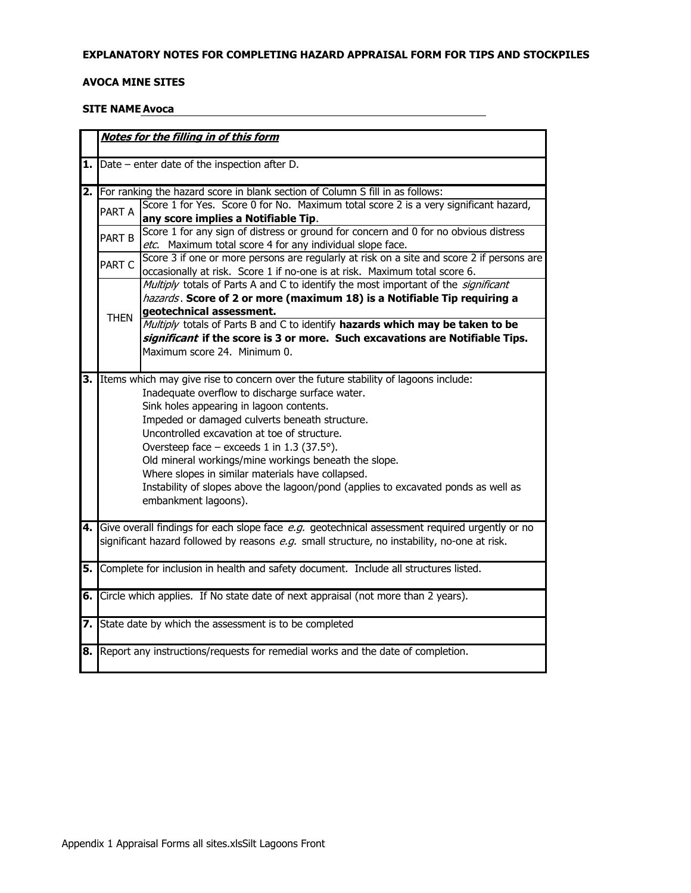### EXPLANATORY NOTES FOR COMPLETING HAZARD APPRAISAL FORM FOR TIPS AND STOCKPILES

# **AVOCA MINE SITES**

### **SITE NAME Avoca**

|      |                                                                            | Notes for the filling in of this form                                                             |  |  |  |  |  |  |  |  |
|------|----------------------------------------------------------------------------|---------------------------------------------------------------------------------------------------|--|--|--|--|--|--|--|--|
|      |                                                                            |                                                                                                   |  |  |  |  |  |  |  |  |
|      |                                                                            | <b>1.</b> $\blacksquare$ Date – enter date of the inspection after D.                             |  |  |  |  |  |  |  |  |
|      |                                                                            | 2. For ranking the hazard score in blank section of Column S fill in as follows:                  |  |  |  |  |  |  |  |  |
|      |                                                                            | Score 1 for Yes. Score 0 for No. Maximum total score 2 is a very significant hazard,              |  |  |  |  |  |  |  |  |
|      | PART A                                                                     | any score implies a Notifiable Tip.                                                               |  |  |  |  |  |  |  |  |
|      |                                                                            | Score 1 for any sign of distress or ground for concern and 0 for no obvious distress              |  |  |  |  |  |  |  |  |
|      | PART B                                                                     | etc. Maximum total score 4 for any individual slope face.                                         |  |  |  |  |  |  |  |  |
|      | PART C                                                                     | Score 3 if one or more persons are regularly at risk on a site and score 2 if persons are         |  |  |  |  |  |  |  |  |
|      | occasionally at risk. Score 1 if no-one is at risk. Maximum total score 6. |                                                                                                   |  |  |  |  |  |  |  |  |
|      |                                                                            | Multiply totals of Parts A and C to identify the most important of the significant                |  |  |  |  |  |  |  |  |
|      | hazards. Score of 2 or more (maximum 18) is a Notifiable Tip requiring a   |                                                                                                   |  |  |  |  |  |  |  |  |
|      | geotechnical assessment.<br><b>THEN</b>                                    |                                                                                                   |  |  |  |  |  |  |  |  |
|      |                                                                            | Multiply totals of Parts B and C to identify hazards which may be taken to be                     |  |  |  |  |  |  |  |  |
|      |                                                                            | significant if the score is 3 or more. Such excavations are Notifiable Tips.                      |  |  |  |  |  |  |  |  |
|      |                                                                            | Maximum score 24. Minimum 0.                                                                      |  |  |  |  |  |  |  |  |
|      |                                                                            | 3. Items which may give rise to concern over the future stability of lagoons include:             |  |  |  |  |  |  |  |  |
|      |                                                                            | Inadequate overflow to discharge surface water.                                                   |  |  |  |  |  |  |  |  |
|      |                                                                            | Sink holes appearing in lagoon contents.                                                          |  |  |  |  |  |  |  |  |
|      |                                                                            | Impeded or damaged culverts beneath structure.                                                    |  |  |  |  |  |  |  |  |
|      |                                                                            | Uncontrolled excavation at toe of structure.                                                      |  |  |  |  |  |  |  |  |
|      |                                                                            | Oversteep face $-$ exceeds 1 in 1.3 (37.5°).                                                      |  |  |  |  |  |  |  |  |
|      |                                                                            | Old mineral workings/mine workings beneath the slope.                                             |  |  |  |  |  |  |  |  |
|      |                                                                            | Where slopes in similar materials have collapsed.                                                 |  |  |  |  |  |  |  |  |
|      |                                                                            | Instability of slopes above the lagoon/pond (applies to excavated ponds as well as                |  |  |  |  |  |  |  |  |
|      |                                                                            | embankment lagoons).                                                                              |  |  |  |  |  |  |  |  |
|      |                                                                            | 4. Give overall findings for each slope face e.g. geotechnical assessment required urgently or no |  |  |  |  |  |  |  |  |
|      |                                                                            | significant hazard followed by reasons e.g. small structure, no instability, no-one at risk.      |  |  |  |  |  |  |  |  |
|      |                                                                            |                                                                                                   |  |  |  |  |  |  |  |  |
| 5. I |                                                                            | Complete for inclusion in health and safety document. Include all structures listed.              |  |  |  |  |  |  |  |  |
|      |                                                                            |                                                                                                   |  |  |  |  |  |  |  |  |
| 6. I |                                                                            | Circle which applies. If No state date of next appraisal (not more than 2 years).                 |  |  |  |  |  |  |  |  |
|      |                                                                            | 7. State date by which the assessment is to be completed                                          |  |  |  |  |  |  |  |  |
|      |                                                                            |                                                                                                   |  |  |  |  |  |  |  |  |
|      |                                                                            | 8. Report any instructions/requests for remedial works and the date of completion.                |  |  |  |  |  |  |  |  |
|      |                                                                            |                                                                                                   |  |  |  |  |  |  |  |  |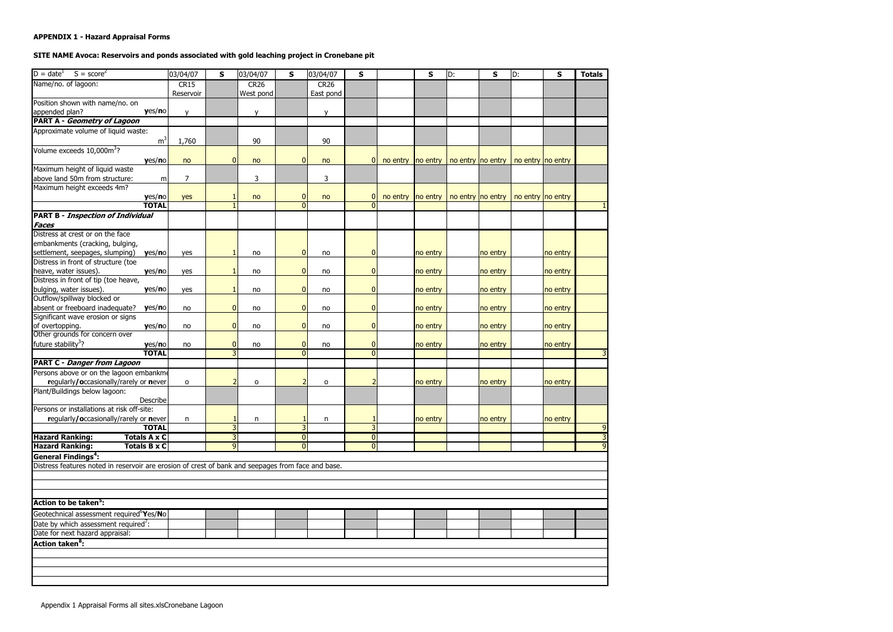# **APPENDIX 1 - Hazard Appraisal Forms**

# SITE NAME Avoca: Reservoirs and ponds associated with gold leaching project in Cronebane pit

| $D = date1$ S = score <sup>2</sup>                                                                 | 03/04/07       | $\mathsf{s}$   | 03/04/07     | S              | 03/04/07    | $\mathbf{s}$   |          | $\mathbf{s}$ | D: | S        | ID:                                                         | S        | <b>Totals</b> |
|----------------------------------------------------------------------------------------------------|----------------|----------------|--------------|----------------|-------------|----------------|----------|--------------|----|----------|-------------------------------------------------------------|----------|---------------|
| Name/no. of lagoon:                                                                                | <b>CR15</b>    |                | <b>CR26</b>  |                | <b>CR26</b> |                |          |              |    |          |                                                             |          |               |
|                                                                                                    | Reservoir      |                | West pond    |                | East pond   |                |          |              |    |          |                                                             |          |               |
| Position shown with name/no. on                                                                    |                |                |              |                |             |                |          |              |    |          |                                                             |          |               |
| yes/no<br>appended plan?                                                                           | $\mathsf{V}$   |                | v            |                | y           |                |          |              |    |          |                                                             |          |               |
| <b>PART A - Geometry of Lagoon</b>                                                                 |                |                |              |                |             |                |          |              |    |          |                                                             |          |               |
| Approximate volume of liquid waste:                                                                |                |                |              |                |             |                |          |              |    |          |                                                             |          |               |
| m <sup>3</sup>                                                                                     | 1,760          |                | 90           |                | 90          |                |          |              |    |          |                                                             |          |               |
| Volume exceeds 10,000m <sup>3</sup> ?                                                              |                |                |              |                |             |                |          |              |    |          |                                                             |          |               |
| yes/no                                                                                             | no             | $\overline{0}$ | no           | $\overline{0}$ | no          | 0              | no entry |              |    |          | $ no$ entry $ no$ entry $ no$ entry $ no$ entry $ no$ entry |          |               |
| Maximum height of liquid waste                                                                     |                |                |              |                |             |                |          |              |    |          |                                                             |          |               |
| above land 50m from structure:<br>m                                                                | $\overline{7}$ |                | 3            |                | 3           |                |          |              |    |          |                                                             |          |               |
| Maximum height exceeds 4m?                                                                         |                |                |              |                |             |                |          |              |    |          |                                                             |          |               |
| yes/no                                                                                             | yes            |                | no           | 0              | no          |                | no entry |              |    |          | $ no$ entry $ no$ entry $ no$ entry $ no$ entry $ no$ entry |          |               |
| <b>TOTAL</b>                                                                                       |                |                |              |                |             |                |          |              |    |          |                                                             |          |               |
| <b>PART B - Inspection of Individual</b>                                                           |                |                |              |                |             |                |          |              |    |          |                                                             |          |               |
| <b>Faces</b>                                                                                       |                |                |              |                |             |                |          |              |    |          |                                                             |          |               |
| Distress at crest or on the face                                                                   |                |                |              |                |             |                |          |              |    |          |                                                             |          |               |
| embankments (cracking, bulging,                                                                    |                |                |              |                |             |                |          |              |    |          |                                                             |          |               |
| settlement, seepages, slumping)<br>yes/no                                                          | yes            |                | no           | $\Omega$       | no          | $\overline{0}$ |          | no entry     |    | no entry |                                                             | no entry |               |
| Distress in front of structure (toe                                                                |                |                |              |                |             |                |          |              |    |          |                                                             |          |               |
| yes/no<br>heave, water issues).                                                                    | yes            |                | no           | $\Omega$       | no          | $\mathbf{0}$   |          | no entry     |    | no entry |                                                             | no entry |               |
| Distress in front of tip (toe heave,                                                               |                |                |              |                |             |                |          |              |    |          |                                                             |          |               |
| bulging, water issues).<br>yes/no                                                                  | yes            |                | no           | $\Omega$       | no          | 0              |          | no entry     |    | no entry |                                                             | no entry |               |
| Outflow/spillway blocked or                                                                        |                |                |              |                |             |                |          |              |    |          |                                                             |          |               |
| absent or freeboard inadequate?<br>yes/no                                                          | no             | $\mathbf{0}$   | no           | $\Omega$       | no          | $\overline{0}$ |          | no entry     |    | no entry |                                                             | no entry |               |
| Significant wave erosion or signs                                                                  |                |                |              |                |             |                |          |              |    |          |                                                             |          |               |
| yes/no<br>of overtopping.                                                                          | no             | $\mathbf{0}$   | no           | $\Omega$       | no          | $\overline{0}$ |          | no entry     |    | no entry |                                                             | no entry |               |
| Other grounds for concern over                                                                     |                |                |              |                |             |                |          |              |    |          |                                                             |          |               |
| future stability <sup>3</sup> ?<br>yes/no                                                          | no             | $\Omega$       | no           | $\mathbf{0}$   | no          | $\overline{0}$ |          | no entry     |    | no entry |                                                             | no entry |               |
| <b>TOTAL</b>                                                                                       |                |                |              | $\Omega$       |             | $\overline{0}$ |          |              |    |          |                                                             |          |               |
| <b>PART C - Danger from Lagoon</b>                                                                 |                |                |              |                |             |                |          |              |    |          |                                                             |          |               |
| Persons above or on the lagoon embankme                                                            |                |                |              |                |             |                |          |              |    |          |                                                             |          |               |
| regularly/occasionally/rarely or never                                                             | $\mathsf{o}\,$ |                | $\mathsf{o}$ |                | $\mathbf 0$ |                |          | no entry     |    | no entry |                                                             | no entry |               |
| Plant/Buildings below lagoon:                                                                      |                |                |              |                |             |                |          |              |    |          |                                                             |          |               |
| Describe                                                                                           |                |                |              |                |             |                |          |              |    |          |                                                             |          |               |
| Persons or installations at risk off-site:                                                         |                |                |              |                |             |                |          |              |    |          |                                                             |          |               |
| regularly/occasionally/rarely or never                                                             | n              |                | n            |                | n           |                |          | no entry     |    | no entry |                                                             | no entry |               |
| <b>TOTAL</b>                                                                                       |                |                |              |                |             | 3              |          |              |    |          |                                                             |          | 9             |
| <b>Hazard Ranking:</b><br>Totals A x C                                                             |                | 3              |              | $\Omega$       |             | $\overline{0}$ |          |              |    |          |                                                             |          | 3             |
| <b>Hazard Ranking:</b><br><b>Totals B x C</b>                                                      |                | $\overline{9}$ |              | $\Omega$       |             | $\overline{0}$ |          |              |    |          |                                                             |          | $\mathbf{q}$  |
| <b>General Findings<sup>4</sup>:</b>                                                               |                |                |              |                |             |                |          |              |    |          |                                                             |          |               |
| Distress features noted in reservoir are erosion of crest of bank and seepages from face and base. |                |                |              |                |             |                |          |              |    |          |                                                             |          |               |
|                                                                                                    |                |                |              |                |             |                |          |              |    |          |                                                             |          |               |
|                                                                                                    |                |                |              |                |             |                |          |              |    |          |                                                             |          |               |
|                                                                                                    |                |                |              |                |             |                |          |              |    |          |                                                             |          |               |
| Action to be taken <sup>3</sup> :                                                                  |                |                |              |                |             |                |          |              |    |          |                                                             |          |               |
| Geotechnical assessment required <sup>6</sup> Yes/No                                               |                |                |              |                |             |                |          |              |    |          |                                                             |          |               |
| Date by which assessment required <sup>7</sup> :                                                   |                |                |              |                |             |                |          |              |    |          |                                                             |          |               |
| Date for next hazard appraisal:                                                                    |                |                |              |                |             |                |          |              |    |          |                                                             |          |               |
| <b>Action taken<sup>8</sup>:</b>                                                                   |                |                |              |                |             |                |          |              |    |          |                                                             |          |               |
|                                                                                                    |                |                |              |                |             |                |          |              |    |          |                                                             |          |               |
|                                                                                                    |                |                |              |                |             |                |          |              |    |          |                                                             |          |               |
|                                                                                                    |                |                |              |                |             |                |          |              |    |          |                                                             |          |               |
|                                                                                                    |                |                |              |                |             |                |          |              |    |          |                                                             |          |               |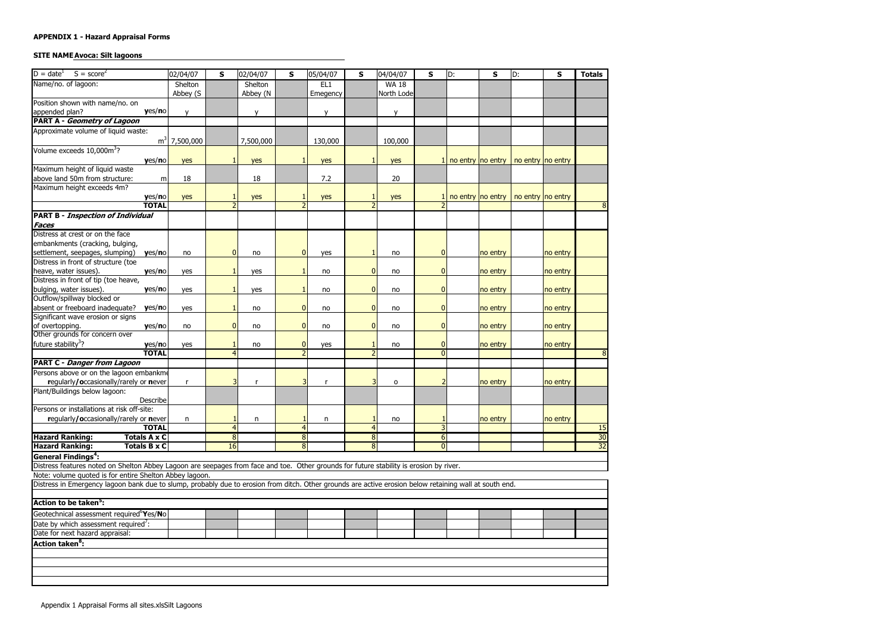# **APPENDIX 1 - Hazard Appraisal Forms**

# **SITE NAME Avoca: Silt lagoons**

| $D = dateT$<br>$S = score2$                                                                                                                             | 02/04/07     | S                | 02/04/07  | S                        | 05/04/07 | S              | 04/04/07     | S              | ID: | S        | ID:                                            | $\mathbf{s}$ | <b>Totals</b>   |
|---------------------------------------------------------------------------------------------------------------------------------------------------------|--------------|------------------|-----------|--------------------------|----------|----------------|--------------|----------------|-----|----------|------------------------------------------------|--------------|-----------------|
| Name/no. of lagoon:                                                                                                                                     | Shelton      |                  | Shelton   |                          | EL1      |                | <b>WA 18</b> |                |     |          |                                                |              |                 |
|                                                                                                                                                         | Abbey (S     |                  | Abbey (N  |                          | Emegency |                | North Lode   |                |     |          |                                                |              |                 |
| Position shown with name/no. on                                                                                                                         |              |                  |           |                          |          |                |              |                |     |          |                                                |              |                 |
| yes/no<br>appended plan?                                                                                                                                | $\mathsf{V}$ |                  | V         |                          | V        |                | v            |                |     |          |                                                |              |                 |
| <b>PART A - Geometry of Lagoon</b>                                                                                                                      |              |                  |           |                          |          |                |              |                |     |          |                                                |              |                 |
| Approximate volume of liquid waste:                                                                                                                     |              |                  |           |                          |          |                |              |                |     |          |                                                |              |                 |
| m <sup>3</sup>                                                                                                                                          | 7,500,000    |                  | 7,500,000 |                          | 130,000  |                | 100,000      |                |     |          |                                                |              |                 |
| Volume exceeds 10,000m <sup>3</sup> ?                                                                                                                   |              |                  |           |                          |          |                |              |                |     |          |                                                |              |                 |
| yes/no                                                                                                                                                  | yes          |                  | yes       |                          | yes      |                | yes          |                |     |          | 1 no entry $ no$ entry $ no$ entry $ no$ entry |              |                 |
| Maximum height of liquid waste                                                                                                                          |              |                  |           |                          |          |                |              |                |     |          |                                                |              |                 |
| above land 50m from structure:                                                                                                                          | 18<br>m      |                  | 18        |                          | 7.2      |                | 20           |                |     |          |                                                |              |                 |
| Maximum height exceeds 4m?                                                                                                                              |              |                  |           |                          |          |                |              |                |     |          |                                                |              |                 |
| yes/no                                                                                                                                                  | yes          |                  | yes       |                          | yes      |                | yes          |                |     |          | no entry no entry   no entry no entry          |              |                 |
| <b>TOTAL</b>                                                                                                                                            |              |                  |           |                          |          |                |              |                |     |          |                                                |              |                 |
| <b>PART B - Inspection of Individual</b>                                                                                                                |              |                  |           |                          |          |                |              |                |     |          |                                                |              |                 |
| <b>Faces</b>                                                                                                                                            |              |                  |           |                          |          |                |              |                |     |          |                                                |              |                 |
| Distress at crest or on the face                                                                                                                        |              |                  |           |                          |          |                |              |                |     |          |                                                |              |                 |
| embankments (cracking, bulging,                                                                                                                         |              |                  |           |                          |          |                |              |                |     |          |                                                |              |                 |
| settlement, seepages, slumping)<br>yes/no                                                                                                               | no           | $\mathbf{0}$     | no        | $\overline{0}$           | yes      |                | no           | $\mathbf{0}$   |     | no entry |                                                | no entry     |                 |
| Distress in front of structure (toe                                                                                                                     |              |                  |           |                          |          |                |              |                |     |          |                                                |              |                 |
| heave, water issues).<br>yes/no                                                                                                                         | yes          |                  | yes       |                          | no       | $\overline{0}$ | no           | 0              |     | no entry |                                                | no entry     |                 |
| Distress in front of tip (toe heave,                                                                                                                    |              |                  |           |                          |          |                |              |                |     |          |                                                |              |                 |
| bulging, water issues).<br>yes/no                                                                                                                       | yes          |                  | yes       |                          | no       | $\overline{0}$ | no           | $\overline{0}$ |     | no entry |                                                | no entry     |                 |
| Outflow/spillway blocked or                                                                                                                             |              |                  |           |                          |          |                |              |                |     |          |                                                |              |                 |
| absent or freeboard inadequate?<br>yes/no                                                                                                               | yes          |                  | no        | $\bf{0}$                 | no       | $\overline{0}$ | no           | 0              |     | no entry |                                                | no entry     |                 |
| Significant wave erosion or signs                                                                                                                       |              |                  |           |                          |          |                |              |                |     |          |                                                |              |                 |
| yes/no                                                                                                                                                  | no           | $\boldsymbol{0}$ | no        | $\bf{0}$                 | no       | $\mathbf{0}$   | no           | $\mathbf{0}$   |     | no entry |                                                | no entry     |                 |
| of overtopping.<br>Other grounds for concern over                                                                                                       |              |                  |           |                          |          |                |              |                |     |          |                                                |              |                 |
| future stability <sup>3</sup> ?<br>yes/no                                                                                                               | yes          |                  | no        | $\overline{0}$           | yes      |                | no           | $\mathbf{0}$   |     | no entry |                                                | no entry     |                 |
| <b>TOTAL</b>                                                                                                                                            |              |                  |           | $\overline{\phantom{0}}$ |          |                |              | $\Omega$       |     |          |                                                |              |                 |
| <b>PART C - Danger from Lagoon</b>                                                                                                                      |              |                  |           |                          |          |                |              |                |     |          |                                                |              |                 |
| Persons above or on the lagoon embankme                                                                                                                 |              |                  |           |                          |          |                |              |                |     |          |                                                |              |                 |
| regularly/occasionally/rarely or never                                                                                                                  | r            | 3                | r         | 3                        | r        |                | o            |                |     | no entry |                                                | no entry     |                 |
| Plant/Buildings below lagoon:                                                                                                                           |              |                  |           |                          |          |                |              |                |     |          |                                                |              |                 |
| Describe                                                                                                                                                |              |                  |           |                          |          |                |              |                |     |          |                                                |              |                 |
| Persons or installations at risk off-site:                                                                                                              |              |                  |           |                          |          |                |              |                |     |          |                                                |              |                 |
| regularly/occasionally/rarely or never                                                                                                                  | n.           |                  | n         |                          | n        |                | no           |                |     | no entry |                                                | no entry     |                 |
| <b>TOTAL</b>                                                                                                                                            |              | 4                |           |                          |          | 4              |              | 3              |     |          |                                                |              | 15              |
| <b>Hazard Ranking:</b><br>Totals A x C                                                                                                                  |              | $\bf 8$          |           | 8                        |          | 8              |              | 6              |     |          |                                                |              | 30              |
| <b>Hazard Ranking:</b><br><b>Totals B x C</b>                                                                                                           |              | 16               |           | 8                        |          | $\infty$       |              | $\Omega$       |     |          |                                                |              | $\overline{32}$ |
| <b>General Findings<sup>4</sup>:</b>                                                                                                                    |              |                  |           |                          |          |                |              |                |     |          |                                                |              |                 |
| Distress features noted on Shelton Abbey Lagoon are seepages from face and toe. Other grounds for future stability is erosion by river.                 |              |                  |           |                          |          |                |              |                |     |          |                                                |              |                 |
| Note: volume quoted is for entire Shelton Abbey lagoon.                                                                                                 |              |                  |           |                          |          |                |              |                |     |          |                                                |              |                 |
| Distress in Emergency lagoon bank due to slump, probably due to erosion from ditch. Other grounds are active erosion below retaining wall at south end. |              |                  |           |                          |          |                |              |                |     |          |                                                |              |                 |
|                                                                                                                                                         |              |                  |           |                          |          |                |              |                |     |          |                                                |              |                 |
| Action to be taken <sup>5</sup> :                                                                                                                       |              |                  |           |                          |          |                |              |                |     |          |                                                |              |                 |
| Geotechnical assessment required <sup>6</sup> Yes/No                                                                                                    |              |                  |           |                          |          |                |              |                |     |          |                                                |              |                 |
| Date by which assessment required <sup>7</sup> :                                                                                                        |              |                  |           |                          |          |                |              |                |     |          |                                                |              |                 |
| Date for next hazard appraisal:                                                                                                                         |              |                  |           |                          |          |                |              |                |     |          |                                                |              |                 |
| <b>Action taken<sup>8</sup>:</b>                                                                                                                        |              |                  |           |                          |          |                |              |                |     |          |                                                |              |                 |
|                                                                                                                                                         |              |                  |           |                          |          |                |              |                |     |          |                                                |              |                 |
|                                                                                                                                                         |              |                  |           |                          |          |                |              |                |     |          |                                                |              |                 |
|                                                                                                                                                         |              |                  |           |                          |          |                |              |                |     |          |                                                |              |                 |
|                                                                                                                                                         |              |                  |           |                          |          |                |              |                |     |          |                                                |              |                 |

 $\overline{\phantom{a}}$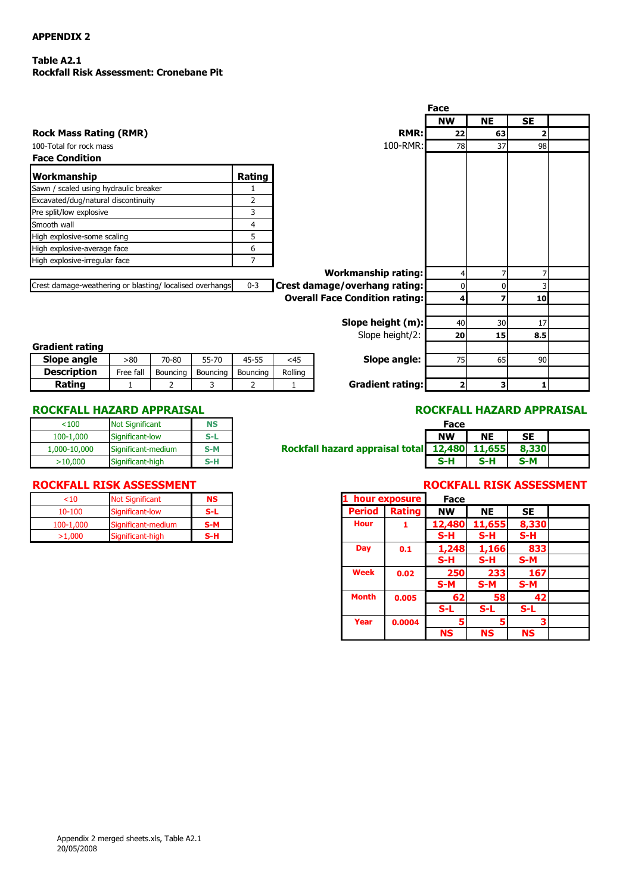# **APPENDIX 2**

# **Table A2.1 Rockfall Risk Assessment: Cronebane Pit**

|                                                         |                |         |                                       | Face           |           |           |  |
|---------------------------------------------------------|----------------|---------|---------------------------------------|----------------|-----------|-----------|--|
|                                                         |                |         |                                       | <b>NW</b>      | <b>NE</b> | <b>SE</b> |  |
| <b>Rock Mass Rating (RMR)</b>                           |                |         | <b>RMR:</b>                           | 22             | 63        | 2         |  |
| 100-Total for rock mass                                 |                |         | 100-RMR:                              | 78             | 37        | 98        |  |
| <b>Face Condition</b>                                   |                |         |                                       |                |           |           |  |
| <b>Workmanship</b>                                      | Rating         |         |                                       |                |           |           |  |
| Sawn / scaled using hydraulic breaker                   |                |         |                                       |                |           |           |  |
| Excavated/dug/natural discontinuity                     | 2              |         |                                       |                |           |           |  |
| Pre split/low explosive                                 | 3              |         |                                       |                |           |           |  |
| Smooth wall                                             | 4              |         |                                       |                |           |           |  |
| High explosive-some scaling                             | 5              |         |                                       |                |           |           |  |
| High explosive-average face                             | 6              |         |                                       |                |           |           |  |
| High explosive-irregular face                           | $\overline{7}$ |         |                                       |                |           |           |  |
|                                                         |                |         | <b>Workmanship rating:</b>            | 4              | 7         |           |  |
| Crest damage-weathering or blasting/localised overhangs | $0 - 3$        |         | Crest damage/overhang rating:         | 0              | 0         |           |  |
|                                                         |                |         | <b>Overall Face Condition rating:</b> | 4              | 7         | 10        |  |
|                                                         |                |         | Slope height (m):                     | 40             | 30        | 17        |  |
|                                                         |                |         | Slope height/2:                       | 20             | 15        | 8.5       |  |
| <b>Gradient rating</b>                                  |                |         |                                       |                |           |           |  |
| Slope angle<br>>80<br>70-80<br>55-70                    | $45 - 55$      | <45     | Slope angle:                          | 75             | 65        | 90        |  |
| <b>Description</b><br>Free fall<br>Bouncing<br>Bouncing | Bouncing       | Rolling |                                       |                |           |           |  |
| Rating<br>2<br>3<br>1                                   | $\overline{2}$ | 1       | <b>Gradient rating:</b>               | $\overline{a}$ | 3         |           |  |

### **ROCKFALL HAZARD APPRAISAL ROCKFALL HAZARD APPRAISAL**

| < 100        | <b>Not Significant</b> | NS    |
|--------------|------------------------|-------|
| 100-1,000    | Significant-low        | S-L   |
| 1,000-10,000 | Significant-medium     | $S-M$ |
| >10,000      | Significant-high       | S-H   |

| $10 - 100$<br>Significant-low<br>S-L<br><b>Hour</b><br>100-1.000<br>S-M<br>Significant-medium<br>S-H | hour exposure        | <b>Not Significant</b> | <10    |
|------------------------------------------------------------------------------------------------------|----------------------|------------------------|--------|
|                                                                                                      | <b>Period Rating</b> |                        |        |
|                                                                                                      |                      |                        |        |
|                                                                                                      |                      | Significant-high       | >1.000 |

| 100          | <b>Not Significant</b> | <b>NS</b> |                                               | Face      |           |           |  |
|--------------|------------------------|-----------|-----------------------------------------------|-----------|-----------|-----------|--|
| 100-1.000    | Significant-low        | S-L       |                                               | <b>NW</b> | <b>NE</b> | <b>SE</b> |  |
| 1,000-10,000 | Significant-medium     | S-M       | Rockfall hazard appraisal total 12,480 11,655 |           |           | 8,330     |  |
| >10,000      | Significant-high       | S-H       |                                               | S-H       | S-H       | $S-M$     |  |

# **ROCKFALL RISK ASSESSMENT ROCKFALL RISK ASSESSMENT**

| $<$ 10     | <b>Not Significant</b> | <b>NS</b> |
|------------|------------------------|-----------|
| $10 - 100$ | Significant-low        | $S-L$     |
| 100-1,000  | Significant-medium     | $S-M$     |
| >1,000     | Significant-high       | S-H       |
|            |                        |           |
|            |                        |           |
|            |                        |           |
|            |                        |           |
|            |                        |           |
|            |                        |           |
|            |                        |           |
|            |                        |           |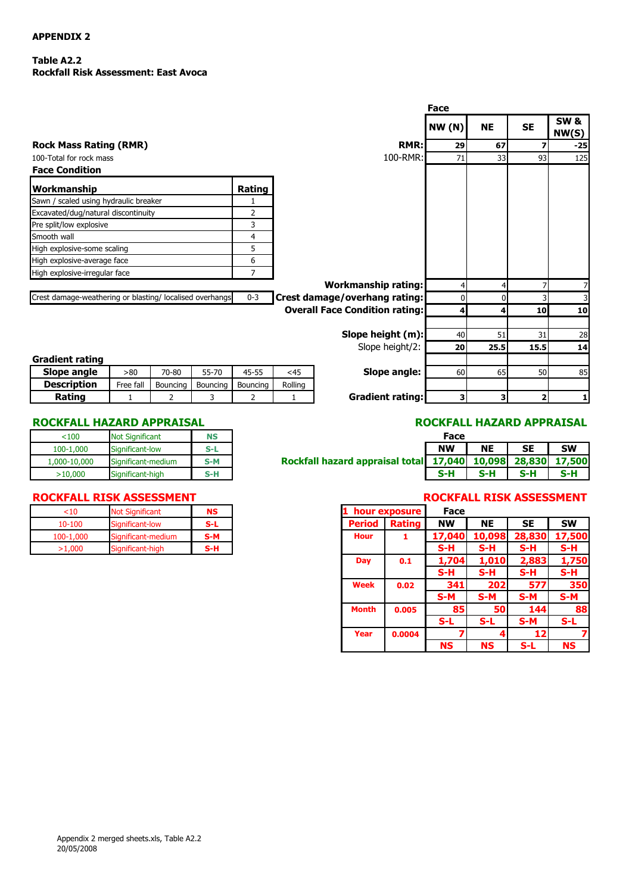# **APPENDIX 2**

### **Table A2.2 Rockfall Risk Assessment: East Avoca**

|                                                          |              |          |          |                |         |                                       | Face          |                         |                         |                          |
|----------------------------------------------------------|--------------|----------|----------|----------------|---------|---------------------------------------|---------------|-------------------------|-------------------------|--------------------------|
|                                                          |              |          |          |                |         |                                       | <b>NW (N)</b> | <b>NE</b>               | <b>SE</b>               | <b>SW &amp;</b><br>NW(S) |
| <b>Rock Mass Rating (RMR)</b>                            |              |          |          |                |         | RMR:                                  | 29            | 67                      | 7                       | $-25$                    |
| 100-Total for rock mass                                  |              |          |          |                |         | 100-RMR:                              | 71            | 33                      | 93                      | 125                      |
| <b>Face Condition</b>                                    |              |          |          |                |         |                                       |               |                         |                         |                          |
| Workmanship                                              |              |          |          | Rating         |         |                                       |               |                         |                         |                          |
| Sawn / scaled using hydraulic breaker                    |              |          |          |                |         |                                       |               |                         |                         |                          |
| Excavated/dug/natural discontinuity                      |              |          |          | $\overline{2}$ |         |                                       |               |                         |                         |                          |
| Pre split/low explosive                                  |              |          |          | 3              |         |                                       |               |                         |                         |                          |
| Smooth wall                                              |              |          |          | $\overline{4}$ |         |                                       |               |                         |                         |                          |
| High explosive-some scaling                              |              |          |          | 5              |         |                                       |               |                         |                         |                          |
| High explosive-average face                              |              |          |          | 6              |         |                                       |               |                         |                         |                          |
| High explosive-irregular face                            |              |          |          | 7              |         |                                       |               |                         |                         |                          |
|                                                          |              |          |          |                |         | <b>Workmanship rating:</b>            | 4             | 4                       |                         | 7                        |
| Crest damage-weathering or blasting/ localised overhangs |              |          |          | $0 - 3$        |         | Crest damage/overhang rating:         | 0             | $\overline{0}$          |                         | 3                        |
|                                                          |              |          |          |                |         | <b>Overall Face Condition rating:</b> | 4             | 4                       | 10                      | 10                       |
|                                                          |              |          |          |                |         |                                       |               |                         |                         |                          |
|                                                          |              |          |          |                |         | Slope height (m):                     | 40            | 51                      | 31                      | 28                       |
|                                                          |              |          |          |                |         | Slope height/2:                       | 20            | 25.5                    | 15.5                    | 14                       |
| <b>Gradient rating</b>                                   |              |          |          |                |         |                                       |               |                         |                         |                          |
| Slope angle                                              | >80          | 70-80    | 55-70    | 45-55          | $<$ 45  | Slope angle:                          | 60            | 65                      | 50                      | 85                       |
| <b>Description</b>                                       | Free fall    | Bouncing | Bouncing | Bouncing       | Rolling |                                       |               |                         |                         |                          |
| Rating                                                   | $\mathbf{1}$ | 2        | 3        | 2              | 1       | <b>Gradient rating:</b>               | 3             | $\overline{\mathbf{3}}$ | $\overline{\mathbf{2}}$ | $\mathbf{1}$             |

# **ROCKFALL HAZARD APPRAISAL ROCKFALL HAZARD APPRAISAL**

| < 100        | <b>Not Significant</b> | NS    |
|--------------|------------------------|-------|
| 100-1,000    | Significant-low        | S-L   |
| 1,000-10,000 | Significant-medium     | $S-M$ |
| >10,000      | Significant-high       | S-H   |

| 100          | <b>Not Significant</b> | <b>NS</b> |                                                             | Face      |           |           |           |
|--------------|------------------------|-----------|-------------------------------------------------------------|-----------|-----------|-----------|-----------|
| 100-1.000    | Significant-low        | S-L       |                                                             | <b>NW</b> | <b>NE</b> | <b>SE</b> | <b>SW</b> |
| 1,000-10,000 | Significant-medium     | S-M       | Rockfall hazard appraisal total 17,040 10,098 28,830 17,500 |           |           |           |           |
| >10,000      | Significant-high       | S-H       |                                                             | S-H       | 5-H       | S-H       | S-H       |

### **ROCKFALL RISK ASSESSMENT ROCKFALL RISK ASSESSMENT**

| <10        | <b>Not Significant</b> | NS  |             | hour exposure        |           |
|------------|------------------------|-----|-------------|----------------------|-----------|
| $10 - 100$ | Significant-low        | S-L |             | <b>Period Rating</b> | <b>NW</b> |
| 100-1,000  | Significant-medium     | S-M | <b>Hour</b> |                      | 17.040    |
| >1.000     | Significant-high       | S-H |             |                      | S-H       |
|            |                        |     |             |                      |           |

|                    | <b>Not Significant</b> | <b>NS</b> |               | hour exposure | Face      |           |                 |           |
|--------------------|------------------------|-----------|---------------|---------------|-----------|-----------|-----------------|-----------|
| Significant-low    |                        | $S-L$     | <b>Period</b> | Rating        | <b>NW</b> | <b>NE</b> | <b>SE</b>       | <b>SW</b> |
| Significant-medium |                        | $S-M$     | <b>Hour</b>   | 1             | 17,040    | 10,098    | 28,830          | 17,500    |
| Significant-high   |                        | S-H       |               |               | $S-H$     | $S-H$     | S-H             | S-H       |
|                    |                        |           | <b>Day</b>    | 0.1           | 1,704     | 1,010     | 2,883           | 1,750     |
|                    |                        |           |               |               | $S-H$     | $S-H$     | S-H             | $S-H$     |
|                    |                        |           | <b>Week</b>   | 0.02          | 341       | 202       | 577             | 350       |
|                    |                        |           |               |               | $S-M$     | $S-M$     | $S-M$           | $S-M$     |
|                    |                        |           | <b>Month</b>  | 0.005         | 85        | <b>50</b> | 144             | 88        |
|                    |                        |           |               |               | $S-L$     | $S-L$     | $S-M$           | $S-L$     |
|                    |                        |           | Year          | 0.0004        |           |           | 12 <sub>1</sub> |           |
|                    |                        |           |               |               | <b>NS</b> | <b>NS</b> | S-L             | <b>NS</b> |